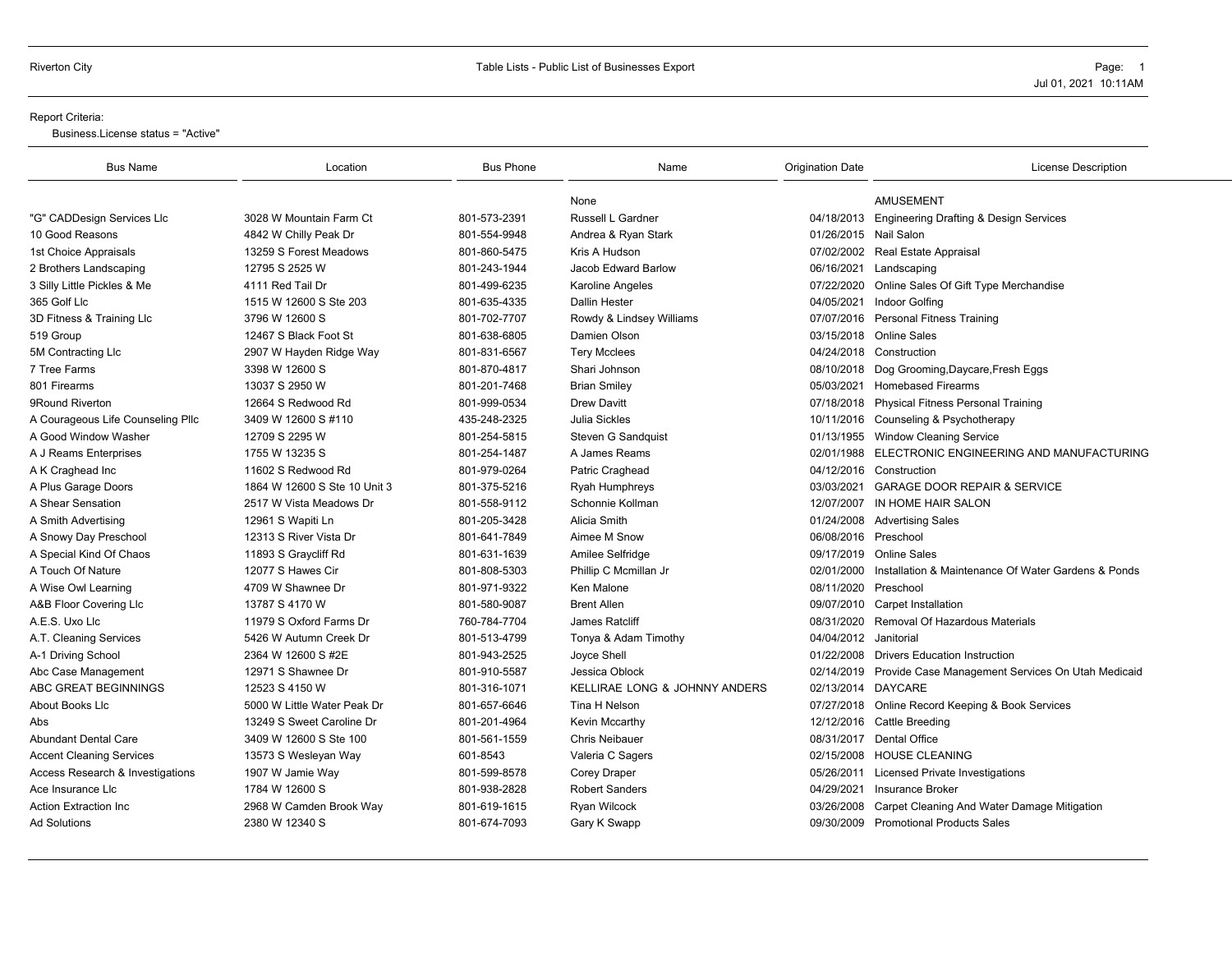#### Report Criteria:

Business.License status = "Active"

| <b>Bus Name</b>                   | Location                     | <b>Bus Phone</b> | Name                          | <b>Origination Date</b> | <b>License Description</b>                                   |
|-----------------------------------|------------------------------|------------------|-------------------------------|-------------------------|--------------------------------------------------------------|
|                                   |                              |                  | None                          |                         | <b>AMUSEMENT</b>                                             |
| "G" CADDesign Services Llc        | 3028 W Mountain Farm Ct      | 801-573-2391     | Russell L Gardner             |                         | 04/18/2013 Engineering Drafting & Design Services            |
| 10 Good Reasons                   | 4842 W Chilly Peak Dr        | 801-554-9948     | Andrea & Ryan Stark           | 01/26/2015 Nail Salon   |                                                              |
| 1st Choice Appraisals             | 13259 S Forest Meadows       | 801-860-5475     | Kris A Hudson                 |                         | 07/02/2002 Real Estate Appraisal                             |
| 2 Brothers Landscaping            | 12795 S 2525 W               | 801-243-1944     | Jacob Edward Barlow           |                         | 06/16/2021 Landscaping                                       |
| 3 Silly Little Pickles & Me       | 4111 Red Tail Dr             | 801-499-6235     | Karoline Angeles              |                         | 07/22/2020 Online Sales Of Gift Type Merchandise             |
| 365 Golf Llc                      | 1515 W 12600 S Ste 203       | 801-635-4335     | <b>Dallin Hester</b>          | 04/05/2021              | Indoor Golfing                                               |
| 3D Fitness & Training Llc         | 3796 W 12600 S               | 801-702-7707     | Rowdy & Lindsey Williams      |                         | 07/07/2016 Personal Fitness Training                         |
| 519 Group                         | 12467 S Black Foot St        | 801-638-6805     | Damien Olson                  |                         | 03/15/2018 Online Sales                                      |
| 5M Contracting Llc                | 2907 W Hayden Ridge Way      | 801-831-6567     | <b>Tery Mcclees</b>           |                         | 04/24/2018 Construction                                      |
| 7 Tree Farms                      | 3398 W 12600 S               | 801-870-4817     | Shari Johnson                 |                         | 08/10/2018 Dog Grooming, Daycare, Fresh Eggs                 |
| 801 Firearms                      | 13037 S 2950 W               | 801-201-7468     | <b>Brian Smiley</b>           | 05/03/2021              | <b>Homebased Firearms</b>                                    |
| 9Round Riverton                   | 12664 S Redwood Rd           | 801-999-0534     | <b>Drew Davitt</b>            |                         | 07/18/2018 Physical Fitness Personal Training                |
| A Courageous Life Counseling Pllc | 3409 W 12600 S #110          | 435-248-2325     | <b>Julia Sickles</b>          |                         | 10/11/2016 Counseling & Psychotherapy                        |
| A Good Window Washer              | 12709 S 2295 W               | 801-254-5815     | Steven G Sandquist            |                         | 01/13/1955 Window Cleaning Service                           |
| A J Reams Enterprises             | 1755 W 13235 S               | 801-254-1487     | A James Reams                 | 02/01/1988              | ELECTRONIC ENGINEERING AND MANUFACTURING                     |
| A K Craghead Inc                  | 11602 S Redwood Rd           | 801-979-0264     | Patric Craghead               |                         | 04/12/2016 Construction                                      |
| A Plus Garage Doors               | 1864 W 12600 S Ste 10 Unit 3 | 801-375-5216     | <b>Ryah Humphreys</b>         | 03/03/2021              | <b>GARAGE DOOR REPAIR &amp; SERVICE</b>                      |
| A Shear Sensation                 | 2517 W Vista Meadows Dr      | 801-558-9112     | Schonnie Kollman              | 12/07/2007              | IN HOME HAIR SALON                                           |
| A Smith Advertising               | 12961 S Wapiti Ln            | 801-205-3428     | Alicia Smith                  |                         | 01/24/2008 Advertising Sales                                 |
| A Snowy Day Preschool             | 12313 S River Vista Dr       | 801-641-7849     | Aimee M Snow                  | 06/08/2016 Preschool    |                                                              |
| A Special Kind Of Chaos           | 11893 S Graycliff Rd         | 801-631-1639     | Amilee Selfridge              |                         | 09/17/2019 Online Sales                                      |
| A Touch Of Nature                 | 12077 S Hawes Cir            | 801-808-5303     | Phillip C Mcmillan Jr         | 02/01/2000              | Installation & Maintenance Of Water Gardens & Ponds          |
| A Wise Owl Learning               | 4709 W Shawnee Dr            | 801-971-9322     | Ken Malone                    | 08/11/2020              | Preschool                                                    |
| A&B Floor Covering Llc            | 13787 S 4170 W               | 801-580-9087     | <b>Brent Allen</b>            |                         | 09/07/2010 Carpet Installation                               |
| A.E.S. Uxo Llc                    | 11979 S Oxford Farms Dr      | 760-784-7704     | James Ratcliff                | 08/31/2020              | Removal Of Hazardous Materials                               |
| A.T. Cleaning Services            | 5426 W Autumn Creek Dr       | 801-513-4799     | Tonya & Adam Timothy          | 04/04/2012 Janitorial   |                                                              |
| A-1 Driving School                | 2364 W 12600 S #2E           | 801-943-2525     | Joyce Shell                   |                         | 01/22/2008 Drivers Education Instruction                     |
| Abc Case Management               | 12971 S Shawnee Dr           | 801-910-5587     | Jessica Oblock                |                         | 02/14/2019 Provide Case Management Services On Utah Medicaid |
| ABC GREAT BEGINNINGS              | 12523 S 4150 W               | 801-316-1071     | KELLIRAE LONG & JOHNNY ANDERS | 02/13/2014 DAYCARE      |                                                              |
| About Books Llc                   | 5000 W Little Water Peak Dr  | 801-657-6646     | Tina H Nelson                 |                         | 07/27/2018 Online Record Keeping & Book Services             |
| Abs                               | 13249 S Sweet Caroline Dr    | 801-201-4964     | Kevin Mccarthy                | 12/12/2016              | Cattle Breeding                                              |
| <b>Abundant Dental Care</b>       | 3409 W 12600 S Ste 100       | 801-561-1559     | <b>Chris Neibauer</b>         |                         | 08/31/2017 Dental Office                                     |
| <b>Accent Cleaning Services</b>   | 13573 S Wesleyan Way         | 601-8543         | Valeria C Sagers              |                         | 02/15/2008 HOUSE CLEANING                                    |
| Access Research & Investigations  | 1907 W Jamie Way             | 801-599-8578     | Corey Draper                  | 05/26/2011              | <b>Licensed Private Investigations</b>                       |
| Ace Insurance LIc                 | 1784 W 12600 S               | 801-938-2828     | <b>Robert Sanders</b>         | 04/29/2021              | Insurance Broker                                             |
| <b>Action Extraction Inc</b>      | 2968 W Camden Brook Way      | 801-619-1615     | <b>Ryan Wilcock</b>           | 03/26/2008              | Carpet Cleaning And Water Damage Mitigation                  |
| <b>Ad Solutions</b>               | 2380 W 12340 S               | 801-674-7093     | Gary K Swapp                  |                         | 09/30/2009 Promotional Products Sales                        |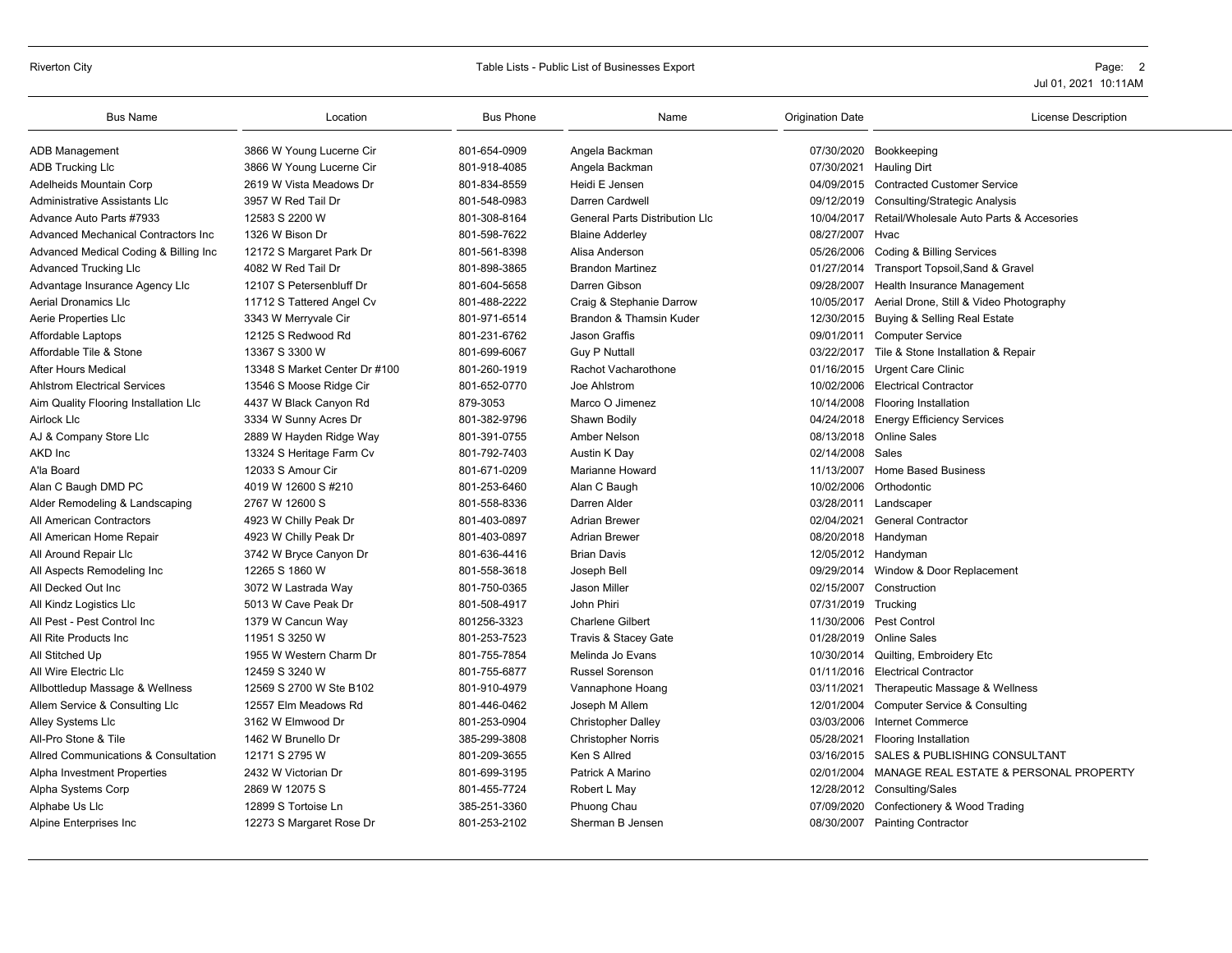# Riverton City **Table Lists - Public List of Businesses Export** Page: 2

| <b>Bus Name</b>                       | Location                      | <b>Bus Phone</b> | Name                                  | <b>Origination Date</b> | <b>License Description</b>                        |
|---------------------------------------|-------------------------------|------------------|---------------------------------------|-------------------------|---------------------------------------------------|
| <b>ADB Management</b>                 | 3866 W Young Lucerne Cir      | 801-654-0909     | Angela Backman                        |                         | 07/30/2020 Bookkeeping                            |
| <b>ADB Trucking LIc</b>               | 3866 W Young Lucerne Cir      | 801-918-4085     | Angela Backman                        |                         | 07/30/2021 Hauling Dirt                           |
| Adelheids Mountain Corp               | 2619 W Vista Meadows Dr       | 801-834-8559     | Heidi E Jensen                        |                         | 04/09/2015 Contracted Customer Service            |
| Administrative Assistants LIc         | 3957 W Red Tail Dr            | 801-548-0983     | Darren Cardwell                       | 09/12/2019              | <b>Consulting/Strategic Analysis</b>              |
| Advance Auto Parts #7933              | 12583 S 2200 W                | 801-308-8164     | <b>General Parts Distribution LIc</b> | 10/04/2017              | Retail/Wholesale Auto Parts & Accesories          |
| Advanced Mechanical Contractors Inc   | 1326 W Bison Dr               | 801-598-7622     | <b>Blaine Adderley</b>                | 08/27/2007              | Hvac                                              |
| Advanced Medical Coding & Billing Inc | 12172 S Margaret Park Dr      | 801-561-8398     | Alisa Anderson                        | 05/26/2006              | Coding & Billing Services                         |
| <b>Advanced Trucking Llc</b>          | 4082 W Red Tail Dr            | 801-898-3865     | <b>Brandon Martinez</b>               |                         | 01/27/2014 Transport Topsoil, Sand & Gravel       |
| Advantage Insurance Agency Llc        | 12107 S Petersenbluff Dr      | 801-604-5658     | Darren Gibson                         | 09/28/2007              | Health Insurance Management                       |
| <b>Aerial Dronamics Llc</b>           | 11712 S Tattered Angel Cv     | 801-488-2222     | Craig & Stephanie Darrow              | 10/05/2017              | Aerial Drone, Still & Video Photography           |
| Aerie Properties Llc                  | 3343 W Merryvale Cir          | 801-971-6514     | Brandon & Thamsin Kuder               |                         | 12/30/2015 Buying & Selling Real Estate           |
| Affordable Laptops                    | 12125 S Redwood Rd            | 801-231-6762     | Jason Graffis                         |                         | 09/01/2011 Computer Service                       |
| Affordable Tile & Stone               | 13367 S 3300 W                | 801-699-6067     | <b>Guy P Nuttall</b>                  |                         | 03/22/2017 Tile & Stone Installation & Repair     |
| <b>After Hours Medical</b>            | 13348 S Market Center Dr #100 | 801-260-1919     | Rachot Vacharothone                   | 01/16/2015              | <b>Urgent Care Clinic</b>                         |
| <b>Ahlstrom Electrical Services</b>   | 13546 S Moose Ridge Cir       | 801-652-0770     | Joe Ahlstrom                          |                         | 10/02/2006 Electrical Contractor                  |
| Aim Quality Flooring Installation Llc | 4437 W Black Canyon Rd        | 879-3053         | Marco O Jimenez                       | 10/14/2008              | <b>Flooring Installation</b>                      |
| Airlock Llc                           | 3334 W Sunny Acres Dr         | 801-382-9796     | Shawn Bodily                          | 04/24/2018              | <b>Energy Efficiency Services</b>                 |
| AJ & Company Store Llc                | 2889 W Hayden Ridge Way       | 801-391-0755     | Amber Nelson                          |                         | 08/13/2018 Online Sales                           |
| AKD Inc                               | 13324 S Heritage Farm Cv      | 801-792-7403     | Austin K Day                          | 02/14/2008 Sales        |                                                   |
| A'la Board                            | 12033 S Amour Cir             | 801-671-0209     | <b>Marianne Howard</b>                | 11/13/2007              | <b>Home Based Business</b>                        |
| Alan C Baugh DMD PC                   | 4019 W 12600 S #210           | 801-253-6460     | Alan C Baugh                          | 10/02/2006              | Orthodontic                                       |
| Alder Remodeling & Landscaping        | 2767 W 12600 S                | 801-558-8336     | Darren Alder                          |                         | 03/28/2011 Landscaper                             |
| All American Contractors              | 4923 W Chilly Peak Dr         | 801-403-0897     | <b>Adrian Brewer</b>                  | 02/04/2021              | General Contractor                                |
| All American Home Repair              | 4923 W Chilly Peak Dr         | 801-403-0897     | <b>Adrian Brewer</b>                  | 08/20/2018 Handyman     |                                                   |
| All Around Repair Llc                 | 3742 W Bryce Canyon Dr        | 801-636-4416     | <b>Brian Davis</b>                    | 12/05/2012 Handyman     |                                                   |
| All Aspects Remodeling Inc            | 12265 S 1860 W                | 801-558-3618     | Joseph Bell                           |                         | 09/29/2014 Window & Door Replacement              |
| All Decked Out Inc                    | 3072 W Lastrada Way           | 801-750-0365     | Jason Miller                          | 02/15/2007              | Construction                                      |
| All Kindz Logistics Llc               | 5013 W Cave Peak Dr           | 801-508-4917     | John Phiri                            | 07/31/2019              | Trucking                                          |
| All Pest - Pest Control Inc           | 1379 W Cancun Way             | 801256-3323      | <b>Charlene Gilbert</b>               |                         | 11/30/2006 Pest Control                           |
| All Rite Products Inc                 | 11951 S 3250 W                | 801-253-7523     | Travis & Stacey Gate                  | 01/28/2019              | Online Sales                                      |
| All Stitched Up                       | 1955 W Western Charm Dr       | 801-755-7854     | Melinda Jo Evans                      | 10/30/2014              | Quilting, Embroidery Etc                          |
| All Wire Electric Llc                 | 12459 S 3240 W                | 801-755-6877     | <b>Russel Sorenson</b>                |                         | 01/11/2016 Electrical Contractor                  |
| Allbottledup Massage & Wellness       | 12569 S 2700 W Ste B102       | 801-910-4979     | Vannaphone Hoang                      |                         | 03/11/2021 Therapeutic Massage & Wellness         |
| Allem Service & Consulting Llc        | 12557 Elm Meadows Rd          | 801-446-0462     | Joseph M Allem                        | 12/01/2004              | <b>Computer Service &amp; Consulting</b>          |
| Alley Systems Llc                     | 3162 W Elmwood Dr             | 801-253-0904     | <b>Christopher Dalley</b>             | 03/03/2006              | Internet Commerce                                 |
| All-Pro Stone & Tile                  | 1462 W Brunello Dr            | 385-299-3808     | <b>Christopher Norris</b>             | 05/28/2021              | <b>Flooring Installation</b>                      |
| Allred Communications & Consultation  | 12171 S 2795 W                | 801-209-3655     | Ken S Allred                          | 03/16/2015              | SALES & PUBLISHING CONSULTANT                     |
| Alpha Investment Properties           | 2432 W Victorian Dr           | 801-699-3195     | Patrick A Marino                      |                         | 02/01/2004 MANAGE REAL ESTATE & PERSONAL PROPERTY |
| Alpha Systems Corp                    | 2869 W 12075 S                | 801-455-7724     | Robert L May                          |                         | 12/28/2012 Consulting/Sales                       |
| Alphabe Us Llc                        | 12899 S Tortoise Ln           | 385-251-3360     | Phuong Chau                           | 07/09/2020              | Confectionery & Wood Trading                      |
| Alpine Enterprises Inc                | 12273 S Margaret Rose Dr      | 801-253-2102     | Sherman B Jensen                      |                         | 08/30/2007 Painting Contractor                    |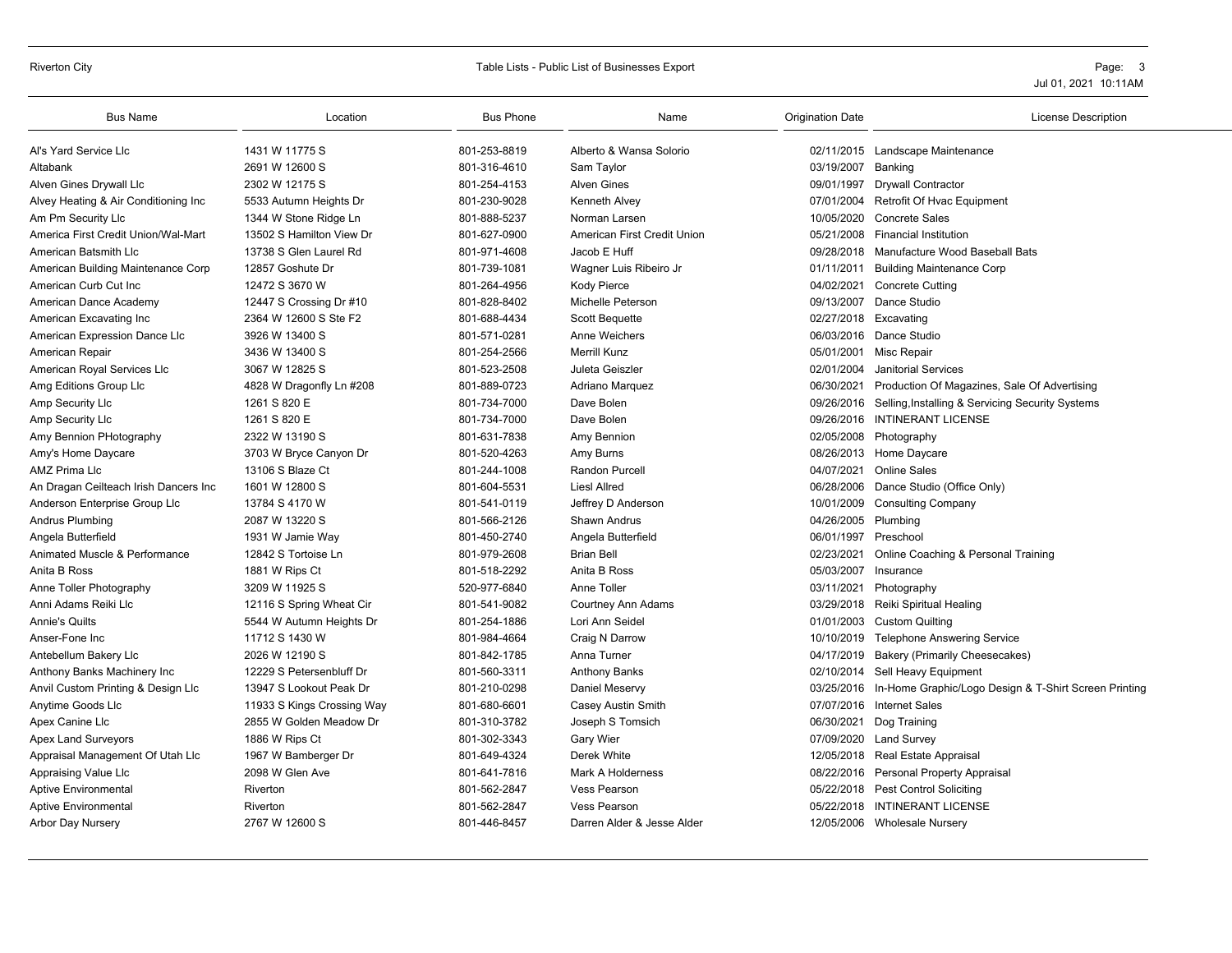### Riverton City **Subset Contains a Container Contains Contains Contains a Contains Contains Contains a Contains Contains a Contains a Contains a Contains a Contains a Contains a Contains a Contains a Contains a Contains a Co**

| <b>Bus Name</b>                       | Location                   | <b>Bus Phone</b> | Name                        | <b>Origination Date</b> | <b>License Description</b>                                  |
|---------------------------------------|----------------------------|------------------|-----------------------------|-------------------------|-------------------------------------------------------------|
| Al's Yard Service Llc                 | 1431 W 11775 S             | 801-253-8819     | Alberto & Wansa Solorio     |                         | 02/11/2015 Landscape Maintenance                            |
| Altabank                              | 2691 W 12600 S             | 801-316-4610     | Sam Taylor                  | 03/19/2007              | Banking                                                     |
| Alven Gines Drywall Llc               | 2302 W 12175 S             | 801-254-4153     | <b>Alven Gines</b>          |                         | 09/01/1997 Drywall Contractor                               |
| Alvey Heating & Air Conditioning Inc  | 5533 Autumn Heights Dr     | 801-230-9028     | <b>Kenneth Alvey</b>        | 07/01/2004              | Retrofit Of Hvac Equipment                                  |
| Am Pm Security Llc                    | 1344 W Stone Ridge Ln      | 801-888-5237     | Norman Larsen               | 10/05/2020              | <b>Concrete Sales</b>                                       |
| America First Credit Union/Wal-Mart   | 13502 S Hamilton View Dr   | 801-627-0900     | American First Credit Union | 05/21/2008              | <b>Financial Institution</b>                                |
| American Batsmith Llc                 | 13738 S Glen Laurel Rd     | 801-971-4608     | Jacob E Huff                | 09/28/2018              | Manufacture Wood Baseball Bats                              |
| American Building Maintenance Corp    | 12857 Goshute Dr           | 801-739-1081     | Wagner Luis Ribeiro Jr      | 01/11/2011              | <b>Building Maintenance Corp</b>                            |
| American Curb Cut Inc                 | 12472 S 3670 W             | 801-264-4956     | <b>Kody Pierce</b>          | 04/02/2021              | <b>Concrete Cutting</b>                                     |
| American Dance Academy                | 12447 S Crossing Dr #10    | 801-828-8402     | Michelle Peterson           | 09/13/2007              | Dance Studio                                                |
| American Excavating Inc               | 2364 W 12600 S Ste F2      | 801-688-4434     | <b>Scott Bequette</b>       | 02/27/2018 Excavating   |                                                             |
| American Expression Dance Llc         | 3926 W 13400 S             | 801-571-0281     | Anne Weichers               |                         | 06/03/2016 Dance Studio                                     |
| American Repair                       | 3436 W 13400 S             | 801-254-2566     | <b>Merrill Kunz</b>         | 05/01/2001              | Misc Repair                                                 |
| American Royal Services Llc           | 3067 W 12825 S             | 801-523-2508     | Juleta Geiszler             | 02/01/2004              | <b>Janitorial Services</b>                                  |
| Amg Editions Group Llc                | 4828 W Dragonfly Ln #208   | 801-889-0723     | Adriano Marquez             | 06/30/2021              | Production Of Magazines, Sale Of Advertising                |
| Amp Security Llc                      | 1261 S 820 E               | 801-734-7000     | Dave Bolen                  |                         | 09/26/2016 Selling, Installing & Servicing Security Systems |
| Amp Security Llc                      | 1261 S 820 E               | 801-734-7000     | Dave Bolen                  | 09/26/2016              | <b>INTINERANT LICENSE</b>                                   |
| Amy Bennion PHotography               | 2322 W 13190 S             | 801-631-7838     | Amy Bennion                 |                         | 02/05/2008 Photography                                      |
| Amy's Home Daycare                    | 3703 W Bryce Canyon Dr     | 801-520-4263     | Amy Burns                   |                         | 08/26/2013 Home Daycare                                     |
| AMZ Prima Llc                         | 13106 S Blaze Ct           | 801-244-1008     | <b>Randon Purcell</b>       | 04/07/2021              | <b>Online Sales</b>                                         |
| An Dragan Ceilteach Irish Dancers Inc | 1601 W 12800 S             | 801-604-5531     | Liesl Allred                | 06/28/2006              | Dance Studio (Office Only)                                  |
| Anderson Enterprise Group Llc         | 13784 S 4170 W             | 801-541-0119     | Jeffrey D Anderson          |                         | 10/01/2009 Consulting Company                               |
| Andrus Plumbing                       | 2087 W 13220 S             | 801-566-2126     | <b>Shawn Andrus</b>         | 04/26/2005 Plumbing     |                                                             |
| Angela Butterfield                    | 1931 W Jamie Wav           | 801-450-2740     | Angela Butterfield          | 06/01/1997              | Preschool                                                   |
| Animated Muscle & Performance         | 12842 S Tortoise Ln        | 801-979-2608     | <b>Brian Bell</b>           | 02/23/2021              | Online Coaching & Personal Training                         |
| Anita B Ross                          | 1881 W Rips Ct             | 801-518-2292     | Anita B Ross                | 05/03/2007              | Insurance                                                   |
| Anne Toller Photography               | 3209 W 11925 S             | 520-977-6840     | Anne Toller                 | 03/11/2021              | Photography                                                 |
| Anni Adams Reiki Llc                  | 12116 S Spring Wheat Cir   | 801-541-9082     | <b>Courtney Ann Adams</b>   |                         | 03/29/2018 Reiki Spiritual Healing                          |
| <b>Annie's Quilts</b>                 | 5544 W Autumn Heights Dr   | 801-254-1886     | Lori Ann Seidel             |                         | 01/01/2003 Custom Quilting                                  |
| Anser-Fone Inc                        | 11712 S 1430 W             | 801-984-4664     | Craig N Darrow              | 10/10/2019              | <b>Telephone Answering Service</b>                          |
| Antebellum Bakery Llc                 | 2026 W 12190 S             | 801-842-1785     | Anna Turner                 | 04/17/2019              | <b>Bakery (Primarily Cheesecakes)</b>                       |
| Anthony Banks Machinery Inc           | 12229 S Petersenbluff Dr   | 801-560-3311     | <b>Anthony Banks</b>        |                         | 02/10/2014 Sell Heavy Equipment                             |
| Anvil Custom Printing & Design Llc    | 13947 S Lookout Peak Dr    | 801-210-0298     | Daniel Meservy              | 03/25/2016              | In-Home Graphic/Logo Design & T-Shirt Screen Printing       |
| Anytime Goods Llc                     | 11933 S Kings Crossing Way | 801-680-6601     | Casey Austin Smith          |                         | 07/07/2016 Internet Sales                                   |
| Apex Canine Llc                       | 2855 W Golden Meadow Dr    | 801-310-3782     | Joseph S Tomsich            | 06/30/2021              | Dog Training                                                |
| <b>Apex Land Surveyors</b>            | 1886 W Rips Ct             | 801-302-3343     | Gary Wier                   |                         | 07/09/2020 Land Survey                                      |
| Appraisal Management Of Utah Llc      | 1967 W Bamberger Dr        | 801-649-4324     | Derek White                 |                         | 12/05/2018 Real Estate Appraisal                            |
| Appraising Value Llc                  | 2098 W Glen Ave            | 801-641-7816     | <b>Mark A Holderness</b>    |                         | 08/22/2016 Personal Property Appraisal                      |
| <b>Aptive Environmental</b>           | Riverton                   | 801-562-2847     | <b>Vess Pearson</b>         |                         | 05/22/2018 Pest Control Soliciting                          |
| <b>Aptive Environmental</b>           | Riverton                   | 801-562-2847     | <b>Vess Pearson</b>         |                         | 05/22/2018 INTINERANT LICENSE                               |
| Arbor Day Nursery                     | 2767 W 12600 S             | 801-446-8457     | Darren Alder & Jesse Alder  |                         | 12/05/2006 Wholesale Nursery                                |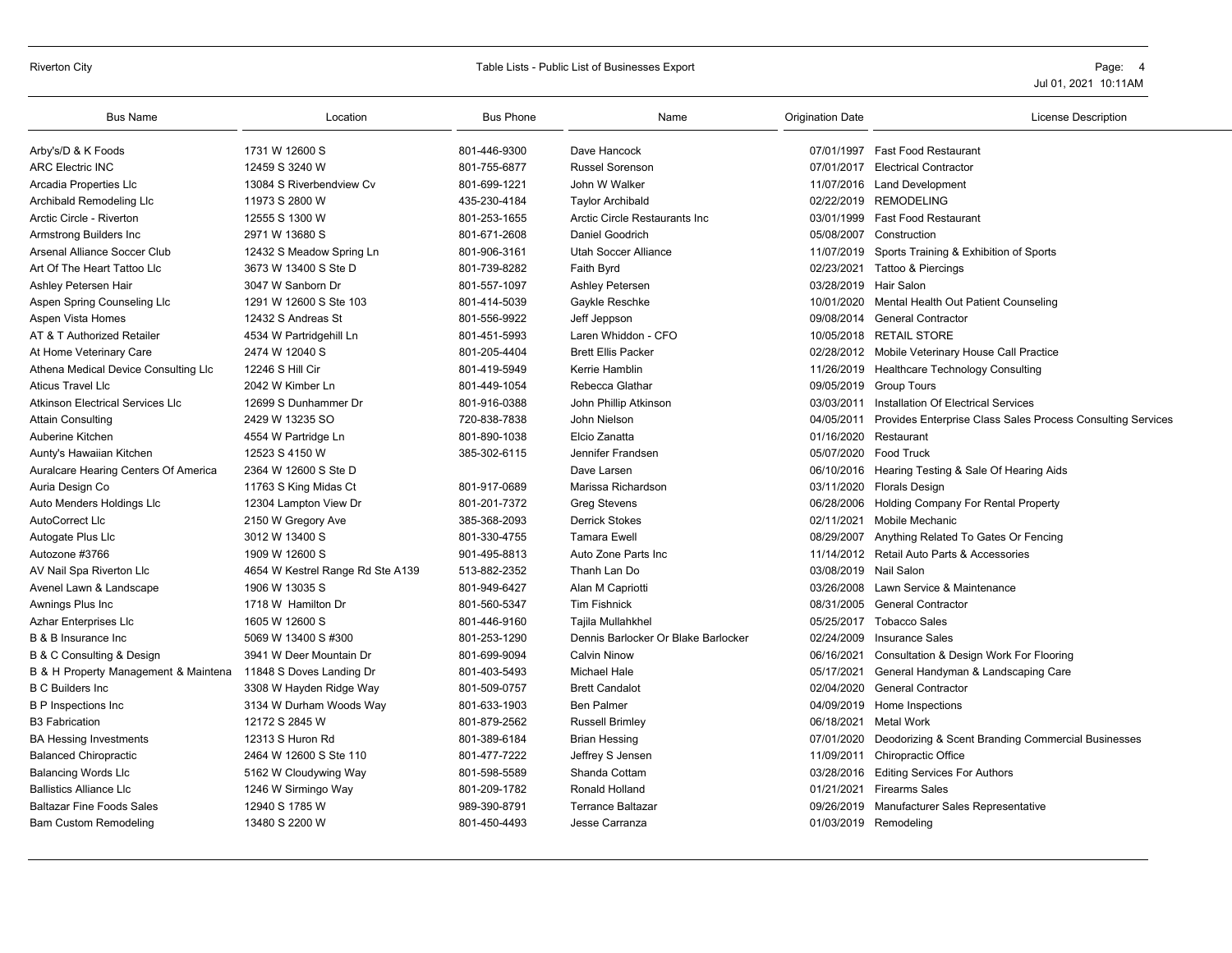# Riverton City **Table Lists - Public List of Businesses Export** Page: 4

| <b>Bus Name</b>                                               | Location                         | <b>Bus Phone</b> | Name                                | <b>Origination Date</b> | <b>License Description</b>                                  |
|---------------------------------------------------------------|----------------------------------|------------------|-------------------------------------|-------------------------|-------------------------------------------------------------|
| Arby's/D & K Foods                                            | 1731 W 12600 S                   | 801-446-9300     | Dave Hancock                        |                         | 07/01/1997 Fast Food Restaurant                             |
| <b>ARC Electric INC</b>                                       | 12459 S 3240 W                   | 801-755-6877     | <b>Russel Sorenson</b>              | 07/01/2017              | <b>Electrical Contractor</b>                                |
| Arcadia Properties Llc                                        | 13084 S Riverbendview Cv         | 801-699-1221     | John W Walker                       |                         | 11/07/2016 Land Development                                 |
| Archibald Remodeling Llc                                      | 11973 S 2800 W                   | 435-230-4184     | <b>Taylor Archibald</b>             |                         | 02/22/2019 REMODELING                                       |
| Arctic Circle - Riverton                                      | 12555 S 1300 W                   | 801-253-1655     | Arctic Circle Restaurants Inc       | 03/01/1999              | <b>Fast Food Restaurant</b>                                 |
| Armstrong Builders Inc                                        | 2971 W 13680 S                   | 801-671-2608     | Daniel Goodrich                     | 05/08/2007              | Construction                                                |
| Arsenal Alliance Soccer Club                                  | 12432 S Meadow Spring Ln         | 801-906-3161     | Utah Soccer Alliance                | 11/07/2019              | Sports Training & Exhibition of Sports                      |
| Art Of The Heart Tattoo Llc                                   | 3673 W 13400 S Ste D             | 801-739-8282     | Faith Byrd                          |                         | 02/23/2021 Tattoo & Piercings                               |
| Ashley Petersen Hair                                          | 3047 W Sanborn Dr                | 801-557-1097     | Ashley Petersen                     | 03/28/2019              | Hair Salon                                                  |
| Aspen Spring Counseling Llc                                   | 1291 W 12600 S Ste 103           | 801-414-5039     | Gaykle Reschke                      | 10/01/2020              | Mental Health Out Patient Counseling                        |
| Aspen Vista Homes                                             | 12432 S Andreas St               | 801-556-9922     | Jeff Jeppson                        | 09/08/2014              | <b>General Contractor</b>                                   |
| AT & T Authorized Retailer                                    | 4534 W Partridgehill Ln          | 801-451-5993     | Laren Whiddon - CFO                 | 10/05/2018              | <b>RETAIL STORE</b>                                         |
| At Home Veterinary Care                                       | 2474 W 12040 S                   | 801-205-4404     | <b>Brett Ellis Packer</b>           | 02/28/2012              | Mobile Veterinary House Call Practice                       |
| Athena Medical Device Consulting Llc                          | 12246 S Hill Cir                 | 801-419-5949     | Kerrie Hamblin                      |                         | 11/26/2019 Healthcare Technology Consulting                 |
| <b>Aticus Travel Llc</b>                                      | 2042 W Kimber Ln                 | 801-449-1054     | Rebecca Glathar                     | 09/05/2019              | <b>Group Tours</b>                                          |
| <b>Atkinson Electrical Services Llc</b>                       | 12699 S Dunhammer Dr             | 801-916-0388     | John Phillip Atkinson               | 03/03/2011              | Installation Of Electrical Services                         |
| <b>Attain Consulting</b>                                      | 2429 W 13235 SO                  | 720-838-7838     | John Nielson                        | 04/05/2011              | Provides Enterprise Class Sales Process Consulting Services |
| Auberine Kitchen                                              | 4554 W Partridge Ln              | 801-890-1038     | Elcio Zanatta                       | 01/16/2020              | Restaurant                                                  |
| Aunty's Hawaiian Kitchen                                      | 12523 S 4150 W                   | 385-302-6115     | Jennifer Frandsen                   | 05/07/2020              | <b>Food Truck</b>                                           |
| Auralcare Hearing Centers Of America                          | 2364 W 12600 S Ste D             |                  | Dave Larsen                         |                         | 06/10/2016 Hearing Testing & Sale Of Hearing Aids           |
| Auria Design Co                                               | 11763 S King Midas Ct            | 801-917-0689     | Marissa Richardson                  | 03/11/2020              | <b>Florals Design</b>                                       |
| Auto Menders Holdings Llc                                     | 12304 Lampton View Dr            | 801-201-7372     | <b>Greg Stevens</b>                 | 06/28/2006              | Holding Company For Rental Property                         |
| AutoCorrect Llc                                               | 2150 W Gregory Ave               | 385-368-2093     | <b>Derrick Stokes</b>               | 02/11/2021              | <b>Mobile Mechanic</b>                                      |
| Autogate Plus Llc                                             | 3012 W 13400 S                   | 801-330-4755     | <b>Tamara Ewell</b>                 | 08/29/2007              | Anything Related To Gates Or Fencing                        |
| Autozone #3766                                                | 1909 W 12600 S                   | 901-495-8813     | Auto Zone Parts Inc                 |                         | 11/14/2012 Retail Auto Parts & Accessories                  |
| AV Nail Spa Riverton Llc                                      | 4654 W Kestrel Range Rd Ste A139 | 513-882-2352     | Thanh Lan Do                        | 03/08/2019              | Nail Salon                                                  |
| Avenel Lawn & Landscape                                       | 1906 W 13035 S                   | 801-949-6427     | Alan M Capriotti                    | 03/26/2008              | Lawn Service & Maintenance                                  |
| Awnings Plus Inc                                              | 1718 W Hamilton Dr               | 801-560-5347     | <b>Tim Fishnick</b>                 | 08/31/2005              | <b>General Contractor</b>                                   |
| <b>Azhar Enterprises Llc</b>                                  | 1605 W 12600 S                   | 801-446-9160     | Tajila Mullahkhel                   | 05/25/2017              | <b>Tobacco Sales</b>                                        |
| B & B Insurance Inc                                           | 5069 W 13400 S #300              | 801-253-1290     | Dennis Barlocker Or Blake Barlocker | 02/24/2009              | <b>Insurance Sales</b>                                      |
| B & C Consulting & Design                                     | 3941 W Deer Mountain Dr          | 801-699-9094     | <b>Calvin Ninow</b>                 | 06/16/2021              | Consultation & Design Work For Flooring                     |
| B & H Property Management & Maintena 11848 S Doves Landing Dr |                                  | 801-403-5493     | <b>Michael Hale</b>                 | 05/17/2021              | General Handyman & Landscaping Care                         |
| <b>B C Builders Inc.</b>                                      | 3308 W Hayden Ridge Way          | 801-509-0757     | <b>Brett Candalot</b>               | 02/04/2020              | <b>General Contractor</b>                                   |
| <b>B P Inspections Inc</b>                                    | 3134 W Durham Woods Way          | 801-633-1903     | <b>Ben Palmer</b>                   |                         | 04/09/2019 Home Inspections                                 |
| <b>B3 Fabrication</b>                                         | 12172 S 2845 W                   | 801-879-2562     | <b>Russell Brimley</b>              | 06/18/2021              | Metal Work                                                  |
| <b>BA Hessing Investments</b>                                 | 12313 S Huron Rd                 | 801-389-6184     | <b>Brian Hessing</b>                | 07/01/2020              | Deodorizing & Scent Branding Commercial Businesses          |
| <b>Balanced Chiropractic</b>                                  | 2464 W 12600 S Ste 110           | 801-477-7222     | Jeffrey S Jensen                    | 11/09/2011              | Chiropractic Office                                         |
| <b>Balancing Words Llc</b>                                    | 5162 W Cloudywing Way            | 801-598-5589     | Shanda Cottam                       |                         | 03/28/2016 Editing Services For Authors                     |
| <b>Ballistics Alliance Llc</b>                                | 1246 W Sirmingo Way              | 801-209-1782     | Ronald Holland                      | 01/21/2021              | <b>Firearms Sales</b>                                       |
| <b>Baltazar Fine Foods Sales</b>                              | 12940 S 1785 W                   | 989-390-8791     | <b>Terrance Baltazar</b>            | 09/26/2019              | Manufacturer Sales Representative                           |
| <b>Bam Custom Remodeling</b>                                  | 13480 S 2200 W                   | 801-450-4493     | Jesse Carranza                      |                         | 01/03/2019 Remodeling                                       |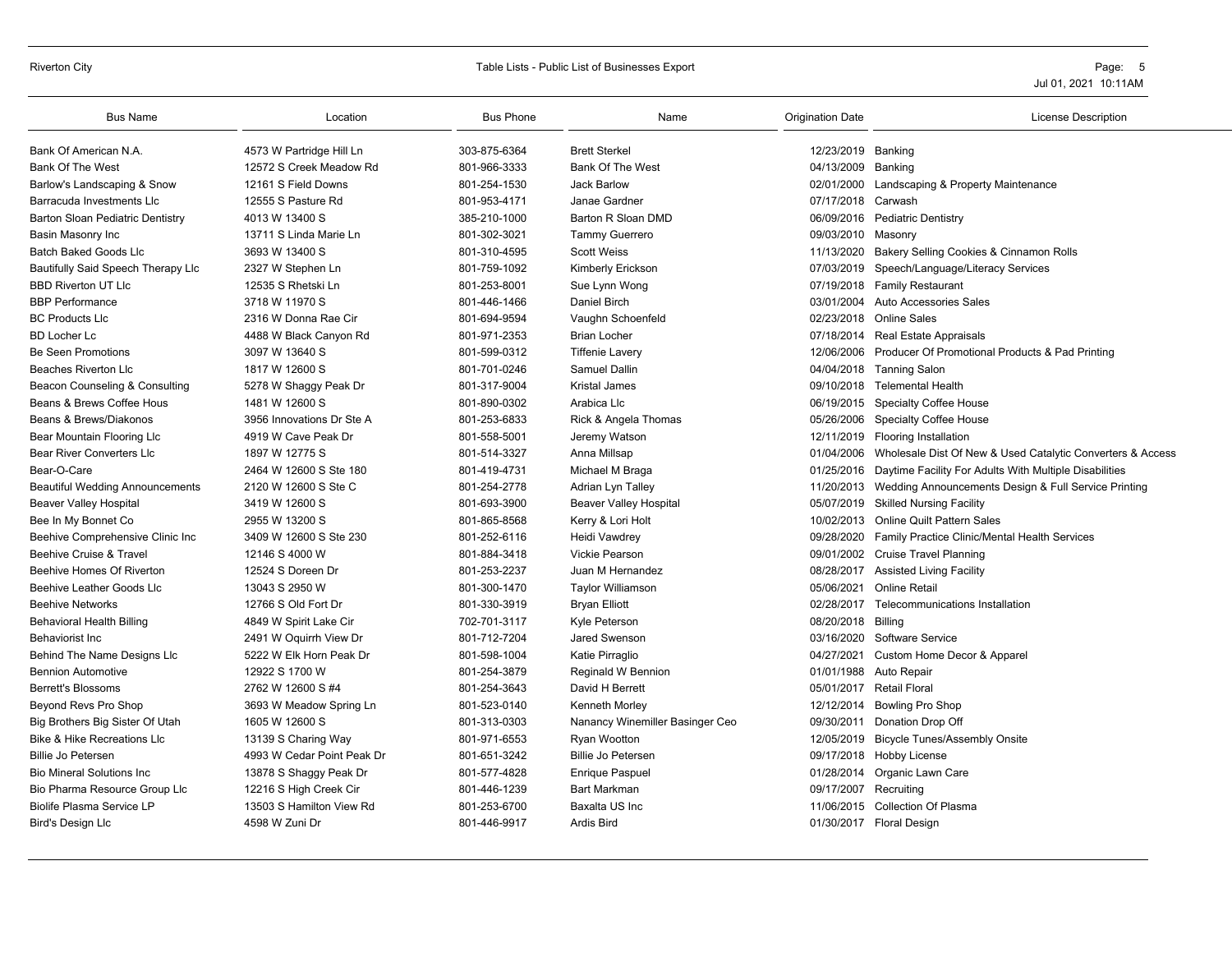#### Riverton City **School City** City Constants and Table Lists - Public List of Businesses Export **City** Page: 5

| <b>Bus Name</b>                        | Location                   | <b>Bus Phone</b> | Name                            | <b>Origination Date</b> | <b>License Description</b>                                            |
|----------------------------------------|----------------------------|------------------|---------------------------------|-------------------------|-----------------------------------------------------------------------|
| Bank Of American N.A.                  | 4573 W Partridge Hill Ln   | 303-875-6364     | <b>Brett Sterkel</b>            | 12/23/2019 Banking      |                                                                       |
| <b>Bank Of The West</b>                | 12572 S Creek Meadow Rd    | 801-966-3333     | <b>Bank Of The West</b>         | 04/13/2009 Banking      |                                                                       |
| Barlow's Landscaping & Snow            | 12161 S Field Downs        | 801-254-1530     | <b>Jack Barlow</b>              | 02/01/2000              | Landscaping & Property Maintenance                                    |
| Barracuda Investments Llc              | 12555 S Pasture Rd         | 801-953-4171     | Janae Gardner                   | 07/17/2018              | Carwash                                                               |
| Barton Sloan Pediatric Dentistry       | 4013 W 13400 S             | 385-210-1000     | Barton R Sloan DMD              |                         | 06/09/2016 Pediatric Dentistry                                        |
| Basin Masonry Inc                      | 13711 S Linda Marie Ln     | 801-302-3021     | Tammy Guerrero                  | 09/03/2010              | Masonry                                                               |
| <b>Batch Baked Goods Lic</b>           | 3693 W 13400 S             | 801-310-4595     | <b>Scott Weiss</b>              | 11/13/2020              | Bakery Selling Cookies & Cinnamon Rolls                               |
| Bautifully Said Speech Therapy Llc     | 2327 W Stephen Ln          | 801-759-1092     | Kimberly Erickson               | 07/03/2019              | Speech/Language/Literacy Services                                     |
| <b>BBD Riverton UT LIC</b>             | 12535 S Rhetski Ln         | 801-253-8001     | Sue Lynn Wong                   |                         | 07/19/2018 Family Restaurant                                          |
| <b>BBP Performance</b>                 | 3718 W 11970 S             | 801-446-1466     | Daniel Birch                    | 03/01/2004              | Auto Accessories Sales                                                |
| <b>BC Products Llc</b>                 | 2316 W Donna Rae Cir       | 801-694-9594     | Vaughn Schoenfeld               | 02/23/2018              | Online Sales                                                          |
| <b>BD Locher Lc</b>                    | 4488 W Black Canyon Rd     | 801-971-2353     | <b>Brian Locher</b>             |                         | 07/18/2014 Real Estate Appraisals                                     |
| <b>Be Seen Promotions</b>              | 3097 W 13640 S             | 801-599-0312     | <b>Tiffenie Lavery</b>          |                         | 12/06/2006 Producer Of Promotional Products & Pad Printing            |
| <b>Beaches Riverton Llc</b>            | 1817 W 12600 S             | 801-701-0246     | <b>Samuel Dallin</b>            |                         | 04/04/2018 Tanning Salon                                              |
| Beacon Counseling & Consulting         | 5278 W Shaggy Peak Dr      | 801-317-9004     | <b>Kristal James</b>            |                         | 09/10/2018 Telemental Health                                          |
| Beans & Brews Coffee Hous              | 1481 W 12600 S             | 801-890-0302     | Arabica Llc                     |                         | 06/19/2015 Specialty Coffee House                                     |
| Beans & Brews/Diakonos                 | 3956 Innovations Dr Ste A  | 801-253-6833     | Rick & Angela Thomas            | 05/26/2006              | <b>Specialty Coffee House</b>                                         |
| Bear Mountain Flooring Llc             | 4919 W Cave Peak Dr        | 801-558-5001     | Jeremy Watson                   |                         | 12/11/2019 Flooring Installation                                      |
| <b>Bear River Converters Llc</b>       | 1897 W 12775 S             | 801-514-3327     | Anna Millsap                    |                         | 01/04/2006 Wholesale Dist Of New & Used Catalytic Converters & Access |
| Bear-O-Care                            | 2464 W 12600 S Ste 180     | 801-419-4731     | Michael M Braga                 |                         | 01/25/2016 Daytime Facility For Adults With Multiple Disabilities     |
| <b>Beautiful Wedding Announcements</b> | 2120 W 12600 S Ste C       | 801-254-2778     | Adrian Lyn Talley               | 11/20/2013              | Wedding Announcements Design & Full Service Printing                  |
| <b>Beaver Valley Hospital</b>          | 3419 W 12600 S             | 801-693-3900     | <b>Beaver Valley Hospital</b>   |                         | 05/07/2019 Skilled Nursing Facility                                   |
| Bee In My Bonnet Co                    | 2955 W 13200 S             | 801-865-8568     | Kerry & Lori Holt               | 10/02/2013              | <b>Online Quilt Pattern Sales</b>                                     |
| Beehive Comprehensive Clinic Inc       | 3409 W 12600 S Ste 230     | 801-252-6116     | Heidi Vawdrey                   | 09/28/2020              | Family Practice Clinic/Mental Health Services                         |
| Beehive Cruise & Travel                | 12146 S 4000 W             | 801-884-3418     | <b>Vickie Pearson</b>           |                         | 09/01/2002 Cruise Travel Planning                                     |
| Beehive Homes Of Riverton              | 12524 S Doreen Dr          | 801-253-2237     | Juan M Hernandez                | 08/28/2017              |                                                                       |
|                                        |                            |                  |                                 |                         | <b>Assisted Living Facility</b>                                       |
| Beehive Leather Goods Llc              | 13043 S 2950 W             | 801-300-1470     | <b>Taylor Williamson</b>        | 05/06/2021              | <b>Online Retail</b>                                                  |
| <b>Beehive Networks</b>                | 12766 S Old Fort Dr        | 801-330-3919     | <b>Bryan Elliott</b>            | 02/28/2017              | Telecommunications Installation                                       |
| <b>Behavioral Health Billing</b>       | 4849 W Spirit Lake Cir     | 702-701-3117     | Kyle Peterson                   | 08/20/2018 Billing      |                                                                       |
| Behaviorist Inc                        | 2491 W Oquirrh View Dr     | 801-712-7204     | Jared Swenson                   | 03/16/2020              | <b>Software Service</b>                                               |
| Behind The Name Designs Llc            | 5222 W Elk Horn Peak Dr    | 801-598-1004     | Katie Pirraglio                 | 04/27/2021              | Custom Home Decor & Apparel                                           |
| <b>Bennion Automotive</b>              | 12922 S 1700 W             | 801-254-3879     | Reginald W Bennion              | 01/01/1988              | Auto Repair                                                           |
| <b>Berrett's Blossoms</b>              | 2762 W 12600 S #4          | 801-254-3643     | David H Berrett                 |                         | 05/01/2017 Retail Floral                                              |
| Beyond Revs Pro Shop                   | 3693 W Meadow Spring Ln    | 801-523-0140     | Kenneth Morley                  | 12/12/2014              | <b>Bowling Pro Shop</b>                                               |
| Big Brothers Big Sister Of Utah        | 1605 W 12600 S             | 801-313-0303     | Nanancy Winemiller Basinger Ceo | 09/30/2011              | Donation Drop Off                                                     |
| <b>Bike &amp; Hike Recreations Llc</b> | 13139 S Charing Way        | 801-971-6553     | Ryan Wootton                    | 12/05/2019              | <b>Bicycle Tunes/Assembly Onsite</b>                                  |
| Billie Jo Petersen                     | 4993 W Cedar Point Peak Dr | 801-651-3242     | <b>Billie Jo Petersen</b>       | 09/17/2018              | Hobby License                                                         |
| <b>Bio Mineral Solutions Inc</b>       | 13878 S Shaggy Peak Dr     | 801-577-4828     | <b>Enrique Paspuel</b>          | 01/28/2014              | Organic Lawn Care                                                     |
| Bio Pharma Resource Group Llc          | 12216 S High Creek Cir     | 801-446-1239     | <b>Bart Markman</b>             | 09/17/2007              | Recruitina                                                            |
| <b>Biolife Plasma Service LP</b>       | 13503 S Hamilton View Rd   | 801-253-6700     | Baxalta US Inc                  |                         | 11/06/2015 Collection Of Plasma                                       |
| <b>Bird's Design Llc</b>               | 4598 W Zuni Dr             | 801-446-9917     | Ardis Bird                      |                         | 01/30/2017 Floral Design                                              |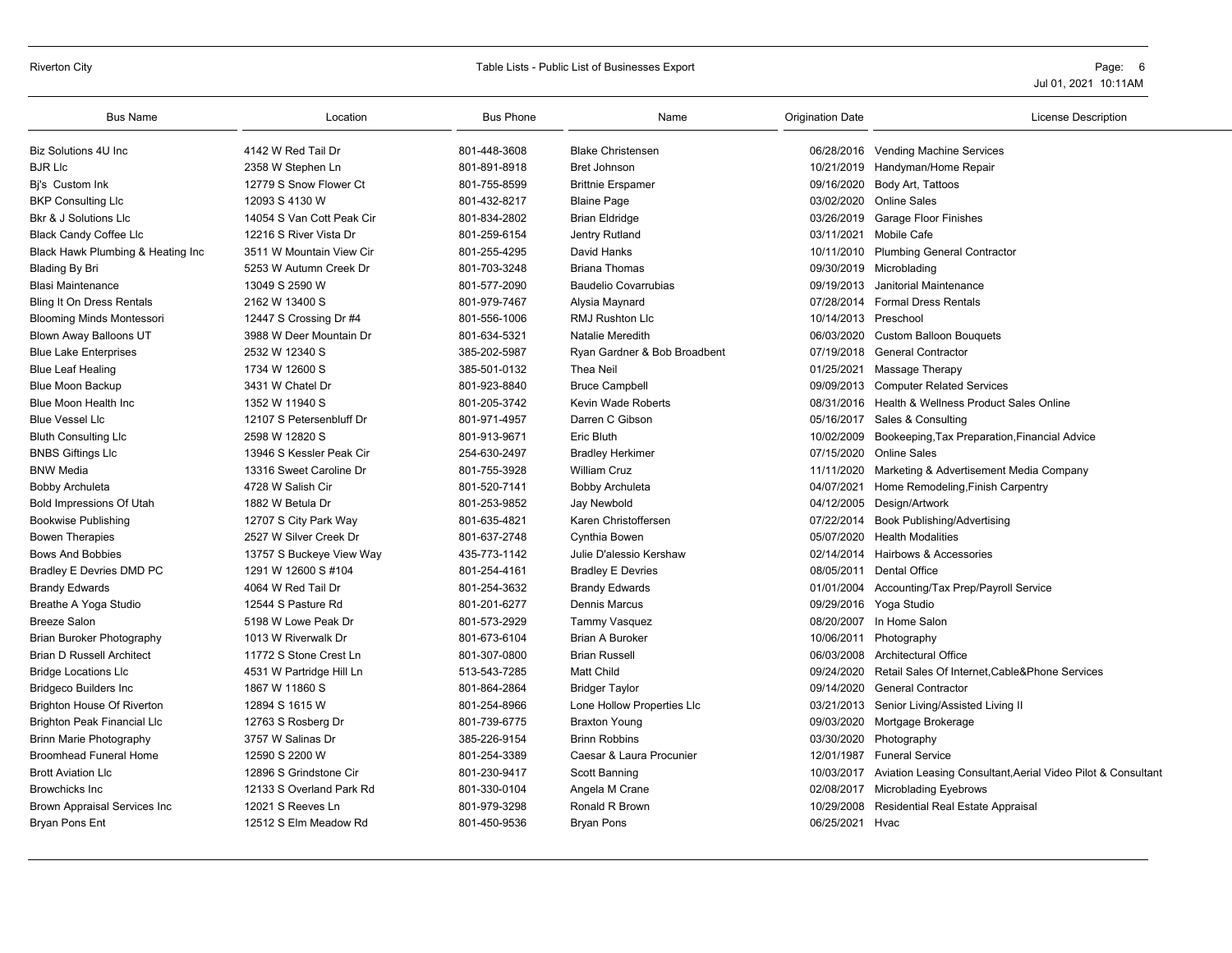#### Riverton City **Subset City** City Table Lists - Public List of Businesses Export **City** City City Constants and Table Lists of Businesses Export **Page: 6**

| <b>Bus Name</b>                    | Location                  | <b>Bus Phone</b> | Name                         | <b>Origination Date</b> | <b>License Description</b>                                              |
|------------------------------------|---------------------------|------------------|------------------------------|-------------------------|-------------------------------------------------------------------------|
| <b>Biz Solutions 4U Inc.</b>       | 4142 W Red Tail Dr        | 801-448-3608     | <b>Blake Christensen</b>     |                         | 06/28/2016 Vending Machine Services                                     |
| <b>BJR LIc</b>                     | 2358 W Stephen Ln         | 801-891-8918     | <b>Bret Johnson</b>          |                         | 10/21/2019 Handyman/Home Repair                                         |
| Bi's Custom Ink                    | 12779 S Snow Flower Ct    | 801-755-8599     | <b>Brittnie Erspamer</b>     | 09/16/2020              | Body Art, Tattoos                                                       |
| <b>BKP Consulting LIc</b>          | 12093 S 4130 W            | 801-432-8217     | <b>Blaine Page</b>           | 03/02/2020              | <b>Online Sales</b>                                                     |
| <b>Bkr &amp; J Solutions Llc</b>   | 14054 S Van Cott Peak Cir | 801-834-2802     | Brian Eldridge               |                         | 03/26/2019 Garage Floor Finishes                                        |
| <b>Black Candy Coffee Llc</b>      | 12216 S River Vista Dr    | 801-259-6154     | Jentry Rutland               |                         | 03/11/2021 Mobile Cafe                                                  |
| Black Hawk Plumbing & Heating Inc  | 3511 W Mountain View Cir  | 801-255-4295     | David Hanks                  |                         | 10/11/2010 Plumbing General Contractor                                  |
| <b>Blading By Bri</b>              | 5253 W Autumn Creek Dr    | 801-703-3248     | <b>Briana Thomas</b>         |                         | 09/30/2019 Microblading                                                 |
| <b>Blasi Maintenance</b>           | 13049 S 2590 W            | 801-577-2090     | <b>Baudelio Covarrubias</b>  | 09/19/2013              | Janitorial Maintenance                                                  |
| <b>Bling It On Dress Rentals</b>   | 2162 W 13400 S            | 801-979-7467     | Alysia Maynard               | 07/28/2014              | <b>Formal Dress Rentals</b>                                             |
| <b>Blooming Minds Montessori</b>   | 12447 S Crossing Dr #4    | 801-556-1006     | RMJ Rushton Llc              | 10/14/2013 Preschool    |                                                                         |
| Blown Away Balloons UT             | 3988 W Deer Mountain Dr   | 801-634-5321     | <b>Natalie Meredith</b>      | 06/03/2020              | <b>Custom Balloon Bouquets</b>                                          |
| <b>Blue Lake Enterprises</b>       | 2532 W 12340 S            | 385-202-5987     | Ryan Gardner & Bob Broadbent | 07/19/2018              | <b>General Contractor</b>                                               |
| <b>Blue Leaf Healing</b>           | 1734 W 12600 S            | 385-501-0132     | Thea Neil                    | 01/25/2021              | Massage Therapy                                                         |
| <b>Blue Moon Backup</b>            | 3431 W Chatel Dr          | 801-923-8840     | <b>Bruce Campbell</b>        |                         | 09/09/2013 Computer Related Services                                    |
| Blue Moon Health Inc               | 1352 W 11940 S            | 801-205-3742     | Kevin Wade Roberts           | 08/31/2016              | Health & Wellness Product Sales Online                                  |
| <b>Blue Vessel Llc</b>             | 12107 S Petersenbluff Dr  | 801-971-4957     | Darren C Gibson              | 05/16/2017              | Sales & Consulting                                                      |
| <b>Bluth Consulting LIc</b>        | 2598 W 12820 S            | 801-913-9671     | Eric Bluth                   | 10/02/2009              | Bookeeping, Tax Preparation, Financial Advice                           |
| <b>BNBS Giftings LIc</b>           | 13946 S Kessler Peak Cir  | 254-630-2497     | <b>Bradley Herkimer</b>      | 07/15/2020              | <b>Online Sales</b>                                                     |
| <b>BNW Media</b>                   | 13316 Sweet Caroline Dr   | 801-755-3928     | <b>William Cruz</b>          | 11/11/2020              | Marketing & Advertisement Media Company                                 |
| <b>Bobby Archuleta</b>             | 4728 W Salish Cir         | 801-520-7141     | Bobby Archuleta              | 04/07/2021              | Home Remodeling, Finish Carpentry                                       |
| Bold Impressions Of Utah           | 1882 W Betula Dr          | 801-253-9852     | Jay Newbold                  | 04/12/2005              | Design/Artwork                                                          |
| <b>Bookwise Publishing</b>         | 12707 S City Park Way     | 801-635-4821     | Karen Christoffersen         |                         | 07/22/2014 Book Publishing/Advertising                                  |
| <b>Bowen Therapies</b>             | 2527 W Silver Creek Dr    | 801-637-2748     | <b>Cynthia Bowen</b>         | 05/07/2020              | <b>Health Modalities</b>                                                |
| <b>Bows And Bobbies</b>            | 13757 S Buckeye View Way  | 435-773-1142     | Julie D'alessio Kershaw      |                         | 02/14/2014 Hairbows & Accessories                                       |
| <b>Bradley E Devries DMD PC</b>    | 1291 W 12600 S #104       | 801-254-4161     | <b>Bradley E Devries</b>     |                         | 08/05/2011 Dental Office                                                |
| <b>Brandy Edwards</b>              | 4064 W Red Tail Dr        | 801-254-3632     | <b>Brandy Edwards</b>        | 01/01/2004              | Accounting/Tax Prep/Payroll Service                                     |
| Breathe A Yoga Studio              | 12544 S Pasture Rd        | 801-201-6277     | <b>Dennis Marcus</b>         |                         | 09/29/2016 Yoga Studio                                                  |
| <b>Breeze Salon</b>                | 5198 W Lowe Peak Dr       | 801-573-2929     | <b>Tammy Vasquez</b>         |                         | 08/20/2007 In Home Salon                                                |
| Brian Buroker Photography          | 1013 W Riverwalk Dr       | 801-673-6104     | <b>Brian A Buroker</b>       |                         | 10/06/2011 Photography                                                  |
| <b>Brian D Russell Architect</b>   | 11772 S Stone Crest Ln    | 801-307-0800     | <b>Brian Russell</b>         |                         | 06/03/2008 Architectural Office                                         |
| <b>Bridge Locations Llc</b>        | 4531 W Partridge Hill Ln  | 513-543-7285     | <b>Matt Child</b>            | 09/24/2020              | Retail Sales Of Internet, Cable& Phone Services                         |
| <b>Bridgeco Builders Inc</b>       | 1867 W 11860 S            | 801-864-2864     | <b>Bridger Taylor</b>        | 09/14/2020              | <b>General Contractor</b>                                               |
| <b>Brighton House Of Riverton</b>  | 12894 S 1615 W            | 801-254-8966     | Lone Hollow Properties Llc   | 03/21/2013              | Senior Living/Assisted Living II                                        |
| <b>Brighton Peak Financial LIc</b> | 12763 S Rosberg Dr        | 801-739-6775     | <b>Braxton Young</b>         |                         | 09/03/2020 Mortgage Brokerage                                           |
| <b>Brinn Marie Photography</b>     | 3757 W Salinas Dr         | 385-226-9154     | <b>Brinn Robbins</b>         | 03/30/2020              | Photography                                                             |
| <b>Broomhead Funeral Home</b>      | 12590 S 2200 W            | 801-254-3389     | Caesar & Laura Procunier     | 12/01/1987              | <b>Funeral Service</b>                                                  |
| <b>Brott Aviation Llc</b>          | 12896 S Grindstone Cir    | 801-230-9417     | Scott Banning                |                         | 10/03/2017 Aviation Leasing Consultant, Aerial Video Pilot & Consultant |
| <b>Browchicks Inc</b>              | 12133 S Overland Park Rd  | 801-330-0104     | Angela M Crane               |                         | 02/08/2017 Microblading Eyebrows                                        |
| Brown Appraisal Services Inc       | 12021 S Reeves Ln         | 801-979-3298     | Ronald R Brown               | 10/29/2008              | Residential Real Estate Appraisal                                       |
| Bryan Pons Ent                     | 12512 S Elm Meadow Rd     | 801-450-9536     | <b>Bryan Pons</b>            | 06/25/2021 Hyac         |                                                                         |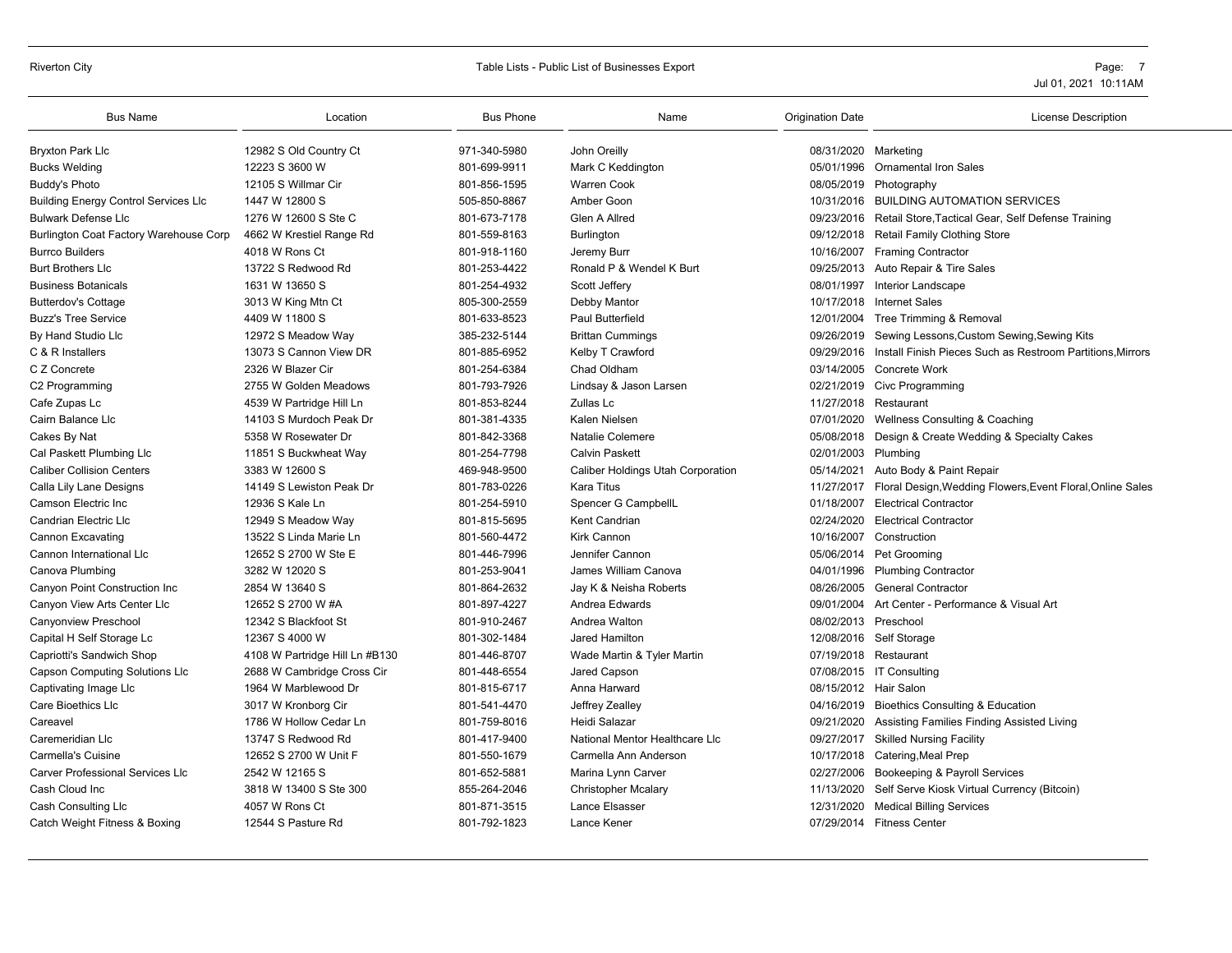# Riverton City **Table Lists - Public List of Businesses Export** Page: 7 Page: 7

| <b>Bus Name</b>                             | Location                       | <b>Bus Phone</b> | Name                              | <b>Origination Date</b> | <b>License Description</b>                                    |
|---------------------------------------------|--------------------------------|------------------|-----------------------------------|-------------------------|---------------------------------------------------------------|
| <b>Bryxton Park Llc</b>                     | 12982 S Old Country Ct         | 971-340-5980     | John Oreilly                      | 08/31/2020 Marketing    |                                                               |
| <b>Bucks Welding</b>                        | 12223 S 3600 W                 | 801-699-9911     | Mark C Keddington                 | 05/01/1996              | <b>Ornamental Iron Sales</b>                                  |
| <b>Buddy's Photo</b>                        | 12105 S Willmar Cir            | 801-856-1595     | <b>Warren Cook</b>                |                         | 08/05/2019 Photography                                        |
| <b>Building Energy Control Services LIc</b> | 1447 W 12800 S                 | 505-850-8867     | Amber Goon                        | 10/31/2016              | <b>BUILDING AUTOMATION SERVICES</b>                           |
| <b>Bulwark Defense Lic</b>                  | 1276 W 12600 S Ste C           | 801-673-7178     | Glen A Allred                     |                         | 09/23/2016 Retail Store, Tactical Gear, Self Defense Training |
| Burlington Coat Factory Warehouse Corp      | 4662 W Krestiel Range Rd       | 801-559-8163     | Burlington                        |                         | 09/12/2018 Retail Family Clothing Store                       |
| <b>Burrco Builders</b>                      | 4018 W Rons Ct                 | 801-918-1160     | Jeremy Burr                       |                         | 10/16/2007 Framing Contractor                                 |
| <b>Burt Brothers Llc</b>                    | 13722 S Redwood Rd             | 801-253-4422     | Ronald P & Wendel K Burt          |                         | 09/25/2013 Auto Repair & Tire Sales                           |
| <b>Business Botanicals</b>                  | 1631 W 13650 S                 | 801-254-4932     | Scott Jeffery                     | 08/01/1997              | Interior Landscape                                            |
| <b>Butterdov's Cottage</b>                  | 3013 W King Mtn Ct             | 805-300-2559     | Debby Mantor                      | 10/17/2018              | <b>Internet Sales</b>                                         |
| <b>Buzz's Tree Service</b>                  | 4409 W 11800 S                 | 801-633-8523     | <b>Paul Butterfield</b>           |                         | 12/01/2004 Tree Trimming & Removal                            |
| By Hand Studio Llc                          | 12972 S Meadow Way             | 385-232-5144     | <b>Brittan Cummings</b>           | 09/26/2019              | Sewing Lessons, Custom Sewing, Sewing Kits                    |
| C & R Installers                            | 13073 S Cannon View DR         | 801-885-6952     | Kelby T Crawford                  | 09/29/2016              | Install Finish Pieces Such as Restroom Partitions, Mirrors    |
| C Z Concrete                                | 2326 W Blazer Cir              | 801-254-6384     | Chad Oldham                       | 03/14/2005              | Concrete Work                                                 |
| C2 Programming                              | 2755 W Golden Meadows          | 801-793-7926     | Lindsay & Jason Larsen            |                         | 02/21/2019 Civc Programming                                   |
| Cafe Zupas Lc                               | 4539 W Partridge Hill Ln       | 801-853-8244     | Zullas Lc                         | 11/27/2018              | Restaurant                                                    |
| Cairn Balance Llc                           | 14103 S Murdoch Peak Dr        | 801-381-4335     | Kalen Nielsen                     | 07/01/2020              | Wellness Consulting & Coaching                                |
| Cakes By Nat                                | 5358 W Rosewater Dr            | 801-842-3368     | Natalie Colemere                  |                         | 05/08/2018 Design & Create Wedding & Specialty Cakes          |
| Cal Paskett Plumbing Llc                    | 11851 S Buckwheat Way          | 801-254-7798     | <b>Calvin Paskett</b>             | 02/01/2003 Plumbing     |                                                               |
| <b>Caliber Collision Centers</b>            | 3383 W 12600 S                 | 469-948-9500     | Caliber Holdings Utah Corporation | 05/14/2021              | Auto Body & Paint Repair                                      |
| Calla Lily Lane Designs                     | 14149 S Lewiston Peak Dr       | 801-783-0226     | Kara Titus                        | 11/27/2017              | Floral Design, Wedding Flowers, Event Floral, Online Sales    |
| Camson Electric Inc                         | 12936 S Kale Ln                | 801-254-5910     | Spencer G CampbellL               | 01/18/2007              | <b>Electrical Contractor</b>                                  |
| <b>Candrian Electric Llc</b>                | 12949 S Meadow Way             | 801-815-5695     | <b>Kent Candrian</b>              | 02/24/2020              | <b>Electrical Contractor</b>                                  |
| Cannon Excavating                           | 13522 S Linda Marie Ln         | 801-560-4472     | Kirk Cannon                       | 10/16/2007              | Construction                                                  |
| Cannon International Llc                    | 12652 S 2700 W Ste E           | 801-446-7996     | Jennifer Cannon                   |                         | 05/06/2014 Pet Grooming                                       |
| Canova Plumbing                             | 3282 W 12020 S                 | 801-253-9041     | James William Canova              | 04/01/1996              | <b>Plumbing Contractor</b>                                    |
| Canyon Point Construction Inc               | 2854 W 13640 S                 | 801-864-2632     | Jay K & Neisha Roberts            | 08/26/2005              | <b>General Contractor</b>                                     |
| Canyon View Arts Center Llc                 | 12652 S 2700 W #A              | 801-897-4227     | Andrea Edwards                    | 09/01/2004              | Art Center - Performance & Visual Art                         |
| Canyonview Preschool                        | 12342 S Blackfoot St           | 801-910-2467     | Andrea Walton                     | 08/02/2013 Preschool    |                                                               |
| Capital H Self Storage Lc                   | 12367 S 4000 W                 | 801-302-1484     | Jared Hamilton                    | 12/08/2016              | Self Storage                                                  |
| Capriotti's Sandwich Shop                   | 4108 W Partridge Hill Ln #B130 | 801-446-8707     | Wade Martin & Tyler Martin        | 07/19/2018              | Restaurant                                                    |
| <b>Capson Computing Solutions Llc</b>       | 2688 W Cambridge Cross Cir     | 801-448-6554     | Jared Capson                      |                         | 07/08/2015 IT Consulting                                      |
| Captivating Image Llc                       | 1964 W Marblewood Dr           | 801-815-6717     | Anna Harward                      | 08/15/2012 Hair Salon   |                                                               |
| <b>Care Bioethics Llc</b>                   | 3017 W Kronborg Cir            | 801-541-4470     | Jeffrey Zealley                   | 04/16/2019              | Bioethics Consulting & Education                              |
| Careavel                                    | 1786 W Hollow Cedar Ln         | 801-759-8016     | Heidi Salazar                     | 09/21/2020              | Assisting Families Finding Assisted Living                    |
| Caremeridian Llc                            | 13747 S Redwood Rd             | 801-417-9400     | National Mentor Healthcare Llc    | 09/27/2017              | <b>Skilled Nursing Facility</b>                               |
| <b>Carmella's Cuisine</b>                   | 12652 S 2700 W Unit F          | 801-550-1679     | Carmella Ann Anderson             | 10/17/2018              | Catering, Meal Prep                                           |
| <b>Carver Professional Services LIc</b>     | 2542 W 12165 S                 | 801-652-5881     | Marina Lynn Carver                | 02/27/2006              | Bookeeping & Payroll Services                                 |
| Cash Cloud Inc                              | 3818 W 13400 S Ste 300         | 855-264-2046     | <b>Christopher Mcalary</b>        | 11/13/2020              | Self Serve Kiosk Virtual Currency (Bitcoin)                   |
| Cash Consulting Llc                         | 4057 W Rons Ct                 | 801-871-3515     | Lance Elsasser                    | 12/31/2020              | <b>Medical Billing Services</b>                               |
| Catch Weight Fitness & Boxing               | 12544 S Pasture Rd             | 801-792-1823     | Lance Kener                       |                         | 07/29/2014 Fitness Center                                     |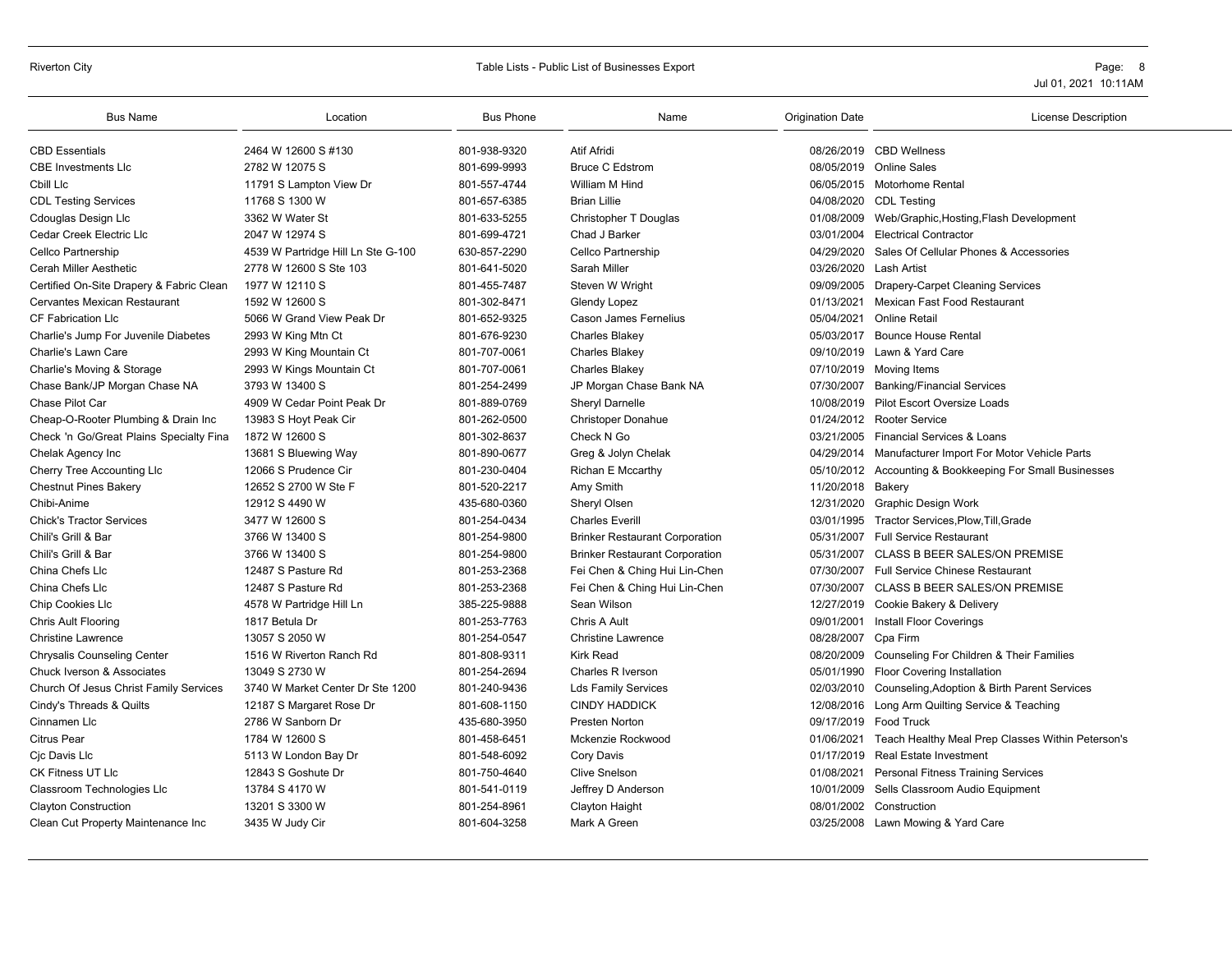#### Riverton City **Sharehout City** Page: 8 and City Table Lists - Public List of Businesses Export **Page: 8** Page: 8 and 2011

| <b>Bus Name</b>                          | Location                                   | <b>Bus Phone</b> | Name                                  | <b>Origination Date</b> | <b>License Description</b>                               |
|------------------------------------------|--------------------------------------------|------------------|---------------------------------------|-------------------------|----------------------------------------------------------|
| <b>CBD Essentials</b>                    | 2464 W 12600 S #130                        | 801-938-9320     | <b>Atif Afridi</b>                    |                         | 08/26/2019 CBD Wellness                                  |
| <b>CBE Investments LIc</b>               | 2782 W 12075 S                             | 801-699-9993     | <b>Bruce C Edstrom</b>                |                         | 08/05/2019 Online Sales                                  |
| Cbill Llc                                | 11791 S Lampton View Dr                    | 801-557-4744     | William M Hind                        |                         | 06/05/2015 Motorhome Rental                              |
| <b>CDL Testing Services</b>              | 11768 S 1300 W                             | 801-657-6385     | <b>Brian Lillie</b>                   |                         | 04/08/2020 CDL Testing                                   |
| Cdouglas Design Llc                      | 3362 W Water St                            | 801-633-5255     | Christopher T Douglas                 |                         | 01/08/2009 Web/Graphic, Hosting, Flash Development       |
| Cedar Creek Electric Llc                 | 2047 W 12974 S                             | 801-699-4721     | Chad J Barker                         |                         | 03/01/2004 Electrical Contractor                         |
| Cellco Partnership                       | 4539 W Partridge Hill Ln Ste G-100         | 630-857-2290     | Cellco Partnership                    | 04/29/2020              | Sales Of Cellular Phones & Accessories                   |
| Cerah Miller Aesthetic                   | 2778 W 12600 S Ste 103                     | 801-641-5020     | Sarah Miller                          | 03/26/2020              | Lash Artist                                              |
| Certified On-Site Drapery & Fabric Clean | 1977 W 12110 S                             | 801-455-7487     | Steven W Wright                       |                         | 09/09/2005 Drapery-Carpet Cleaning Services              |
| Cervantes Mexican Restaurant             | 1592 W 12600 S                             | 801-302-8471     | Glendy Lopez                          |                         | 01/13/2021 Mexican Fast Food Restaurant                  |
| CF Fabrication Llc                       | 5066 W Grand View Peak Dr                  | 801-652-9325     | Cason James Fernelius                 | 05/04/2021              | Online Retail                                            |
| Charlie's Jump For Juvenile Diabetes     | 2993 W King Mtn Ct                         | 801-676-9230     | <b>Charles Blakey</b>                 |                         | 05/03/2017 Bounce House Rental                           |
| Charlie's Lawn Care                      |                                            | 801-707-0061     |                                       |                         | 09/10/2019 Lawn & Yard Care                              |
|                                          | 2993 W King Mountain Ct                    | 801-707-0061     | <b>Charles Blakey</b>                 |                         |                                                          |
| Charlie's Moving & Storage               | 2993 W Kings Mountain Ct<br>3793 W 13400 S |                  | <b>Charles Blakey</b>                 |                         | 07/10/2019 Moving Items                                  |
| Chase Bank/JP Morgan Chase NA            |                                            | 801-254-2499     | JP Morgan Chase Bank NA               | 07/30/2007              | <b>Banking/Financial Services</b>                        |
| Chase Pilot Car                          | 4909 W Cedar Point Peak Dr                 | 801-889-0769     | Sheryl Darnelle                       |                         | 10/08/2019 Pilot Escort Oversize Loads                   |
| Cheap-O-Rooter Plumbing & Drain Inc      | 13983 S Hoyt Peak Cir                      | 801-262-0500     | <b>Christoper Donahue</b>             |                         | 01/24/2012 Rooter Service                                |
| Check 'n Go/Great Plains Specialty Fina  | 1872 W 12600 S                             | 801-302-8637     | Check N Go                            |                         | 03/21/2005 Financial Services & Loans                    |
| Chelak Agency Inc                        | 13681 S Bluewing Way                       | 801-890-0677     | Greg & Jolyn Chelak                   |                         | 04/29/2014 Manufacturer Import For Motor Vehicle Parts   |
| Cherry Tree Accounting Llc               | 12066 S Prudence Cir                       | 801-230-0404     | Richan E Mccarthy                     |                         | 05/10/2012 Accounting & Bookkeeping For Small Businesses |
| <b>Chestnut Pines Bakery</b>             | 12652 S 2700 W Ste F                       | 801-520-2217     | Amy Smith                             | 11/20/2018 Bakery       |                                                          |
| Chibi-Anime                              | 12912 S 4490 W                             | 435-680-0360     | Sheryl Olsen                          | 12/31/2020              | Graphic Design Work                                      |
| <b>Chick's Tractor Services</b>          | 3477 W 12600 S                             | 801-254-0434     | <b>Charles Everill</b>                |                         | 03/01/1995 Tractor Services, Plow, Till, Grade           |
| Chili's Grill & Bar                      | 3766 W 13400 S                             | 801-254-9800     | <b>Brinker Restaurant Corporation</b> |                         | 05/31/2007 Full Service Restaurant                       |
| Chili's Grill & Bar                      | 3766 W 13400 S                             | 801-254-9800     | <b>Brinker Restaurant Corporation</b> | 05/31/2007              | CLASS B BEER SALES/ON PREMISE                            |
| China Chefs Llc                          | 12487 S Pasture Rd                         | 801-253-2368     | Fei Chen & Ching Hui Lin-Chen         |                         | 07/30/2007 Full Service Chinese Restaurant               |
| China Chefs Llc                          | 12487 S Pasture Rd                         | 801-253-2368     | Fei Chen & Ching Hui Lin-Chen         |                         | 07/30/2007 CLASS B BEER SALES/ON PREMISE                 |
| Chip Cookies Llc                         | 4578 W Partridge Hill Ln                   | 385-225-9888     | Sean Wilson                           |                         | 12/27/2019 Cookie Bakery & Delivery                      |
| Chris Ault Flooring                      | 1817 Betula Dr                             | 801-253-7763     | Chris A Ault                          |                         | 09/01/2001 Install Floor Coverings                       |
| <b>Christine Lawrence</b>                | 13057 S 2050 W                             | 801-254-0547     | <b>Christine Lawrence</b>             | 08/28/2007 Cpa Firm     |                                                          |
| <b>Chrysalis Counseling Center</b>       | 1516 W Riverton Ranch Rd                   | 801-808-9311     | <b>Kirk Read</b>                      |                         | 08/20/2009 Counseling For Children & Their Families      |
| Chuck Iverson & Associates               | 13049 S 2730 W                             | 801-254-2694     | Charles R Iverson                     |                         | 05/01/1990 Floor Covering Installation                   |
| Church Of Jesus Christ Family Services   | 3740 W Market Center Dr Ste 1200           | 801-240-9436     | <b>Lds Family Services</b>            |                         | 02/03/2010 Counseling, Adoption & Birth Parent Services  |
| Cindy's Threads & Quilts                 | 12187 S Margaret Rose Dr                   | 801-608-1150     | <b>CINDY HADDICK</b>                  |                         | 12/08/2016 Long Arm Quilting Service & Teaching          |
| Cinnamen Llc                             | 2786 W Sanborn Dr                          | 435-680-3950     | <b>Presten Norton</b>                 |                         | 09/17/2019 Food Truck                                    |
| <b>Citrus Pear</b>                       | 1784 W 12600 S                             | 801-458-6451     | Mckenzie Rockwood                     | 01/06/2021              | Teach Healthy Meal Prep Classes Within Peterson's        |
| Cjc Davis Llc                            | 5113 W London Bay Dr                       | 801-548-6092     | Cory Davis                            |                         | 01/17/2019 Real Estate Investment                        |
| CK Fitness UT Llc                        | 12843 S Goshute Dr                         | 801-750-4640     | <b>Clive Snelson</b>                  | 01/08/2021              | <b>Personal Fitness Training Services</b>                |
| Classroom Technologies Llc               | 13784 S 4170 W                             | 801-541-0119     | Jeffrey D Anderson                    |                         | 10/01/2009 Sells Classroom Audio Equipment               |
| <b>Clayton Construction</b>              | 13201 S 3300 W                             | 801-254-8961     | Clayton Haight                        |                         | 08/01/2002 Construction                                  |
| Clean Cut Property Maintenance Inc       | 3435 W Judy Cir                            | 801-604-3258     | Mark A Green                          |                         | 03/25/2008 Lawn Mowing & Yard Care                       |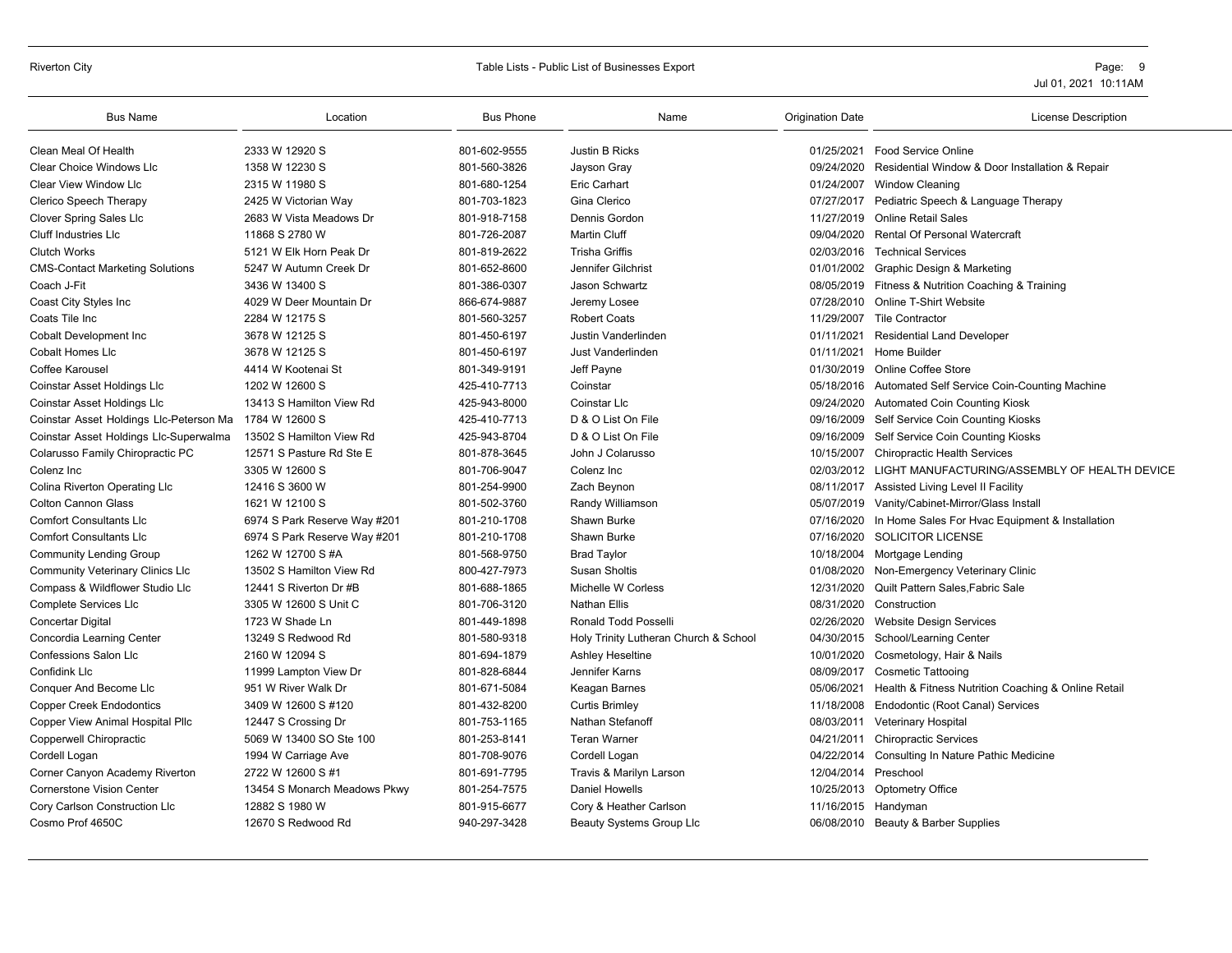#### Riverton City **Sharehout City** Page: 9 3 and Table Lists - Public List of Businesses Export **Page: 9** 2 and Table Lists of Businesses Export **Page: 9** 2 and Table Lists of Businesses Export

| <b>Bus Name</b>                         | Location                     | <b>Bus Phone</b> | Name                                  | <b>Origination Date</b> | License Description                                      |
|-----------------------------------------|------------------------------|------------------|---------------------------------------|-------------------------|----------------------------------------------------------|
| Clean Meal Of Health                    | 2333 W 12920 S               | 801-602-9555     | Justin B Ricks                        | 01/25/2021              | Food Service Online                                      |
| <b>Clear Choice Windows Llc</b>         | 1358 W 12230 S               | 801-560-3826     | Jayson Gray                           | 09/24/2020              | Residential Window & Door Installation & Repair          |
| Clear View Window Llc                   | 2315 W 11980 S               | 801-680-1254     | Eric Carhart                          | 01/24/2007              | <b>Window Cleaning</b>                                   |
| Clerico Speech Therapy                  | 2425 W Victorian Way         | 801-703-1823     | Gina Clerico                          | 07/27/2017              | Pediatric Speech & Language Therapy                      |
| <b>Clover Spring Sales Llc</b>          | 2683 W Vista Meadows Dr      | 801-918-7158     | Dennis Gordon                         |                         | 11/27/2019 Online Retail Sales                           |
| Cluff Industries LIc                    | 11868 S 2780 W               | 801-726-2087     | <b>Martin Cluff</b>                   | 09/04/2020              | <b>Rental Of Personal Watercraft</b>                     |
| <b>Clutch Works</b>                     | 5121 W Elk Horn Peak Dr      | 801-819-2622     | <b>Trisha Griffis</b>                 | 02/03/2016              | <b>Technical Services</b>                                |
| <b>CMS-Contact Marketing Solutions</b>  | 5247 W Autumn Creek Dr       | 801-652-8600     | Jennifer Gilchrist                    | 01/01/2002              | Graphic Design & Marketing                               |
| Coach J-Fit                             | 3436 W 13400 S               | 801-386-0307     | Jason Schwartz                        |                         | 08/05/2019 Fitness & Nutrition Coaching & Training       |
| Coast City Styles Inc                   | 4029 W Deer Mountain Dr      | 866-674-9887     | Jeremy Losee                          | 07/28/2010              | <b>Online T-Shirt Website</b>                            |
| Coats Tile Inc                          | 2284 W 12175 S               | 801-560-3257     | <b>Robert Coats</b>                   | 11/29/2007              | <b>Tile Contractor</b>                                   |
| <b>Cobalt Development Inc</b>           | 3678 W 12125 S               | 801-450-6197     | Justin Vanderlinden                   | 01/11/2021              | <b>Residential Land Developer</b>                        |
| <b>Cobalt Homes Llc</b>                 | 3678 W 12125 S               | 801-450-6197     | Just Vanderlinden                     | 01/11/2021              | Home Builder                                             |
| Coffee Karousel                         | 4414 W Kootenai St           | 801-349-9191     | Jeff Payne                            | 01/30/2019              | <b>Online Coffee Store</b>                               |
| Coinstar Asset Holdings Llc             | 1202 W 12600 S               | 425-410-7713     | Coinstar                              |                         | 05/18/2016 Automated Self Service Coin-Counting Machine  |
| Coinstar Asset Holdings Llc             | 13413 S Hamilton View Rd     | 425-943-8000     | Coinstar Llc                          | 09/24/2020              | <b>Automated Coin Counting Kiosk</b>                     |
| Coinstar Asset Holdings Llc-Peterson Ma | 1784 W 12600 S               | 425-410-7713     | D & O List On File                    | 09/16/2009              | Self Service Coin Counting Kiosks                        |
| Coinstar Asset Holdings Llc-Superwalma  | 13502 S Hamilton View Rd     | 425-943-8704     | D & O List On File                    | 09/16/2009              | Self Service Coin Counting Kiosks                        |
| Colarusso Family Chiropractic PC        | 12571 S Pasture Rd Ste E     | 801-878-3645     | John J Colarusso                      | 10/15/2007              | <b>Chiropractic Health Services</b>                      |
| Colenz Inc                              | 3305 W 12600 S               | 801-706-9047     | Colenz Inc                            |                         | 02/03/2012 LIGHT MANUFACTURING/ASSEMBLY OF HEALTH DEVICE |
| Colina Riverton Operating Llc           | 12416 S 3600 W               | 801-254-9900     | Zach Beynon                           | 08/11/2017              | Assisted Living Level II Facility                        |
| <b>Colton Cannon Glass</b>              | 1621 W 12100 S               | 801-502-3760     | Randy Williamson                      | 05/07/2019              | Vanity/Cabinet-Mirror/Glass Install                      |
| <b>Comfort Consultants Llc</b>          | 6974 S Park Reserve Way #201 | 801-210-1708     | Shawn Burke                           | 07/16/2020              | In Home Sales For Hvac Equipment & Installation          |
| <b>Comfort Consultants Lic</b>          | 6974 S Park Reserve Way #201 | 801-210-1708     | Shawn Burke                           | 07/16/2020              | SOLICITOR LICENSE                                        |
| <b>Community Lending Group</b>          | 1262 W 12700 S #A            | 801-568-9750     | <b>Brad Taylor</b>                    | 10/18/2004              | Mortgage Lending                                         |
| <b>Community Veterinary Clinics LIc</b> | 13502 S Hamilton View Rd     | 800-427-7973     | <b>Susan Sholtis</b>                  | 01/08/2020              | Non-Emergency Veterinary Clinic                          |
| Compass & Wildflower Studio Llc         | 12441 S Riverton Dr #B       | 801-688-1865     | Michelle W Corless                    | 12/31/2020              | Quilt Pattern Sales. Fabric Sale                         |
| Complete Services Llc                   | 3305 W 12600 S Unit C        | 801-706-3120     | <b>Nathan Ellis</b>                   | 08/31/2020              | Construction                                             |
| Concertar Digital                       | 1723 W Shade Ln              | 801-449-1898     | Ronald Todd Posselli                  | 02/26/2020              | <b>Website Design Services</b>                           |
| Concordia Learning Center               | 13249 S Redwood Rd           | 801-580-9318     | Holy Trinity Lutheran Church & School | 04/30/2015              | School/Learning Center                                   |
| <b>Confessions Salon Llc</b>            | 2160 W 12094 S               | 801-694-1879     | Ashley Heseltine                      | 10/01/2020              | Cosmetology, Hair & Nails                                |
| <b>Confidink Llc</b>                    | 11999 Lampton View Dr        | 801-828-6844     | Jennifer Karns                        | 08/09/2017              | <b>Cosmetic Tattooing</b>                                |
| Conquer And Become Llc                  | 951 W River Walk Dr          | 801-671-5084     | Keagan Barnes                         | 05/06/2021              | Health & Fitness Nutrition Coaching & Online Retail      |
| <b>Copper Creek Endodontics</b>         | 3409 W 12600 S #120          | 801-432-8200     | <b>Curtis Brimley</b>                 | 11/18/2008              | Endodontic (Root Canal) Services                         |
| Copper View Animal Hospital Pllc        | 12447 S Crossing Dr          | 801-753-1165     | Nathan Stefanoff                      | 08/03/2011              | <b>Veterinary Hospital</b>                               |
| Copperwell Chiropractic                 | 5069 W 13400 SO Ste 100      | 801-253-8141     | <b>Teran Warner</b>                   | 04/21/2011              | <b>Chiropractic Services</b>                             |
| Cordell Logan                           | 1994 W Carriage Ave          | 801-708-9076     | Cordell Logan                         | 04/22/2014              | Consulting In Nature Pathic Medicine                     |
| Corner Canyon Academy Riverton          | 2722 W 12600 S #1            | 801-691-7795     | Travis & Marilyn Larson               | 12/04/2014              | Preschool                                                |
| <b>Cornerstone Vision Center</b>        | 13454 S Monarch Meadows Pkwy | 801-254-7575     | Daniel Howells                        | 10/25/2013              | <b>Optometry Office</b>                                  |
| Cory Carlson Construction Llc           | 12882 S 1980 W               | 801-915-6677     | Cory & Heather Carlson                | 11/16/2015              | Handyman                                                 |
| Cosmo Prof 4650C                        | 12670 S Redwood Rd           | 940-297-3428     | Beauty Systems Group Llc              |                         | 06/08/2010 Beauty & Barber Supplies                      |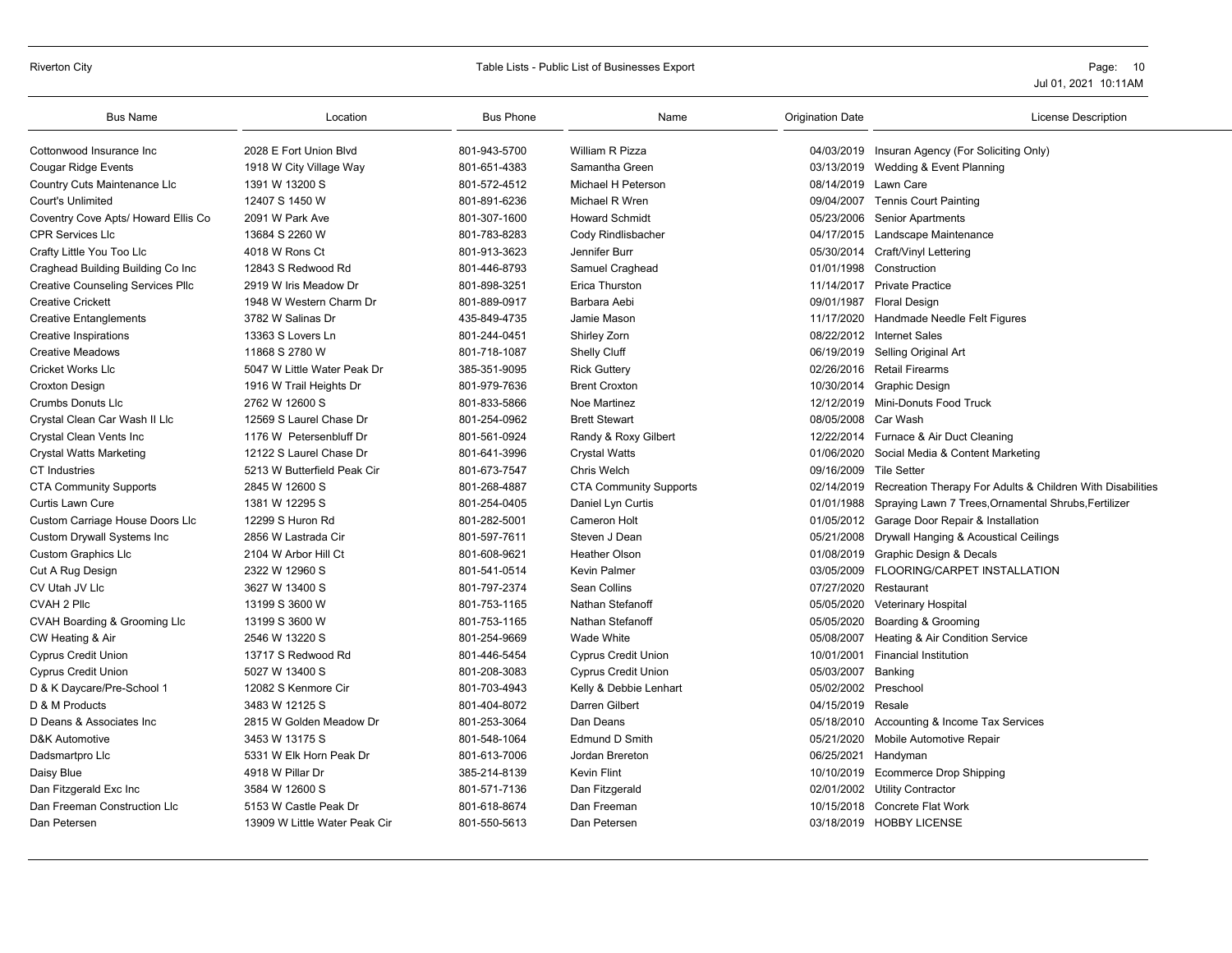# Riverton City **Example 20** Table Lists - Public List of Businesses Export **Page: 10** Page: 10

| <b>Bus Name</b>                          | Location                      | <b>Bus Phone</b> | Name                          | <b>Origination Date</b> | <b>License Description</b>                                            |
|------------------------------------------|-------------------------------|------------------|-------------------------------|-------------------------|-----------------------------------------------------------------------|
| Cottonwood Insurance Inc                 | 2028 E Fort Union Blvd        | 801-943-5700     | William R Pizza               |                         | 04/03/2019 Insuran Agency (For Soliciting Only)                       |
| <b>Cougar Ridge Events</b>               | 1918 W City Village Way       | 801-651-4383     | Samantha Green                |                         | 03/13/2019 Wedding & Event Planning                                   |
| Country Cuts Maintenance Llc             | 1391 W 13200 S                | 801-572-4512     | Michael H Peterson            |                         | 08/14/2019 Lawn Care                                                  |
| <b>Court's Unlimited</b>                 | 12407 S 1450 W                | 801-891-6236     | Michael R Wren                |                         | 09/04/2007 Tennis Court Painting                                      |
| Coventry Cove Apts/ Howard Ellis Co      | 2091 W Park Ave               | 801-307-1600     | <b>Howard Schmidt</b>         |                         | 05/23/2006 Senior Apartments                                          |
| <b>CPR Services Llc</b>                  | 13684 S 2260 W                | 801-783-8283     | Cody Rindlisbacher            |                         | 04/17/2015 Landscape Maintenance                                      |
| Crafty Little You Too Llc                | 4018 W Rons Ct                | 801-913-3623     | Jennifer Burr                 |                         | 05/30/2014 Craft/Vinyl Lettering                                      |
| Craghead Building Building Co Inc        | 12843 S Redwood Rd            | 801-446-8793     | Samuel Craghead               |                         | 01/01/1998 Construction                                               |
| <b>Creative Counseling Services Pllc</b> | 2919 W Iris Meadow Dr         | 801-898-3251     | Erica Thurston                |                         | 11/14/2017 Private Practice                                           |
| <b>Creative Crickett</b>                 | 1948 W Western Charm Dr       | 801-889-0917     | Barbara Aebi                  |                         | 09/01/1987 Floral Design                                              |
| <b>Creative Entanglements</b>            | 3782 W Salinas Dr             | 435-849-4735     | Jamie Mason                   |                         | 11/17/2020 Handmade Needle Felt Figures                               |
| <b>Creative Inspirations</b>             | 13363 S Lovers Ln             | 801-244-0451     | Shirley Zorn                  |                         | 08/22/2012 Internet Sales                                             |
| <b>Creative Meadows</b>                  | 11868 S 2780 W                | 801-718-1087     | <b>Shelly Cluff</b>           | 06/19/2019              | Selling Original Art                                                  |
| <b>Cricket Works Llc</b>                 | 5047 W Little Water Peak Dr   | 385-351-9095     | <b>Rick Guttery</b>           |                         | 02/26/2016 Retail Firearms                                            |
| <b>Croxton Design</b>                    | 1916 W Trail Heights Dr       | 801-979-7636     | <b>Brent Croxton</b>          |                         | 10/30/2014 Graphic Design                                             |
| <b>Crumbs Donuts Llc</b>                 | 2762 W 12600 S                | 801-833-5866     | Noe Martinez                  |                         | 12/12/2019 Mini-Donuts Food Truck                                     |
| Crystal Clean Car Wash II Llc            | 12569 S Laurel Chase Dr       | 801-254-0962     | <b>Brett Stewart</b>          | 08/05/2008 Car Wash     |                                                                       |
| Crystal Clean Vents Inc                  | 1176 W Petersenbluff Dr       | 801-561-0924     | Randy & Roxy Gilbert          |                         | 12/22/2014 Furnace & Air Duct Cleaning                                |
| Crystal Watts Marketing                  | 12122 S Laurel Chase Dr       | 801-641-3996     | <b>Crystal Watts</b>          | 01/06/2020              | Social Media & Content Marketing                                      |
| <b>CT</b> Industries                     | 5213 W Butterfield Peak Cir   | 801-673-7547     | Chris Welch                   | 09/16/2009 Tile Setter  |                                                                       |
| <b>CTA Community Supports</b>            | 2845 W 12600 S                | 801-268-4887     | <b>CTA Community Supports</b> |                         | 02/14/2019 Recreation Therapy For Adults & Children With Disabilities |
| Curtis Lawn Cure                         | 1381 W 12295 S                | 801-254-0405     | Daniel Lyn Curtis             | 01/01/1988              | Spraying Lawn 7 Trees, Ornamental Shrubs, Fertilizer                  |
| Custom Carriage House Doors Llc          | 12299 S Huron Rd              | 801-282-5001     | <b>Cameron Holt</b>           |                         | 01/05/2012 Garage Door Repair & Installation                          |
| <b>Custom Drywall Systems Inc</b>        | 2856 W Lastrada Cir           | 801-597-7611     | Steven J Dean                 |                         | 05/21/2008 Drywall Hanging & Acoustical Ceilings                      |
| <b>Custom Graphics Llc</b>               | 2104 W Arbor Hill Ct          | 801-608-9621     | <b>Heather Olson</b>          |                         | 01/08/2019 Graphic Design & Decals                                    |
| Cut A Rug Design                         | 2322 W 12960 S                | 801-541-0514     | <b>Kevin Palmer</b>           | 03/05/2009              | FLOORING/CARPET INSTALLATION                                          |
| CV Utah JV Llc                           | 3627 W 13400 S                | 801-797-2374     | Sean Collins                  | 07/27/2020              | Restaurant                                                            |
| CVAH 2 Pllc                              | 13199 S 3600 W                | 801-753-1165     | Nathan Stefanoff              | 05/05/2020              | Veterinary Hospital                                                   |
| CVAH Boarding & Grooming Llc             | 13199 S 3600 W                | 801-753-1165     | Nathan Stefanoff              | 05/05/2020              | Boarding & Grooming                                                   |
| CW Heating & Air                         | 2546 W 13220 S                | 801-254-9669     | Wade White                    |                         | 05/08/2007 Heating & Air Condition Service                            |
| <b>Cyprus Credit Union</b>               | 13717 S Redwood Rd            | 801-446-5454     | <b>Cyprus Credit Union</b>    | 10/01/2001              | <b>Financial Institution</b>                                          |
| <b>Cyprus Credit Union</b>               | 5027 W 13400 S                | 801-208-3083     | <b>Cyprus Credit Union</b>    | 05/03/2007              | Banking                                                               |
| D & K Daycare/Pre-School 1               | 12082 S Kenmore Cir           | 801-703-4943     | Kelly & Debbie Lenhart        | 05/02/2002              | Preschool                                                             |
| D & M Products                           | 3483 W 12125 S                | 801-404-8072     | Darren Gilbert                | 04/15/2019 Resale       |                                                                       |
| D Deans & Associates Inc.                | 2815 W Golden Meadow Dr       | 801-253-3064     | Dan Deans                     |                         | 05/18/2010 Accounting & Income Tax Services                           |
| D&K Automotive                           | 3453 W 13175 S                | 801-548-1064     | <b>Edmund D Smith</b>         | 05/21/2020              | Mobile Automotive Repair                                              |
| Dadsmartpro Llc                          | 5331 W Elk Horn Peak Dr       | 801-613-7006     | Jordan Brereton               |                         | 06/25/2021 Handyman                                                   |
| Daisy Blue                               | 4918 W Pillar Dr              | 385-214-8139     | <b>Kevin Flint</b>            |                         | 10/10/2019 Ecommerce Drop Shipping                                    |
| Dan Fitzgerald Exc Inc                   | 3584 W 12600 S                | 801-571-7136     | Dan Fitzgerald                |                         | 02/01/2002 Utility Contractor                                         |
| Dan Freeman Construction Llc             | 5153 W Castle Peak Dr         | 801-618-8674     | Dan Freeman                   | 10/15/2018              | <b>Concrete Flat Work</b>                                             |
| Dan Petersen                             | 13909 W Little Water Peak Cir | 801-550-5613     | Dan Petersen                  |                         | 03/18/2019 HOBBY LICENSE                                              |
|                                          |                               |                  |                               |                         |                                                                       |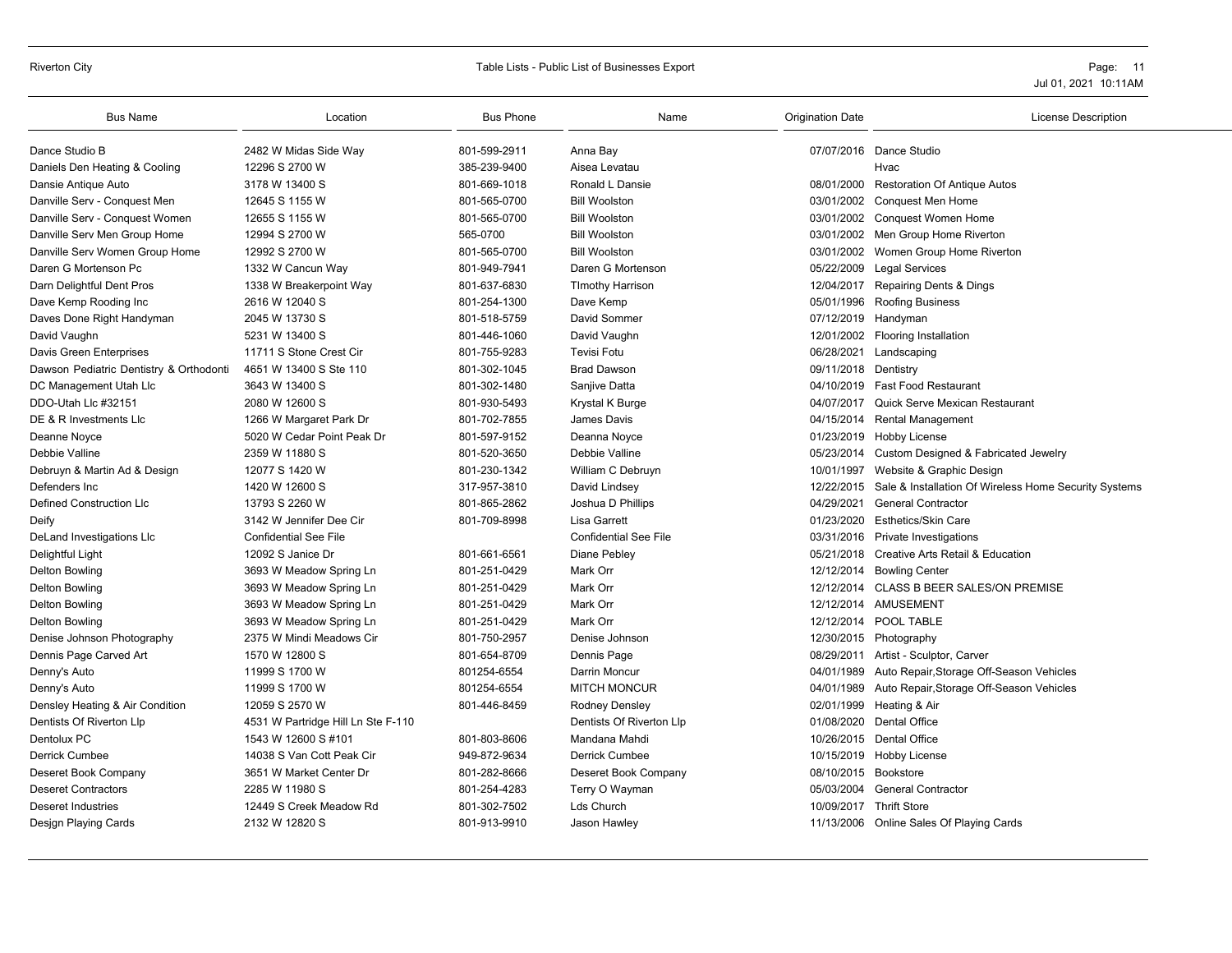### Riverton City **School City** City Table Lists - Public List of Businesses Export **Page: 11** Page: 11

| <b>Bus Name</b>                         | Location                           | <b>Bus Phone</b> | Name                         | <b>Origination Date</b> | <b>License Description</b>                            |
|-----------------------------------------|------------------------------------|------------------|------------------------------|-------------------------|-------------------------------------------------------|
| Dance Studio B                          | 2482 W Midas Side Way              | 801-599-2911     | Anna Bay                     |                         | 07/07/2016 Dance Studio                               |
| Daniels Den Heating & Cooling           | 12296 S 2700 W                     | 385-239-9400     | Aisea Levatau                |                         | Hvac                                                  |
| Dansie Antique Auto                     | 3178 W 13400 S                     | 801-669-1018     | Ronald L Dansie              | 08/01/2000              | <b>Restoration Of Antique Autos</b>                   |
| Danville Serv - Conquest Men            | 12645 S 1155 W                     | 801-565-0700     | <b>Bill Woolston</b>         | 03/01/2002              | <b>Conquest Men Home</b>                              |
| Danville Serv - Conquest Women          | 12655 S 1155 W                     | 801-565-0700     | <b>Bill Woolston</b>         | 03/01/2002              | Conquest Women Home                                   |
| Danville Serv Men Group Home            | 12994 S 2700 W                     | 565-0700         | <b>Bill Woolston</b>         | 03/01/2002              | Men Group Home Riverton                               |
| Danville Serv Women Group Home          | 12992 S 2700 W                     | 801-565-0700     | <b>Bill Woolston</b>         | 03/01/2002              | Women Group Home Riverton                             |
| Daren G Mortenson Pc                    | 1332 W Cancun Way                  | 801-949-7941     | Daren G Mortenson            | 05/22/2009              | <b>Legal Services</b>                                 |
| Darn Delightful Dent Pros               | 1338 W Breakerpoint Way            | 801-637-6830     | <b>TImothy Harrison</b>      | 12/04/2017              | <b>Repairing Dents &amp; Dings</b>                    |
| Dave Kemp Rooding Inc                   | 2616 W 12040 S                     | 801-254-1300     | Dave Kemp                    | 05/01/1996              | <b>Roofing Business</b>                               |
| Daves Done Right Handyman               | 2045 W 13730 S                     | 801-518-5759     | David Sommer                 | 07/12/2019              | Handyman                                              |
| David Vaughn                            | 5231 W 13400 S                     | 801-446-1060     | David Vaughn                 | 12/01/2002              | <b>Flooring Installation</b>                          |
| Davis Green Enterprises                 | 11711 S Stone Crest Cir            | 801-755-9283     | <b>Tevisi Fotu</b>           | 06/28/2021              | Landscaping                                           |
| Dawson Pediatric Dentistry & Orthodonti | 4651 W 13400 S Ste 110             | 801-302-1045     | <b>Brad Dawson</b>           | 09/11/2018 Dentistry    |                                                       |
| DC Management Utah Llc                  | 3643 W 13400 S                     | 801-302-1480     | Sanjive Datta                | 04/10/2019              | <b>Fast Food Restaurant</b>                           |
| DDO-Utah Llc #32151                     | 2080 W 12600 S                     | 801-930-5493     | Krystal K Burge              | 04/07/2017              | Quick Serve Mexican Restaurant                        |
| DE & R Investments Lic                  | 1266 W Margaret Park Dr            | 801-702-7855     | James Davis                  | 04/15/2014              | <b>Rental Management</b>                              |
| Deanne Noyce                            | 5020 W Cedar Point Peak Dr         | 801-597-9152     | Deanna Noyce                 | 01/23/2019              | Hobby License                                         |
| Debbie Valline                          | 2359 W 11880 S                     | 801-520-3650     | Debbie Valline               | 05/23/2014              | Custom Designed & Fabricated Jewelry                  |
| Debruyn & Martin Ad & Design            | 12077 S 1420 W                     | 801-230-1342     | William C Debruyn            | 10/01/1997              | Website & Graphic Design                              |
| Defenders Inc                           | 1420 W 12600 S                     | 317-957-3810     | David Lindsey                | 12/22/2015              | Sale & Installation Of Wireless Home Security Systems |
| <b>Defined Construction Llc</b>         | 13793 S 2260 W                     | 801-865-2862     | Joshua D Phillips            | 04/29/2021              | <b>General Contractor</b>                             |
| Deify                                   | 3142 W Jennifer Dee Cir            | 801-709-8998     | <b>Lisa Garrett</b>          | 01/23/2020              | <b>Esthetics/Skin Care</b>                            |
| DeLand Investigations Llc               | <b>Confidential See File</b>       |                  | <b>Confidential See File</b> | 03/31/2016              | Private Investigations                                |
| Delightful Light                        | 12092 S Janice Dr                  | 801-661-6561     | Diane Pebley                 | 05/21/2018              | <b>Creative Arts Retail &amp; Education</b>           |
| Delton Bowling                          | 3693 W Meadow Spring Ln            | 801-251-0429     | Mark Orr                     | 12/12/2014              | <b>Bowling Center</b>                                 |
| Delton Bowling                          | 3693 W Meadow Spring Ln            | 801-251-0429     | Mark Orr                     |                         | 12/12/2014 CLASS B BEER SALES/ON PREMISE              |
| <b>Delton Bowling</b>                   | 3693 W Meadow Spring Ln            | 801-251-0429     | Mark Orr                     |                         | 12/12/2014 AMUSEMENT                                  |
| Delton Bowling                          | 3693 W Meadow Spring Ln            | 801-251-0429     | Mark Orr                     | 12/12/2014              | POOL TABLE                                            |
| Denise Johnson Photography              | 2375 W Mindi Meadows Cir           | 801-750-2957     | Denise Johnson               |                         | 12/30/2015 Photography                                |
| Dennis Page Carved Art                  | 1570 W 12800 S                     | 801-654-8709     | Dennis Page                  | 08/29/2011              | Artist - Sculptor, Carver                             |
| Denny's Auto                            | 11999 S 1700 W                     | 801254-6554      | Darrin Moncur                | 04/01/1989              | Auto Repair, Storage Off-Season Vehicles              |
| Denny's Auto                            | 11999 S 1700 W                     | 801254-6554      | <b>MITCH MONCUR</b>          | 04/01/1989              | Auto Repair, Storage Off-Season Vehicles              |
| Densley Heating & Air Condition         | 12059 S 2570 W                     | 801-446-8459     | Rodney Densley               | 02/01/1999              | Heating & Air                                         |
| Dentists Of Riverton Llp                | 4531 W Partridge Hill Ln Ste F-110 |                  | Dentists Of Riverton Llp     | 01/08/2020              | <b>Dental Office</b>                                  |
| Dentolux PC                             | 1543 W 12600 S #101                | 801-803-8606     | Mandana Mahdi                | 10/26/2015              | <b>Dental Office</b>                                  |
| <b>Derrick Cumbee</b>                   | 14038 S Van Cott Peak Cir          | 949-872-9634     | <b>Derrick Cumbee</b>        |                         | 10/15/2019 Hobby License                              |
| Deseret Book Company                    | 3651 W Market Center Dr            | 801-282-8666     | Deseret Book Company         | 08/10/2015              | Bookstore                                             |
| <b>Deseret Contractors</b>              | 2285 W 11980 S                     | 801-254-4283     | Terry O Wayman               | 05/03/2004              | <b>General Contractor</b>                             |
| <b>Deseret Industries</b>               | 12449 S Creek Meadow Rd            | 801-302-7502     | Lds Church                   | 10/09/2017              | <b>Thrift Store</b>                                   |
| Design Playing Cards                    | 2132 W 12820 S                     | 801-913-9910     | Jason Hawley                 |                         | 11/13/2006 Online Sales Of Playing Cards              |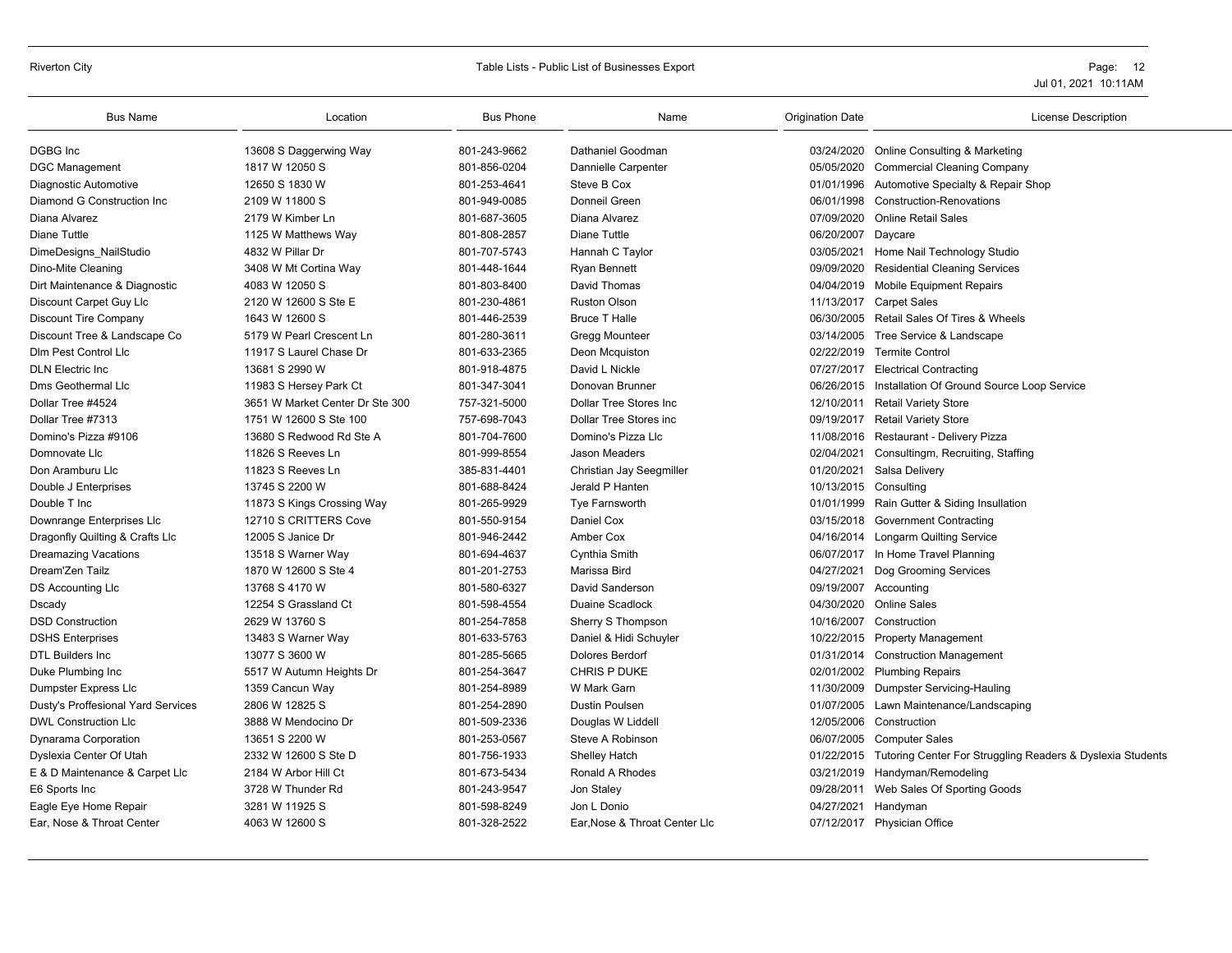| <b>Bus Name</b>                    | Location                        | <b>Bus Phone</b> | Name                          | <b>Origination Date</b> | <b>License Description</b>                                            |
|------------------------------------|---------------------------------|------------------|-------------------------------|-------------------------|-----------------------------------------------------------------------|
| <b>DGBG</b> Inc                    | 13608 S Daggerwing Way          | 801-243-9662     | Dathaniel Goodman             |                         | 03/24/2020 Online Consulting & Marketing                              |
| <b>DGC Management</b>              | 1817 W 12050 S                  | 801-856-0204     | Dannielle Carpenter           | 05/05/2020              | <b>Commercial Cleaning Company</b>                                    |
| Diagnostic Automotive              | 12650 S 1830 W                  | 801-253-4641     | Steve B Cox                   | 01/01/1996              | Automotive Specialty & Repair Shop                                    |
| Diamond G Construction Inc         | 2109 W 11800 S                  | 801-949-0085     | Donneil Green                 | 06/01/1998              | <b>Construction-Renovations</b>                                       |
| Diana Alvarez                      | 2179 W Kimber Ln                | 801-687-3605     | Diana Alvarez                 | 07/09/2020              | <b>Online Retail Sales</b>                                            |
| <b>Diane Tuttle</b>                | 1125 W Matthews Way             | 801-808-2857     | <b>Diane Tuttle</b>           | 06/20/2007              | Daycare                                                               |
| DimeDesigns_NailStudio             | 4832 W Pillar Dr                | 801-707-5743     | Hannah C Taylor               |                         | 03/05/2021 Home Nail Technology Studio                                |
| Dino-Mite Cleaning                 | 3408 W Mt Cortina Way           | 801-448-1644     | <b>Ryan Bennett</b>           | 09/09/2020              | <b>Residential Cleaning Services</b>                                  |
| Dirt Maintenance & Diagnostic      | 4083 W 12050 S                  | 801-803-8400     | David Thomas                  |                         | 04/04/2019 Mobile Equipment Repairs                                   |
| Discount Carpet Guy Llc            | 2120 W 12600 S Ste E            | 801-230-4861     | <b>Ruston Olson</b>           |                         | 11/13/2017 Carpet Sales                                               |
| <b>Discount Tire Company</b>       | 1643 W 12600 S                  | 801-446-2539     | <b>Bruce T Halle</b>          |                         | 06/30/2005 Retail Sales Of Tires & Wheels                             |
| Discount Tree & Landscape Co       | 5179 W Pearl Crescent Ln        | 801-280-3611     | Gregg Mounteer                |                         | 03/14/2005 Tree Service & Landscape                                   |
| Dim Pest Control Lic               | 11917 S Laurel Chase Dr         | 801-633-2365     | Deon Mcquiston                | 02/22/2019              | <b>Termite Control</b>                                                |
| <b>DLN Electric Inc.</b>           | 13681 S 2990 W                  | 801-918-4875     | David L Nickle                | 07/27/2017              | <b>Electrical Contracting</b>                                         |
| Dms Geothermal Llc                 | 11983 S Hersey Park Ct          | 801-347-3041     | Donovan Brunner               |                         | 06/26/2015 Installation Of Ground Source Loop Service                 |
| Dollar Tree #4524                  | 3651 W Market Center Dr Ste 300 | 757-321-5000     | Dollar Tree Stores Inc.       |                         | 12/10/2011 Retail Variety Store                                       |
| Dollar Tree #7313                  | 1751 W 12600 S Ste 100          | 757-698-7043     | <b>Dollar Tree Stores inc</b> |                         | 09/19/2017 Retail Variety Store                                       |
| Domino's Pizza #9106               | 13680 S Redwood Rd Ste A        | 801-704-7600     | Domino's Pizza Llc            |                         | 11/08/2016 Restaurant - Delivery Pizza                                |
| Domnovate Llc                      | 11826 S Reeves Ln               | 801-999-8554     | <b>Jason Meaders</b>          | 02/04/2021              | Consultingm, Recruiting, Staffing                                     |
| Don Aramburu Llc                   | 11823 S Reeves Ln               | 385-831-4401     | Christian Jay Seegmiller      | 01/20/2021              | Salsa Delivery                                                        |
| Double J Enterprises               | 13745 S 2200 W                  | 801-688-8424     | Jerald P Hanten               | 10/13/2015 Consulting   |                                                                       |
| Double T Inc                       | 11873 S Kings Crossing Way      | 801-265-9929     | Tye Farnsworth                | 01/01/1999              | Rain Gutter & Siding Insullation                                      |
| Downrange Enterprises Llc          | 12710 S CRITTERS Cove           | 801-550-9154     | Daniel Cox                    | 03/15/2018              | <b>Government Contracting</b>                                         |
| Dragonfly Quilting & Crafts Llc    | 12005 S Janice Dr               | 801-946-2442     | Amber Cox                     |                         | 04/16/2014 Longarm Quilting Service                                   |
| <b>Dreamazing Vacations</b>        | 13518 S Warner Way              | 801-694-4637     | Cynthia Smith                 |                         | 06/07/2017 In Home Travel Planning                                    |
| Dream'Zen Tailz                    | 1870 W 12600 S Ste 4            | 801-201-2753     | Marissa Bird                  |                         | 04/27/2021 Dog Grooming Services                                      |
| <b>DS Accounting LIc</b>           | 13768 S 4170 W                  | 801-580-6327     | David Sanderson               |                         | 09/19/2007 Accounting                                                 |
| Dscady                             | 12254 S Grassland Ct            | 801-598-4554     | Duaine Scadlock               | 04/30/2020              | <b>Online Sales</b>                                                   |
| <b>DSD Construction</b>            | 2629 W 13760 S                  | 801-254-7858     | Sherry S Thompson             | 10/16/2007              | Construction                                                          |
| <b>DSHS Enterprises</b>            | 13483 S Warner Way              | 801-633-5763     | Daniel & Hidi Schuyler        |                         | 10/22/2015 Property Management                                        |
| <b>DTL Builders Inc.</b>           | 13077 S 3600 W                  | 801-285-5665     | Dolores Berdorf               |                         | 01/31/2014 Construction Management                                    |
| Duke Plumbing Inc                  | 5517 W Autumn Heights Dr        | 801-254-3647     | CHRIS P DUKE                  |                         | 02/01/2002 Plumbing Repairs                                           |
| Dumpster Express Llc               | 1359 Cancun Way                 | 801-254-8989     | W Mark Garn                   | 11/30/2009              | Dumpster Servicing-Hauling                                            |
| Dusty's Proffesional Yard Services | 2806 W 12825 S                  | 801-254-2890     | <b>Dustin Poulsen</b>         |                         | 01/07/2005 Lawn Maintenance/Landscaping                               |
| <b>DWL Construction LIc</b>        | 3888 W Mendocino Dr             | 801-509-2336     | Douglas W Liddell             | 12/05/2006              | Construction                                                          |
| Dynarama Corporation               | 13651 S 2200 W                  | 801-253-0567     | Steve A Robinson              | 06/07/2005              | <b>Computer Sales</b>                                                 |
| Dyslexia Center Of Utah            | 2332 W 12600 S Ste D            | 801-756-1933     | <b>Shelley Hatch</b>          |                         | 01/22/2015 Tutoring Center For Struggling Readers & Dyslexia Students |
| E & D Maintenance & Carpet Llc     | 2184 W Arbor Hill Ct            | 801-673-5434     | Ronald A Rhodes               |                         | 03/21/2019 Handyman/Remodeling                                        |
| E6 Sports Inc                      | 3728 W Thunder Rd               | 801-243-9547     | Jon Staley                    |                         | 09/28/2011 Web Sales Of Sporting Goods                                |
| Eagle Eye Home Repair              | 3281 W 11925 S                  | 801-598-8249     | Jon L Donio                   | 04/27/2021              | Handyman                                                              |
| Ear. Nose & Throat Center          | 4063 W 12600 S                  | 801-328-2522     | Ear. Nose & Throat Center Lic |                         | 07/12/2017 Physician Office                                           |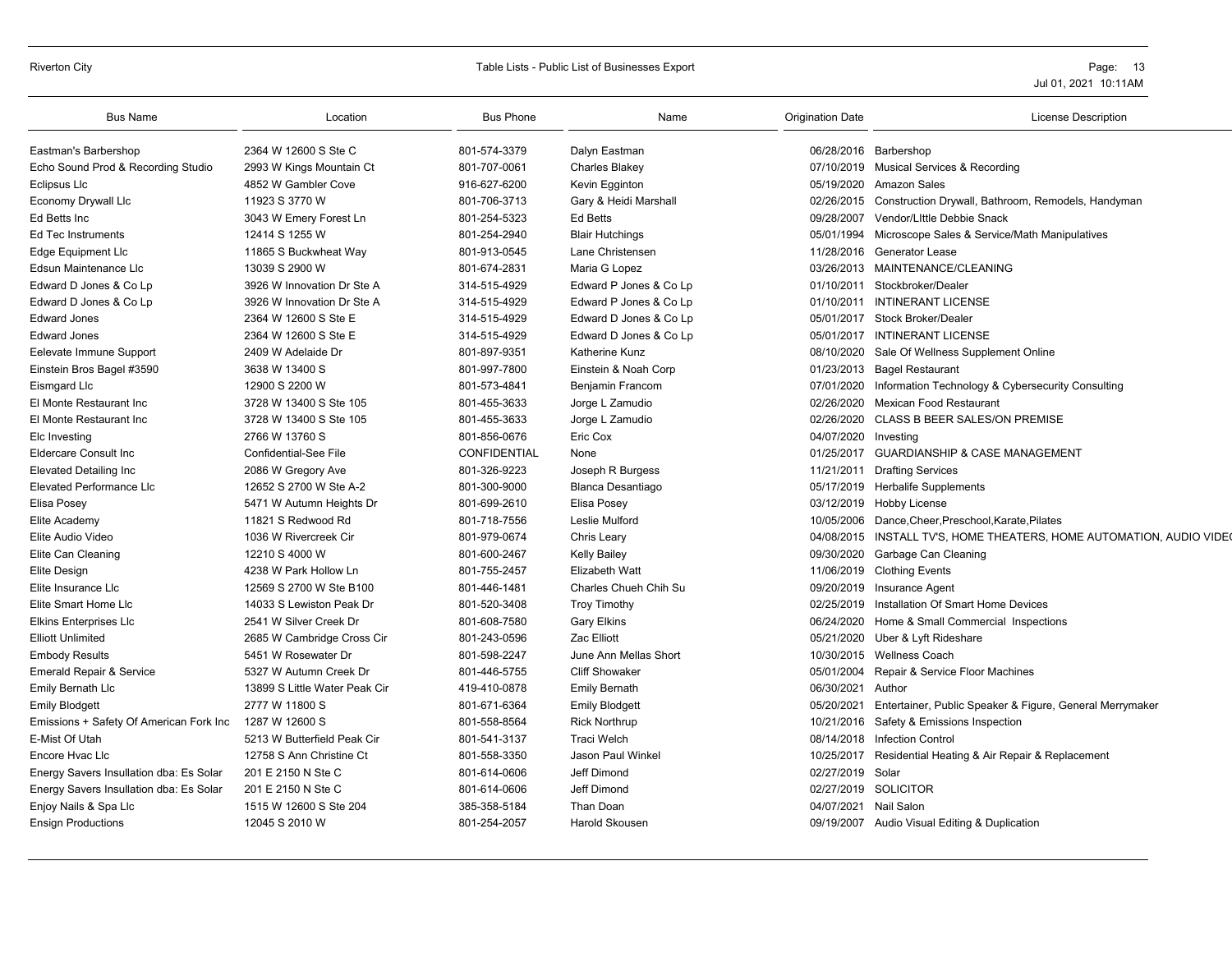| <b>Bus Name</b>                         | Location                      | <b>Bus Phone</b>    | Name                     | <b>Origination Date</b> | <b>License Description</b>                                |
|-----------------------------------------|-------------------------------|---------------------|--------------------------|-------------------------|-----------------------------------------------------------|
| Eastman's Barbershop                    | 2364 W 12600 S Ste C          | 801-574-3379        | Dalyn Eastman            | 06/28/2016              | Barbershop                                                |
| Echo Sound Prod & Recording Studio      | 2993 W Kings Mountain Ct      | 801-707-0061        | Charles Blakey           |                         | 07/10/2019 Musical Services & Recording                   |
| Eclipsus Llc                            | 4852 W Gambler Cove           | 916-627-6200        | Kevin Egginton           | 05/19/2020              | <b>Amazon Sales</b>                                       |
| <b>Economy Drywall Llc</b>              | 11923 S 3770 W                | 801-706-3713        | Gary & Heidi Marshall    | 02/26/2015              | Construction Drywall, Bathroom, Remodels, Handyman        |
| Ed Betts Inc.                           | 3043 W Emery Forest Ln        | 801-254-5323        | <b>Ed Betts</b>          | 09/28/2007              | Vendor/Little Debbie Snack                                |
| <b>Ed Tec Instruments</b>               | 12414 S 1255 W                | 801-254-2940        | <b>Blair Hutchings</b>   | 05/01/1994              | Microscope Sales & Service/Math Manipulatives             |
| <b>Edge Equipment Llc</b>               | 11865 S Buckwheat Way         | 801-913-0545        | Lane Christensen         | 11/28/2016              | <b>Generator Lease</b>                                    |
| Edsun Maintenance Llc                   | 13039 S 2900 W                | 801-674-2831        | Maria G Lopez            |                         | 03/26/2013 MAINTENANCE/CLEANING                           |
| Edward D Jones & Co Lp                  | 3926 W Innovation Dr Ste A    | 314-515-4929        | Edward P Jones & Co Lp   | 01/10/2011              | Stockbroker/Dealer                                        |
| Edward D Jones & Co Lp                  | 3926 W Innovation Dr Ste A    | 314-515-4929        | Edward P Jones & Co Lp   | 01/10/2011              | <b>INTINERANT LICENSE</b>                                 |
| <b>Edward Jones</b>                     | 2364 W 12600 S Ste E          | 314-515-4929        | Edward D Jones & Co Lp   | 05/01/2017              | <b>Stock Broker/Dealer</b>                                |
| <b>Edward Jones</b>                     | 2364 W 12600 S Ste E          | 314-515-4929        | Edward D Jones & Co Lp   | 05/01/2017              | <b>INTINERANT LICENSE</b>                                 |
| Eelevate Immune Support                 | 2409 W Adelaide Dr            | 801-897-9351        | Katherine Kunz           | 08/10/2020              | Sale Of Wellness Supplement Online                        |
| Einstein Bros Bagel #3590               | 3638 W 13400 S                | 801-997-7800        | Einstein & Noah Corp     | 01/23/2013              | <b>Bagel Restaurant</b>                                   |
| Eismgard Llc                            | 12900 S 2200 W                | 801-573-4841        | Benjamin Francom         | 07/01/2020              | Information Technology & Cybersecurity Consulting         |
| El Monte Restaurant Inc                 | 3728 W 13400 S Ste 105        | 801-455-3633        | Jorge L Zamudio          | 02/26/2020              | Mexican Food Restaurant                                   |
| El Monte Restaurant Inc                 | 3728 W 13400 S Ste 105        | 801-455-3633        | Jorge L Zamudio          | 02/26/2020              | CLASS B BEER SALES/ON PREMISE                             |
| Elc Investing                           | 2766 W 13760 S                | 801-856-0676        | Eric Cox                 | 04/07/2020              | Investing                                                 |
| <b>Eldercare Consult Inc</b>            | <b>Confidential-See File</b>  | <b>CONFIDENTIAL</b> | None                     | 01/25/2017              | <b>GUARDIANSHIP &amp; CASE MANAGEMENT</b>                 |
| <b>Elevated Detailing Inc</b>           | 2086 W Gregory Ave            | 801-326-9223        | Joseph R Burgess         | 11/21/2011              | <b>Drafting Services</b>                                  |
| <b>Elevated Performance LIc</b>         | 12652 S 2700 W Ste A-2        | 801-300-9000        | <b>Blanca Desantiago</b> | 05/17/2019              | <b>Herbalife Supplements</b>                              |
| Elisa Posey                             | 5471 W Autumn Heights Dr      | 801-699-2610        | Elisa Posey              | 03/12/2019              | Hobby License                                             |
| Elite Academy                           | 11821 S Redwood Rd            | 801-718-7556        | Leslie Mulford           | 10/05/2006              | Dance, Cheer, Preschool, Karate, Pilates                  |
| Elite Audio Video                       | 1036 W Rivercreek Cir         | 801-979-0674        | Chris Leary              | 04/08/2015              | INSTALL TV'S, HOME THEATERS, HOME AUTOMATION, AUDIO VIDEO |
| Elite Can Cleaning                      | 12210 S 4000 W                | 801-600-2467        | <b>Kelly Bailey</b>      | 09/30/2020              | Garbage Can Cleaning                                      |
| Elite Design                            | 4238 W Park Hollow Ln         | 801-755-2457        | <b>Elizabeth Watt</b>    | 11/06/2019              | <b>Clothing Events</b>                                    |
| Elite Insurance LIc                     | 12569 S 2700 W Ste B100       | 801-446-1481        | Charles Chueh Chih Su    | 09/20/2019              | Insurance Agent                                           |
| Elite Smart Home Llc                    | 14033 S Lewiston Peak Dr      | 801-520-3408        | <b>Troy Timothy</b>      | 02/25/2019              | Installation Of Smart Home Devices                        |
| <b>Elkins Enterprises Llc</b>           | 2541 W Silver Creek Dr        | 801-608-7580        | <b>Gary Elkins</b>       | 06/24/2020              | Home & Small Commercial Inspections                       |
| <b>Elliott Unlimited</b>                | 2685 W Cambridge Cross Cir    | 801-243-0596        | Zac Elliott              | 05/21/2020              | Uber & Lyft Rideshare                                     |
| <b>Embody Results</b>                   | 5451 W Rosewater Dr           | 801-598-2247        | June Ann Mellas Short    | 10/30/2015              | <b>Wellness Coach</b>                                     |
| <b>Emerald Repair &amp; Service</b>     | 5327 W Autumn Creek Dr        | 801-446-5755        | <b>Cliff Showaker</b>    | 05/01/2004              | Repair & Service Floor Machines                           |
| Emily Bernath Llc                       | 13899 S Little Water Peak Cir | 419-410-0878        | <b>Emily Bernath</b>     | 06/30/2021              | Author                                                    |
| <b>Emily Blodgett</b>                   | 2777 W 11800 S                | 801-671-6364        | <b>Emily Blodgett</b>    | 05/20/2021              | Entertainer, Public Speaker & Figure, General Merrymaker  |
| Emissions + Safety Of American Fork Inc | 1287 W 12600 S                | 801-558-8564        | <b>Rick Northrup</b>     | 10/21/2016              | Safety & Emissions Inspection                             |
| E-Mist Of Utah                          | 5213 W Butterfield Peak Cir   | 801-541-3137        | <b>Traci Welch</b>       | 08/14/2018              | <b>Infection Control</b>                                  |
| Encore Hvac Llc                         | 12758 S Ann Christine Ct      | 801-558-3350        | Jason Paul Winkel        | 10/25/2017              | Residential Heating & Air Repair & Replacement            |
| Energy Savers Insullation dba: Es Solar | 201 E 2150 N Ste C            | 801-614-0606        | Jeff Dimond              | 02/27/2019              | Solar                                                     |
| Energy Savers Insullation dba: Es Solar | 201 E 2150 N Ste C            | 801-614-0606        | Jeff Dimond              | 02/27/2019              | <b>SOLICITOR</b>                                          |
| Enjoy Nails & Spa Llc                   | 1515 W 12600 S Ste 204        | 385-358-5184        | Than Doan                | 04/07/2021 Nail Salon   |                                                           |
| <b>Ensign Productions</b>               | 12045 S 2010 W                | 801-254-2057        | <b>Harold Skousen</b>    |                         | 09/19/2007 Audio Visual Editing & Duplication             |
|                                         |                               |                     |                          |                         |                                                           |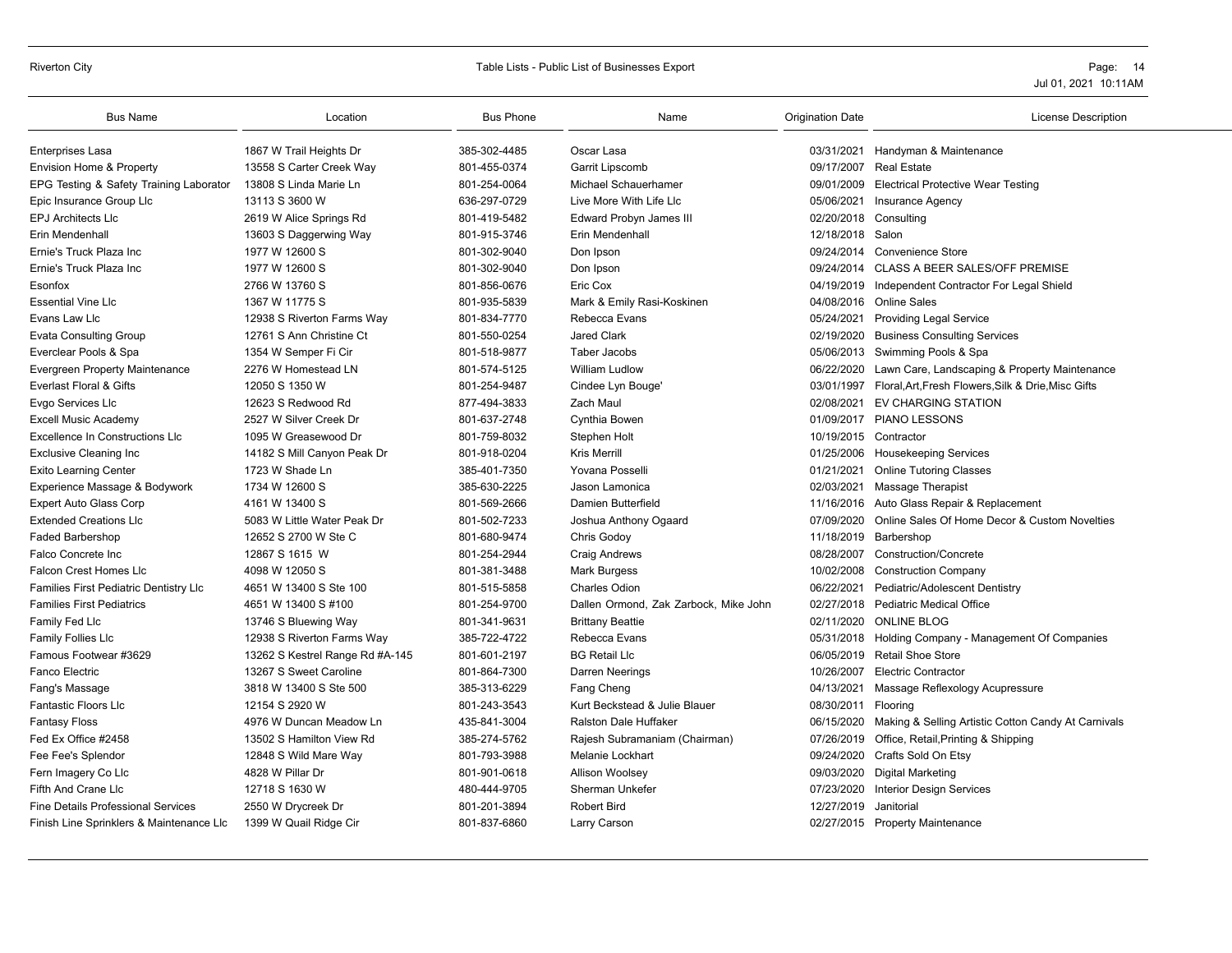# Riverton City **Example 20** Table Lists - Public List of Businesses Export **Page: 14** Page: 14

| <b>Bus Name</b>                           | Location                        | <b>Bus Phone</b> | Name                                  | <b>Origination Date</b> | License Description                                            |
|-------------------------------------------|---------------------------------|------------------|---------------------------------------|-------------------------|----------------------------------------------------------------|
| <b>Enterprises Lasa</b>                   | 1867 W Trail Heights Dr         | 385-302-4485     | Oscar Lasa                            |                         | 03/31/2021 Handyman & Maintenance                              |
| Envision Home & Property                  | 13558 S Carter Creek Way        | 801-455-0374     | Garrit Lipscomb                       |                         | 09/17/2007 Real Estate                                         |
| EPG Testing & Safety Training Laborator   | 13808 S Linda Marie Ln          | 801-254-0064     | Michael Schauerhamer                  | 09/01/2009              | <b>Electrical Protective Wear Testing</b>                      |
| Epic Insurance Group Llc                  | 13113 S 3600 W                  | 636-297-0729     | Live More With Life Llc               | 05/06/2021              | <b>Insurance Agency</b>                                        |
| <b>EPJ Architects LIc</b>                 | 2619 W Alice Springs Rd         | 801-419-5482     | Edward Probyn James III               | 02/20/2018 Consulting   |                                                                |
| Erin Mendenhall                           | 13603 S Daggerwing Way          | 801-915-3746     | Erin Mendenhall                       | 12/18/2018 Salon        |                                                                |
| Ernie's Truck Plaza Inc                   | 1977 W 12600 S                  | 801-302-9040     | Don Ipson                             | 09/24/2014              | <b>Convenience Store</b>                                       |
| Ernie's Truck Plaza Inc                   | 1977 W 12600 S                  | 801-302-9040     | Don Ipson                             | 09/24/2014              | <b>CLASS A BEER SALES/OFF PREMISE</b>                          |
| Esonfox                                   | 2766 W 13760 S                  | 801-856-0676     | Eric Cox                              | 04/19/2019              | Independent Contractor For Legal Shield                        |
| <b>Essential Vine Llc</b>                 | 1367 W 11775 S                  | 801-935-5839     | Mark & Emily Rasi-Koskinen            | 04/08/2016              | <b>Online Sales</b>                                            |
| Evans Law Llc                             | 12938 S Riverton Farms Way      | 801-834-7770     | Rebecca Evans                         |                         | 05/24/2021 Providing Legal Service                             |
| <b>Evata Consulting Group</b>             | 12761 S Ann Christine Ct        | 801-550-0254     | <b>Jared Clark</b>                    | 02/19/2020              | <b>Business Consulting Services</b>                            |
| Everclear Pools & Spa                     | 1354 W Semper Fi Cir            | 801-518-9877     | Taber Jacobs                          | 05/06/2013              | Swimming Pools & Spa                                           |
| <b>Evergreen Property Maintenance</b>     | 2276 W Homestead LN             | 801-574-5125     | <b>William Ludlow</b>                 | 06/22/2020              | Lawn Care, Landscaping & Property Maintenance                  |
| Everlast Floral & Gifts                   | 12050 S 1350 W                  | 801-254-9487     | Cindee Lyn Bouge'                     |                         | 03/01/1997 Floral, Art, Fresh Flowers, Silk & Drie, Misc Gifts |
| Evgo Services Llc                         | 12623 S Redwood Rd              | 877-494-3833     | Zach Maul                             | 02/08/2021              | <b>EV CHARGING STATION</b>                                     |
| <b>Excell Music Academy</b>               | 2527 W Silver Creek Dr          | 801-637-2748     | Cynthia Bowen                         |                         | 01/09/2017 PIANO LESSONS                                       |
| <b>Excellence In Constructions LIc</b>    | 1095 W Greasewood Dr            | 801-759-8032     | Stephen Holt                          | 10/19/2015 Contractor   |                                                                |
| <b>Exclusive Cleaning Inc.</b>            | 14182 S Mill Canyon Peak Dr     | 801-918-0204     | <b>Kris Merrill</b>                   |                         | 01/25/2006 Housekeeping Services                               |
| <b>Exito Learning Center</b>              | 1723 W Shade Ln                 | 385-401-7350     | Yovana Posselli                       | 01/21/2021              | <b>Online Tutoring Classes</b>                                 |
| Experience Massage & Bodywork             | 1734 W 12600 S                  | 385-630-2225     | Jason Lamonica                        | 02/03/2021              | <b>Massage Therapist</b>                                       |
| Expert Auto Glass Corp                    | 4161 W 13400 S                  | 801-569-2666     | Damien Butterfield                    |                         | 11/16/2016 Auto Glass Repair & Replacement                     |
| <b>Extended Creations Llc</b>             | 5083 W Little Water Peak Dr     | 801-502-7233     | Joshua Anthony Ogaard                 | 07/09/2020              | Online Sales Of Home Decor & Custom Novelties                  |
| <b>Faded Barbershop</b>                   | 12652 S 2700 W Ste C            | 801-680-9474     | Chris Godoy                           | 11/18/2019              | Barbershop                                                     |
| Falco Concrete Inc                        | 12867 S 1615 W                  | 801-254-2944     | <b>Craig Andrews</b>                  | 08/28/2007              | <b>Construction/Concrete</b>                                   |
| Falcon Crest Homes Llc                    | 4098 W 12050 S                  | 801-381-3488     | <b>Mark Burgess</b>                   | 10/02/2008              | <b>Construction Company</b>                                    |
| Families First Pediatric Dentistry Llc    | 4651 W 13400 S Ste 100          | 801-515-5858     | <b>Charles Odion</b>                  | 06/22/2021              | Pediatric/Adolescent Dentistry                                 |
| <b>Families First Pediatrics</b>          | 4651 W 13400 S #100             | 801-254-9700     | Dallen Ormond, Zak Zarbock, Mike John | 02/27/2018              | <b>Pediatric Medical Office</b>                                |
| Family Fed Llc                            | 13746 S Bluewing Way            | 801-341-9631     | <b>Brittany Beattie</b>               | 02/11/2020              | <b>ONLINE BLOG</b>                                             |
| Family Follies Llc                        | 12938 S Riverton Farms Way      | 385-722-4722     | Rebecca Evans                         | 05/31/2018              | Holding Company - Management Of Companies                      |
| Famous Footwear #3629                     | 13262 S Kestrel Range Rd #A-145 | 801-601-2197     | <b>BG Retail Llc</b>                  | 06/05/2019              | <b>Retail Shoe Store</b>                                       |
| Fanco Electric                            | 13267 S Sweet Caroline          | 801-864-7300     | Darren Neerings                       | 10/26/2007              | <b>Electric Contractor</b>                                     |
| Fang's Massage                            | 3818 W 13400 S Ste 500          | 385-313-6229     | Fang Cheng                            | 04/13/2021              | Massage Reflexology Acupressure                                |
| <b>Fantastic Floors Llc</b>               | 12154 S 2920 W                  | 801-243-3543     | Kurt Beckstead & Julie Blauer         | 08/30/2011 Flooring     |                                                                |
| <b>Fantasy Floss</b>                      | 4976 W Duncan Meadow Ln         | 435-841-3004     | <b>Ralston Dale Huffaker</b>          | 06/15/2020              | Making & Selling Artistic Cotton Candy At Carnivals            |
| Fed Ex Office #2458                       | 13502 S Hamilton View Rd        | 385-274-5762     | Rajesh Subramaniam (Chairman)         | 07/26/2019              | Office, Retail, Printing & Shipping                            |
| Fee Fee's Splendor                        | 12848 S Wild Mare Way           | 801-793-3988     | Melanie Lockhart                      | 09/24/2020              | Crafts Sold On Etsy                                            |
| Fern Imagery Co Llc                       | 4828 W Pillar Dr                | 801-901-0618     | Allison Woolsey                       | 09/03/2020              | <b>Digital Marketing</b>                                       |
| Fifth And Crane Llc                       | 12718 S 1630 W                  | 480-444-9705     | Sherman Unkefer                       | 07/23/2020              | <b>Interior Design Services</b>                                |
| <b>Fine Details Professional Services</b> | 2550 W Drycreek Dr              | 801-201-3894     | <b>Robert Bird</b>                    | 12/27/2019              | Janitorial                                                     |
| Finish Line Sprinklers & Maintenance Llc  | 1399 W Quail Ridge Cir          | 801-837-6860     | Larry Carson                          |                         | 02/27/2015 Property Maintenance                                |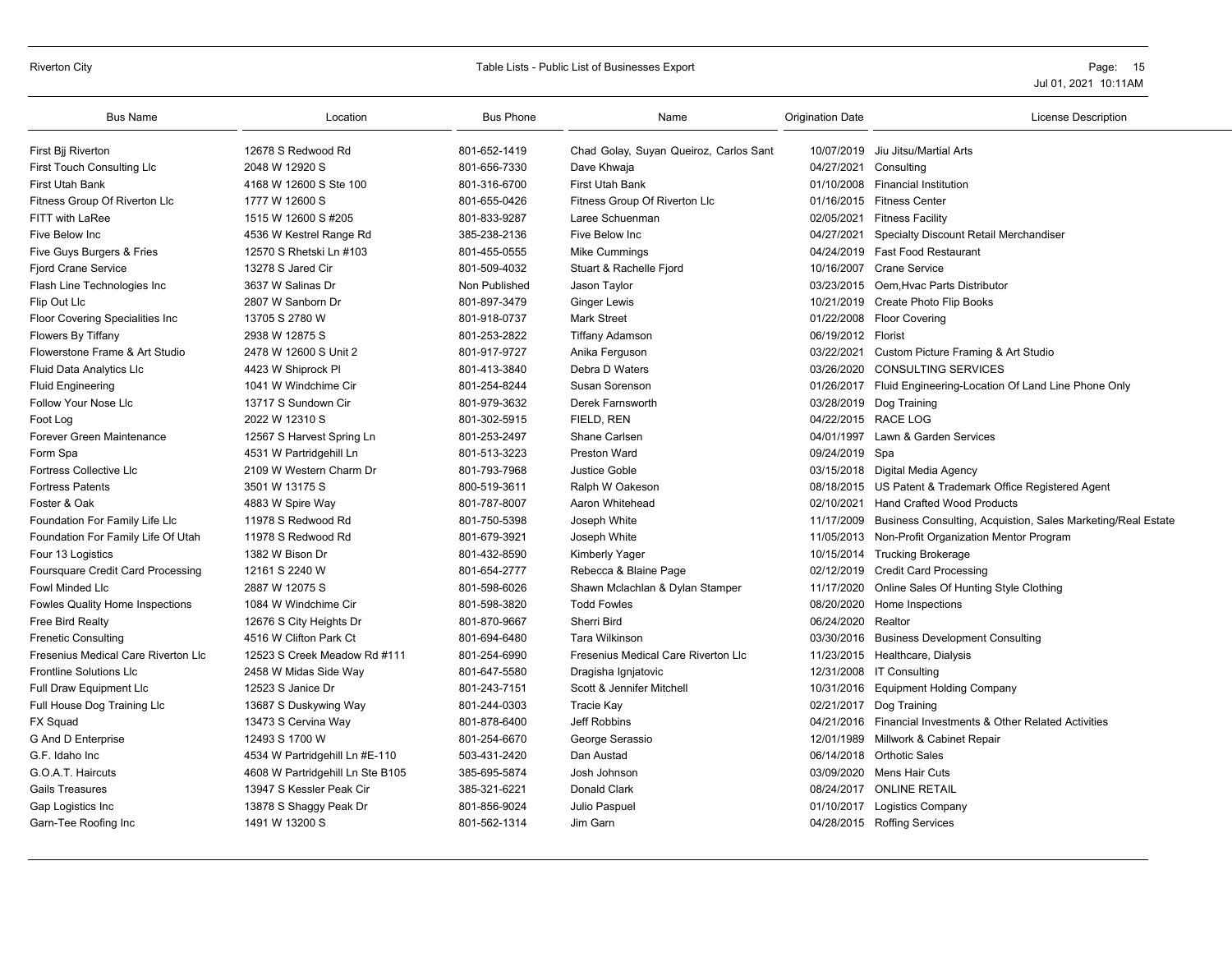# Riverton City **Example 20** Table Lists - Public List of Businesses Export **Page: 15** Page: 15

| <b>Bus Name</b>                     | Location                         | <b>Bus Phone</b> | Name                                   | <b>Origination Date</b> | <b>License Description</b>                                    |
|-------------------------------------|----------------------------------|------------------|----------------------------------------|-------------------------|---------------------------------------------------------------|
| First Bij Riverton                  | 12678 S Redwood Rd               | 801-652-1419     | Chad Golay, Suyan Queiroz, Carlos Sant |                         | 10/07/2019 Jiu Jitsu/Martial Arts                             |
| <b>First Touch Consulting Llc</b>   | 2048 W 12920 S                   | 801-656-7330     | Dave Khwaja                            | 04/27/2021              | Consulting                                                    |
| <b>First Utah Bank</b>              | 4168 W 12600 S Ste 100           | 801-316-6700     | <b>First Utah Bank</b>                 | 01/10/2008              | <b>Financial Institution</b>                                  |
| Fitness Group Of Riverton Llc       | 1777 W 12600 S                   | 801-655-0426     | Fitness Group Of Riverton Llc          |                         | 01/16/2015 Fitness Center                                     |
| FITT with LaRee                     | 1515 W 12600 S #205              | 801-833-9287     | Laree Schuenman                        | 02/05/2021              | <b>Fitness Facility</b>                                       |
| Five Below Inc                      | 4536 W Kestrel Range Rd          | 385-238-2136     | Five Below Inc                         | 04/27/2021              | Specialty Discount Retail Merchandiser                        |
| Five Guys Burgers & Fries           | 12570 S Rhetski Ln #103          | 801-455-0555     | Mike Cummings                          |                         | 04/24/2019 Fast Food Restaurant                               |
| <b>Fjord Crane Service</b>          | 13278 S Jared Cir                | 801-509-4032     | Stuart & Rachelle Fjord                |                         | 10/16/2007 Crane Service                                      |
| Flash Line Technologies Inc         | 3637 W Salinas Dr                | Non Published    | Jason Taylor                           | 03/23/2015              | Oem, Hvac Parts Distributor                                   |
| Flip Out Llc                        | 2807 W Sanborn Dr                | 801-897-3479     | <b>Ginger Lewis</b>                    |                         | 10/21/2019 Create Photo Flip Books                            |
| Floor Covering Specialities Inc     | 13705 S 2780 W                   | 801-918-0737     | <b>Mark Street</b>                     |                         | 01/22/2008 Floor Covering                                     |
| <b>Flowers By Tiffany</b>           | 2938 W 12875 S                   | 801-253-2822     | <b>Tiffany Adamson</b>                 | 06/19/2012 Florist      |                                                               |
| Flowerstone Frame & Art Studio      | 2478 W 12600 S Unit 2            | 801-917-9727     | Anika Ferguson                         | 03/22/2021              | Custom Picture Framing & Art Studio                           |
| <b>Fluid Data Analytics Llc</b>     | 4423 W Shiprock Pl               | 801-413-3840     | Debra D Waters                         | 03/26/2020              | <b>CONSULTING SERVICES</b>                                    |
| <b>Fluid Engineering</b>            | 1041 W Windchime Cir             | 801-254-8244     | Susan Sorenson                         |                         | 01/26/2017 Fluid Engineering-Location Of Land Line Phone Only |
| Follow Your Nose Llc                | 13717 S Sundown Cir              | 801-979-3632     | Derek Farnsworth                       | 03/28/2019              | Dog Training                                                  |
| Foot Log                            | 2022 W 12310 S                   | 801-302-5915     | FIELD, REN                             |                         | 04/22/2015 RACE LOG                                           |
| Forever Green Maintenance           | 12567 S Harvest Spring Ln        | 801-253-2497     | Shane Carlsen                          | 04/01/1997              | Lawn & Garden Services                                        |
| Form Spa                            | 4531 W Partridgehill Ln          | 801-513-3223     | <b>Preston Ward</b>                    | 09/24/2019 Spa          |                                                               |
| Fortress Collective Llc             | 2109 W Western Charm Dr          | 801-793-7968     | Justice Goble                          |                         | 03/15/2018 Digital Media Agency                               |
| <b>Fortress Patents</b>             | 3501 W 13175 S                   | 800-519-3611     | Ralph W Oakeson                        |                         | 08/18/2015 US Patent & Trademark Office Registered Agent      |
| Foster & Oak                        | 4883 W Spire Way                 | 801-787-8007     | Aaron Whitehead                        | 02/10/2021              | <b>Hand Crafted Wood Products</b>                             |
| Foundation For Family Life Llc      | 11978 S Redwood Rd               | 801-750-5398     | Joseph White                           | 11/17/2009              | Business Consulting, Acquistion, Sales Marketing/Real Estate  |
| Foundation For Family Life Of Utah  | 11978 S Redwood Rd               | 801-679-3921     | Joseph White                           | 11/05/2013              | Non-Profit Organization Mentor Program                        |
| Four 13 Logistics                   | 1382 W Bison Dr                  | 801-432-8590     | <b>Kimberly Yager</b>                  |                         | 10/15/2014 Trucking Brokerage                                 |
| Foursquare Credit Card Processing   | 12161 S 2240 W                   | 801-654-2777     | Rebecca & Blaine Page                  |                         | 02/12/2019 Credit Card Processing                             |
| <b>Fowl Minded Llc</b>              | 2887 W 12075 S                   | 801-598-6026     | Shawn Mclachlan & Dylan Stamper        |                         | 11/17/2020 Online Sales Of Hunting Style Clothing             |
| Fowles Quality Home Inspections     | 1084 W Windchime Cir             | 801-598-3820     | <b>Todd Fowles</b>                     | 08/20/2020              | Home Inspections                                              |
| Free Bird Realty                    | 12676 S City Heights Dr          | 801-870-9667     | Sherri Bird                            | 06/24/2020              | Realtor                                                       |
| <b>Frenetic Consulting</b>          | 4516 W Clifton Park Ct           | 801-694-6480     | <b>Tara Wilkinson</b>                  |                         | 03/30/2016 Business Development Consulting                    |
| Fresenius Medical Care Riverton Llc | 12523 S Creek Meadow Rd #111     | 801-254-6990     | Fresenius Medical Care Riverton Llc    |                         | 11/23/2015 Healthcare, Dialysis                               |
| <b>Frontline Solutions Llc</b>      | 2458 W Midas Side Way            | 801-647-5580     | Dragisha Ignjatovic                    |                         | 12/31/2008 IT Consulting                                      |
| Full Draw Equipment Llc             | 12523 S Janice Dr                | 801-243-7151     | Scott & Jennifer Mitchell              | 10/31/2016              | <b>Equipment Holding Company</b>                              |
| Full House Dog Training Llc         | 13687 S Duskywing Way            | 801-244-0303     | Tracie Kay                             | 02/21/2017              | Dog Training                                                  |
| FX Squad                            | 13473 S Cervina Way              | 801-878-6400     | Jeff Robbins                           | 04/21/2016              | Financial Investments & Other Related Activities              |
| G And D Enterprise                  | 12493 S 1700 W                   | 801-254-6670     | George Serassio                        | 12/01/1989              | Millwork & Cabinet Repair                                     |
| G.F. Idaho Inc                      | 4534 W Partridgehill Ln #E-110   | 503-431-2420     | Dan Austad                             |                         | 06/14/2018 Orthotic Sales                                     |
| G.O.A.T. Haircuts                   | 4608 W Partridgehill Ln Ste B105 | 385-695-5874     | Josh Johnson                           | 03/09/2020              | Mens Hair Cuts                                                |
| Gails Treasures                     | 13947 S Kessler Peak Cir         | 385-321-6221     | Donald Clark                           |                         | 08/24/2017 ONLINE RETAIL                                      |
| Gap Logistics Inc                   | 13878 S Shaggy Peak Dr           | 801-856-9024     | Julio Paspuel                          | 01/10/2017              | <b>Logistics Company</b>                                      |
| Garn-Tee Roofing Inc                | 1491 W 13200 S                   | 801-562-1314     | Jim Garn                               |                         | 04/28/2015 Roffing Services                                   |
|                                     |                                  |                  |                                        |                         |                                                               |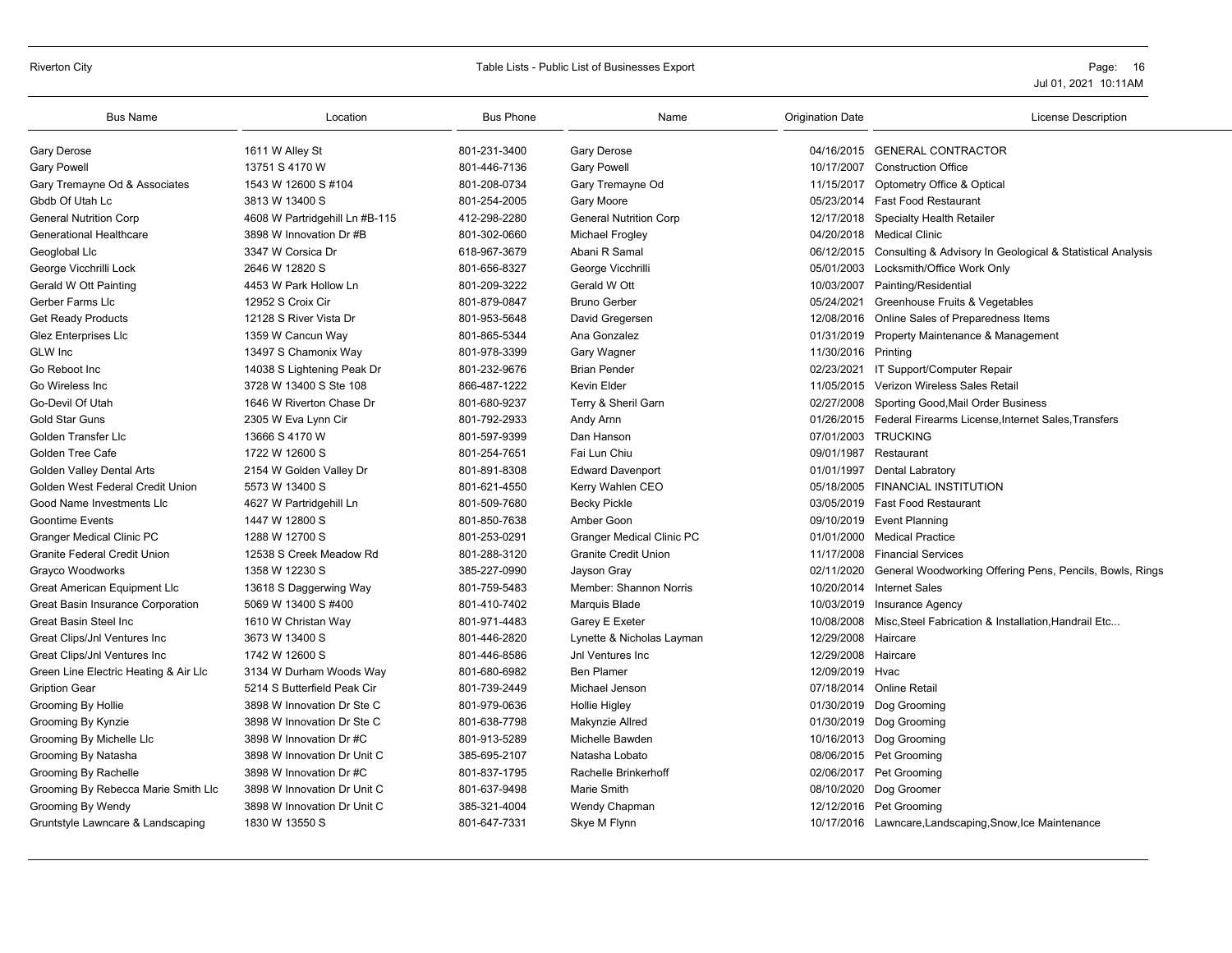# Riverton City **Example 20** Table Lists - Public List of Businesses Export **Page: 16** Page: 16

| <b>Bus Name</b>                       | Location                       | <b>Bus Phone</b> | Name                             | <b>Origination Date</b> | <b>License Description</b>                                            |
|---------------------------------------|--------------------------------|------------------|----------------------------------|-------------------------|-----------------------------------------------------------------------|
| <b>Gary Derose</b>                    | 1611 W Alley St                | 801-231-3400     | <b>Gary Derose</b>               |                         | 04/16/2015 GENERAL CONTRACTOR                                         |
| <b>Gary Powell</b>                    | 13751 S 4170 W                 | 801-446-7136     | <b>Gary Powell</b>               | 10/17/2007              | <b>Construction Office</b>                                            |
| Gary Tremayne Od & Associates         | 1543 W 12600 S #104            | 801-208-0734     | Gary Tremayne Od                 |                         | 11/15/2017 Optometry Office & Optical                                 |
| Gbdb Of Utah Lc                       | 3813 W 13400 S                 | 801-254-2005     | Gary Moore                       |                         | 05/23/2014 Fast Food Restaurant                                       |
| <b>General Nutrition Corp</b>         | 4608 W Partridgehill Ln #B-115 | 412-298-2280     | <b>General Nutrition Corp</b>    |                         | 12/17/2018 Specialty Health Retailer                                  |
| <b>Generational Healthcare</b>        | 3898 W Innovation Dr #B        | 801-302-0660     | Michael Frogley                  |                         | 04/20/2018 Medical Clinic                                             |
| Geoglobal Llc                         | 3347 W Corsica Dr              | 618-967-3679     | Abani R Samal                    |                         | 06/12/2015 Consulting & Advisory In Geological & Statistical Analysis |
| George Vicchrilli Lock                | 2646 W 12820 S                 | 801-656-8327     | George Vicchrilli                |                         | 05/01/2003 Locksmith/Office Work Only                                 |
| Gerald W Ott Painting                 | 4453 W Park Hollow Ln          | 801-209-3222     | Gerald W Ott                     |                         | 10/03/2007 Painting/Residential                                       |
| Gerber Farms Llc                      | 12952 S Croix Cir              | 801-879-0847     | <b>Bruno Gerber</b>              |                         | 05/24/2021 Greenhouse Fruits & Vegetables                             |
| <b>Get Ready Products</b>             | 12128 S River Vista Dr         | 801-953-5648     | David Gregersen                  |                         | 12/08/2016 Online Sales of Preparedness Items                         |
| Glez Enterprises Llc                  | 1359 W Cancun Way              | 801-865-5344     | Ana Gonzalez                     | 01/31/2019              | Property Maintenance & Management                                     |
| GLW Inc                               | 13497 S Chamonix Way           | 801-978-3399     | Gary Wagner                      | 11/30/2016 Printing     |                                                                       |
| Go Reboot Inc                         | 14038 S Lightening Peak Dr     | 801-232-9676     | <b>Brian Pender</b>              |                         | 02/23/2021 IT Support/Computer Repair                                 |
| Go Wireless Inc.                      | 3728 W 13400 S Ste 108         | 866-487-1222     | <b>Kevin Elder</b>               | 11/05/2015              | Verizon Wireless Sales Retail                                         |
| Go-Devil Of Utah                      | 1646 W Riverton Chase Dr       | 801-680-9237     | Terry & Sheril Garn              | 02/27/2008              | Sporting Good, Mail Order Business                                    |
| <b>Gold Star Guns</b>                 | 2305 W Eva Lynn Cir            | 801-792-2933     | Andy Arnn                        |                         | 01/26/2015 Federal Firearms License, Internet Sales, Transfers        |
| Golden Transfer Llc                   | 13666 S 4170 W                 | 801-597-9399     | Dan Hanson                       |                         | 07/01/2003 TRUCKING                                                   |
| Golden Tree Cafe                      | 1722 W 12600 S                 | 801-254-7651     | Fai Lun Chiu                     | 09/01/1987              | Restaurant                                                            |
| <b>Golden Valley Dental Arts</b>      | 2154 W Golden Valley Dr        | 801-891-8308     | <b>Edward Davenport</b>          |                         | 01/01/1997 Dental Labratory                                           |
| Golden West Federal Credit Union      | 5573 W 13400 S                 | 801-621-4550     | Kerry Wahlen CEO                 |                         | 05/18/2005 FINANCIAL INSTITUTION                                      |
| Good Name Investments LIc             | 4627 W Partridgehill Ln        | 801-509-7680     | <b>Becky Pickle</b>              |                         | 03/05/2019 Fast Food Restaurant                                       |
| <b>Goontime Events</b>                | 1447 W 12800 S                 | 801-850-7638     | Amber Goon                       | 09/10/2019              | <b>Event Planning</b>                                                 |
| <b>Granger Medical Clinic PC</b>      | 1288 W 12700 S                 | 801-253-0291     | <b>Granger Medical Clinic PC</b> | 01/01/2000              | <b>Medical Practice</b>                                               |
| <b>Granite Federal Credit Union</b>   | 12538 S Creek Meadow Rd        | 801-288-3120     | <b>Granite Credit Union</b>      | 11/17/2008              | <b>Financial Services</b>                                             |
| Grayco Woodworks                      | 1358 W 12230 S                 | 385-227-0990     | Jayson Gray                      | 02/11/2020              | General Woodworking Offering Pens, Pencils, Bowls, Rings              |
| Great American Equipment Llc          | 13618 S Daggerwing Way         | 801-759-5483     | Member: Shannon Norris           |                         | 10/20/2014 Internet Sales                                             |
| Great Basin Insurance Corporation     | 5069 W 13400 S #400            | 801-410-7402     | Marquis Blade                    | 10/03/2019              | <b>Insurance Agency</b>                                               |
| <b>Great Basin Steel Inc.</b>         | 1610 W Christan Way            | 801-971-4483     | Garey E Exeter                   | 10/08/2008              | Misc, Steel Fabrication & Installation, Handrail Etc                  |
| Great Clips/Jnl Ventures Inc          | 3673 W 13400 S                 | 801-446-2820     | Lynette & Nicholas Layman        | 12/29/2008 Haircare     |                                                                       |
| Great Clips/Jnl Ventures Inc          | 1742 W 12600 S                 | 801-446-8586     | Jnl Ventures Inc                 | 12/29/2008              | Haircare                                                              |
| Green Line Electric Heating & Air Llc | 3134 W Durham Woods Way        | 801-680-6982     | <b>Ben Plamer</b>                | 12/09/2019              | Hvac                                                                  |
| <b>Gription Gear</b>                  | 5214 S Butterfield Peak Cir    | 801-739-2449     | Michael Jenson                   |                         | 07/18/2014 Online Retail                                              |
| Grooming By Hollie                    | 3898 W Innovation Dr Ste C     | 801-979-0636     | <b>Hollie Higley</b>             |                         | 01/30/2019 Dog Grooming                                               |
| Grooming By Kynzie                    | 3898 W Innovation Dr Ste C     | 801-638-7798     | Makynzie Allred                  |                         | 01/30/2019 Dog Grooming                                               |
| Grooming By Michelle Llc              | 3898 W Innovation Dr #C        | 801-913-5289     | Michelle Bawden                  |                         | 10/16/2013 Dog Grooming                                               |
| Grooming By Natasha                   | 3898 W Innovation Dr Unit C    | 385-695-2107     | Natasha Lobato                   |                         | 08/06/2015 Pet Grooming                                               |
| Grooming By Rachelle                  | 3898 W Innovation Dr #C        | 801-837-1795     | Rachelle Brinkerhoff             |                         | 02/06/2017 Pet Grooming                                               |
| Grooming By Rebecca Marie Smith Llc   | 3898 W Innovation Dr Unit C    | 801-637-9498     | Marie Smith                      |                         | 08/10/2020 Dog Groomer                                                |
| Grooming By Wendy                     | 3898 W Innovation Dr Unit C    | 385-321-4004     | Wendy Chapman                    |                         | 12/12/2016 Pet Grooming                                               |
| Gruntstyle Lawncare & Landscaping     | 1830 W 13550 S                 | 801-647-7331     | Skye M Flynn                     |                         | 10/17/2016 Lawncare, Landscaping, Snow, Ice Maintenance               |
|                                       |                                |                  |                                  |                         |                                                                       |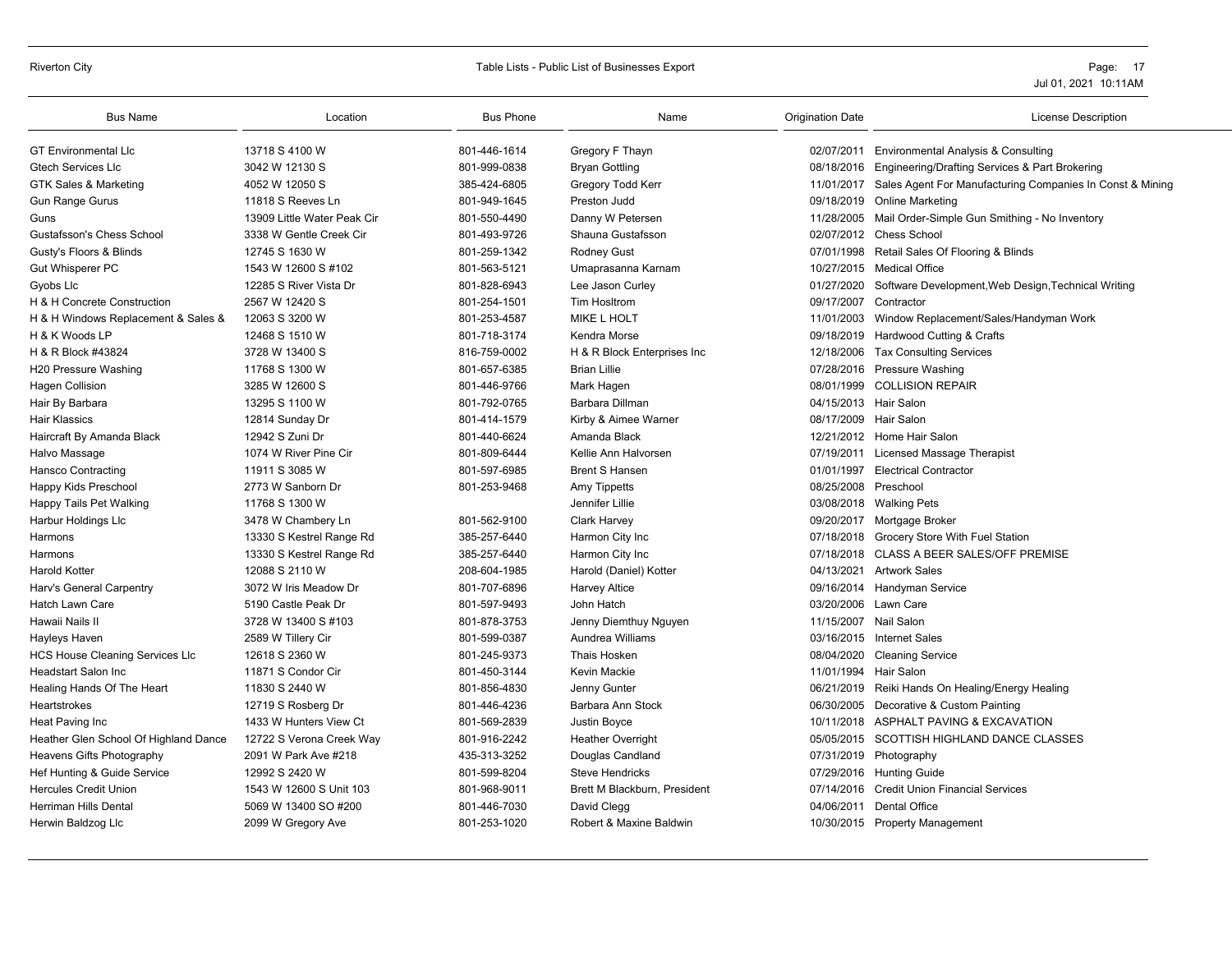#### Riverton City **School City** City Contains a School City Table Lists - Public List of Businesses Export **Page: 17** Page: 17

| <b>Bus Name</b>                       | Location                    | <b>Bus Phone</b> | Name                         | <b>Origination Date</b> | <b>License Description</b>                                |
|---------------------------------------|-----------------------------|------------------|------------------------------|-------------------------|-----------------------------------------------------------|
| <b>GT Environmental LIc</b>           | 13718 S 4100 W              | 801-446-1614     | Gregory F Thayn              |                         | 02/07/2011 Environmental Analysis & Consulting            |
| <b>Gtech Services Llc</b>             | 3042 W 12130 S              | 801-999-0838     | <b>Bryan Gottling</b>        | 08/18/2016              | Engineering/Drafting Services & Part Brokering            |
| <b>GTK Sales &amp; Marketing</b>      | 4052 W 12050 S              | 385-424-6805     | Gregory Todd Kerr            | 11/01/2017              | Sales Agent For Manufacturing Companies In Const & Mining |
| <b>Gun Range Gurus</b>                | 11818 S Reeves Ln           | 801-949-1645     | Preston Judd                 | 09/18/2019              | <b>Online Marketing</b>                                   |
| Guns                                  | 13909 Little Water Peak Cir | 801-550-4490     | Danny W Petersen             | 11/28/2005              | Mail Order-Simple Gun Smithing - No Inventory             |
| <b>Gustafsson's Chess School</b>      | 3338 W Gentle Creek Cir     | 801-493-9726     | Shauna Gustafsson            | 02/07/2012              | <b>Chess School</b>                                       |
| Gusty's Floors & Blinds               | 12745 S 1630 W              | 801-259-1342     | <b>Rodney Gust</b>           | 07/01/1998              | Retail Sales Of Flooring & Blinds                         |
| Gut Whisperer PC                      | 1543 W 12600 S #102         | 801-563-5121     | Umaprasanna Karnam           | 10/27/2015              | <b>Medical Office</b>                                     |
| Gyobs Llc                             | 12285 S River Vista Dr      | 801-828-6943     | Lee Jason Curley             | 01/27/2020              | Software Development, Web Design, Technical Writing       |
| H & H Concrete Construction           | 2567 W 12420 S              | 801-254-1501     | Tim Hosltrom                 | 09/17/2007              | Contractor                                                |
| H & H Windows Replacement & Sales &   | 12063 S 3200 W              | 801-253-4587     | <b>MIKE L HOLT</b>           | 11/01/2003              | Window Replacement/Sales/Handyman Work                    |
| H & K Woods LP                        | 12468 S 1510 W              | 801-718-3174     | Kendra Morse                 | 09/18/2019              | Hardwood Cutting & Crafts                                 |
| H & R Block #43824                    | 3728 W 13400 S              | 816-759-0002     | H & R Block Enterprises Inc  | 12/18/2006              | <b>Tax Consulting Services</b>                            |
| H20 Pressure Washing                  | 11768 S 1300 W              | 801-657-6385     | <b>Brian Lillie</b>          | 07/28/2016              | <b>Pressure Washing</b>                                   |
| <b>Hagen Collision</b>                | 3285 W 12600 S              | 801-446-9766     | Mark Hagen                   | 08/01/1999              | <b>COLLISION REPAIR</b>                                   |
| Hair By Barbara                       | 13295 S 1100 W              | 801-792-0765     | Barbara Dillman              | 04/15/2013              | Hair Salon                                                |
| <b>Hair Klassics</b>                  | 12814 Sunday Dr             | 801-414-1579     | Kirby & Aimee Warner         | 08/17/2009              | Hair Salon                                                |
| Haircraft By Amanda Black             | 12942 S Zuni Dr             | 801-440-6624     | Amanda Black                 |                         | 12/21/2012 Home Hair Salon                                |
| Halvo Massage                         | 1074 W River Pine Cir       | 801-809-6444     | Kellie Ann Halvorsen         | 07/19/2011              | Licensed Massage Therapist                                |
| Hansco Contracting                    | 11911 S 3085 W              | 801-597-6985     | <b>Brent S Hansen</b>        | 01/01/1997              | <b>Electrical Contractor</b>                              |
| Happy Kids Preschool                  | 2773 W Sanborn Dr           | 801-253-9468     | Amy Tippetts                 | 08/25/2008              | Preschool                                                 |
| Happy Tails Pet Walking               | 11768 S 1300 W              |                  | Jennifer Lillie              | 03/08/2018              | <b>Walking Pets</b>                                       |
| Harbur Holdings Llc                   | 3478 W Chambery Ln          | 801-562-9100     | <b>Clark Harvey</b>          | 09/20/2017              | Mortgage Broker                                           |
| Harmons                               | 13330 S Kestrel Range Rd    | 385-257-6440     | Harmon City Inc              | 07/18/2018              | Grocery Store With Fuel Station                           |
| Harmons                               | 13330 S Kestrel Range Rd    | 385-257-6440     | Harmon City Inc              | 07/18/2018              | <b>CLASS A BEER SALES/OFF PREMISE</b>                     |
| <b>Harold Kotter</b>                  | 12088 S 2110 W              | 208-604-1985     | Harold (Daniel) Kotter       | 04/13/2021              | <b>Artwork Sales</b>                                      |
| Harv's General Carpentry              | 3072 W Iris Meadow Dr       | 801-707-6896     | <b>Harvey Altice</b>         | 09/16/2014              | Handyman Service                                          |
| <b>Hatch Lawn Care</b>                | 5190 Castle Peak Dr         | 801-597-9493     | John Hatch                   | 03/20/2006              | Lawn Care                                                 |
| Hawaii Nails II                       | 3728 W 13400 S #103         | 801-878-3753     | Jenny Diemthuy Nguyen        | 11/15/2007              | Nail Salon                                                |
| Hayleys Haven                         | 2589 W Tillery Cir          | 801-599-0387     | Aundrea Williams             |                         | 03/16/2015 Internet Sales                                 |
| HCS House Cleaning Services Llc       | 12618 S 2360 W              | 801-245-9373     | Thais Hosken                 | 08/04/2020              | <b>Cleaning Service</b>                                   |
| <b>Headstart Salon Inc</b>            | 11871 S Condor Cir          | 801-450-3144     | Kevin Mackie                 | 11/01/1994              | Hair Salon                                                |
| Healing Hands Of The Heart            | 11830 S 2440 W              | 801-856-4830     | Jenny Gunter                 | 06/21/2019              | Reiki Hands On Healing/Energy Healing                     |
| Heartstrokes                          | 12719 S Rosberg Dr          | 801-446-4236     | Barbara Ann Stock            | 06/30/2005              | Decorative & Custom Painting                              |
| Heat Paving Inc                       | 1433 W Hunters View Ct      | 801-569-2839     | Justin Boyce                 | 10/11/2018              | ASPHALT PAVING & EXCAVATION                               |
| Heather Glen School Of Highland Dance | 12722 S Verona Creek Way    | 801-916-2242     | <b>Heather Overright</b>     | 05/05/2015              | SCOTTISH HIGHLAND DANCE CLASSES                           |
| Heavens Gifts Photography             | 2091 W Park Ave #218        | 435-313-3252     | Douglas Candland             | 07/31/2019              | Photography                                               |
| Hef Hunting & Guide Service           | 12992 S 2420 W              | 801-599-8204     | <b>Steve Hendricks</b>       | 07/29/2016              | <b>Hunting Guide</b>                                      |
| <b>Hercules Credit Union</b>          | 1543 W 12600 S Unit 103     | 801-968-9011     | Brett M Blackburn, President | 07/14/2016              | <b>Credit Union Financial Services</b>                    |
| <b>Herriman Hills Dental</b>          | 5069 W 13400 SO #200        | 801-446-7030     | David Clegg                  | 04/06/2011              | <b>Dental Office</b>                                      |
| Herwin Baldzog Llc                    | 2099 W Gregory Ave          | 801-253-1020     | Robert & Maxine Baldwin      |                         | 10/30/2015 Property Management                            |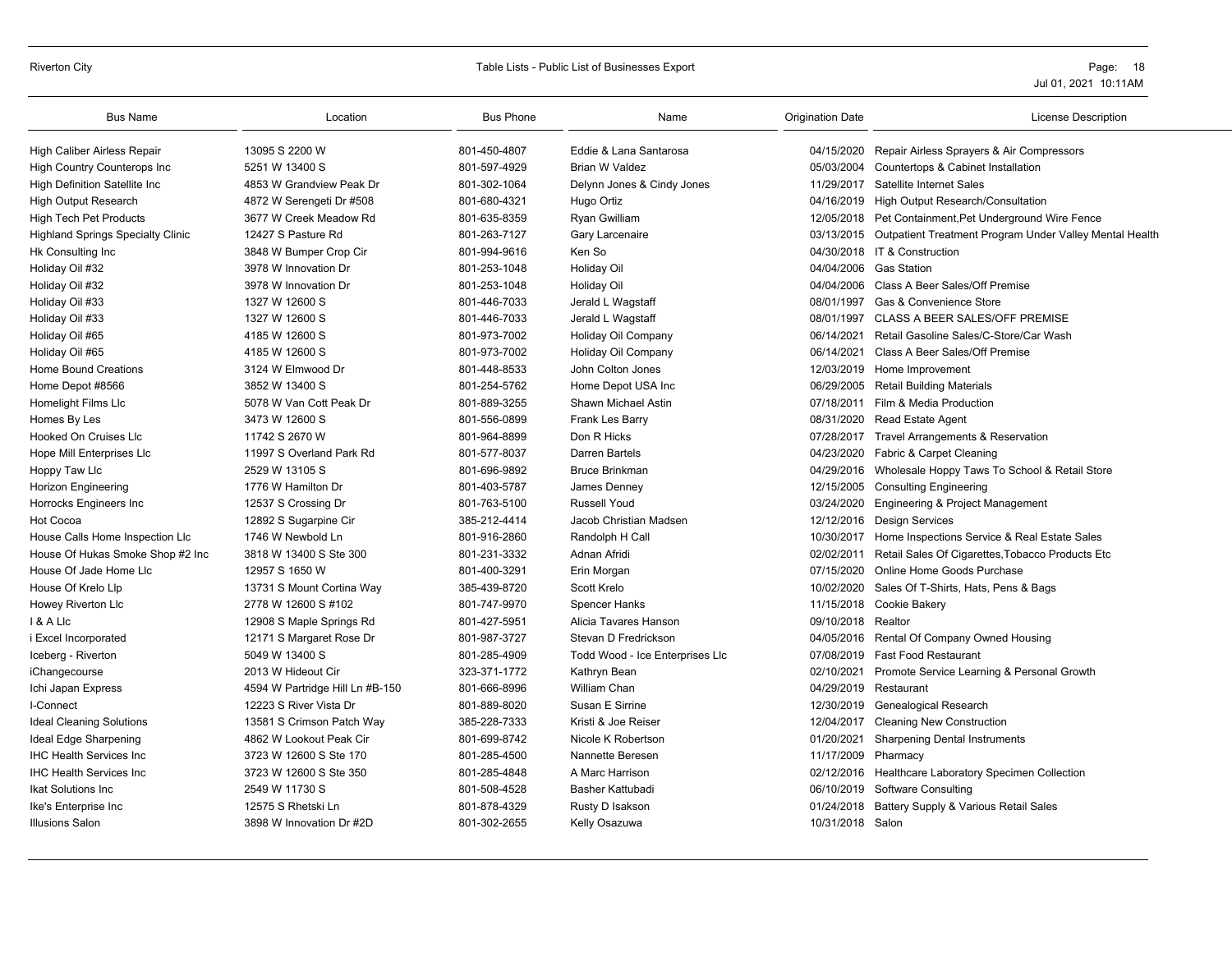# Riverton City **Example 20** Table Lists - Public List of Businesses Export **Page: 18** Page: 18

| <b>Bus Name</b>                          | Location                        | <b>Bus Phone</b> | Name                            | <b>Origination Date</b> | <b>License Description</b>                                         |
|------------------------------------------|---------------------------------|------------------|---------------------------------|-------------------------|--------------------------------------------------------------------|
| High Caliber Airless Repair              | 13095 S 2200 W                  | 801-450-4807     | Eddie & Lana Santarosa          |                         | 04/15/2020 Repair Airless Sprayers & Air Compressors               |
| <b>High Country Counterops Inc.</b>      | 5251 W 13400 S                  | 801-597-4929     | <b>Brian W Valdez</b>           | 05/03/2004              | Countertops & Cabinet Installation                                 |
| <b>High Definition Satellite Inc</b>     | 4853 W Grandview Peak Dr        | 801-302-1064     | Delynn Jones & Cindy Jones      | 11/29/2017              | Satellite Internet Sales                                           |
| <b>High Output Research</b>              | 4872 W Serengeti Dr #508        | 801-680-4321     | Hugo Ortiz                      |                         | 04/16/2019 High Output Research/Consultation                       |
| <b>High Tech Pet Products</b>            | 3677 W Creek Meadow Rd          | 801-635-8359     | <b>Ryan Gwilliam</b>            |                         | 12/05/2018 Pet Containment, Pet Underground Wire Fence             |
| <b>Highland Springs Specialty Clinic</b> | 12427 S Pasture Rd              | 801-263-7127     | Gary Larcenaire                 |                         | 03/13/2015 Outpatient Treatment Program Under Valley Mental Health |
| Hk Consulting Inc                        | 3848 W Bumper Crop Cir          | 801-994-9616     | Ken So                          |                         | 04/30/2018 IT & Construction                                       |
| Holiday Oil #32                          | 3978 W Innovation Dr            | 801-253-1048     | <b>Holiday Oil</b>              |                         | 04/04/2006 Gas Station                                             |
| Holiday Oil #32                          | 3978 W Innovation Dr            | 801-253-1048     | <b>Holiday Oil</b>              | 04/04/2006              | Class A Beer Sales/Off Premise                                     |
| Holiday Oil #33                          | 1327 W 12600 S                  | 801-446-7033     | Jerald L Wagstaff               | 08/01/1997              | Gas & Convenience Store                                            |
| Holiday Oil #33                          | 1327 W 12600 S                  | 801-446-7033     | Jerald L Wagstaff               | 08/01/1997              | <b>CLASS A BEER SALES/OFF PREMISE</b>                              |
| Holiday Oil #65                          | 4185 W 12600 S                  | 801-973-7002     | Holiday Oil Company             | 06/14/2021              | Retail Gasoline Sales/C-Store/Car Wash                             |
| Holiday Oil #65                          | 4185 W 12600 S                  | 801-973-7002     | Holiday Oil Company             | 06/14/2021              | Class A Beer Sales/Off Premise                                     |
| Home Bound Creations                     | 3124 W Elmwood Dr               | 801-448-8533     | John Colton Jones               |                         | 12/03/2019 Home Improvement                                        |
| Home Depot #8566                         | 3852 W 13400 S                  | 801-254-5762     | Home Depot USA Inc              |                         | 06/29/2005 Retail Building Materials                               |
| Homelight Films Llc                      | 5078 W Van Cott Peak Dr         | 801-889-3255     | Shawn Michael Astin             |                         | 07/18/2011 Film & Media Production                                 |
| Homes By Les                             | 3473 W 12600 S                  | 801-556-0899     | Frank Les Barry                 |                         | 08/31/2020 Read Estate Agent                                       |
| Hooked On Cruises Llc                    | 11742 S 2670 W                  | 801-964-8899     | Don R Hicks                     |                         | 07/28/2017 Travel Arrangements & Reservation                       |
| Hope Mill Enterprises Llc                | 11997 S Overland Park Rd        | 801-577-8037     | Darren Bartels                  | 04/23/2020              | Fabric & Carpet Cleaning                                           |
| Hoppy Taw Llc                            | 2529 W 13105 S                  | 801-696-9892     | <b>Bruce Brinkman</b>           |                         | 04/29/2016 Wholesale Hoppy Taws To School & Retail Store           |
| Horizon Engineering                      | 1776 W Hamilton Dr              | 801-403-5787     | James Denney                    | 12/15/2005              | <b>Consulting Engineering</b>                                      |
| Horrocks Engineers Inc                   | 12537 S Crossing Dr             | 801-763-5100     | <b>Russell Youd</b>             | 03/24/2020              | Engineering & Project Management                                   |
| Hot Cocoa                                | 12892 S Sugarpine Cir           | 385-212-4414     | Jacob Christian Madsen          |                         | 12/12/2016 Design Services                                         |
| House Calls Home Inspection Llc          | 1746 W Newbold Ln               | 801-916-2860     | Randolph H Call                 | 10/30/2017              | Home Inspections Service & Real Estate Sales                       |
| House Of Hukas Smoke Shop #2 Inc         | 3818 W 13400 S Ste 300          | 801-231-3332     | Adnan Afridi                    | 02/02/2011              | Retail Sales Of Cigarettes, Tobacco Products Etc                   |
| House Of Jade Home Llc                   | 12957 S 1650 W                  | 801-400-3291     | Erin Morgan                     | 07/15/2020              | Online Home Goods Purchase                                         |
| House Of Krelo Lip                       | 13731 S Mount Cortina Way       | 385-439-8720     | Scott Krelo                     | 10/02/2020              | Sales Of T-Shirts, Hats, Pens & Bags                               |
| Howey Riverton Llc                       | 2778 W 12600 S #102             | 801-747-9970     | <b>Spencer Hanks</b>            | 11/15/2018              | Cookie Bakery                                                      |
| I & A Llc                                | 12908 S Maple Springs Rd        | 801-427-5951     | Alicia Tavares Hanson           | 09/10/2018              | Realtor                                                            |
| i Excel Incorporated                     | 12171 S Margaret Rose Dr        | 801-987-3727     | Stevan D Fredrickson            | 04/05/2016              | Rental Of Company Owned Housing                                    |
| Iceberg - Riverton                       | 5049 W 13400 S                  | 801-285-4909     | Todd Wood - Ice Enterprises Llc | 07/08/2019              | <b>Fast Food Restaurant</b>                                        |
| iChangecourse                            | 2013 W Hideout Cir              | 323-371-1772     | Kathryn Bean                    | 02/10/2021              | Promote Service Learning & Personal Growth                         |
| Ichi Japan Express                       | 4594 W Partridge Hill Ln #B-150 | 801-666-8996     | <b>William Chan</b>             | 04/29/2019 Restaurant   |                                                                    |
| I-Connect                                | 12223 S River Vista Dr          | 801-889-8020     | Susan E Sirrine                 |                         | 12/30/2019 Genealogical Research                                   |
| <b>Ideal Cleaning Solutions</b>          | 13581 S Crimson Patch Way       | 385-228-7333     | Kristi & Joe Reiser             | 12/04/2017              | <b>Cleaning New Construction</b>                                   |
| Ideal Edge Sharpening                    | 4862 W Lookout Peak Cir         | 801-699-8742     | Nicole K Robertson              | 01/20/2021              | <b>Sharpening Dental Instruments</b>                               |
| <b>IHC Health Services Inc.</b>          | 3723 W 12600 S Ste 170          | 801-285-4500     | Nannette Beresen                | 11/17/2009 Pharmacy     |                                                                    |
| <b>IHC Health Services Inc</b>           | 3723 W 12600 S Ste 350          | 801-285-4848     | A Marc Harrison                 |                         | 02/12/2016 Healthcare Laboratory Specimen Collection               |
| <b>Ikat Solutions Inc.</b>               | 2549 W 11730 S                  | 801-508-4528     | Basher Kattubadi                | 06/10/2019              | <b>Software Consulting</b>                                         |
| Ike's Enterprise Inc                     | 12575 S Rhetski Ln              | 801-878-4329     | Rusty D Isakson                 | 01/24/2018              | Battery Supply & Various Retail Sales                              |
| <b>Illusions Salon</b>                   | 3898 W Innovation Dr #2D        | 801-302-2655     | Kelly Osazuwa                   | 10/31/2018 Salon        |                                                                    |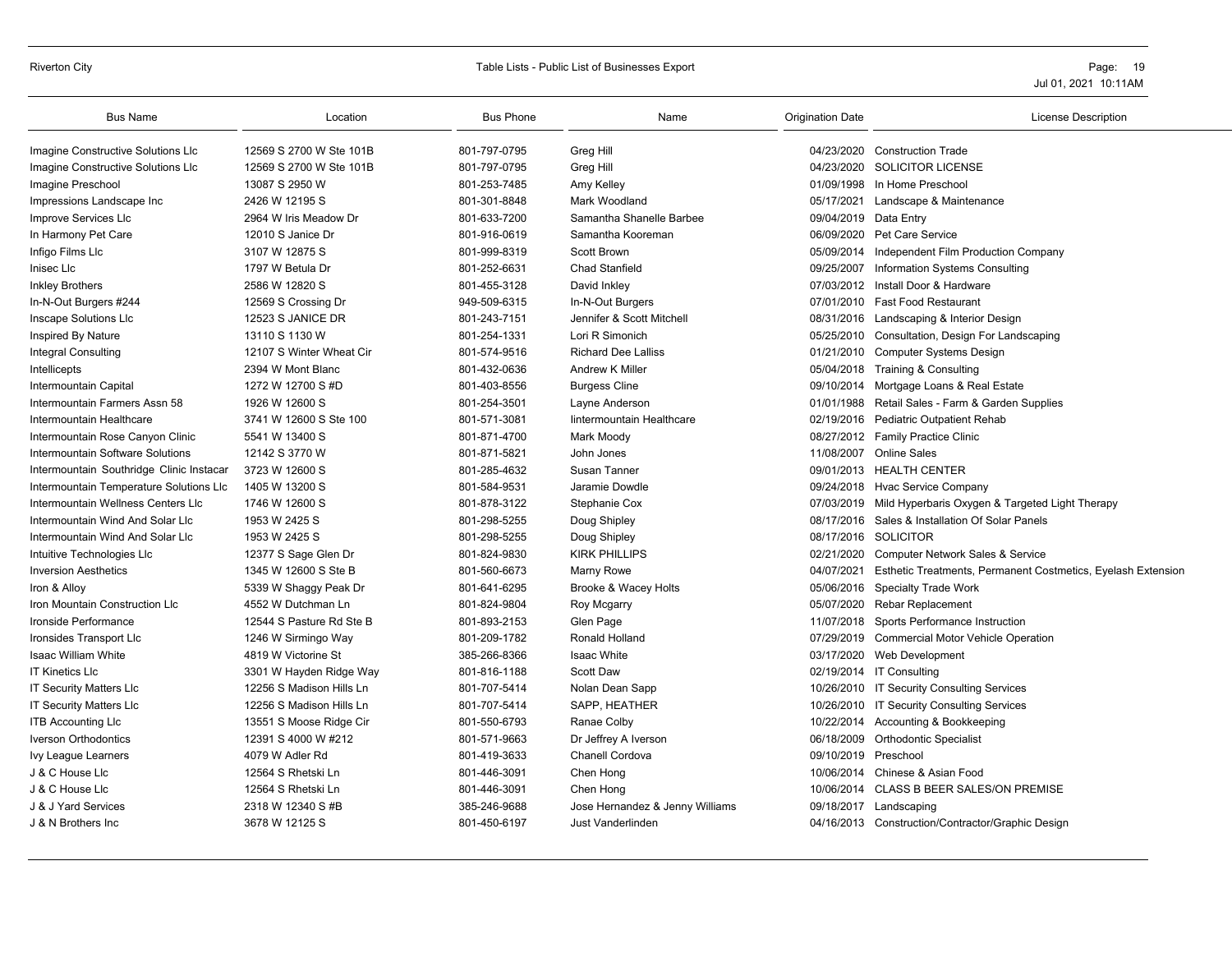# Riverton City **Example 20** Table Lists - Public List of Businesses Export **Page: 19** Page: 19

| <b>Bus Name</b>                          | Location                 | <b>Bus Phone</b> | Name                            | <b>Origination Date</b> | <b>License Description</b>                                   |
|------------------------------------------|--------------------------|------------------|---------------------------------|-------------------------|--------------------------------------------------------------|
| Imagine Constructive Solutions Llc       | 12569 S 2700 W Ste 101B  | 801-797-0795     | Greg Hill                       | 04/23/2020              | <b>Construction Trade</b>                                    |
| Imagine Constructive Solutions Llc       | 12569 S 2700 W Ste 101B  | 801-797-0795     | Greg Hill                       | 04/23/2020              | <b>SOLICITOR LICENSE</b>                                     |
| Imagine Preschool                        | 13087 S 2950 W           | 801-253-7485     | Amy Kelley                      |                         | 01/09/1998 In Home Preschool                                 |
| Impressions Landscape Inc                | 2426 W 12195 S           | 801-301-8848     | Mark Woodland                   | 05/17/2021              | Landscape & Maintenance                                      |
| Improve Services Llc                     | 2964 W Iris Meadow Dr    | 801-633-7200     | Samantha Shanelle Barbee        |                         | 09/04/2019 Data Entry                                        |
| In Harmony Pet Care                      | 12010 S Janice Dr        | 801-916-0619     | Samantha Kooreman               | 06/09/2020              | Pet Care Service                                             |
| Infigo Films Llc                         | 3107 W 12875 S           | 801-999-8319     | Scott Brown                     | 05/09/2014              | Independent Film Production Company                          |
| Inisec Llc                               | 1797 W Betula Dr         | 801-252-6631     | <b>Chad Stanfield</b>           | 09/25/2007              | Information Systems Consulting                               |
| <b>Inkley Brothers</b>                   | 2586 W 12820 S           | 801-455-3128     | David Inkley                    | 07/03/2012              | Install Door & Hardware                                      |
| In-N-Out Burgers #244                    | 12569 S Crossing Dr      | 949-509-6315     | In-N-Out Burgers                | 07/01/2010              | <b>Fast Food Restaurant</b>                                  |
| Inscape Solutions Llc                    | 12523 S JANICE DR        | 801-243-7151     | Jennifer & Scott Mitchell       |                         | 08/31/2016 Landscaping & Interior Design                     |
| Inspired By Nature                       | 13110 S 1130 W           | 801-254-1331     | Lori R Simonich                 | 05/25/2010              | Consultation, Design For Landscaping                         |
| Integral Consulting                      | 12107 S Winter Wheat Cir | 801-574-9516     | <b>Richard Dee Lalliss</b>      | 01/21/2010              | <b>Computer Systems Design</b>                               |
| Intellicepts                             | 2394 W Mont Blanc        | 801-432-0636     | Andrew K Miller                 | 05/04/2018              | Training & Consulting                                        |
| Intermountain Capital                    | 1272 W 12700 S #D        | 801-403-8556     | <b>Burgess Cline</b>            | 09/10/2014              | Mortgage Loans & Real Estate                                 |
| Intermountain Farmers Assn 58            | 1926 W 12600 S           | 801-254-3501     | Layne Anderson                  | 01/01/1988              | Retail Sales - Farm & Garden Supplies                        |
| Intermountain Healthcare                 | 3741 W 12600 S Ste 100   | 801-571-3081     | lintermountain Healthcare       | 02/19/2016              | <b>Pediatric Outpatient Rehab</b>                            |
| Intermountain Rose Canyon Clinic         | 5541 W 13400 S           | 801-871-4700     | Mark Moody                      |                         | 08/27/2012 Family Practice Clinic                            |
| Intermountain Software Solutions         | 12142 S 3770 W           | 801-871-5821     | John Jones                      | 11/08/2007              | <b>Online Sales</b>                                          |
| Intermountain Southridge Clinic Instacar | 3723 W 12600 S           | 801-285-4632     | Susan Tanner                    |                         | 09/01/2013 HEALTH CENTER                                     |
| Intermountain Temperature Solutions Llc  | 1405 W 13200 S           | 801-584-9531     | Jaramie Dowdle                  | 09/24/2018              | Hvac Service Company                                         |
| Intermountain Wellness Centers Llc       | 1746 W 12600 S           | 801-878-3122     | Stephanie Cox                   | 07/03/2019              | Mild Hyperbaris Oxygen & Targeted Light Therapy              |
| Intermountain Wind And Solar Llc         | 1953 W 2425 S            | 801-298-5255     | Doug Shipley                    | 08/17/2016              | Sales & Installation Of Solar Panels                         |
| Intermountain Wind And Solar Llc         | 1953 W 2425 S            | 801-298-5255     | Doug Shipley                    |                         | 08/17/2016 SOLICITOR                                         |
| Intuitive Technologies Llc               | 12377 S Sage Glen Dr     | 801-824-9830     | <b>KIRK PHILLIPS</b>            | 02/21/2020              | <b>Computer Network Sales &amp; Service</b>                  |
| <b>Inversion Aesthetics</b>              | 1345 W 12600 S Ste B     | 801-560-6673     | Marny Rowe                      | 04/07/2021              | Esthetic Treatments, Permanent Costmetics, Eyelash Extension |
| Iron & Alloy                             | 5339 W Shaggy Peak Dr    | 801-641-6295     | Brooke & Wacey Holts            | 05/06/2016              | <b>Specialty Trade Work</b>                                  |
| Iron Mountain Construction Llc           | 4552 W Dutchman Ln       | 801-824-9804     | Roy Mcgarry                     | 05/07/2020              | Rebar Replacement                                            |
| Ironside Performance                     | 12544 S Pasture Rd Ste B | 801-893-2153     | Glen Page                       | 11/07/2018              | Sports Performance Instruction                               |
| Ironsides Transport Llc                  | 1246 W Sirmingo Way      | 801-209-1782     | Ronald Holland                  |                         | 07/29/2019 Commercial Motor Vehicle Operation                |
| Isaac William White                      | 4819 W Victorine St      | 385-266-8366     | Isaac White                     |                         | 03/17/2020 Web Development                                   |
| <b>IT Kinetics LIc</b>                   | 3301 W Hayden Ridge Way  | 801-816-1188     | <b>Scott Daw</b>                |                         | 02/19/2014 IT Consulting                                     |
| <b>IT Security Matters LIc</b>           | 12256 S Madison Hills Ln | 801-707-5414     | Nolan Dean Sapp                 |                         | 10/26/2010 IT Security Consulting Services                   |
| <b>IT Security Matters LIc</b>           | 12256 S Madison Hills Ln | 801-707-5414     | SAPP, HEATHER                   |                         | 10/26/2010 IT Security Consulting Services                   |
| <b>ITB Accounting LIc</b>                | 13551 S Moose Ridge Cir  | 801-550-6793     | Ranae Colby                     | 10/22/2014              | Accounting & Bookkeeping                                     |
| <b>Iverson Orthodontics</b>              | 12391 S 4000 W #212      | 801-571-9663     | Dr Jeffrey A Iverson            | 06/18/2009              | <b>Orthodontic Specialist</b>                                |
| Ivy League Learners                      | 4079 W Adler Rd          | 801-419-3633     | Chanell Cordova                 | 09/10/2019              | Preschool                                                    |
| J & C House Llc                          | 12564 S Rhetski Ln       | 801-446-3091     | Chen Hong                       |                         | 10/06/2014 Chinese & Asian Food                              |
| J & C House Llc                          | 12564 S Rhetski Ln       | 801-446-3091     | Chen Hong                       | 10/06/2014              | CLASS B BEER SALES/ON PREMISE                                |
| J & J Yard Services                      | 2318 W 12340 S #B        | 385-246-9688     | Jose Hernandez & Jenny Williams | 09/18/2017              | Landscaping                                                  |
| J & N Brothers Inc                       | 3678 W 12125 S           | 801-450-6197     | Just Vanderlinden               |                         | 04/16/2013 Construction/Contractor/Graphic Design            |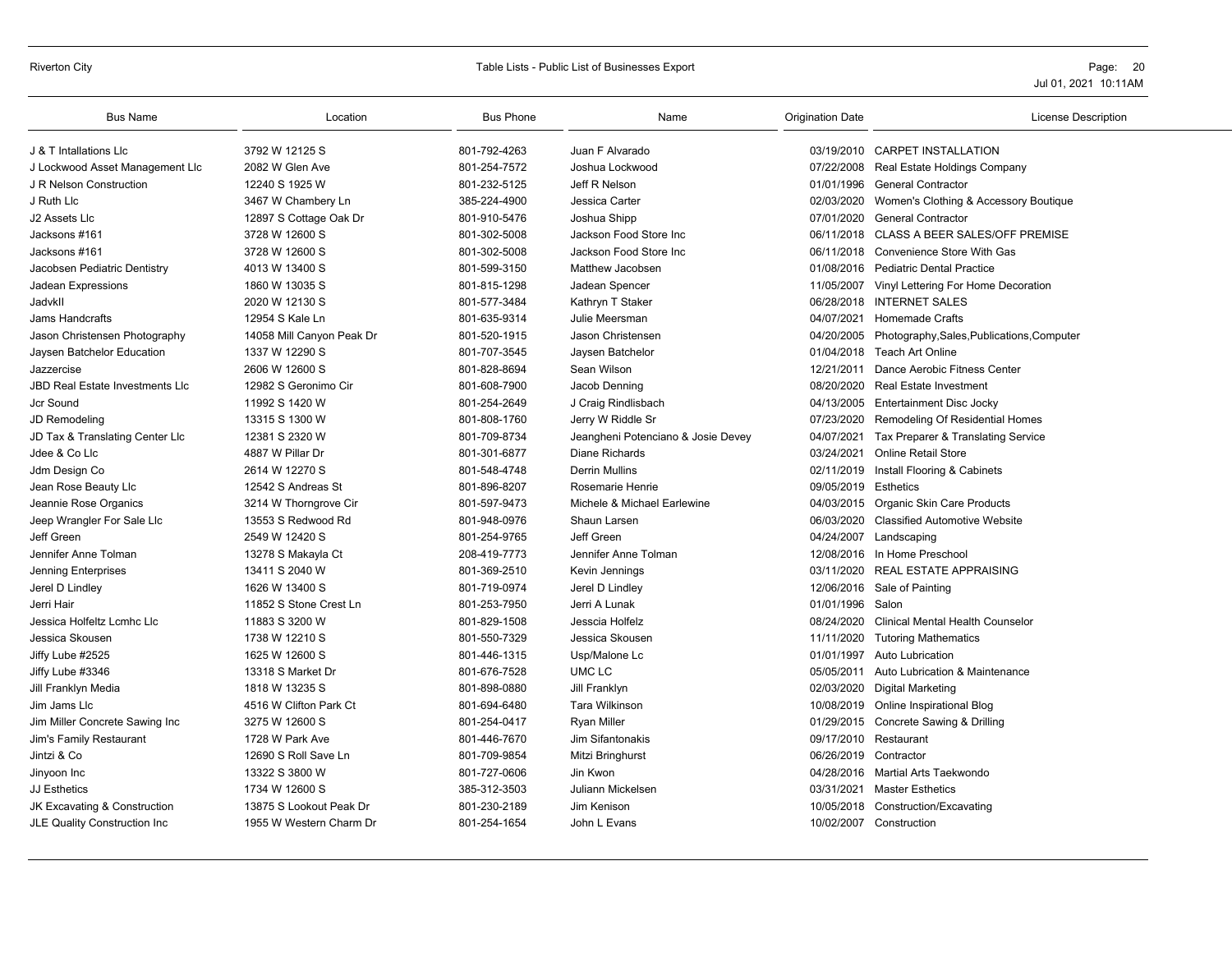### Riverton City Table Lists - Public List of Businesses Export Page: 20

| <b>Bus Name</b>                        | Location                  | <b>Bus Phone</b> | Name                               | <b>Origination Date</b> | <b>License Description</b>                 |
|----------------------------------------|---------------------------|------------------|------------------------------------|-------------------------|--------------------------------------------|
| J & T Intallations Llc                 | 3792 W 12125 S            | 801-792-4263     | Juan F Alvarado                    |                         | 03/19/2010 CARPET INSTALLATION             |
| J Lockwood Asset Management Llc        | 2082 W Glen Ave           | 801-254-7572     | Joshua Lockwood                    | 07/22/2008              | Real Estate Holdings Company               |
| J R Nelson Construction                | 12240 S 1925 W            | 801-232-5125     | Jeff R Nelson                      | 01/01/1996              | <b>General Contractor</b>                  |
| J Ruth Llc                             | 3467 W Chambery Ln        | 385-224-4900     | Jessica Carter                     | 02/03/2020              | Women's Clothing & Accessory Boutique      |
| J2 Assets Llc                          | 12897 S Cottage Oak Dr    | 801-910-5476     | Joshua Shipp                       | 07/01/2020              | <b>General Contractor</b>                  |
| Jacksons #161                          | 3728 W 12600 S            | 801-302-5008     | Jackson Food Store Inc             | 06/11/2018              | CLASS A BEER SALES/OFF PREMISE             |
| Jacksons #161                          | 3728 W 12600 S            | 801-302-5008     | Jackson Food Store Inc             | 06/11/2018              | Convenience Store With Gas                 |
| Jacobsen Pediatric Dentistry           | 4013 W 13400 S            | 801-599-3150     | Matthew Jacobsen                   |                         | 01/08/2016 Pediatric Dental Practice       |
| Jadean Expressions                     | 1860 W 13035 S            | 801-815-1298     | Jadean Spencer                     | 11/05/2007              | Vinyl Lettering For Home Decoration        |
| Jadvkll                                | 2020 W 12130 S            | 801-577-3484     | Kathryn T Staker                   | 06/28/2018              | <b>INTERNET SALES</b>                      |
| Jams Handcrafts                        | 12954 S Kale Ln           | 801-635-9314     | Julie Meersman                     | 04/07/2021              | <b>Homemade Crafts</b>                     |
| Jason Christensen Photography          | 14058 Mill Canyon Peak Dr | 801-520-1915     | Jason Christensen                  | 04/20/2005              | Photography, Sales, Publications, Computer |
| Jaysen Batchelor Education             | 1337 W 12290 S            | 801-707-3545     | Jaysen Batchelor                   | 01/04/2018              | Teach Art Online                           |
| Jazzercise                             | 2606 W 12600 S            | 801-828-8694     | Sean Wilson                        | 12/21/2011              | Dance Aerobic Fitness Center               |
| <b>JBD Real Estate Investments LIc</b> | 12982 S Geronimo Cir      | 801-608-7900     | Jacob Denning                      | 08/20/2020              | <b>Real Estate Investment</b>              |
| <b>Jcr Sound</b>                       | 11992 S 1420 W            | 801-254-2649     | J Craig Rindlisbach                | 04/13/2005              | Entertainment Disc Jocky                   |
| JD Remodeling                          | 13315 S 1300 W            | 801-808-1760     | Jerry W Riddle Sr                  | 07/23/2020              | Remodeling Of Residential Homes            |
| JD Tax & Translating Center Llc        | 12381 S 2320 W            | 801-709-8734     | Jeangheni Potenciano & Josie Devey | 04/07/2021              | Tax Preparer & Translating Service         |
| Jdee & Co Llc                          | 4887 W Pillar Dr          | 801-301-6877     | <b>Diane Richards</b>              | 03/24/2021              | <b>Online Retail Store</b>                 |
| Jdm Design Co                          | 2614 W 12270 S            | 801-548-4748     | <b>Derrin Mullins</b>              | 02/11/2019              | Install Flooring & Cabinets                |
| Jean Rose Beauty Llc                   | 12542 S Andreas St        | 801-896-8207     | Rosemarie Henrie                   | 09/05/2019 Esthetics    |                                            |
| Jeannie Rose Organics                  | 3214 W Thorngrove Cir     | 801-597-9473     | Michele & Michael Earlewine        | 04/03/2015              | Organic Skin Care Products                 |
| Jeep Wrangler For Sale Lic             | 13553 S Redwood Rd        | 801-948-0976     | Shaun Larsen                       | 06/03/2020              | <b>Classified Automotive Website</b>       |
| Jeff Green                             | 2549 W 12420 S            | 801-254-9765     | Jeff Green                         |                         | 04/24/2007 Landscaping                     |
| Jennifer Anne Tolman                   | 13278 S Makayla Ct        | 208-419-7773     | Jennifer Anne Tolman               | 12/08/2016              | In Home Preschool                          |
| Jenning Enterprises                    | 13411 S 2040 W            | 801-369-2510     | Kevin Jennings                     | 03/11/2020              | <b>REAL ESTATE APPRAISING</b>              |
| Jerel D Lindley                        | 1626 W 13400 S            | 801-719-0974     | Jerel D Lindley                    |                         | 12/06/2016 Sale of Painting                |
| Jerri Hair                             | 11852 S Stone Crest Ln    | 801-253-7950     | Jerri A Lunak                      | 01/01/1996 Salon        |                                            |
| Jessica Holfeltz Lcmhc Llc             | 11883 S 3200 W            | 801-829-1508     | Jesscia Holfelz                    | 08/24/2020              | <b>Clinical Mental Health Counselor</b>    |
| Jessica Skousen                        | 1738 W 12210 S            | 801-550-7329     | Jessica Skousen                    | 11/11/2020              | <b>Tutoring Mathematics</b>                |
| Jiffy Lube #2525                       | 1625 W 12600 S            | 801-446-1315     | Usp/Malone Lc                      | 01/01/1997              | <b>Auto Lubrication</b>                    |
| Jiffy Lube #3346                       | 13318 S Market Dr         | 801-676-7528     | UMC LC                             | 05/05/2011              | Auto Lubrication & Maintenance             |
| Jill Franklyn Media                    | 1818 W 13235 S            | 801-898-0880     | Jill Franklyn                      | 02/03/2020              | <b>Digital Marketing</b>                   |
| Jim Jams Llc                           | 4516 W Clifton Park Ct    | 801-694-6480     | <b>Tara Wilkinson</b>              |                         | 10/08/2019 Online Inspirational Blog       |
| Jim Miller Concrete Sawing Inc         | 3275 W 12600 S            | 801-254-0417     | <b>Rvan Miller</b>                 | 01/29/2015              | Concrete Sawing & Drilling                 |
| Jim's Family Restaurant                | 1728 W Park Ave           | 801-446-7670     | Jim Sifantonakis                   | 09/17/2010              | Restaurant                                 |
| Jintzi & Co                            | 12690 S Roll Save Ln      | 801-709-9854     | Mitzi Bringhurst                   | 06/26/2019              | Contractor                                 |
| Jinyoon Inc                            | 13322 S 3800 W            | 801-727-0606     | Jin Kwon                           |                         | 04/28/2016 Martial Arts Taekwondo          |
| <b>JJ Esthetics</b>                    | 1734 W 12600 S            | 385-312-3503     | Juliann Mickelsen                  | 03/31/2021              | <b>Master Esthetics</b>                    |
| JK Excavating & Construction           | 13875 S Lookout Peak Dr   | 801-230-2189     | Jim Kenison                        | 10/05/2018              | Construction/Excavating                    |
| JLE Quality Construction Inc           | 1955 W Western Charm Dr   | 801-254-1654     | John L Evans                       |                         | 10/02/2007 Construction                    |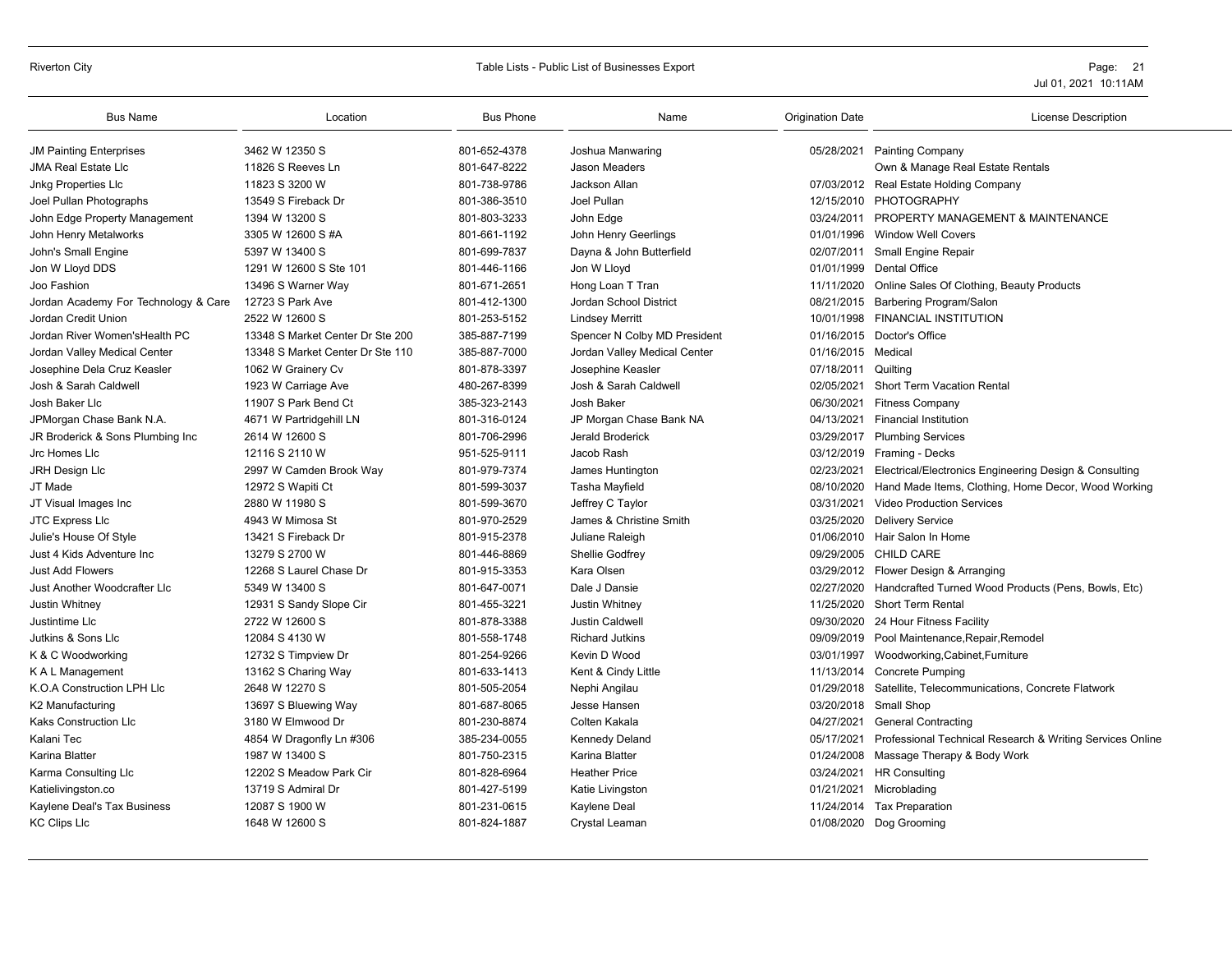# Riverton City **Example 20** Page: 21

| <b>Bus Name</b>                      | Location                         | <b>Bus Phone</b> | Name                         | <b>Origination Date</b> | License Description                                            |
|--------------------------------------|----------------------------------|------------------|------------------------------|-------------------------|----------------------------------------------------------------|
| <b>JM Painting Enterprises</b>       | 3462 W 12350 S                   | 801-652-4378     | Joshua Manwaring             |                         | 05/28/2021 Painting Company                                    |
| <b>JMA Real Estate Lic</b>           | 11826 S Reeves Ln                | 801-647-8222     | Jason Meaders                |                         | Own & Manage Real Estate Rentals                               |
| <b>Jnkg Properties Llc</b>           | 11823 S 3200 W                   | 801-738-9786     | Jackson Allan                |                         | 07/03/2012 Real Estate Holding Company                         |
| Joel Pullan Photographs              | 13549 S Fireback Dr              | 801-386-3510     | Joel Pullan                  |                         | 12/15/2010 PHOTOGRAPHY                                         |
| John Edge Property Management        | 1394 W 13200 S                   | 801-803-3233     | John Edge                    |                         | 03/24/2011 PROPERTY MANAGEMENT & MAINTENANCE                   |
| John Henry Metalworks                | 3305 W 12600 S #A                | 801-661-1192     | John Henry Geerlings         |                         | 01/01/1996 Window Well Covers                                  |
| John's Small Engine                  | 5397 W 13400 S                   | 801-699-7837     | Dayna & John Butterfield     |                         | 02/07/2011 Small Engine Repair                                 |
| Jon W Lloyd DDS                      | 1291 W 12600 S Ste 101           | 801-446-1166     | Jon W Lloyd                  |                         | 01/01/1999 Dental Office                                       |
| Joo Fashion                          | 13496 S Warner Way               | 801-671-2651     | Hong Loan T Tran             | 11/11/2020              | Online Sales Of Clothing, Beauty Products                      |
| Jordan Academy For Technology & Care | 12723 S Park Ave                 | 801-412-1300     | Jordan School District       |                         | 08/21/2015 Barbering Program/Salon                             |
| Jordan Credit Union                  | 2522 W 12600 S                   | 801-253-5152     | <b>Lindsey Merritt</b>       |                         | 10/01/1998 FINANCIAL INSTITUTION                               |
| Jordan River Women'sHealth PC        | 13348 S Market Center Dr Ste 200 | 385-887-7199     | Spencer N Colby MD President |                         | 01/16/2015 Doctor's Office                                     |
| Jordan Valley Medical Center         | 13348 S Market Center Dr Ste 110 | 385-887-7000     | Jordan Valley Medical Center | 01/16/2015 Medical      |                                                                |
| Josephine Dela Cruz Keasler          | 1062 W Grainery Cv               | 801-878-3397     | Josephine Keasler            | 07/18/2011 Quilting     |                                                                |
| Josh & Sarah Caldwell                | 1923 W Carriage Ave              | 480-267-8399     | Josh & Sarah Caldwell        | 02/05/2021              | Short Term Vacation Rental                                     |
| Josh Baker Llc                       | 11907 S Park Bend Ct             | 385-323-2143     | Josh Baker                   | 06/30/2021              | <b>Fitness Company</b>                                         |
| JPMorgan Chase Bank N.A.             | 4671 W Partridgehill LN          | 801-316-0124     | JP Morgan Chase Bank NA      | 04/13/2021              | <b>Financial Institution</b>                                   |
| JR Broderick & Sons Plumbing Inc     | 2614 W 12600 S                   | 801-706-2996     | Jerald Broderick             |                         | 03/29/2017 Plumbing Services                                   |
| Jrc Homes Llc                        | 12116 S 2110 W                   | 951-525-9111     | Jacob Rash                   |                         | 03/12/2019 Framing - Decks                                     |
| JRH Design Llc                       | 2997 W Camden Brook Way          | 801-979-7374     | James Huntington             | 02/23/2021              | Electrical/Electronics Engineering Design & Consulting         |
| JT Made                              | 12972 S Wapiti Ct                | 801-599-3037     | Tasha Mayfield               |                         | 08/10/2020 Hand Made Items, Clothing, Home Decor, Wood Working |
| JT Visual Images Inc                 | 2880 W 11980 S                   | 801-599-3670     | Jeffrey C Taylor             |                         | 03/31/2021 Video Production Services                           |
| JTC Express Llc                      | 4943 W Mimosa St                 | 801-970-2529     | James & Christine Smith      | 03/25/2020              | <b>Delivery Service</b>                                        |
| Julie's House Of Style               | 13421 S Fireback Dr              | 801-915-2378     | Juliane Raleigh              |                         | 01/06/2010 Hair Salon In Home                                  |
| Just 4 Kids Adventure Inc            | 13279 S 2700 W                   | 801-446-8869     | Shellie Godfrey              |                         | 09/29/2005 CHILD CARE                                          |
| <b>Just Add Flowers</b>              | 12268 S Laurel Chase Dr          | 801-915-3353     | Kara Olsen                   |                         | 03/29/2012 Flower Design & Arranging                           |
| Just Another Woodcrafter Llc         | 5349 W 13400 S                   | 801-647-0071     | Dale J Dansie                |                         | 02/27/2020 Handcrafted Turned Wood Products (Pens, Bowls, Etc) |
| Justin Whitney                       | 12931 S Sandy Slope Cir          | 801-455-3221     | Justin Whitney               | 11/25/2020              | Short Term Rental                                              |
| Justintime Llc                       | 2722 W 12600 S                   | 801-878-3388     | <b>Justin Caldwell</b>       | 09/30/2020              | 24 Hour Fitness Facility                                       |
| Jutkins & Sons Llc                   | 12084 S 4130 W                   | 801-558-1748     | <b>Richard Jutkins</b>       |                         | 09/09/2019 Pool Maintenance, Repair, Remodel                   |
| K & C Woodworking                    | 12732 S Timpview Dr              | 801-254-9266     | Kevin D Wood                 |                         | 03/01/1997 Woodworking, Cabinet, Furniture                     |
| K A L Management                     | 13162 S Charing Way              | 801-633-1413     | Kent & Cindy Little          |                         | 11/13/2014 Concrete Pumping                                    |
| K.O.A Construction LPH Llc           | 2648 W 12270 S                   | 801-505-2054     | Nephi Angilau                |                         | 01/29/2018 Satellite, Telecommunications, Concrete Flatwork    |
| K2 Manufacturing                     | 13697 S Bluewing Way             | 801-687-8065     | Jesse Hansen                 |                         | 03/20/2018 Small Shop                                          |
| Kaks Construction Llc                | 3180 W Elmwood Dr                | 801-230-8874     | Colten Kakala                | 04/27/2021              | <b>General Contracting</b>                                     |
| Kalani Tec                           | 4854 W Dragonfly Ln #306         | 385-234-0055     | Kennedy Deland               | 05/17/2021              | Professional Technical Research & Writing Services Online      |
| Karina Blatter                       | 1987 W 13400 S                   | 801-750-2315     | Karina Blatter               |                         | 01/24/2008 Massage Therapy & Body Work                         |
| Karma Consulting Llc                 | 12202 S Meadow Park Cir          | 801-828-6964     | <b>Heather Price</b>         |                         | 03/24/2021 HR Consulting                                       |
| Katielivingston.co                   | 13719 S Admiral Dr               | 801-427-5199     | Katie Livingston             | 01/21/2021              | Microblading                                                   |
| Kaylene Deal's Tax Business          | 12087 S 1900 W                   | 801-231-0615     | Kaylene Deal                 |                         | 11/24/2014 Tax Preparation                                     |
| <b>KC Clips Llc</b>                  | 1648 W 12600 S                   | 801-824-1887     | Crystal Leaman               |                         | 01/08/2020 Dog Grooming                                        |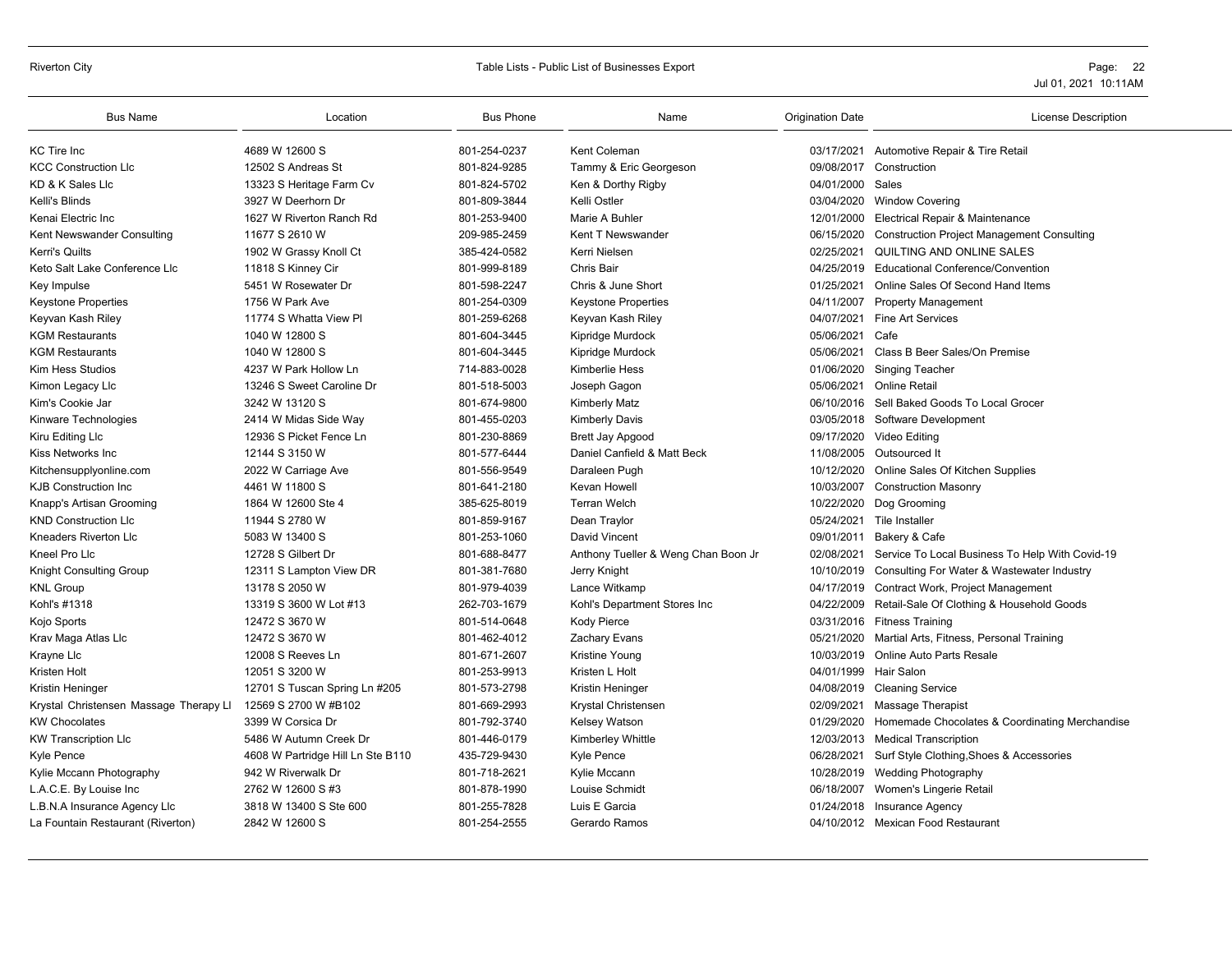#### Riverton City **School City** City Controllers Controllers and Table Lists - Public List of Businesses Export **Page: 22** Page: 22

| <b>Bus Name</b>                        | Location                          | <b>Bus Phone</b> | Name                                | <b>Origination Date</b> | <b>License Description</b>                          |
|----------------------------------------|-----------------------------------|------------------|-------------------------------------|-------------------------|-----------------------------------------------------|
| <b>KC</b> Tire Inc                     | 4689 W 12600 S                    | 801-254-0237     | Kent Coleman                        |                         | 03/17/2021 Automotive Repair & Tire Retail          |
| <b>KCC Construction LIc</b>            | 12502 S Andreas St                | 801-824-9285     | Tammy & Eric Georgeson              | 09/08/2017              | Construction                                        |
| KD & K Sales Llc                       | 13323 S Heritage Farm Cv          | 801-824-5702     | Ken & Dorthy Rigby                  | 04/01/2000              | Sales                                               |
| Kelli's Blinds                         | 3927 W Deerhorn Dr                | 801-809-3844     | Kelli Ostler                        | 03/04/2020              | <b>Window Covering</b>                              |
| Kenai Electric Inc                     | 1627 W Riverton Ranch Rd          | 801-253-9400     | Marie A Buhler                      | 12/01/2000              | Electrical Repair & Maintenance                     |
| Kent Newswander Consulting             | 11677 S 2610 W                    | 209-985-2459     | Kent T Newswander                   | 06/15/2020              | <b>Construction Project Management Consulting</b>   |
| <b>Kerri's Quilts</b>                  | 1902 W Grassy Knoll Ct            | 385-424-0582     | Kerri Nielsen                       | 02/25/2021              | QUILTING AND ONLINE SALES                           |
| Keto Salt Lake Conference Llc          | 11818 S Kinney Cir                | 801-999-8189     | Chris Bair                          | 04/25/2019              | <b>Educational Conference/Convention</b>            |
| Key Impulse                            | 5451 W Rosewater Dr               | 801-598-2247     | Chris & June Short                  | 01/25/2021              | Online Sales Of Second Hand Items                   |
| <b>Keystone Properties</b>             | 1756 W Park Ave                   | 801-254-0309     | Keystone Properties                 | 04/11/2007              | <b>Property Management</b>                          |
| Keyvan Kash Riley                      | 11774 S Whatta View PI            | 801-259-6268     | Keyvan Kash Riley                   | 04/07/2021              | <b>Fine Art Services</b>                            |
| <b>KGM Restaurants</b>                 | 1040 W 12800 S                    | 801-604-3445     | Kipridge Murdock                    | 05/06/2021              | Cafe                                                |
| <b>KGM Restaurants</b>                 | 1040 W 12800 S                    | 801-604-3445     | Kipridge Murdock                    | 05/06/2021              | Class B Beer Sales/On Premise                       |
| Kim Hess Studios                       | 4237 W Park Hollow Ln             | 714-883-0028     | Kimberlie Hess                      | 01/06/2020              | <b>Singing Teacher</b>                              |
| Kimon Legacy Llc                       | 13246 S Sweet Caroline Dr         | 801-518-5003     | Joseph Gagon                        | 05/06/2021              | Online Retail                                       |
| Kim's Cookie Jar                       | 3242 W 13120 S                    | 801-674-9800     | <b>Kimberly Matz</b>                | 06/10/2016              | Sell Baked Goods To Local Grocer                    |
| Kinware Technologies                   | 2414 W Midas Side Way             | 801-455-0203     | <b>Kimberly Davis</b>               | 03/05/2018              | Software Development                                |
| Kiru Editing Llc                       | 12936 S Picket Fence Ln           | 801-230-8869     | Brett Jay Apgood                    | 09/17/2020              | Video Editing                                       |
| Kiss Networks Inc                      | 12144 S 3150 W                    | 801-577-6444     | Daniel Canfield & Matt Beck         | 11/08/2005              | Outsourced It                                       |
| Kitchensupplyonline.com                | 2022 W Carriage Ave               | 801-556-9549     | Daraleen Pugh                       | 10/12/2020              | Online Sales Of Kitchen Supplies                    |
| <b>KJB Construction Inc</b>            | 4461 W 11800 S                    | 801-641-2180     | Kevan Howell                        | 10/03/2007              | <b>Construction Masonry</b>                         |
| Knapp's Artisan Grooming               | 1864 W 12600 Ste 4                | 385-625-8019     | <b>Terran Welch</b>                 | 10/22/2020              | Dog Grooming                                        |
| <b>KND Construction LIc</b>            | 11944 S 2780 W                    | 801-859-9167     | Dean Traylor                        |                         | 05/24/2021 Tile Installer                           |
| Kneaders Riverton Llc                  | 5083 W 13400 S                    | 801-253-1060     | David Vincent                       | 09/01/2011              | Bakery & Cafe                                       |
| Kneel Pro Llc                          | 12728 S Gilbert Dr                | 801-688-8477     | Anthony Tueller & Weng Chan Boon Jr | 02/08/2021              | Service To Local Business To Help With Covid-19     |
| <b>Knight Consulting Group</b>         | 12311 S Lampton View DR           | 801-381-7680     | Jerry Knight                        | 10/10/2019              | Consulting For Water & Wastewater Industry          |
| <b>KNL Group</b>                       | 13178 S 2050 W                    | 801-979-4039     | Lance Witkamp                       | 04/17/2019              | Contract Work, Project Management                   |
| Kohl's #1318                           | 13319 S 3600 W Lot #13            | 262-703-1679     | Kohl's Department Stores Inc        | 04/22/2009              | Retail-Sale Of Clothing & Household Goods           |
| Kojo Sports                            | 12472 S 3670 W                    | 801-514-0648     | Kody Pierce                         |                         | 03/31/2016 Fitness Training                         |
| Krav Maga Atlas Llc                    | 12472 S 3670 W                    | 801-462-4012     | Zachary Evans                       | 05/21/2020              | Martial Arts, Fitness, Personal Training            |
| Krayne Llc                             | 12008 S Reeves Ln                 | 801-671-2607     | Kristine Young                      | 10/03/2019              | Online Auto Parts Resale                            |
| Kristen Holt                           | 12051 S 3200 W                    | 801-253-9913     | Kristen L Holt                      | 04/01/1999              | <b>Hair Salon</b>                                   |
| Kristin Heninger                       | 12701 S Tuscan Spring Ln #205     | 801-573-2798     | Kristin Heninger                    | 04/08/2019              | <b>Cleaning Service</b>                             |
| Krystal Christensen Massage Therapy Ll | 12569 S 2700 W #B102              | 801-669-2993     | Krystal Christensen                 | 02/09/2021              | <b>Massage Therapist</b>                            |
| <b>KW Chocolates</b>                   | 3399 W Corsica Dr                 | 801-792-3740     | <b>Kelsey Watson</b>                | 01/29/2020              | Homemade Chocolates & Coordinating Merchandise      |
| <b>KW Transcription Llc</b>            | 5486 W Autumn Creek Dr            | 801-446-0179     | Kimberley Whittle                   |                         | 12/03/2013 Medical Transcription                    |
| Kyle Pence                             | 4608 W Partridge Hill Ln Ste B110 | 435-729-9430     | Kyle Pence                          |                         | 06/28/2021 Surf Style Clothing, Shoes & Accessories |
| Kylie Mccann Photography               | 942 W Riverwalk Dr                | 801-718-2621     | Kylie Mccann                        | 10/28/2019              | <b>Wedding Photography</b>                          |
| L.A.C.E. By Louise Inc                 | 2762 W 12600 S #3                 | 801-878-1990     | Louise Schmidt                      | 06/18/2007              | Women's Lingerie Retail                             |
| L.B.N.A Insurance Agency Llc           | 3818 W 13400 S Ste 600            | 801-255-7828     | Luis E Garcia                       | 01/24/2018              | Insurance Agency                                    |
| La Fountain Restaurant (Riverton)      | 2842 W 12600 S                    | 801-254-2555     | Gerardo Ramos                       |                         | 04/10/2012 Mexican Food Restaurant                  |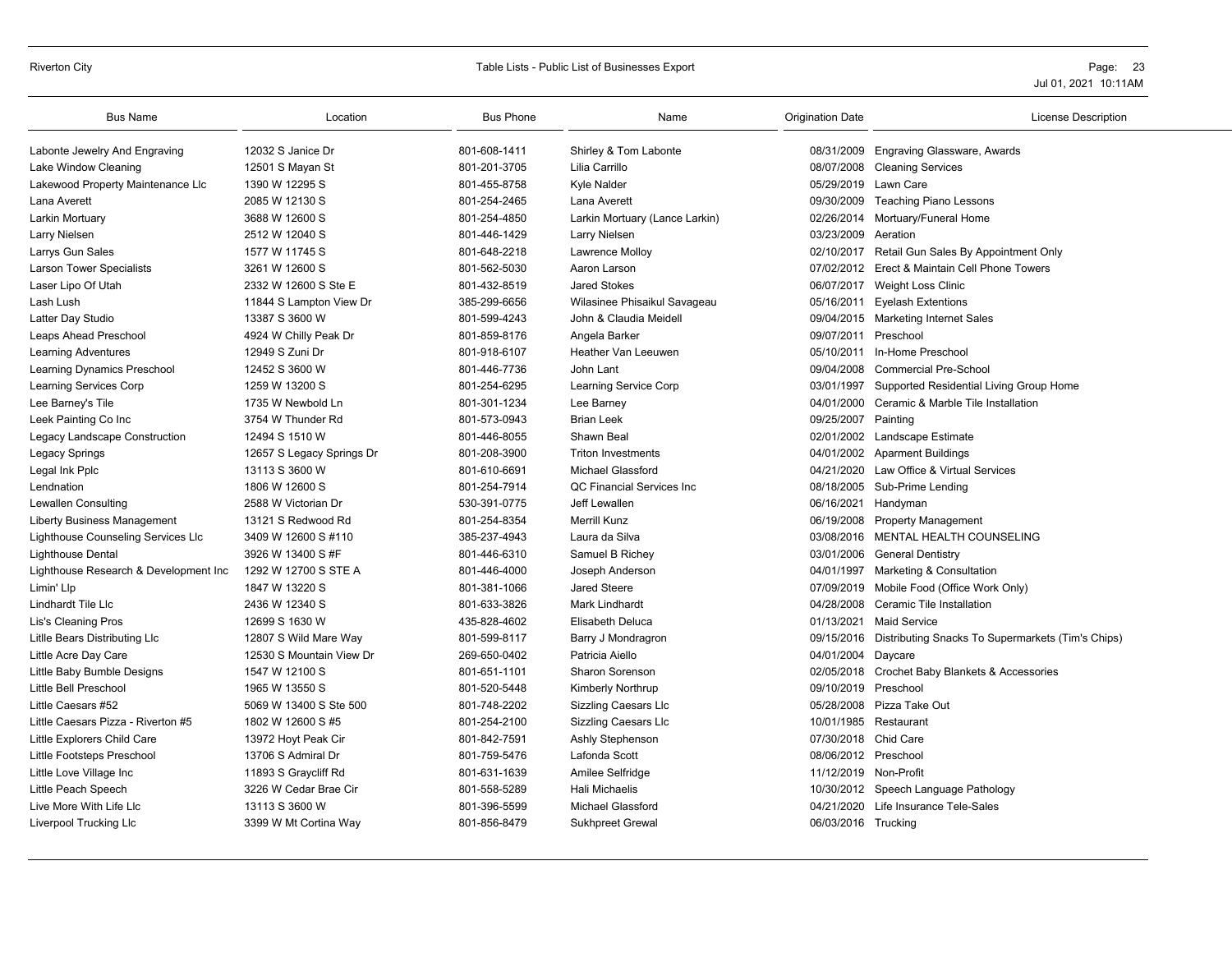### Riverton City **Subset Contract Contract Contract Contract Contract Contract Contract Contract Contract Contract Contract Contract Contract Contract Contract Contract Contract Contract Contract Contract Contract Contract Co**

|                                                                                                                                                              | <b>License Description</b> |
|--------------------------------------------------------------------------------------------------------------------------------------------------------------|----------------------------|
| 801-608-1411<br>08/31/2009 Engraving Glassware, Awards<br>Labonte Jewelry And Engraving<br>12032 S Janice Dr<br>Shirley & Tom Labonte                        |                            |
| Lake Window Cleaning<br>12501 S Mayan St<br>801-201-3705<br>Lilia Carrillo<br>08/07/2008 Cleaning Services                                                   |                            |
| Lakewood Property Maintenance Llc<br>1390 W 12295 S<br>801-455-8758<br><b>Kyle Nalder</b><br>05/29/2019 Lawn Care                                            |                            |
| 801-254-2465<br>09/30/2009 Teaching Piano Lessons<br>Lana Averett<br>2085 W 12130 S<br>Lana Averett                                                          |                            |
| 801-254-4850<br>Larkin Mortuary (Lance Larkin)<br>02/26/2014 Mortuary/Funeral Home<br>Larkin Mortuary<br>3688 W 12600 S                                      |                            |
| Larry Nielsen<br>2512 W 12040 S<br>801-446-1429<br>03/23/2009<br>Larry Nielsen<br>Aeration                                                                   |                            |
| 801-648-2218<br>Larrys Gun Sales<br>1577 W 11745 S<br>Lawrence Molloy<br>02/10/2017 Retail Gun Sales By Appointment Only                                     |                            |
| <b>Larson Tower Specialists</b><br>3261 W 12600 S<br>801-562-5030<br>Aaron Larson<br>07/02/2012 Erect & Maintain Cell Phone Towers                           |                            |
| Laser Lipo Of Utah<br>2332 W 12600 S Ste E<br>801-432-8519<br><b>Jared Stokes</b><br>06/07/2017 Weight Loss Clinic                                           |                            |
| 385-299-6656<br>Lash Lush<br>Wilasinee Phisaikul Savageau<br>05/16/2011 Eyelash Extentions<br>11844 S Lampton View Dr                                        |                            |
| 801-599-4243<br>13387 S 3600 W<br>John & Claudia Meidell<br>09/04/2015 Marketing Internet Sales<br>Latter Day Studio                                         |                            |
| 4924 W Chilly Peak Dr<br>801-859-8176<br>Angela Barker<br>09/07/2011 Preschool<br>Leaps Ahead Preschool                                                      |                            |
| <b>Heather Van Leeuwen</b><br><b>Learning Adventures</b><br>12949 S Zuni Dr<br>801-918-6107<br>05/10/2011 In-Home Preschool                                  |                            |
| Learning Dynamics Preschool<br>12452 S 3600 W<br>801-446-7736<br>John Lant<br>09/04/2008<br><b>Commercial Pre-School</b>                                     |                            |
| 1259 W 13200 S<br>801-254-6295<br>03/01/1997<br><b>Learning Services Corp</b><br>Learning Service Corp<br>Supported Residential Living Group Home            |                            |
| 801-301-1234<br>Lee Barney's Tile<br>1735 W Newbold Ln<br>Lee Barney<br>04/01/2000<br>Ceramic & Marble Tile Installation                                     |                            |
| 801-573-0943<br><b>Brian Leek</b><br>Leek Painting Co Inc<br>3754 W Thunder Rd<br>09/25/2007 Painting                                                        |                            |
| 12494 S 1510 W<br>801-446-8055<br>Shawn Beal<br>Legacy Landscape Construction<br>02/01/2002 Landscape Estimate                                               |                            |
| 801-208-3900<br>Legacy Springs<br>12657 S Legacy Springs Dr<br><b>Triton Investments</b><br>04/01/2002 Aparment Buildings                                    |                            |
| 801-610-6691<br>Michael Glassford<br>04/21/2020 Law Office & Virtual Services<br>Legal Ink Pplc<br>13113 S 3600 W                                            |                            |
| 1806 W 12600 S<br>801-254-7914<br>QC Financial Services Inc<br>08/18/2005 Sub-Prime Lending<br>Lendnation                                                    |                            |
| Lewallen Consulting<br>530-391-0775<br>06/16/2021<br>2588 W Victorian Dr<br>Jeff Lewallen<br>Handyman                                                        |                            |
| <b>Liberty Business Management</b><br>13121 S Redwood Rd<br>801-254-8354<br><b>Merrill Kunz</b><br>06/19/2008<br><b>Property Management</b>                  |                            |
| 03/08/2016 MENTAL HEALTH COUNSELING<br>Lighthouse Counseling Services Llc<br>3409 W 12600 S #110<br>385-237-4943<br>Laura da Silva                           |                            |
| 801-446-6310<br>03/01/2006 General Dentistry<br><b>Lighthouse Dental</b><br>3926 W 13400 S #F<br>Samuel B Richey                                             |                            |
| Lighthouse Research & Development Inc<br>1292 W 12700 S STE A<br>801-446-4000<br>Joseph Anderson<br>04/01/1997 Marketing & Consultation                      |                            |
| 1847 W 13220 S<br>801-381-1066<br><b>Jared Steere</b><br>07/09/2019 Mobile Food (Office Work Only)<br>Limin' Llp                                             |                            |
| 801-633-3826<br>Lindhardt Tile Llc<br>2436 W 12340 S<br>Mark Lindhardt<br>04/28/2008<br>Ceramic Tile Installation                                            |                            |
| 435-828-4602<br><b>Maid Service</b><br>12699 S 1630 W<br><b>Elisabeth Deluca</b><br>01/13/2021<br>Lis's Cleaning Pros                                        |                            |
| 801-599-8117<br>Litlle Bears Distributing Llc<br>12807 S Wild Mare Way<br>09/15/2016 Distributing Snacks To Supermarkets (Tim's Chips)<br>Barry J Mondragron |                            |
| 269-650-0402<br>Patricia Aiello<br>Little Acre Day Care<br>12530 S Mountain View Dr<br>04/01/2004 Daycare                                                    |                            |
| Sharon Sorenson<br>02/05/2018 Crochet Baby Blankets & Accessories<br>Little Baby Bumble Designs<br>1547 W 12100 S<br>801-651-1101                            |                            |
| Little Bell Preschool<br>801-520-5448<br>Kimberly Northrup<br>09/10/2019 Preschool<br>1965 W 13550 S                                                         |                            |
| 801-748-2202<br><b>Sizzling Caesars Llc</b><br>05/28/2008 Pizza Take Out<br>Little Caesars #52<br>5069 W 13400 S Ste 500                                     |                            |
| Little Caesars Pizza - Riverton #5<br>801-254-2100<br>10/01/1985<br>Restaurant<br>1802 W 12600 S #5<br><b>Sizzling Caesars Llc</b>                           |                            |
| Little Explorers Child Care<br>801-842-7591<br>07/30/2018<br>Chid Care<br>13972 Hoyt Peak Cir<br>Ashly Stephenson                                            |                            |
| Lafonda Scott<br>08/06/2012 Preschool<br>Little Footsteps Preschool<br>13706 S Admiral Dr<br>801-759-5476                                                    |                            |
| 11/12/2019 Non-Profit<br>Little Love Village Inc<br>11893 S Graycliff Rd<br>801-631-1639<br>Amilee Selfridge                                                 |                            |
| 801-558-5289<br>3226 W Cedar Brae Cir<br><b>Hali Michaelis</b><br>10/30/2012 Speech Language Pathology<br>Little Peach Speech                                |                            |
| 04/21/2020 Life Insurance Tele-Sales<br>Live More With Life Llc<br>13113 S 3600 W<br>801-396-5599<br><b>Michael Glassford</b>                                |                            |
| 3399 W Mt Cortina Way<br>801-856-8479<br>Sukhpreet Grewal<br>06/03/2016 Trucking<br>Liverpool Trucking Llc                                                   |                            |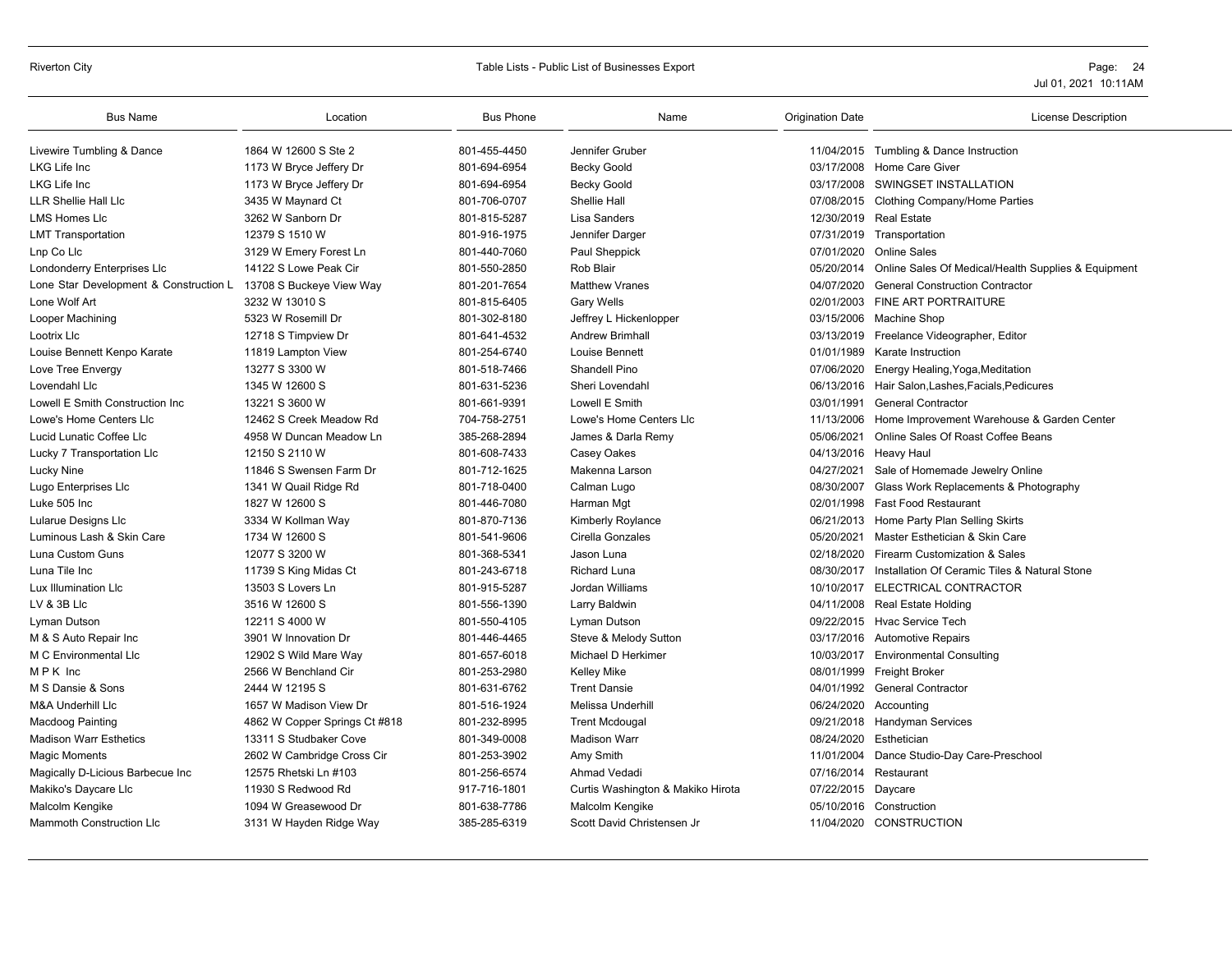# Riverton City **Example 24** Table Lists - Public List of Businesses Export **Page: 24** Page: 24

| <b>Bus Name</b>                        | Location                      | <b>Bus Phone</b> | Name                              | <b>Origination Date</b> | <b>License Description</b>                                     |
|----------------------------------------|-------------------------------|------------------|-----------------------------------|-------------------------|----------------------------------------------------------------|
| Livewire Tumbling & Dance              | 1864 W 12600 S Ste 2          | 801-455-4450     | Jennifer Gruber                   |                         | 11/04/2015 Tumbling & Dance Instruction                        |
| LKG Life Inc                           | 1173 W Bryce Jeffery Dr       | 801-694-6954     | <b>Becky Goold</b>                | 03/17/2008              | <b>Home Care Giver</b>                                         |
| LKG Life Inc                           | 1173 W Bryce Jeffery Dr       | 801-694-6954     | <b>Becky Goold</b>                | 03/17/2008              | SWINGSET INSTALLATION                                          |
| <b>LLR Shellie Hall Llc</b>            | 3435 W Maynard Ct             | 801-706-0707     | Shellie Hall                      |                         | 07/08/2015 Clothing Company/Home Parties                       |
| <b>LMS Homes LIc</b>                   | 3262 W Sanborn Dr             | 801-815-5287     | Lisa Sanders                      |                         | 12/30/2019 Real Estate                                         |
| <b>LMT Transportation</b>              | 12379 S 1510 W                | 801-916-1975     | Jennifer Darger                   |                         | 07/31/2019 Transportation                                      |
| Lnp Co Llc                             | 3129 W Emery Forest Ln        | 801-440-7060     | Paul Sheppick                     | 07/01/2020              | <b>Online Sales</b>                                            |
| Londonderry Enterprises Llc            | 14122 S Lowe Peak Cir         | 801-550-2850     | Rob Blair                         |                         | 05/20/2014 Online Sales Of Medical/Health Supplies & Equipment |
| Lone Star Development & Construction L | 13708 S Buckeye View Way      | 801-201-7654     | <b>Matthew Vranes</b>             | 04/07/2020              | <b>General Construction Contractor</b>                         |
| Lone Wolf Art                          | 3232 W 13010 S                | 801-815-6405     | Gary Wells                        | 02/01/2003              | FINE ART PORTRAITURE                                           |
| Looper Machining                       | 5323 W Rosemill Dr            | 801-302-8180     | Jeffrey L Hickenlopper            | 03/15/2006              | Machine Shop                                                   |
| Lootrix Llc                            | 12718 S Timpview Dr           | 801-641-4532     | <b>Andrew Brimhall</b>            | 03/13/2019              | Freelance Videographer, Editor                                 |
| Louise Bennett Kenpo Karate            | 11819 Lampton View            | 801-254-6740     | Louise Bennett                    | 01/01/1989              | Karate Instruction                                             |
| Love Tree Envergy                      | 13277 S 3300 W                | 801-518-7466     | Shandell Pino                     | 07/06/2020              | Energy Healing, Yoga, Meditation                               |
| Lovendahl Llc                          | 1345 W 12600 S                | 801-631-5236     | Sheri Lovendahl                   |                         | 06/13/2016 Hair Salon, Lashes, Facials, Pedicures              |
| Lowell E Smith Construction Inc        | 13221 S 3600 W                | 801-661-9391     | Lowell E Smith                    | 03/01/1991              | <b>General Contractor</b>                                      |
| Lowe's Home Centers Llc                | 12462 S Creek Meadow Rd       | 704-758-2751     | Lowe's Home Centers Llc           | 11/13/2006              | Home Improvement Warehouse & Garden Center                     |
| Lucid Lunatic Coffee Llc               | 4958 W Duncan Meadow Ln       | 385-268-2894     | James & Darla Remy                | 05/06/2021              | Online Sales Of Roast Coffee Beans                             |
| Lucky 7 Transportation Llc             | 12150 S 2110 W                | 801-608-7433     | Casey Oakes                       |                         | 04/13/2016 Heavy Haul                                          |
| Lucky Nine                             | 11846 S Swensen Farm Dr       | 801-712-1625     | Makenna Larson                    | 04/27/2021              | Sale of Homemade Jewelry Online                                |
| Lugo Enterprises Llc                   | 1341 W Quail Ridge Rd         | 801-718-0400     | Calman Lugo                       | 08/30/2007              | Glass Work Replacements & Photography                          |
| Luke 505 Inc                           | 1827 W 12600 S                | 801-446-7080     | Harman Mgt                        | 02/01/1998              | <b>Fast Food Restaurant</b>                                    |
| Lularue Designs Llc                    | 3334 W Kollman Way            | 801-870-7136     | <b>Kimberly Roylance</b>          | 06/21/2013              | Home Party Plan Selling Skirts                                 |
| Luminous Lash & Skin Care              | 1734 W 12600 S                | 801-541-9606     | Cirella Gonzales                  | 05/20/2021              | Master Esthetician & Skin Care                                 |
| Luna Custom Guns                       | 12077 S 3200 W                | 801-368-5341     | Jason Luna                        | 02/18/2020              | Firearm Customization & Sales                                  |
| Luna Tile Inc                          | 11739 S King Midas Ct         | 801-243-6718     | Richard Luna                      | 08/30/2017              | Installation Of Ceramic Tiles & Natural Stone                  |
| Lux Illumination Llc                   | 13503 S Lovers Ln             | 801-915-5287     | Jordan Williams                   | 10/10/2017              | ELECTRICAL CONTRACTOR                                          |
| LV & 3B Llc                            | 3516 W 12600 S                | 801-556-1390     | Larry Baldwin                     |                         | 04/11/2008 Real Estate Holding                                 |
| Lyman Dutson                           | 12211 S 4000 W                | 801-550-4105     | Lyman Dutson                      |                         | 09/22/2015 Hyac Service Tech                                   |
| M & S Auto Repair Inc                  | 3901 W Innovation Dr          | 801-446-4465     | Steve & Melody Sutton             | 03/17/2016              | <b>Automotive Repairs</b>                                      |
| M C Environmental Llc                  | 12902 S Wild Mare Way         | 801-657-6018     | Michael D Herkimer                |                         | 10/03/2017 Environmental Consulting                            |
| MPK Inc                                | 2566 W Benchland Cir          | 801-253-2980     | <b>Kelley Mike</b>                |                         | 08/01/1999 Freight Broker                                      |
| M S Dansie & Sons                      | 2444 W 12195 S                | 801-631-6762     | <b>Trent Dansie</b>               | 04/01/1992              | <b>General Contractor</b>                                      |
| <b>M&amp;A Underhill Llc</b>           | 1657 W Madison View Dr        | 801-516-1924     | Melissa Underhill                 | 06/24/2020              | Accounting                                                     |
| <b>Macdoog Painting</b>                | 4862 W Copper Springs Ct #818 | 801-232-8995     | <b>Trent Mcdougal</b>             |                         | 09/21/2018 Handyman Services                                   |
| <b>Madison Warr Esthetics</b>          | 13311 S Studbaker Cove        | 801-349-0008     | <b>Madison Warr</b>               | 08/24/2020              | Esthetician                                                    |
| Magic Moments                          | 2602 W Cambridge Cross Cir    | 801-253-3902     | Amy Smith                         | 11/01/2004              | Dance Studio-Day Care-Preschool                                |
| Magically D-Licious Barbecue Inc       | 12575 Rhetski Ln #103         | 801-256-6574     | Ahmad Vedadi                      | 07/16/2014              | Restaurant                                                     |
| Makiko's Daycare Llc                   | 11930 S Redwood Rd            | 917-716-1801     | Curtis Washington & Makiko Hirota | 07/22/2015 Daycare      |                                                                |
| Malcolm Kengike                        | 1094 W Greasewood Dr          | 801-638-7786     | Malcolm Kengike                   | 05/10/2016              | Construction                                                   |
| <b>Mammoth Construction Llc</b>        | 3131 W Hayden Ridge Way       | 385-285-6319     | Scott David Christensen Jr        |                         | 11/04/2020 CONSTRUCTION                                        |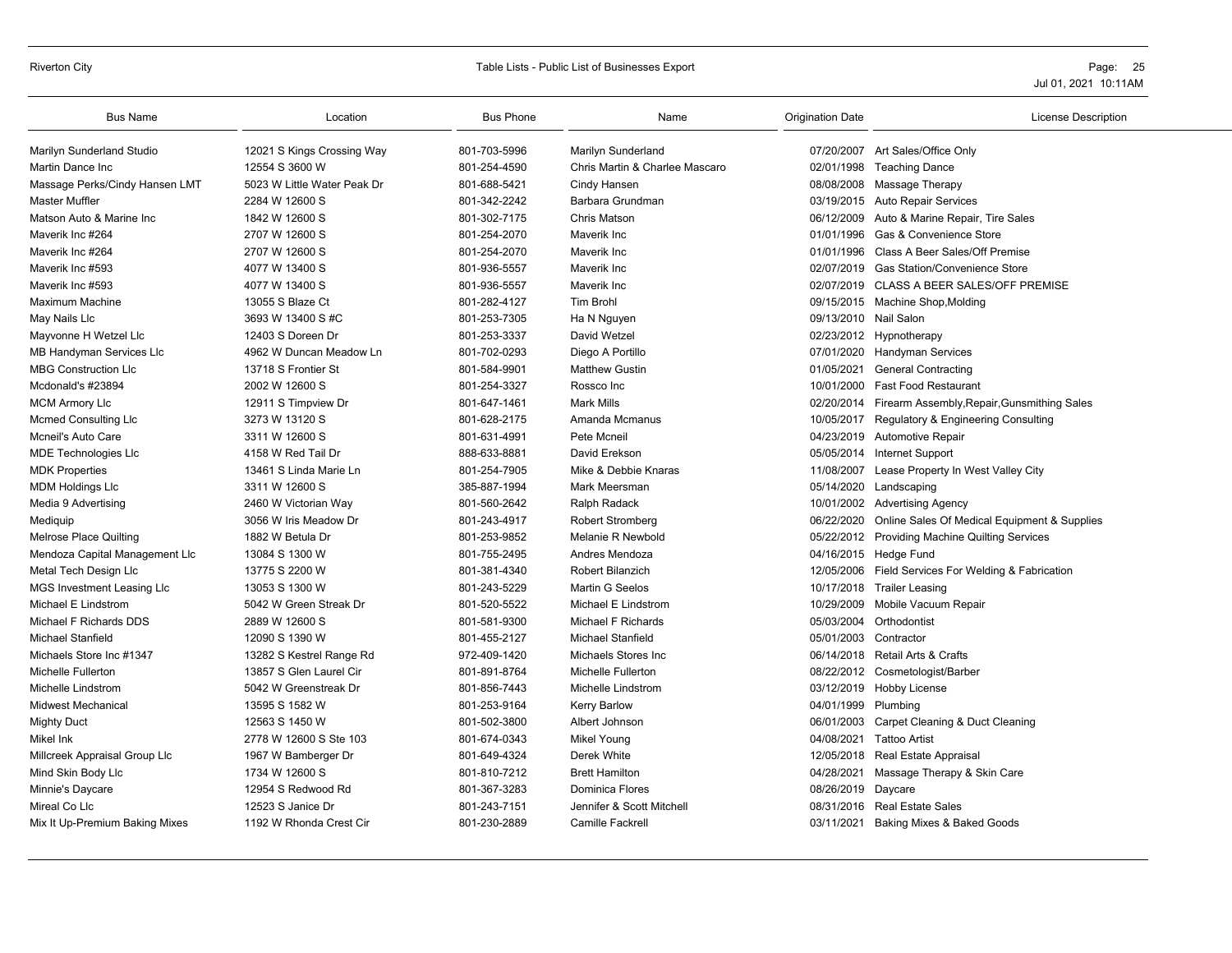#### Riverton City **School City** City Controllers and Table Lists - Public List of Businesses Export **Page: 25** Page: 25

| <b>Bus Name</b>                | Location                    | <b>Bus Phone</b> | Name                           | <b>Origination Date</b> | License Description                                    |
|--------------------------------|-----------------------------|------------------|--------------------------------|-------------------------|--------------------------------------------------------|
| Marilyn Sunderland Studio      | 12021 S Kings Crossing Way  | 801-703-5996     | Marilyn Sunderland             |                         | 07/20/2007 Art Sales/Office Only                       |
| Martin Dance Inc               | 12554 S 3600 W              | 801-254-4590     | Chris Martin & Charlee Mascaro |                         | 02/01/1998 Teaching Dance                              |
| Massage Perks/Cindy Hansen LMT | 5023 W Little Water Peak Dr | 801-688-5421     | Cindy Hansen                   |                         | 08/08/2008 Massage Therapy                             |
| <b>Master Muffler</b>          | 2284 W 12600 S              | 801-342-2242     | Barbara Grundman               |                         | 03/19/2015 Auto Repair Services                        |
| Matson Auto & Marine Inc       | 1842 W 12600 S              | 801-302-7175     | Chris Matson                   | 06/12/2009              | Auto & Marine Repair, Tire Sales                       |
| Maverik Inc #264               | 2707 W 12600 S              | 801-254-2070     | Maverik Inc                    | 01/01/1996              | Gas & Convenience Store                                |
| Maverik Inc #264               | 2707 W 12600 S              | 801-254-2070     | Maverik Inc                    | 01/01/1996              | Class A Beer Sales/Off Premise                         |
| Maverik Inc #593               | 4077 W 13400 S              | 801-936-5557     | Maverik Inc                    | 02/07/2019              | <b>Gas Station/Convenience Store</b>                   |
| Maverik Inc #593               | 4077 W 13400 S              | 801-936-5557     | Maverik Inc                    |                         | 02/07/2019 CLASS A BEER SALES/OFF PREMISE              |
| Maximum Machine                | 13055 S Blaze Ct            | 801-282-4127     | <b>Tim Brohl</b>               |                         | 09/15/2015 Machine Shop, Molding                       |
| May Nails Llc                  | 3693 W 13400 S #C           | 801-253-7305     | Ha N Nguyen                    | 09/13/2010 Nail Salon   |                                                        |
| Mayvonne H Wetzel Llc          | 12403 S Doreen Dr           | 801-253-3337     | David Wetzel                   |                         | 02/23/2012 Hypnotherapy                                |
| MB Handyman Services Llc       | 4962 W Duncan Meadow Ln     | 801-702-0293     | Diego A Portillo               |                         | 07/01/2020 Handyman Services                           |
| <b>MBG Construction LIc</b>    | 13718 S Frontier St         | 801-584-9901     | <b>Matthew Gustin</b>          | 01/05/2021              | <b>General Contracting</b>                             |
| Mcdonald's #23894              | 2002 W 12600 S              | 801-254-3327     | Rossco Inc                     | 10/01/2000              | <b>Fast Food Restaurant</b>                            |
| <b>MCM Armory Llc</b>          | 12911 S Timpview Dr         | 801-647-1461     | <b>Mark Mills</b>              |                         | 02/20/2014 Firearm Assembly, Repair, Gunsmithing Sales |
| <b>Mcmed Consulting LIc</b>    | 3273 W 13120 S              | 801-628-2175     | Amanda Mcmanus                 |                         | 10/05/2017 Regulatory & Engineering Consulting         |
| Mcneil's Auto Care             | 3311 W 12600 S              | 801-631-4991     | Pete Mcneil                    |                         | 04/23/2019 Automotive Repair                           |
| <b>MDE Technologies LIc</b>    | 4158 W Red Tail Dr          | 888-633-8881     | David Erekson                  | 05/05/2014              | Internet Support                                       |
| <b>MDK Properties</b>          | 13461 S Linda Marie Ln      | 801-254-7905     | Mike & Debbie Knaras           | 11/08/2007              | Lease Property In West Valley City                     |
| <b>MDM Holdings Llc</b>        | 3311 W 12600 S              | 385-887-1994     | Mark Meersman                  |                         | 05/14/2020 Landscaping                                 |
| Media 9 Advertising            | 2460 W Victorian Way        | 801-560-2642     | Ralph Radack                   |                         | 10/01/2002 Advertising Agency                          |
| Mediquip                       | 3056 W Iris Meadow Dr       | 801-243-4917     | <b>Robert Stromberg</b>        | 06/22/2020              | Online Sales Of Medical Equipment & Supplies           |
| <b>Melrose Place Quilting</b>  | 1882 W Betula Dr            | 801-253-9852     | Melanie R Newbold              |                         | 05/22/2012 Providing Machine Quilting Services         |
| Mendoza Capital Management Llc | 13084 S 1300 W              | 801-755-2495     | Andres Mendoza                 |                         | 04/16/2015 Hedge Fund                                  |
| Metal Tech Design Llc          | 13775 S 2200 W              | 801-381-4340     | <b>Robert Bilanzich</b>        |                         | 12/05/2006 Field Services For Welding & Fabrication    |
| MGS Investment Leasing Llc     | 13053 S 1300 W              | 801-243-5229     | Martin G Seelos                |                         | 10/17/2018 Trailer Leasing                             |
| Michael E Lindstrom            | 5042 W Green Streak Dr      | 801-520-5522     | Michael E Lindstrom            |                         | 10/29/2009 Mobile Vacuum Repair                        |
| Michael F Richards DDS         | 2889 W 12600 S              | 801-581-9300     | <b>Michael F Richards</b>      | 05/03/2004              | Orthodontist                                           |
| <b>Michael Stanfield</b>       | 12090 S 1390 W              | 801-455-2127     | <b>Michael Stanfield</b>       | 05/01/2003 Contractor   |                                                        |
| Michaels Store Inc #1347       | 13282 S Kestrel Range Rd    | 972-409-1420     | Michaels Stores Inc            |                         | 06/14/2018 Retail Arts & Crafts                        |
| Michelle Fullerton             | 13857 S Glen Laurel Cir     | 801-891-8764     | Michelle Fullerton             |                         | 08/22/2012 Cosmetologist/Barber                        |
| Michelle Lindstrom             | 5042 W Greenstreak Dr       | 801-856-7443     | Michelle Lindstrom             |                         | 03/12/2019 Hobby License                               |
| <b>Midwest Mechanical</b>      | 13595 S 1582 W              | 801-253-9164     | Kerry Barlow                   | 04/01/1999 Plumbing     |                                                        |
| <b>Mighty Duct</b>             | 12563 S 1450 W              | 801-502-3800     | Albert Johnson                 | 06/01/2003              | Carpet Cleaning & Duct Cleaning                        |
| Mikel Ink                      | 2778 W 12600 S Ste 103      | 801-674-0343     | <b>Mikel Young</b>             | 04/08/2021              | <b>Tattoo Artist</b>                                   |
| Millcreek Appraisal Group Llc  | 1967 W Bamberger Dr         | 801-649-4324     | Derek White                    |                         | 12/05/2018 Real Estate Appraisal                       |
| Mind Skin Body Llc             | 1734 W 12600 S              | 801-810-7212     | <b>Brett Hamilton</b>          | 04/28/2021              | Massage Therapy & Skin Care                            |
| Minnie's Daycare               | 12954 S Redwood Rd          | 801-367-3283     | <b>Dominica Flores</b>         | 08/26/2019              | Daycare                                                |
| Mireal Co Llc                  | 12523 S Janice Dr           | 801-243-7151     | Jennifer & Scott Mitchell      | 08/31/2016              | <b>Real Estate Sales</b>                               |
| Mix It Up-Premium Baking Mixes | 1192 W Rhonda Crest Cir     | 801-230-2889     | <b>Camille Fackrell</b>        |                         | 03/11/2021 Baking Mixes & Baked Goods                  |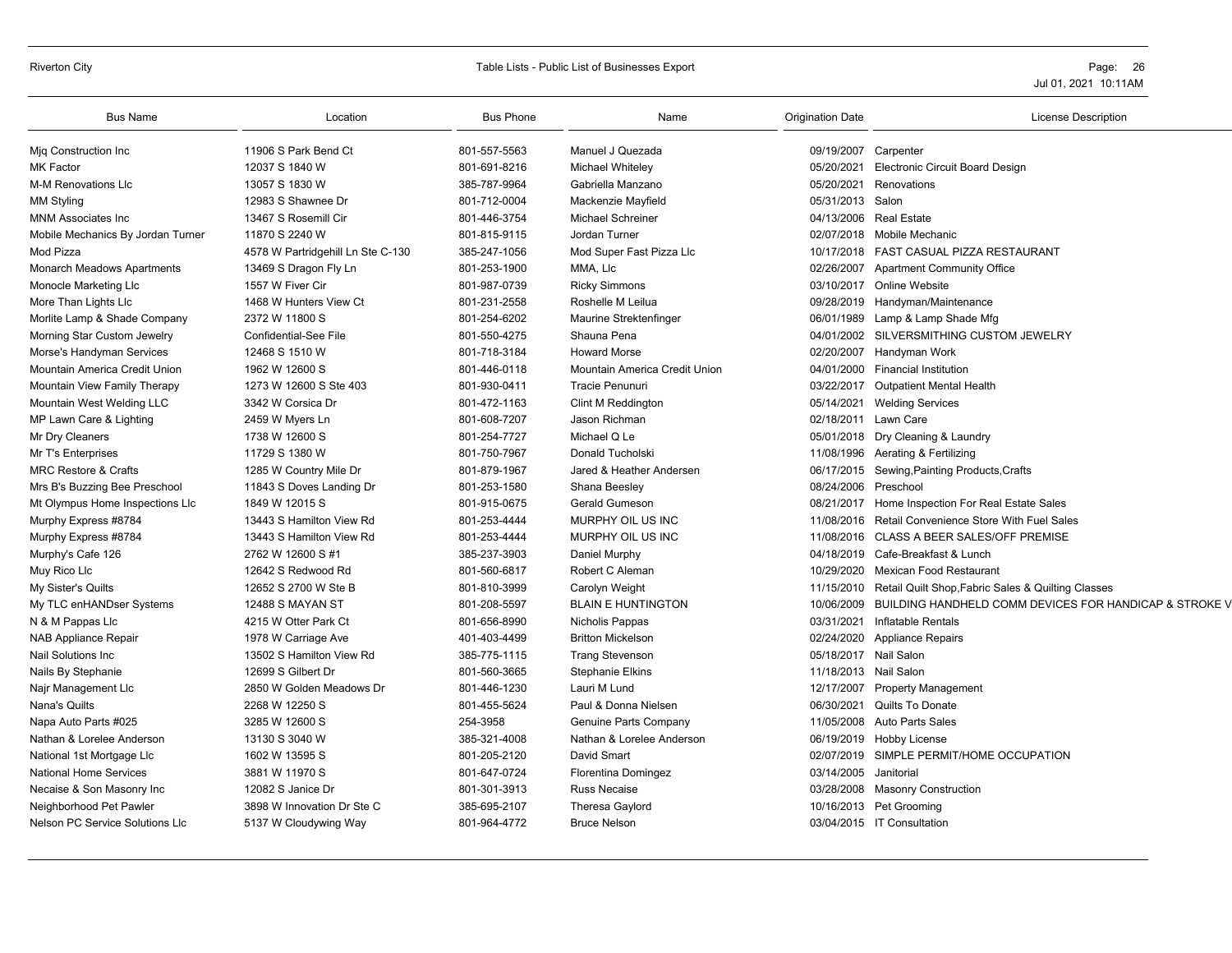### Riverton City **Subset Contract Contract Contract Contract Contract Contract Contract Contract Contract Contract Contract Contract Contract Contract Contract Contract Contract Contract Contract Contract Contract Contract Co**

| <b>Bus Name</b>                   | Location                          | <b>Bus Phone</b> | Name                          | <b>Origination Date</b> | License Description                                    |
|-----------------------------------|-----------------------------------|------------------|-------------------------------|-------------------------|--------------------------------------------------------|
| Mig Construction Inc              | 11906 S Park Bend Ct              | 801-557-5563     | Manuel J Quezada              | 09/19/2007              | Carpenter                                              |
| <b>MK Factor</b>                  | 12037 S 1840 W                    | 801-691-8216     | Michael Whiteley              | 05/20/2021              | <b>Electronic Circuit Board Design</b>                 |
| M-M Renovations Llc               | 13057 S 1830 W                    | 385-787-9964     | Gabriella Manzano             | 05/20/2021              | Renovations                                            |
| <b>MM Styling</b>                 | 12983 S Shawnee Dr                | 801-712-0004     | Mackenzie Mayfield            | 05/31/2013              | Salon                                                  |
| <b>MNM Associates Inc</b>         | 13467 S Rosemill Cir              | 801-446-3754     | <b>Michael Schreiner</b>      |                         | 04/13/2006 Real Estate                                 |
| Mobile Mechanics By Jordan Turner | 11870 S 2240 W                    | 801-815-9115     | Jordan Turner                 | 02/07/2018              | Mobile Mechanic                                        |
| Mod Pizza                         | 4578 W Partridgehill Ln Ste C-130 | 385-247-1056     | Mod Super Fast Pizza Llc      | 10/17/2018              | FAST CASUAL PIZZA RESTAURANT                           |
| <b>Monarch Meadows Apartments</b> | 13469 S Dragon Fly Ln             | 801-253-1900     | MMA, LIc                      | 02/26/2007              | <b>Apartment Community Office</b>                      |
| Monocle Marketing Llc             | 1557 W Fiver Cir                  | 801-987-0739     | <b>Ricky Simmons</b>          | 03/10/2017              | Online Website                                         |
| More Than Lights Llc              | 1468 W Hunters View Ct            | 801-231-2558     | Roshelle M Leilua             | 09/28/2019              | Handyman/Maintenance                                   |
| Morlite Lamp & Shade Company      | 2372 W 11800 S                    | 801-254-6202     | Maurine Strektenfinger        | 06/01/1989              | Lamp & Lamp Shade Mfg                                  |
| Morning Star Custom Jewelry       | <b>Confidential-See File</b>      | 801-550-4275     | Shauna Pena                   | 04/01/2002              | SILVERSMITHING CUSTOM JEWELRY                          |
| Morse's Handyman Services         | 12468 S 1510 W                    | 801-718-3184     | <b>Howard Morse</b>           | 02/20/2007              | Handyman Work                                          |
| Mountain America Credit Union     | 1962 W 12600 S                    | 801-446-0118     | Mountain America Credit Union | 04/01/2000              | <b>Financial Institution</b>                           |
| Mountain View Family Therapy      | 1273 W 12600 S Ste 403            | 801-930-0411     | Tracie Penunuri               | 03/22/2017              | <b>Outpatient Mental Health</b>                        |
| Mountain West Welding LLC         | 3342 W Corsica Dr                 | 801-472-1163     | <b>Clint M Reddington</b>     | 05/14/2021              | <b>Welding Services</b>                                |
| MP Lawn Care & Lighting           | 2459 W Myers Ln                   | 801-608-7207     | Jason Richman                 | 02/18/2011              | Lawn Care                                              |
| Mr Dry Cleaners                   | 1738 W 12600 S                    | 801-254-7727     | Michael Q Le                  | 05/01/2018              | Dry Cleaning & Laundry                                 |
| Mr T's Enterprises                | 11729 S 1380 W                    | 801-750-7967     | <b>Donald Tucholski</b>       | 11/08/1996              | Aerating & Fertilizing                                 |
| <b>MRC Restore &amp; Crafts</b>   | 1285 W Country Mile Dr            | 801-879-1967     | Jared & Heather Andersen      | 06/17/2015              | Sewing, Painting Products, Crafts                      |
| Mrs B's Buzzing Bee Preschool     | 11843 S Doves Landing Dr          | 801-253-1580     | Shana Beesley                 | 08/24/2006              | Preschool                                              |
| Mt Olympus Home Inspections Llc   | 1849 W 12015 S                    | 801-915-0675     | <b>Gerald Gumeson</b>         | 08/21/2017              | Home Inspection For Real Estate Sales                  |
| Murphy Express #8784              | 13443 S Hamilton View Rd          | 801-253-4444     | MURPHY OIL US INC             | 11/08/2016              | Retail Convenience Store With Fuel Sales               |
| Murphy Express #8784              | 13443 S Hamilton View Rd          | 801-253-4444     | MURPHY OIL US INC             | 11/08/2016              | <b>CLASS A BEER SALES/OFF PREMISE</b>                  |
| Murphy's Cafe 126                 | 2762 W 12600 S #1                 | 385-237-3903     | Daniel Murphy                 | 04/18/2019              | Cafe-Breakfast & Lunch                                 |
| Muy Rico Llc                      | 12642 S Redwood Rd                | 801-560-6817     | Robert C Aleman               | 10/29/2020              | Mexican Food Restaurant                                |
| My Sister's Quilts                | 12652 S 2700 W Ste B              | 801-810-3999     | Carolyn Weight                | 11/15/2010              | Retail Quilt Shop, Fabric Sales & Quilting Classes     |
| My TLC enHANDser Systems          | 12488 S MAYAN ST                  | 801-208-5597     | <b>BLAIN E HUNTINGTON</b>     | 10/06/2009              | BUILDING HANDHELD COMM DEVICES FOR HANDICAP & STROKE V |
| N & M Pappas Llc                  | 4215 W Otter Park Ct              | 801-656-8990     | Nicholis Pappas               | 03/31/2021              | Inflatable Rentals                                     |
| <b>NAB Appliance Repair</b>       | 1978 W Carriage Ave               | 401-403-4499     | <b>Britton Mickelson</b>      | 02/24/2020              | <b>Appliance Repairs</b>                               |
| <b>Nail Solutions Inc.</b>        | 13502 S Hamilton View Rd          | 385-775-1115     | <b>Trang Stevenson</b>        |                         | 05/18/2017 Nail Salon                                  |
| Nails By Stephanie                | 12699 S Gilbert Dr                | 801-560-3665     | <b>Stephanie Elkins</b>       | 11/18/2013              | Nail Salon                                             |
| Najr Management Llc               | 2850 W Golden Meadows Dr          | 801-446-1230     | Lauri M Lund                  | 12/17/2007              | Property Management                                    |
| Nana's Quilts                     | 2268 W 12250 S                    | 801-455-5624     | Paul & Donna Nielsen          | 06/30/2021              | Quilts To Donate                                       |
| Napa Auto Parts #025              | 3285 W 12600 S                    | 254-3958         | Genuine Parts Company         | 11/05/2008              | Auto Parts Sales                                       |
| Nathan & Lorelee Anderson         | 13130 S 3040 W                    | 385-321-4008     | Nathan & Lorelee Anderson     | 06/19/2019              | <b>Hobby License</b>                                   |
| National 1st Mortgage Llc         | 1602 W 13595 S                    | 801-205-2120     | David Smart                   |                         | 02/07/2019 SIMPLE PERMIT/HOME OCCUPATION               |
| <b>National Home Services</b>     | 3881 W 11970 S                    | 801-647-0724     | Florentina Domingez           | 03/14/2005              | Janitorial                                             |
| Necaise & Son Masonry Inc         | 12082 S Janice Dr                 | 801-301-3913     | <b>Russ Necaise</b>           | 03/28/2008              | <b>Masonry Construction</b>                            |
| Neighborhood Pet Pawler           | 3898 W Innovation Dr Ste C        | 385-695-2107     | Theresa Gaylord               | 10/16/2013              | Pet Grooming                                           |
| Nelson PC Service Solutions Llc   | 5137 W Cloudywing Way             | 801-964-4772     | <b>Bruce Nelson</b>           |                         | 03/04/2015 IT Consultation                             |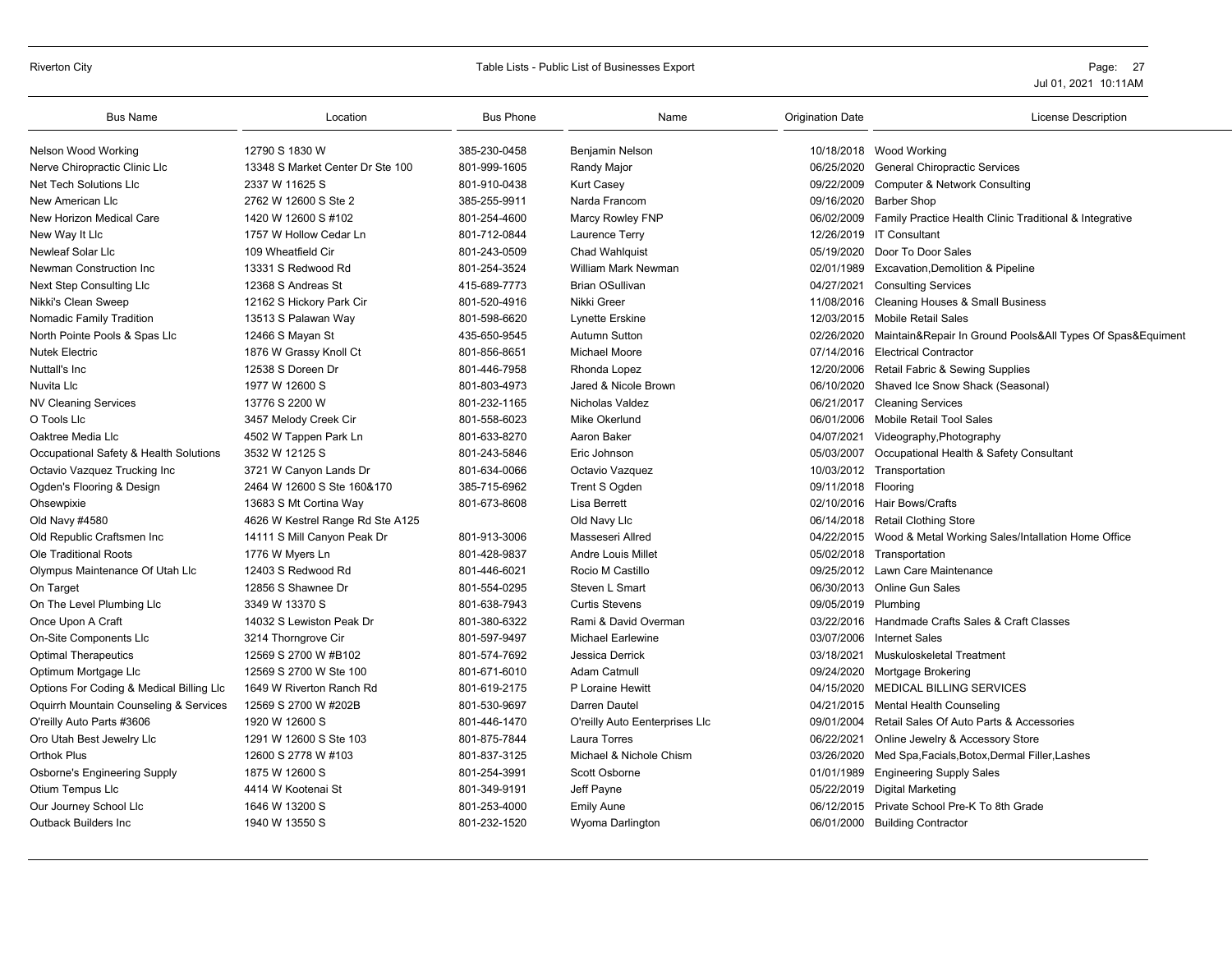#### Riverton City **School City** City Controllers and Table Lists - Public List of Businesses Export **Page: 27** Page: 27

| <b>Bus Name</b>                          | Location                         | <b>Bus Phone</b> | Name                           | <b>Origination Date</b> | <b>License Description</b>                                 |
|------------------------------------------|----------------------------------|------------------|--------------------------------|-------------------------|------------------------------------------------------------|
| Nelson Wood Working                      | 12790 S 1830 W                   | 385-230-0458     | Benjamin Nelson                | 10/18/2018              | Wood Working                                               |
| Nerve Chiropractic Clinic Llc            | 13348 S Market Center Dr Ste 100 | 801-999-1605     | Randy Major                    | 06/25/2020              | <b>General Chiropractic Services</b>                       |
| Net Tech Solutions Llc                   | 2337 W 11625 S                   | 801-910-0438     | <b>Kurt Casey</b>              | 09/22/2009              | Computer & Network Consulting                              |
| New American Llc                         | 2762 W 12600 S Ste 2             | 385-255-9911     | Narda Francom                  | 09/16/2020              | <b>Barber Shop</b>                                         |
| New Horizon Medical Care                 | 1420 W 12600 S #102              | 801-254-4600     | Marcy Rowley FNP               | 06/02/2009              | Family Practice Health Clinic Traditional & Integrative    |
| New Way It Llc                           | 1757 W Hollow Cedar Ln           | 801-712-0844     | Laurence Terry                 | 12/26/2019              | <b>IT Consultant</b>                                       |
| Newleaf Solar Llc                        | 109 Wheatfield Cir               | 801-243-0509     | Chad Wahlquist                 | 05/19/2020              | Door To Door Sales                                         |
| Newman Construction Inc                  | 13331 S Redwood Rd               | 801-254-3524     | <b>William Mark Newman</b>     | 02/01/1989              | <b>Excavation, Demolition &amp; Pipeline</b>               |
| <b>Next Step Consulting Llc</b>          | 12368 S Andreas St               | 415-689-7773     | <b>Brian OSullivan</b>         | 04/27/2021              | <b>Consulting Services</b>                                 |
| Nikki's Clean Sweep                      | 12162 S Hickory Park Cir         | 801-520-4916     | Nikki Greer                    | 11/08/2016              | <b>Cleaning Houses &amp; Small Business</b>                |
| <b>Nomadic Family Tradition</b>          | 13513 S Palawan Way              | 801-598-6620     | Lynette Erskine                | 12/03/2015              | <b>Mobile Retail Sales</b>                                 |
| North Pointe Pools & Spas Llc            | 12466 S Mayan St                 | 435-650-9545     | <b>Autumn Sutton</b>           | 02/26/2020              | Maintain&Repair In Ground Pools&All Types Of Spas&Equiment |
| <b>Nutek Electric</b>                    | 1876 W Grassy Knoll Ct           | 801-856-8651     | Michael Moore                  | 07/14/2016              | <b>Electrical Contractor</b>                               |
| Nuttall's Inc                            | 12538 S Doreen Dr                | 801-446-7958     | Rhonda Lopez                   | 12/20/2006              | Retail Fabric & Sewing Supplies                            |
| Nuvita Llc                               | 1977 W 12600 S                   | 801-803-4973     | Jared & Nicole Brown           | 06/10/2020              | Shaved Ice Snow Shack (Seasonal)                           |
| <b>NV Cleaning Services</b>              | 13776 S 2200 W                   | 801-232-1165     | Nicholas Valdez                | 06/21/2017              | <b>Cleaning Services</b>                                   |
| O Tools Llc                              | 3457 Melody Creek Cir            | 801-558-6023     | Mike Okerlund                  | 06/01/2006              | Mobile Retail Tool Sales                                   |
| Oaktree Media Llc                        | 4502 W Tappen Park Ln            | 801-633-8270     | Aaron Baker                    | 04/07/2021              | Videography, Photography                                   |
| Occupational Safety & Health Solutions   | 3532 W 12125 S                   | 801-243-5846     | Eric Johnson                   | 05/03/2007              | Occupational Health & Safety Consultant                    |
| Octavio Vazquez Trucking Inc             | 3721 W Canyon Lands Dr           | 801-634-0066     | Octavio Vazquez                | 10/03/2012              | Transportation                                             |
| Ogden's Flooring & Design                | 2464 W 12600 S Ste 160&170       | 385-715-6962     | Trent S Ogden                  | 09/11/2018              | Flooring                                                   |
| Ohsewpixie                               | 13683 S Mt Cortina Way           | 801-673-8608     | Lisa Berrett                   |                         | 02/10/2016 Hair Bows/Crafts                                |
| Old Navy #4580                           | 4626 W Kestrel Range Rd Ste A125 |                  | Old Navy Llc                   | 06/14/2018              | <b>Retail Clothing Store</b>                               |
| Old Republic Craftsmen Inc               | 14111 S Mill Canyon Peak Dr      | 801-913-3006     | Masseseri Allred               | 04/22/2015              | Wood & Metal Working Sales/Intallation Home Office         |
| <b>Ole Traditional Roots</b>             | 1776 W Myers Ln                  | 801-428-9837     | <b>Andre Louis Millet</b>      | 05/02/2018              | Transportation                                             |
| Olympus Maintenance Of Utah Llc          | 12403 S Redwood Rd               | 801-446-6021     | Rocio M Castillo               | 09/25/2012              | Lawn Care Maintenance                                      |
| On Target                                | 12856 S Shawnee Dr               | 801-554-0295     | Steven L Smart                 | 06/30/2013              | <b>Online Gun Sales</b>                                    |
| On The Level Plumbing Llc                | 3349 W 13370 S                   | 801-638-7943     | <b>Curtis Stevens</b>          | 09/05/2019              | Plumbing                                                   |
| Once Upon A Craft                        | 14032 S Lewiston Peak Dr         | 801-380-6322     | Rami & David Overman           |                         | 03/22/2016 Handmade Crafts Sales & Craft Classes           |
| On-Site Components Llc                   | 3214 Thorngrove Cir              | 801-597-9497     | Michael Earlewine              | 03/07/2006              | <b>Internet Sales</b>                                      |
| <b>Optimal Therapeutics</b>              | 12569 S 2700 W #B102             | 801-574-7692     | Jessica Derrick                | 03/18/2021              | Muskuloskeletal Treatment                                  |
| Optimum Mortgage Llc                     | 12569 S 2700 W Ste 100           | 801-671-6010     | <b>Adam Catmull</b>            | 09/24/2020              | Mortgage Brokering                                         |
| Options For Coding & Medical Billing Llc | 1649 W Riverton Ranch Rd         | 801-619-2175     | P Loraine Hewitt               | 04/15/2020              | <b>MEDICAL BILLING SERVICES</b>                            |
| Oquirrh Mountain Counseling & Services   | 12569 S 2700 W #202B             | 801-530-9697     | Darren Dautel                  | 04/21/2015              | <b>Mental Health Counseling</b>                            |
| O'reilly Auto Parts #3606                | 1920 W 12600 S                   | 801-446-1470     | O'reilly Auto Eenterprises Llc | 09/01/2004              | Retail Sales Of Auto Parts & Accessories                   |
| Oro Utah Best Jewelry Llc                | 1291 W 12600 S Ste 103           | 801-875-7844     | <b>Laura Torres</b>            | 06/22/2021              | Online Jewelry & Accessory Store                           |
| <b>Orthok Plus</b>                       | 12600 S 2778 W #103              | 801-837-3125     | Michael & Nichole Chism        | 03/26/2020              | Med Spa, Facials, Botox, Dermal Filler, Lashes             |
| <b>Osborne's Engineering Supply</b>      | 1875 W 12600 S                   | 801-254-3991     | Scott Osborne                  | 01/01/1989              | <b>Engineering Supply Sales</b>                            |
| Otium Tempus Llc                         | 4414 W Kootenai St               | 801-349-9191     | Jeff Payne                     | 05/22/2019              | <b>Digital Marketing</b>                                   |
| Our Journey School Llc                   | 1646 W 13200 S                   | 801-253-4000     | <b>Emily Aune</b>              | 06/12/2015              | Private School Pre-K To 8th Grade                          |
| <b>Outback Builders Inc</b>              | 1940 W 13550 S                   | 801-232-1520     | Wyoma Darlington               | 06/01/2000              | <b>Building Contractor</b>                                 |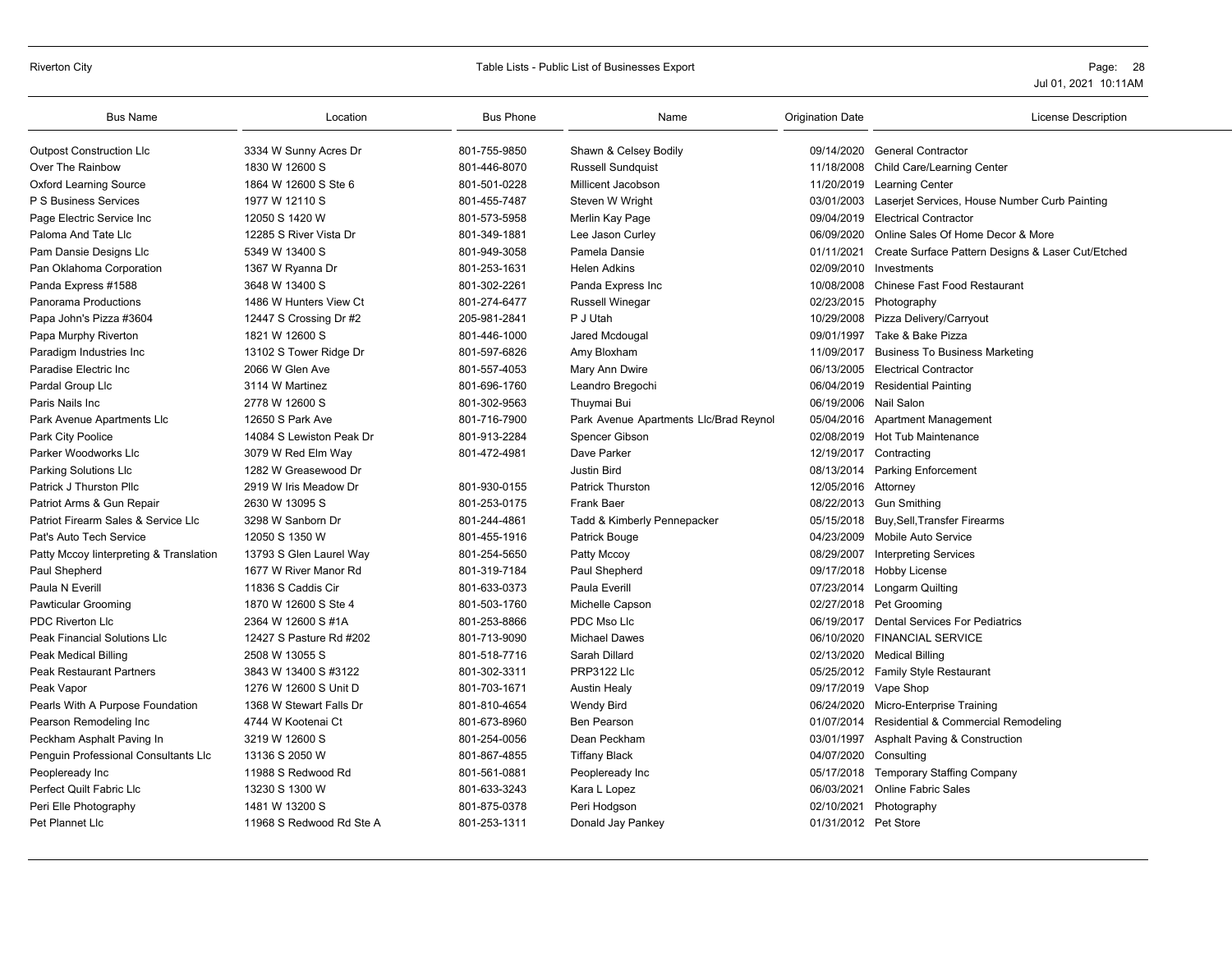### Riverton City **School City** Page: 28 and City Table Lists - Public List of Businesses Export **Page: 28** Page: 28

| <b>Bus Name</b>                         | Location                 | <b>Bus Phone</b> | Name                                   | <b>Origination Date</b> | <b>License Description</b>                                   |
|-----------------------------------------|--------------------------|------------------|----------------------------------------|-------------------------|--------------------------------------------------------------|
| <b>Outpost Construction Llc</b>         | 3334 W Sunny Acres Dr    | 801-755-9850     | Shawn & Celsey Bodily                  |                         | 09/14/2020 General Contractor                                |
| Over The Rainbow                        | 1830 W 12600 S           | 801-446-8070     | <b>Russell Sundquist</b>               |                         | 11/18/2008 Child Care/Learning Center                        |
| <b>Oxford Learning Source</b>           | 1864 W 12600 S Ste 6     | 801-501-0228     | Millicent Jacobson                     |                         | 11/20/2019 Learning Center                                   |
| P S Business Services                   | 1977 W 12110 S           | 801-455-7487     | Steven W Wright                        | 03/01/2003              | Laserjet Services, House Number Curb Painting                |
| Page Electric Service Inc               | 12050 S 1420 W           | 801-573-5958     | Merlin Kay Page                        | 09/04/2019              | <b>Electrical Contractor</b>                                 |
| Paloma And Tate Lic                     | 12285 S River Vista Dr   | 801-349-1881     | Lee Jason Curley                       | 06/09/2020              | Online Sales Of Home Decor & More                            |
| Pam Dansie Designs Llc                  | 5349 W 13400 S           | 801-949-3058     | Pamela Dansie                          |                         | 01/11/2021 Create Surface Pattern Designs & Laser Cut/Etched |
| Pan Oklahoma Corporation                | 1367 W Ryanna Dr         | 801-253-1631     | <b>Helen Adkins</b>                    | 02/09/2010              | Investments                                                  |
| Panda Express #1588                     | 3648 W 13400 S           | 801-302-2261     | Panda Express Inc                      |                         | 10/08/2008 Chinese Fast Food Restaurant                      |
| <b>Panorama Productions</b>             | 1486 W Hunters View Ct   | 801-274-6477     | <b>Russell Winegar</b>                 |                         | 02/23/2015 Photography                                       |
| Papa John's Pizza #3604                 | 12447 S Crossing Dr #2   | 205-981-2841     | P J Utah                               | 10/29/2008              | Pizza Delivery/Carryout                                      |
| Papa Murphy Riverton                    | 1821 W 12600 S           | 801-446-1000     | Jared Mcdougal                         | 09/01/1997              | Take & Bake Pizza                                            |
| Paradigm Industries Inc                 | 13102 S Tower Ridge Dr   | 801-597-6826     | Amy Bloxham                            | 11/09/2017              | <b>Business To Business Marketing</b>                        |
| Paradise Electric Inc                   | 2066 W Glen Ave          | 801-557-4053     | Mary Ann Dwire                         | 06/13/2005              | <b>Electrical Contractor</b>                                 |
| Pardal Group Llc                        | 3114 W Martinez          | 801-696-1760     | Leandro Bregochi                       |                         | 06/04/2019 Residential Painting                              |
| Paris Nails Inc                         | 2778 W 12600 S           | 801-302-9563     | Thuymai Bui                            | 06/19/2006 Nail Salon   |                                                              |
| Park Avenue Apartments Llc              | 12650 S Park Ave         | 801-716-7900     | Park Avenue Apartments Llc/Brad Reynol |                         | 05/04/2016 Apartment Management                              |
| Park City Poolice                       | 14084 S Lewiston Peak Dr | 801-913-2284     | Spencer Gibson                         |                         | 02/08/2019 Hot Tub Maintenance                               |
| Parker Woodworks Llc                    | 3079 W Red Elm Way       | 801-472-4981     | Dave Parker                            |                         | 12/19/2017 Contracting                                       |
| Parking Solutions Llc                   | 1282 W Greasewood Dr     |                  | <b>Justin Bird</b>                     |                         | 08/13/2014 Parking Enforcement                               |
| Patrick J Thurston Pllc                 | 2919 W Iris Meadow Dr    | 801-930-0155     | Patrick Thurston                       | 12/05/2016 Attorney     |                                                              |
| Patriot Arms & Gun Repair               | 2630 W 13095 S           | 801-253-0175     | <b>Frank Baer</b>                      |                         | 08/22/2013 Gun Smithing                                      |
| Patriot Firearm Sales & Service Llc     | 3298 W Sanborn Dr        | 801-244-4861     | Tadd & Kimberly Pennepacker            |                         | 05/15/2018 Buy, Sell, Transfer Firearms                      |
| Pat's Auto Tech Service                 | 12050 S 1350 W           | 801-455-1916     | Patrick Bouge                          | 04/23/2009              | Mobile Auto Service                                          |
| Patty Mccoy linterpreting & Translation | 13793 S Glen Laurel Way  | 801-254-5650     | Patty Mccoy                            | 08/29/2007              | <b>Interpreting Services</b>                                 |
| Paul Shepherd                           | 1677 W River Manor Rd    | 801-319-7184     | Paul Shepherd                          |                         | 09/17/2018 Hobby License                                     |
| Paula N Everill                         | 11836 S Caddis Cir       | 801-633-0373     | <b>Paula Everill</b>                   |                         | 07/23/2014 Longarm Quilting                                  |
| <b>Pawticular Grooming</b>              | 1870 W 12600 S Ste 4     | 801-503-1760     | Michelle Capson                        |                         | 02/27/2018 Pet Grooming                                      |
| PDC Riverton Llc                        | 2364 W 12600 S #1A       | 801-253-8866     | PDC Mso Llc                            | 06/19/2017              | <b>Dental Services For Pediatrics</b>                        |
| <b>Peak Financial Solutions Llc</b>     | 12427 S Pasture Rd #202  | 801-713-9090     | <b>Michael Dawes</b>                   | 06/10/2020              | <b>FINANCIAL SERVICE</b>                                     |
| Peak Medical Billing                    | 2508 W 13055 S           | 801-518-7716     | Sarah Dillard                          | 02/13/2020              | Medical Billing                                              |
| <b>Peak Restaurant Partners</b>         | 3843 W 13400 S #3122     | 801-302-3311     | <b>PRP3122 Llc</b>                     |                         | 05/25/2012 Family Style Restaurant                           |
| Peak Vapor                              | 1276 W 12600 S Unit D    | 801-703-1671     | <b>Austin Healy</b>                    |                         | 09/17/2019 Vape Shop                                         |
| Pearls With A Purpose Foundation        | 1368 W Stewart Falls Dr  | 801-810-4654     | Wendy Bird                             | 06/24/2020              | Micro-Enterprise Training                                    |
| Pearson Remodeling Inc                  | 4744 W Kootenai Ct       | 801-673-8960     | <b>Ben Pearson</b>                     | 01/07/2014              | Residential & Commercial Remodeling                          |
| Peckham Asphalt Paving In               | 3219 W 12600 S           | 801-254-0056     | Dean Peckham                           | 03/01/1997              | <b>Asphalt Paving &amp; Construction</b>                     |
| Penguin Professional Consultants Llc    | 13136 S 2050 W           | 801-867-4855     | <b>Tiffany Black</b>                   | 04/07/2020 Consulting   |                                                              |
| Peopleready Inc                         | 11988 S Redwood Rd       | 801-561-0881     | Peopleready Inc                        |                         | 05/17/2018 Temporary Staffing Company                        |
| Perfect Quilt Fabric Llc                | 13230 S 1300 W           | 801-633-3243     | Kara L Lopez                           | 06/03/2021              | <b>Online Fabric Sales</b>                                   |
| Peri Elle Photography                   | 1481 W 13200 S           | 801-875-0378     | Peri Hodgson                           | 02/10/2021              | Photography                                                  |
| Pet Plannet Llc                         | 11968 S Redwood Rd Ste A | 801-253-1311     | Donald Jay Pankey                      | 01/31/2012 Pet Store    |                                                              |
|                                         |                          |                  |                                        |                         |                                                              |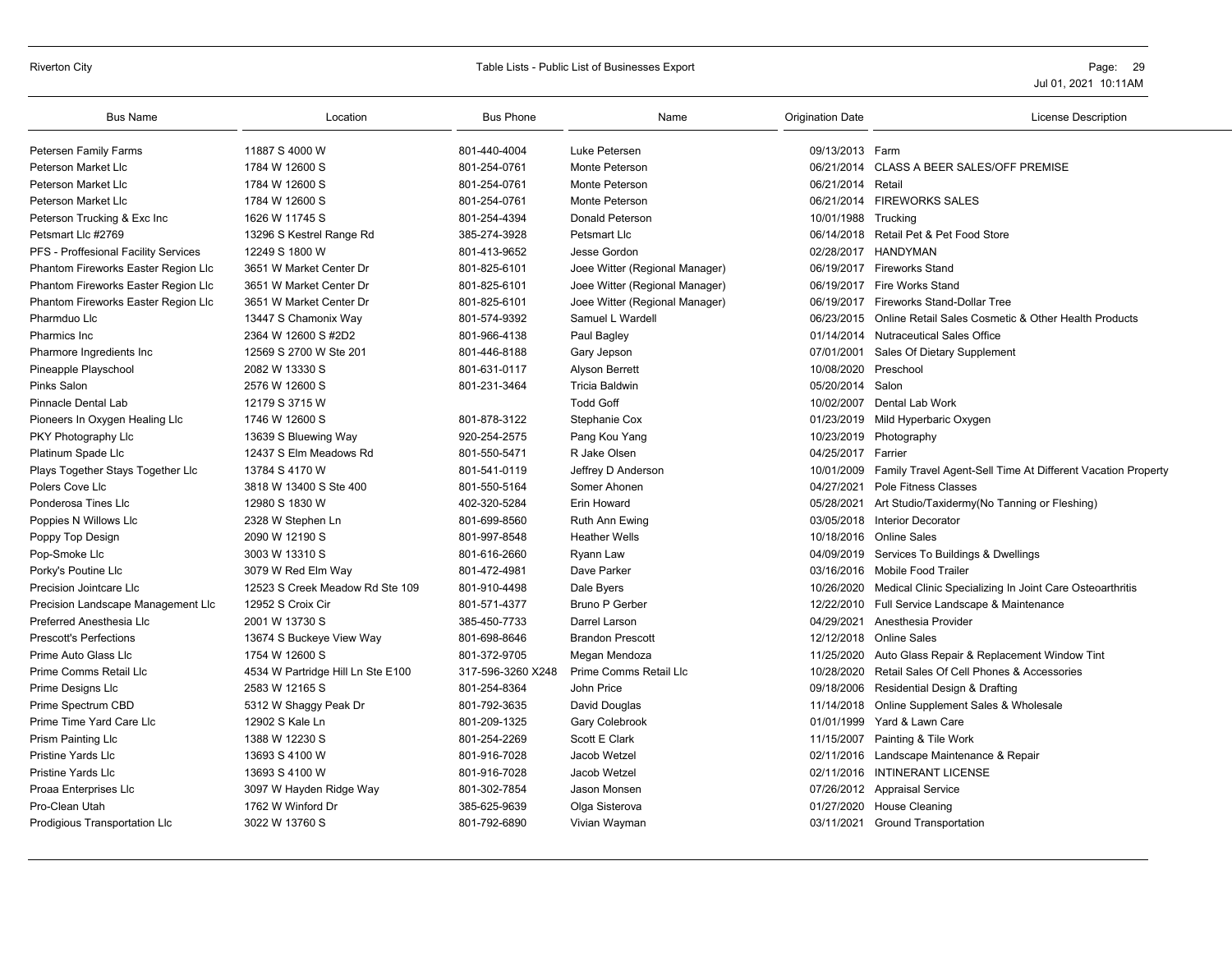#### Riverton City **School City** City Controllers and Table Lists - Public List of Businesses Export **Page: 29** Page: 29

| <b>Bus Name</b>                      | Location                          | <b>Bus Phone</b>  | Name                           | <b>Origination Date</b> | License Description                                             |
|--------------------------------------|-----------------------------------|-------------------|--------------------------------|-------------------------|-----------------------------------------------------------------|
| Petersen Family Farms                | 11887 S 4000 W                    | 801-440-4004      | Luke Petersen                  | 09/13/2013 Farm         |                                                                 |
| Peterson Market Llc                  | 1784 W 12600 S                    | 801-254-0761      | Monte Peterson                 | 06/21/2014              | <b>CLASS A BEER SALES/OFF PREMISE</b>                           |
| Peterson Market Llc                  | 1784 W 12600 S                    | 801-254-0761      | Monte Peterson                 | 06/21/2014 Retail       |                                                                 |
| Peterson Market Llc                  | 1784 W 12600 S                    | 801-254-0761      | Monte Peterson                 |                         | 06/21/2014 FIREWORKS SALES                                      |
| Peterson Trucking & Exc Inc          | 1626 W 11745 S                    | 801-254-4394      | <b>Donald Peterson</b>         | 10/01/1988 Trucking     |                                                                 |
| Petsmart Llc #2769                   | 13296 S Kestrel Range Rd          | 385-274-3928      | Petsmart Llc                   |                         | 06/14/2018 Retail Pet & Pet Food Store                          |
| PFS - Proffesional Facility Services | 12249 S 1800 W                    | 801-413-9652      | Jesse Gordon                   |                         | 02/28/2017 HANDYMAN                                             |
| Phantom Fireworks Easter Region Llc  | 3651 W Market Center Dr           | 801-825-6101      | Joee Witter (Regional Manager) |                         | 06/19/2017 Fireworks Stand                                      |
| Phantom Fireworks Easter Region Llc  | 3651 W Market Center Dr           | 801-825-6101      | Joee Witter (Regional Manager) | 06/19/2017              | Fire Works Stand                                                |
| Phantom Fireworks Easter Region Llc  | 3651 W Market Center Dr           | 801-825-6101      | Joee Witter (Regional Manager) |                         | 06/19/2017 Fireworks Stand-Dollar Tree                          |
| Pharmduo Llc                         | 13447 S Chamonix Way              | 801-574-9392      | Samuel L Wardell               |                         | 06/23/2015 Online Retail Sales Cosmetic & Other Health Products |
| Pharmics Inc.                        | 2364 W 12600 S #2D2               | 801-966-4138      | Paul Bagley                    | 01/14/2014              | <b>Nutraceutical Sales Office</b>                               |
| Pharmore Ingredients Inc             | 12569 S 2700 W Ste 201            | 801-446-8188      | Gary Jepson                    | 07/01/2001              | Sales Of Dietary Supplement                                     |
| Pineapple Playschool                 | 2082 W 13330 S                    | 801-631-0117      | Alyson Berrett                 | 10/08/2020              | Preschool                                                       |
| Pinks Salon                          | 2576 W 12600 S                    | 801-231-3464      | <b>Tricia Baldwin</b>          | 05/20/2014 Salon        |                                                                 |
| Pinnacle Dental Lab                  | 12179 S 3715 W                    |                   | <b>Todd Goff</b>               | 10/02/2007              | Dental Lab Work                                                 |
| Pioneers In Oxygen Healing Llc       | 1746 W 12600 S                    | 801-878-3122      | Stephanie Cox                  |                         | 01/23/2019 Mild Hyperbaric Oxygen                               |
| PKY Photography Llc                  | 13639 S Bluewing Way              | 920-254-2575      | Pang Kou Yang                  |                         | 10/23/2019 Photography                                          |
| Platinum Spade Llc                   | 12437 S Elm Meadows Rd            | 801-550-5471      | R Jake Olsen                   | 04/25/2017              | Farrier                                                         |
| Plays Together Stays Together Llc    | 13784 S 4170 W                    | 801-541-0119      | Jeffrey D Anderson             | 10/01/2009              | Family Travel Agent-Sell Time At Different Vacation Property    |
| Polers Cove Llc                      | 3818 W 13400 S Ste 400            | 801-550-5164      | Somer Ahonen                   | 04/27/2021              | Pole Fitness Classes                                            |
| Ponderosa Tines Llc                  | 12980 S 1830 W                    | 402-320-5284      | <b>Erin Howard</b>             | 05/28/2021              | Art Studio/Taxidermy(No Tanning or Fleshing)                    |
| Poppies N Willows Llc                | 2328 W Stephen Ln                 | 801-699-8560      | Ruth Ann Ewing                 | 03/05/2018              | Interior Decorator                                              |
| Poppy Top Design                     | 2090 W 12190 S                    | 801-997-8548      | <b>Heather Wells</b>           |                         | 10/18/2016 Online Sales                                         |
| Pop-Smoke Llc                        | 3003 W 13310 S                    | 801-616-2660      | Ryann Law                      | 04/09/2019              | Services To Buildings & Dwellings                               |
| Porky's Poutine Llc                  | 3079 W Red Elm Way                | 801-472-4981      | Dave Parker                    |                         | 03/16/2016 Mobile Food Trailer                                  |
| Precision Jointcare Llc              | 12523 S Creek Meadow Rd Ste 109   | 801-910-4498      | Dale Byers                     | 10/26/2020              | Medical Clinic Specializing In Joint Care Osteoarthritis        |
| Precision Landscape Management Llc   | 12952 S Croix Cir                 | 801-571-4377      | <b>Bruno P Gerber</b>          |                         | 12/22/2010 Full Service Landscape & Maintenance                 |
| Preferred Anesthesia Llc             | 2001 W 13730 S                    | 385-450-7733      | Darrel Larson                  | 04/29/2021              | Anesthesia Provider                                             |
| <b>Prescott's Perfections</b>        | 13674 S Buckeye View Way          | 801-698-8646      | <b>Brandon Prescott</b>        | 12/12/2018              | Online Sales                                                    |
| Prime Auto Glass Llc                 | 1754 W 12600 S                    | 801-372-9705      | Megan Mendoza                  | 11/25/2020              | Auto Glass Repair & Replacement Window Tint                     |
| Prime Comms Retail Llc               | 4534 W Partridge Hill Ln Ste E100 | 317-596-3260 X248 | Prime Comms Retail Llc         | 10/28/2020              | Retail Sales Of Cell Phones & Accessories                       |
| Prime Designs Llc                    | 2583 W 12165 S                    | 801-254-8364      | John Price                     | 09/18/2006              | Residential Design & Drafting                                   |
| Prime Spectrum CBD                   | 5312 W Shaggy Peak Dr             | 801-792-3635      | David Douglas                  | 11/14/2018              | Online Supplement Sales & Wholesale                             |
| Prime Time Yard Care Llc             | 12902 S Kale Ln                   | 801-209-1325      | Gary Colebrook                 | 01/01/1999              | Yard & Lawn Care                                                |
| <b>Prism Painting LIc</b>            | 1388 W 12230 S                    | 801-254-2269      | Scott E Clark                  | 11/15/2007              | Painting & Tile Work                                            |
| <b>Pristine Yards Llc</b>            | 13693 S 4100 W                    | 801-916-7028      | Jacob Wetzel                   | 02/11/2016              | Landscape Maintenance & Repair                                  |
| <b>Pristine Yards Llc</b>            | 13693 S 4100 W                    | 801-916-7028      | Jacob Wetzel                   |                         | 02/11/2016 INTINERANT LICENSE                                   |
| Proaa Enterprises Llc                | 3097 W Hayden Ridge Way           | 801-302-7854      | Jason Monsen                   |                         | 07/26/2012 Appraisal Service                                    |
| Pro-Clean Utah                       | 1762 W Winford Dr                 | 385-625-9639      | Olga Sisterova                 | 01/27/2020              | <b>House Cleaning</b>                                           |
| Prodigious Transportation Llc        | 3022 W 13760 S                    | 801-792-6890      | Vivian Wayman                  |                         | 03/11/2021 Ground Transportation                                |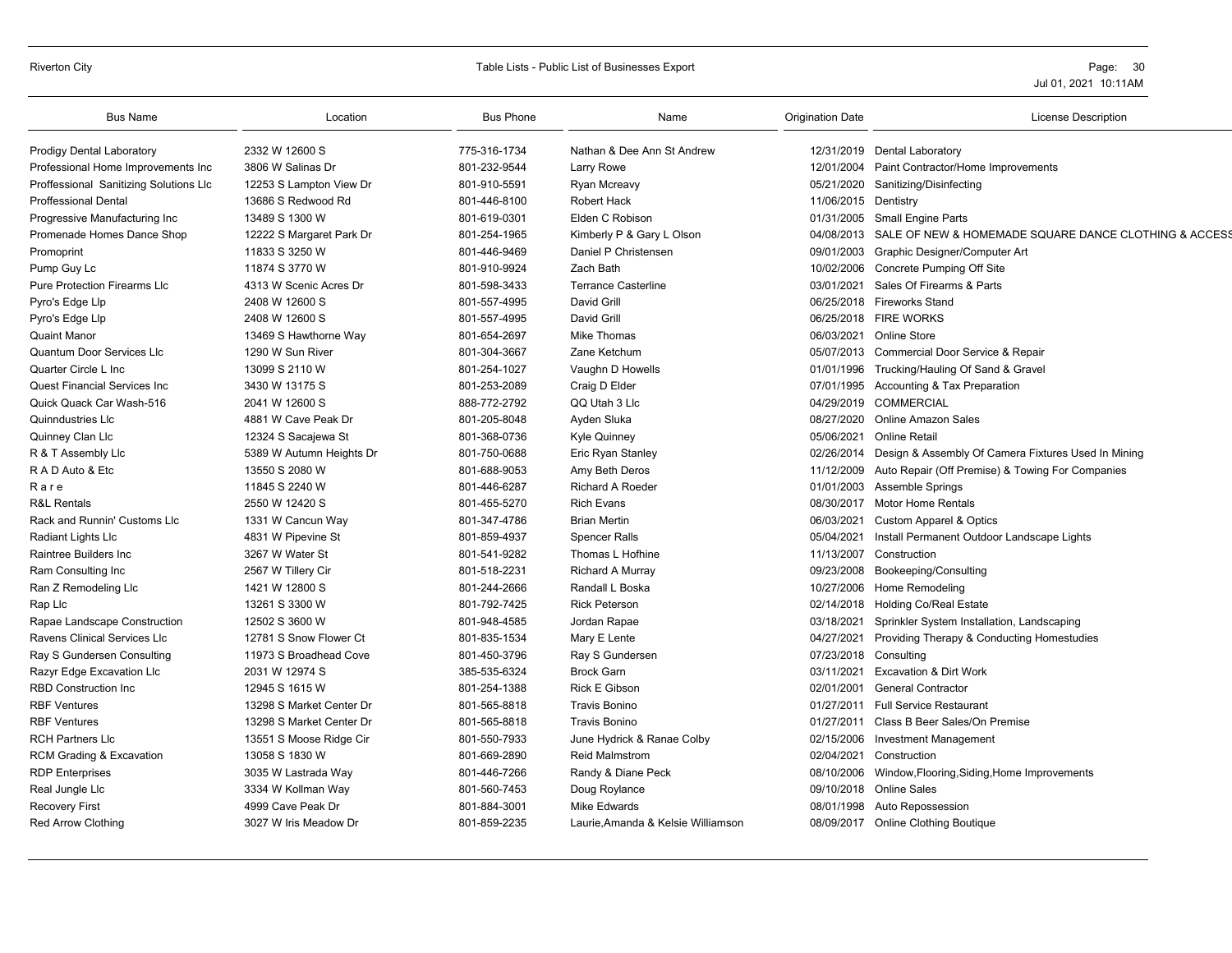#### Riverton City **Example 20 Set a Constructed Table Lists - Public List of Businesses Export** Page: 30 Page: 30

| <b>Bus Name</b>                        | Location                 | <b>Bus Phone</b> | Name                               | <b>Origination Date</b> | <b>License Description</b>                                     |
|----------------------------------------|--------------------------|------------------|------------------------------------|-------------------------|----------------------------------------------------------------|
| <b>Prodigy Dental Laboratory</b>       | 2332 W 12600 S           | 775-316-1734     | Nathan & Dee Ann St Andrew         |                         | 12/31/2019 Dental Laboratory                                   |
| Professional Home Improvements Inc     | 3806 W Salinas Dr        | 801-232-9544     | Larry Rowe                         | 12/01/2004              | Paint Contractor/Home Improvements                             |
| Proffessional Sanitizing Solutions Llc | 12253 S Lampton View Dr  | 801-910-5591     | Ryan Mcreavy                       | 05/21/2020              | Sanitizing/Disinfecting                                        |
| <b>Proffessional Dental</b>            | 13686 S Redwood Rd       | 801-446-8100     | Robert Hack                        | 11/06/2015 Dentistry    |                                                                |
| Progressive Manufacturing Inc          | 13489 S 1300 W           | 801-619-0301     | Elden C Robison                    | 01/31/2005              | <b>Small Engine Parts</b>                                      |
| Promenade Homes Dance Shop             | 12222 S Margaret Park Dr | 801-254-1965     | Kimberly P & Gary L Olson          | 04/08/2013              | SALE OF NEW & HOMEMADE SQUARE DANCE CLOTHING & ACCESS          |
| Promoprint                             | 11833 S 3250 W           | 801-446-9469     | Daniel P Christensen               |                         | 09/01/2003 Graphic Designer/Computer Art                       |
| Pump Guy Lc                            | 11874 S 3770 W           | 801-910-9924     | Zach Bath                          | 10/02/2006              | Concrete Pumping Off Site                                      |
| Pure Protection Firearms Llc           | 4313 W Scenic Acres Dr   | 801-598-3433     | <b>Terrance Casterline</b>         | 03/01/2021              | Sales Of Firearms & Parts                                      |
| Pyro's Edge Llp                        | 2408 W 12600 S           | 801-557-4995     | David Grill                        |                         | 06/25/2018 Fireworks Stand                                     |
| Pyro's Edge Llp                        | 2408 W 12600 S           | 801-557-4995     | David Grill                        |                         | 06/25/2018 FIRE WORKS                                          |
| <b>Quaint Manor</b>                    | 13469 S Hawthorne Way    | 801-654-2697     | Mike Thomas                        |                         | 06/03/2021 Online Store                                        |
| <b>Quantum Door Services LIc</b>       | 1290 W Sun River         | 801-304-3667     | Zane Ketchum                       |                         | 05/07/2013 Commercial Door Service & Repair                    |
| Quarter Circle L Inc                   | 13099 S 2110 W           | 801-254-1027     | Vaughn D Howells                   |                         | 01/01/1996 Trucking/Hauling Of Sand & Gravel                   |
| <b>Quest Financial Services Inc</b>    | 3430 W 13175 S           | 801-253-2089     | Craig D Elder                      | 07/01/1995              | <b>Accounting &amp; Tax Preparation</b>                        |
| Quick Quack Car Wash-516               | 2041 W 12600 S           | 888-772-2792     | QQ Utah 3 Llc                      | 04/29/2019              | <b>COMMERCIAL</b>                                              |
| Quinndustries Llc                      | 4881 W Cave Peak Dr      | 801-205-8048     | Ayden Sluka                        |                         | 08/27/2020 Online Amazon Sales                                 |
| Quinney Clan Llc                       | 12324 S Sacajewa St      | 801-368-0736     | <b>Kyle Quinney</b>                | 05/06/2021              | Online Retail                                                  |
| R & T Assembly Llc                     | 5389 W Autumn Heights Dr | 801-750-0688     | Eric Ryan Stanley                  |                         | 02/26/2014 Design & Assembly Of Camera Fixtures Used In Mining |
| R A D Auto & Etc                       | 13550 S 2080 W           | 801-688-9053     | Amy Beth Deros                     | 11/12/2009              | Auto Repair (Off Premise) & Towing For Companies               |
| Rare                                   | 11845 S 2240 W           | 801-446-6287     | <b>Richard A Roeder</b>            |                         | 01/01/2003 Assemble Springs                                    |
| <b>R&amp;L Rentals</b>                 | 2550 W 12420 S           | 801-455-5270     | <b>Rich Evans</b>                  |                         | 08/30/2017 Motor Home Rentals                                  |
| Rack and Runnin' Customs Llc           | 1331 W Cancun Way        | 801-347-4786     | <b>Brian Mertin</b>                | 06/03/2021              | Custom Apparel & Optics                                        |
| Radiant Lights Llc                     | 4831 W Pipevine St       | 801-859-4937     | <b>Spencer Ralls</b>               | 05/04/2021              | Install Permanent Outdoor Landscape Lights                     |
| Raintree Builders Inc                  | 3267 W Water St          | 801-541-9282     | Thomas L Hofhine                   | 11/13/2007              | Construction                                                   |
| Ram Consulting Inc                     | 2567 W Tillery Cir       | 801-518-2231     | <b>Richard A Murray</b>            | 09/23/2008              | Bookeeping/Consulting                                          |
| Ran Z Remodeling Llc                   | 1421 W 12800 S           | 801-244-2666     | Randall L Boska                    | 10/27/2006              | Home Remodeling                                                |
| Rap Llc                                | 13261 S 3300 W           | 801-792-7425     | <b>Rick Peterson</b>               | 02/14/2018              | <b>Holding Co/Real Estate</b>                                  |
| Rapae Landscape Construction           | 12502 S 3600 W           | 801-948-4585     | Jordan Rapae                       | 03/18/2021              | Sprinkler System Installation, Landscaping                     |
| Ravens Clinical Services Llc           | 12781 S Snow Flower Ct   | 801-835-1534     | Mary E Lente                       | 04/27/2021              | Providing Therapy & Conducting Homestudies                     |
| Ray S Gundersen Consulting             | 11973 S Broadhead Cove   | 801-450-3796     | Ray S Gundersen                    | 07/23/2018 Consulting   |                                                                |
| Razyr Edge Excavation Llc              | 2031 W 12974 S           | 385-535-6324     | <b>Brock Garn</b>                  | 03/11/2021              | <b>Excavation &amp; Dirt Work</b>                              |
| <b>RBD Construction Inc</b>            | 12945 S 1615 W           | 801-254-1388     | <b>Rick E Gibson</b>               | 02/01/2001              | <b>General Contractor</b>                                      |
| <b>RBF Ventures</b>                    | 13298 S Market Center Dr | 801-565-8818     | <b>Travis Bonino</b>               | 01/27/2011              | <b>Full Service Restaurant</b>                                 |
| <b>RBF Ventures</b>                    | 13298 S Market Center Dr | 801-565-8818     | <b>Travis Bonino</b>               | 01/27/2011              | Class B Beer Sales/On Premise                                  |
| <b>RCH Partners Llc</b>                | 13551 S Moose Ridge Cir  | 801-550-7933     | June Hydrick & Ranae Colby         | 02/15/2006              | <b>Investment Management</b>                                   |
| RCM Grading & Excavation               | 13058 S 1830 W           | 801-669-2890     | <b>Reid Malmstrom</b>              | 02/04/2021              | Construction                                                   |
| <b>RDP</b> Enterprises                 | 3035 W Lastrada Way      | 801-446-7266     | Randy & Diane Peck                 | 08/10/2006              | Window, Flooring, Siding, Home Improvements                    |
| Real Jungle Llc                        | 3334 W Kollman Way       | 801-560-7453     | Doug Roylance                      | 09/10/2018              | <b>Online Sales</b>                                            |
| <b>Recovery First</b>                  | 4999 Cave Peak Dr        | 801-884-3001     | <b>Mike Edwards</b>                | 08/01/1998              | Auto Repossession                                              |
| <b>Red Arrow Clothing</b>              | 3027 W Iris Meadow Dr    | 801-859-2235     | Laurie, Amanda & Kelsie Williamson |                         | 08/09/2017 Online Clothing Boutique                            |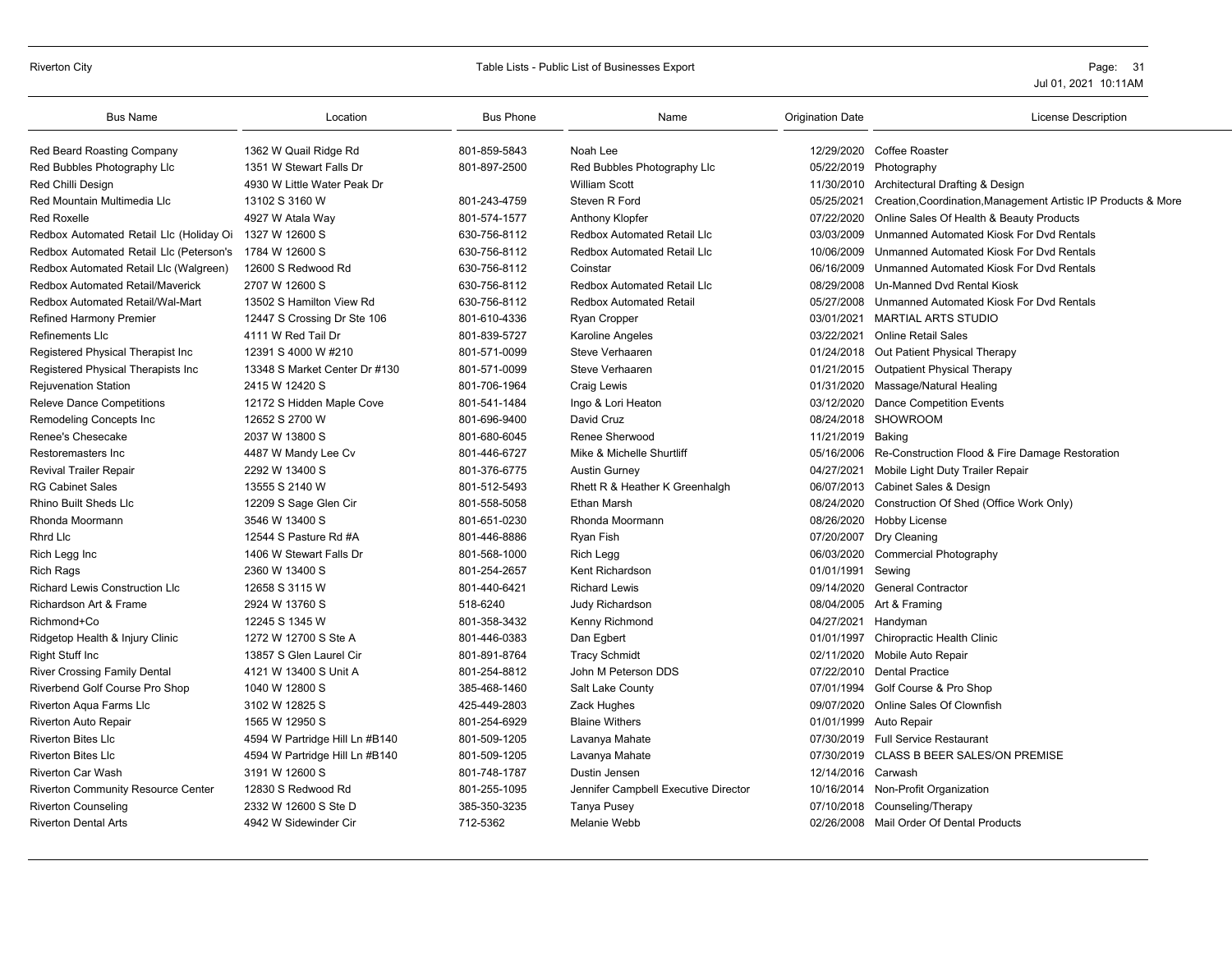| <b>Bus Name</b>                                        | Location                       | <b>Bus Phone</b> | Name                                 | <b>Origination Date</b> | <b>License Description</b>                                     |
|--------------------------------------------------------|--------------------------------|------------------|--------------------------------------|-------------------------|----------------------------------------------------------------|
| Red Beard Roasting Company                             | 1362 W Quail Ridge Rd          | 801-859-5843     | Noah Lee                             | 12/29/2020              | Coffee Roaster                                                 |
| Red Bubbles Photography Llc                            | 1351 W Stewart Falls Dr        | 801-897-2500     | Red Bubbles Photography Llc          | 05/22/2019              | Photography                                                    |
| Red Chilli Design                                      | 4930 W Little Water Peak Dr    |                  | <b>William Scott</b>                 | 11/30/2010              | Architectural Drafting & Design                                |
| Red Mountain Multimedia Llc                            | 13102 S 3160 W                 | 801-243-4759     | Steven R Ford                        | 05/25/2021              | Creation, Coordination, Management Artistic IP Products & More |
| <b>Red Roxelle</b>                                     | 4927 W Atala Way               | 801-574-1577     | Anthony Klopfer                      | 07/22/2020              | Online Sales Of Health & Beauty Products                       |
| Redbox Automated Retail Llc (Holiday Oi                | 1327 W 12600 S                 | 630-756-8112     | <b>Redbox Automated Retail Llc</b>   | 03/03/2009              | Unmanned Automated Kiosk For Dyd Rentals                       |
| Redbox Automated Retail Llc (Peterson's 1784 W 12600 S |                                | 630-756-8112     | <b>Redbox Automated Retail Llc</b>   | 10/06/2009              | Unmanned Automated Kiosk For Dvd Rentals                       |
| Redbox Automated Retail Llc (Walgreen)                 | 12600 S Redwood Rd             | 630-756-8112     | Coinstar                             | 06/16/2009              | Unmanned Automated Kiosk For Dvd Rentals                       |
| <b>Redbox Automated Retail/Maverick</b>                | 2707 W 12600 S                 | 630-756-8112     | Redbox Automated Retail Llc          | 08/29/2008              | Un-Manned Dvd Rental Kiosk                                     |
| Redbox Automated Retail/Wal-Mart                       | 13502 S Hamilton View Rd       | 630-756-8112     | <b>Redbox Automated Retail</b>       | 05/27/2008              | Unmanned Automated Kiosk For Dyd Rentals                       |
| <b>Refined Harmony Premier</b>                         | 12447 S Crossing Dr Ste 106    | 801-610-4336     | <b>Ryan Cropper</b>                  | 03/01/2021              | <b>MARTIAL ARTS STUDIO</b>                                     |
| Refinements LIc                                        | 4111 W Red Tail Dr             | 801-839-5727     | Karoline Angeles                     | 03/22/2021              | <b>Online Retail Sales</b>                                     |
| Registered Physical Therapist Inc                      | 12391 S 4000 W #210            | 801-571-0099     | Steve Verhaaren                      | 01/24/2018              | Out Patient Physical Therapy                                   |
| Registered Physical Therapists Inc                     | 13348 S Market Center Dr #130  | 801-571-0099     | Steve Verhaaren                      | 01/21/2015              | <b>Outpatient Physical Therapy</b>                             |
| <b>Rejuvenation Station</b>                            | 2415 W 12420 S                 | 801-706-1964     | Craig Lewis                          | 01/31/2020              | Massage/Natural Healing                                        |
| <b>Releve Dance Competitions</b>                       | 12172 S Hidden Maple Cove      | 801-541-1484     | Ingo & Lori Heaton                   | 03/12/2020              | <b>Dance Competition Events</b>                                |
| Remodeling Concepts Inc                                | 12652 S 2700 W                 | 801-696-9400     | David Cruz                           | 08/24/2018              | <b>SHOWROOM</b>                                                |
| Renee's Chesecake                                      | 2037 W 13800 S                 | 801-680-6045     | Renee Sherwood                       | 11/21/2019              | Baking                                                         |
| Restoremasters Inc                                     | 4487 W Mandy Lee Cv            | 801-446-6727     | Mike & Michelle Shurtliff            | 05/16/2006              | Re-Construction Flood & Fire Damage Restoration                |
| <b>Revival Trailer Repair</b>                          | 2292 W 13400 S                 | 801-376-6775     | <b>Austin Gurney</b>                 | 04/27/2021              | Mobile Light Duty Trailer Repair                               |
| <b>RG Cabinet Sales</b>                                | 13555 S 2140 W                 | 801-512-5493     | Rhett R & Heather K Greenhalgh       | 06/07/2013              | Cabinet Sales & Design                                         |
| <b>Rhino Built Sheds Llc</b>                           | 12209 S Sage Glen Cir          | 801-558-5058     | <b>Ethan Marsh</b>                   | 08/24/2020              | Construction Of Shed (Office Work Only)                        |
| Rhonda Moormann                                        | 3546 W 13400 S                 | 801-651-0230     | Rhonda Moormann                      | 08/26/2020              | <b>Hobby License</b>                                           |
| <b>Rhrd Llc</b>                                        | 12544 S Pasture Rd #A          | 801-446-8886     | Ryan Fish                            | 07/20/2007              | Dry Cleaning                                                   |
| Rich Legg Inc                                          | 1406 W Stewart Falls Dr        | 801-568-1000     | Rich Legg                            | 06/03/2020              | <b>Commercial Photography</b>                                  |
| <b>Rich Rags</b>                                       | 2360 W 13400 S                 | 801-254-2657     | Kent Richardson                      | 01/01/1991              | Sewing                                                         |
| <b>Richard Lewis Construction Llc</b>                  | 12658 S 3115 W                 | 801-440-6421     | <b>Richard Lewis</b>                 | 09/14/2020              | <b>General Contractor</b>                                      |
| Richardson Art & Frame                                 | 2924 W 13760 S                 | 518-6240         | Judy Richardson                      |                         | 08/04/2005 Art & Framing                                       |
| Richmond+Co                                            | 12245 S 1345 W                 | 801-358-3432     | Kenny Richmond                       | 04/27/2021              | Handyman                                                       |
| Ridgetop Health & Injury Clinic                        | 1272 W 12700 S Ste A           | 801-446-0383     | Dan Egbert                           | 01/01/1997              | <b>Chiropractic Health Clinic</b>                              |
| <b>Right Stuff Inc</b>                                 | 13857 S Glen Laurel Cir        | 801-891-8764     | <b>Tracy Schmidt</b>                 | 02/11/2020              | Mobile Auto Repair                                             |
| <b>River Crossing Family Dental</b>                    | 4121 W 13400 S Unit A          | 801-254-8812     | John M Peterson DDS                  | 07/22/2010              | <b>Dental Practice</b>                                         |
| Riverbend Golf Course Pro Shop                         | 1040 W 12800 S                 | 385-468-1460     | Salt Lake County                     | 07/01/1994              | Golf Course & Pro Shop                                         |
| Riverton Aqua Farms Llc                                | 3102 W 12825 S                 | 425-449-2803     | Zack Hughes                          | 09/07/2020              | Online Sales Of Clownfish                                      |
| <b>Riverton Auto Repair</b>                            | 1565 W 12950 S                 | 801-254-6929     | <b>Blaine Withers</b>                | 01/01/1999              | Auto Repair                                                    |
| <b>Riverton Bites Llc</b>                              | 4594 W Partridge Hill Ln #B140 | 801-509-1205     | Lavanya Mahate                       | 07/30/2019              | <b>Full Service Restaurant</b>                                 |
| <b>Riverton Bites Llc</b>                              | 4594 W Partridge Hill Ln #B140 | 801-509-1205     | Lavanya Mahate                       | 07/30/2019              | <b>CLASS B BEER SALES/ON PREMISE</b>                           |
| <b>Riverton Car Wash</b>                               | 3191 W 12600 S                 | 801-748-1787     | Dustin Jensen                        | 12/14/2016              | Carwash                                                        |
| <b>Riverton Community Resource Center</b>              | 12830 S Redwood Rd             | 801-255-1095     | Jennifer Campbell Executive Director | 10/16/2014              | Non-Profit Organization                                        |
| <b>Riverton Counseling</b>                             | 2332 W 12600 S Ste D           | 385-350-3235     | <b>Tanya Pusey</b>                   | 07/10/2018              | Counseling/Therapy                                             |
| <b>Riverton Dental Arts</b>                            | 4942 W Sidewinder Cir          | 712-5362         | Melanie Webb                         |                         | 02/26/2008 Mail Order Of Dental Products                       |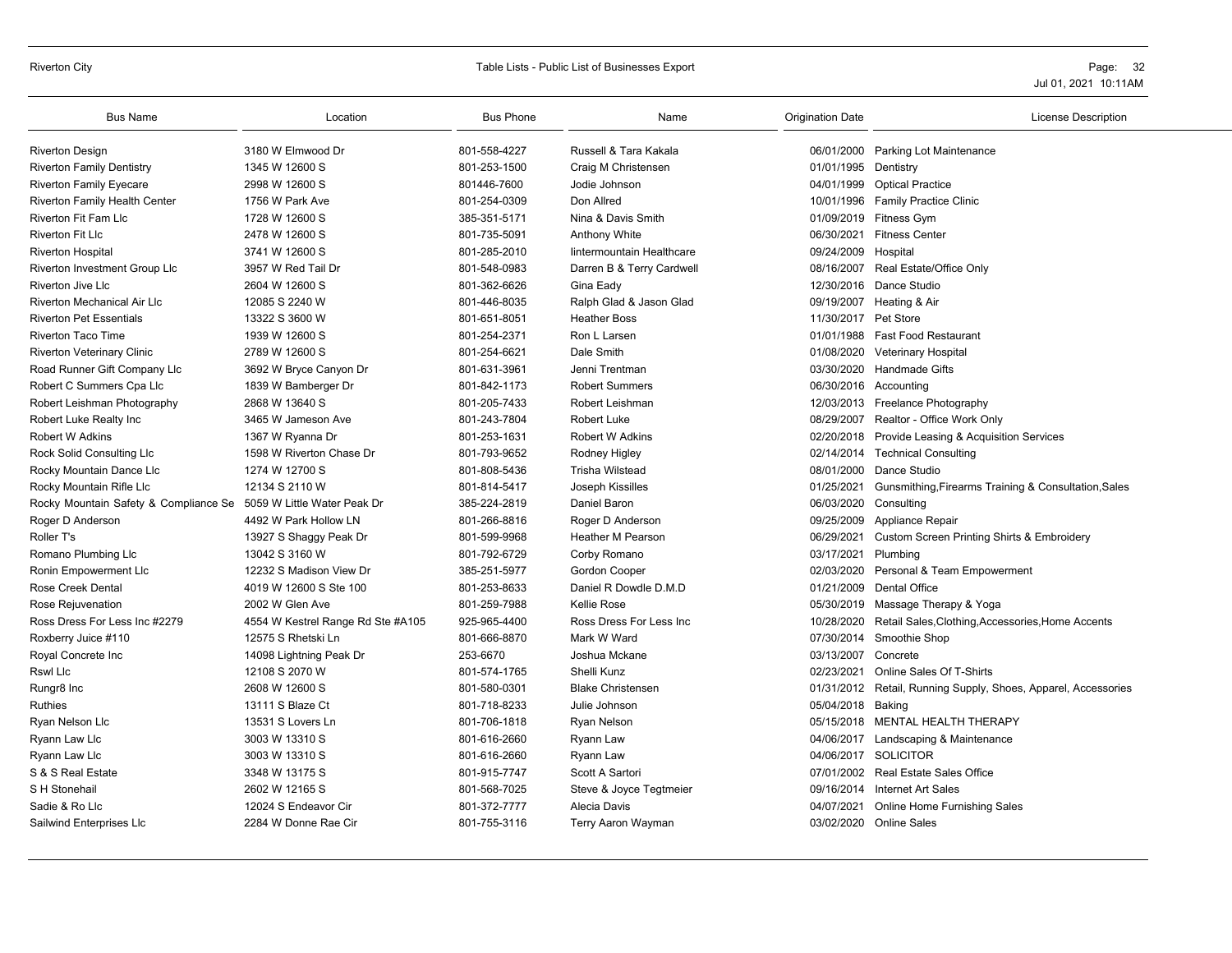| <b>Bus Name</b>                                                   | Location                          | <b>Bus Phone</b> | Name                      | <b>Origination Date</b> | <b>License Description</b>                                     |
|-------------------------------------------------------------------|-----------------------------------|------------------|---------------------------|-------------------------|----------------------------------------------------------------|
| <b>Riverton Design</b>                                            | 3180 W Elmwood Dr                 | 801-558-4227     | Russell & Tara Kakala     |                         | 06/01/2000 Parking Lot Maintenance                             |
| <b>Riverton Family Dentistry</b>                                  | 1345 W 12600 S                    | 801-253-1500     | Craig M Christensen       | 01/01/1995 Dentistry    |                                                                |
| <b>Riverton Family Eyecare</b>                                    | 2998 W 12600 S                    | 801446-7600      | Jodie Johnson             |                         | 04/01/1999 Optical Practice                                    |
| <b>Riverton Family Health Center</b>                              | 1756 W Park Ave                   | 801-254-0309     | Don Allred                |                         | 10/01/1996 Family Practice Clinic                              |
| <b>Riverton Fit Fam Llc</b>                                       | 1728 W 12600 S                    | 385-351-5171     | Nina & Davis Smith        |                         | 01/09/2019 Fitness Gym                                         |
| <b>Riverton Fit Llc</b>                                           | 2478 W 12600 S                    | 801-735-5091     | <b>Anthony White</b>      | 06/30/2021              | <b>Fitness Center</b>                                          |
| <b>Riverton Hospital</b>                                          | 3741 W 12600 S                    | 801-285-2010     | lintermountain Healthcare | 09/24/2009 Hospital     |                                                                |
| Riverton Investment Group Llc                                     | 3957 W Red Tail Dr                | 801-548-0983     | Darren B & Terry Cardwell |                         | 08/16/2007 Real Estate/Office Only                             |
| <b>Riverton Jive Llc</b>                                          | 2604 W 12600 S                    | 801-362-6626     | Gina Eady                 |                         | 12/30/2016 Dance Studio                                        |
| <b>Riverton Mechanical Air Llc</b>                                | 12085 S 2240 W                    | 801-446-8035     | Ralph Glad & Jason Glad   |                         | 09/19/2007 Heating & Air                                       |
| <b>Riverton Pet Essentials</b>                                    | 13322 S 3600 W                    | 801-651-8051     | <b>Heather Boss</b>       | 11/30/2017 Pet Store    |                                                                |
| <b>Riverton Taco Time</b>                                         | 1939 W 12600 S                    | 801-254-2371     | Ron L Larsen              |                         | 01/01/1988 Fast Food Restaurant                                |
| Riverton Veterinary Clinic                                        | 2789 W 12600 S                    | 801-254-6621     | Dale Smith                |                         | 01/08/2020 Veterinary Hospital                                 |
| Road Runner Gift Company Llc                                      | 3692 W Bryce Canyon Dr            | 801-631-3961     | Jenni Trentman            |                         | 03/30/2020 Handmade Gifts                                      |
| Robert C Summers Cpa Llc                                          | 1839 W Bamberger Dr               | 801-842-1173     | <b>Robert Summers</b>     |                         | 06/30/2016 Accounting                                          |
| Robert Leishman Photography                                       | 2868 W 13640 S                    | 801-205-7433     | Robert Leishman           |                         | 12/03/2013 Freelance Photography                               |
| Robert Luke Realty Inc                                            | 3465 W Jameson Ave                | 801-243-7804     | Robert Luke               |                         | 08/29/2007 Realtor - Office Work Only                          |
| <b>Robert W Adkins</b>                                            | 1367 W Ryanna Dr                  | 801-253-1631     | <b>Robert W Adkins</b>    |                         | 02/20/2018 Provide Leasing & Acquisition Services              |
| Rock Solid Consulting Llc                                         | 1598 W Riverton Chase Dr          | 801-793-9652     | Rodney Higley             | 02/14/2014              | <b>Technical Consulting</b>                                    |
| Rocky Mountain Dance Llc                                          | 1274 W 12700 S                    | 801-808-5436     | <b>Trisha Wilstead</b>    |                         | 08/01/2000 Dance Studio                                        |
| Rocky Mountain Rifle Llc                                          | 12134 S 2110 W                    | 801-814-5417     | Joseph Kissilles          | 01/25/2021              | Gunsmithing, Firearms Training & Consultation, Sales           |
| Rocky Mountain Safety & Compliance Se 5059 W Little Water Peak Dr |                                   | 385-224-2819     | Daniel Baron              | 06/03/2020 Consulting   |                                                                |
| Roger D Anderson                                                  | 4492 W Park Hollow LN             | 801-266-8816     | Roger D Anderson          |                         | 09/25/2009 Appliance Repair                                    |
| Roller T's                                                        | 13927 S Shaggy Peak Dr            | 801-599-9968     | <b>Heather M Pearson</b>  |                         | 06/29/2021 Custom Screen Printing Shirts & Embroidery          |
| Romano Plumbing Llc                                               | 13042 S 3160 W                    | 801-792-6729     | Corby Romano              | 03/17/2021              | Plumbing                                                       |
| Ronin Empowerment Llc                                             | 12232 S Madison View Dr           | 385-251-5977     | Gordon Cooper             |                         | 02/03/2020 Personal & Team Empowerment                         |
| <b>Rose Creek Dental</b>                                          | 4019 W 12600 S Ste 100            | 801-253-8633     | Daniel R Dowdle D.M.D     |                         | 01/21/2009 Dental Office                                       |
| Rose Rejuvenation                                                 | 2002 W Glen Ave                   | 801-259-7988     | Kellie Rose               |                         | 05/30/2019 Massage Therapy & Yoga                              |
| Ross Dress For Less Inc #2279                                     | 4554 W Kestrel Range Rd Ste #A105 | 925-965-4400     | Ross Dress For Less Inc   | 10/28/2020              | Retail Sales, Clothing, Accessories, Home Accents              |
| Roxberry Juice #110                                               | 12575 S Rhetski Ln                | 801-666-8870     | Mark W Ward               |                         | 07/30/2014 Smoothie Shop                                       |
| Royal Concrete Inc                                                | 14098 Lightning Peak Dr           | 253-6670         | Joshua Mckane             | 03/13/2007              | Concrete                                                       |
| <b>Rswl Llc</b>                                                   | 12108 S 2070 W                    | 801-574-1765     | Shelli Kunz               | 02/23/2021              | Online Sales Of T-Shirts                                       |
| Rungr8 Inc                                                        | 2608 W 12600 S                    | 801-580-0301     | <b>Blake Christensen</b>  |                         | 01/31/2012 Retail, Running Supply, Shoes, Apparel, Accessories |
| <b>Ruthies</b>                                                    | 13111 S Blaze Ct                  | 801-718-8233     | Julie Johnson             | 05/04/2018 Baking       |                                                                |
| Ryan Nelson Llc                                                   | 13531 S Lovers Ln                 | 801-706-1818     | <b>Ryan Nelson</b>        |                         | 05/15/2018 MENTAL HEALTH THERAPY                               |
| Ryann Law Llc                                                     | 3003 W 13310 S                    | 801-616-2660     | Ryann Law                 |                         | 04/06/2017 Landscaping & Maintenance                           |
| Ryann Law Llc                                                     | 3003 W 13310 S                    | 801-616-2660     | Ryann Law                 |                         | 04/06/2017 SOLICITOR                                           |
| S & S Real Estate                                                 | 3348 W 13175 S                    | 801-915-7747     | Scott A Sartori           |                         | 07/01/2002 Real Estate Sales Office                            |
| S H Stonehail                                                     | 2602 W 12165 S                    | 801-568-7025     | Steve & Joyce Tegtmeier   | 09/16/2014              | <b>Internet Art Sales</b>                                      |
| Sadie & Ro Llc                                                    | 12024 S Endeavor Cir              | 801-372-7777     | Alecia Davis              | 04/07/2021              | Online Home Furnishing Sales                                   |
| Sailwind Enterprises Llc                                          | 2284 W Donne Rae Cir              | 801-755-3116     | <b>Terry Aaron Wayman</b> |                         | 03/02/2020 Online Sales                                        |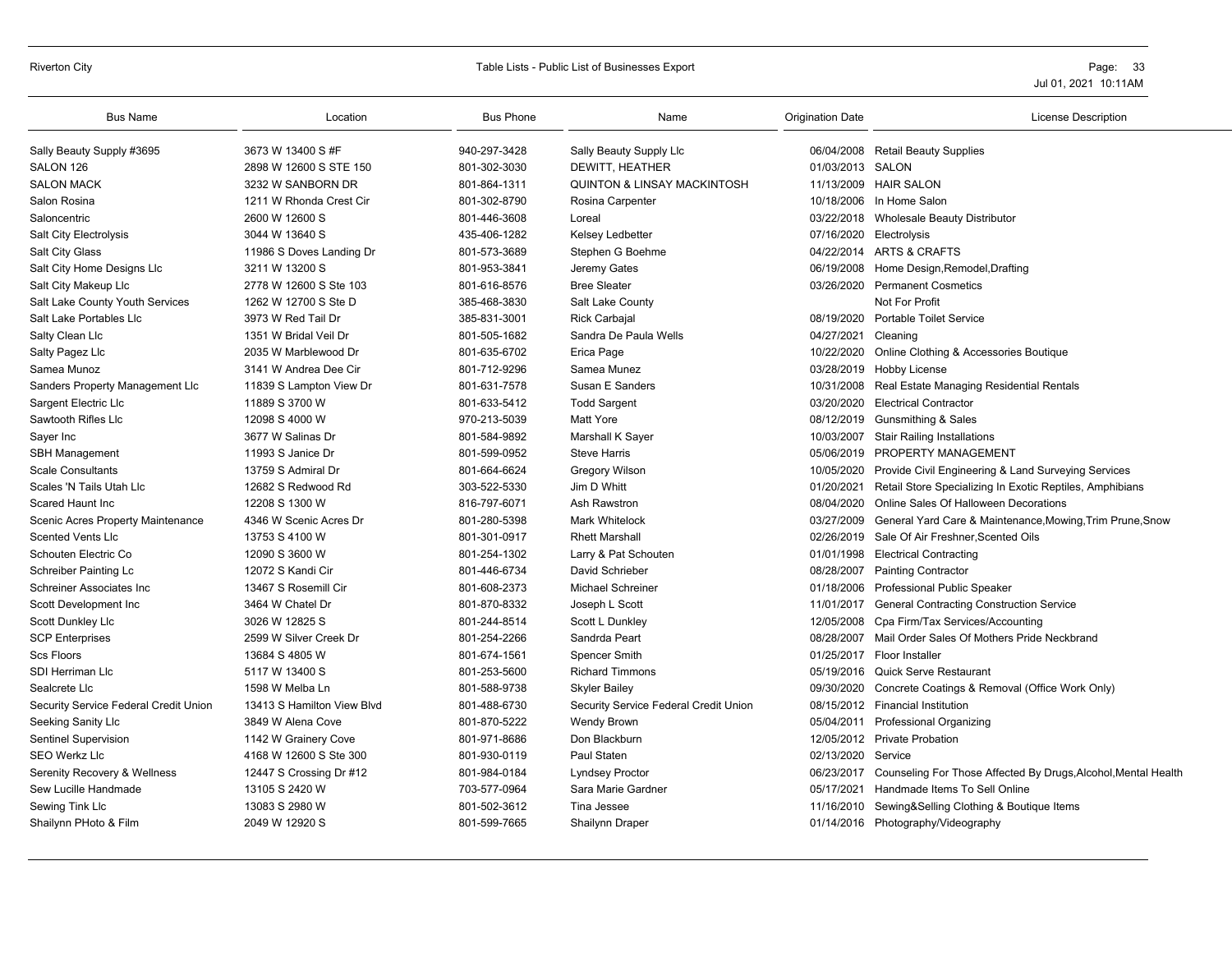| <b>Bus Name</b>                       | Location                   | <b>Bus Phone</b> | Name                                   | <b>Origination Date</b> | <b>License Description</b>                                     |
|---------------------------------------|----------------------------|------------------|----------------------------------------|-------------------------|----------------------------------------------------------------|
| Sally Beauty Supply #3695             | 3673 W 13400 S #F          | 940-297-3428     | Sally Beauty Supply Llc                | 06/04/2008              | <b>Retail Beauty Supplies</b>                                  |
| SALON 126                             | 2898 W 12600 S STE 150     | 801-302-3030     | DEWITT, HEATHER                        | 01/03/2013              | SALON                                                          |
| <b>SALON MACK</b>                     | 3232 W SANBORN DR          | 801-864-1311     | <b>QUINTON &amp; LINSAY MACKINTOSH</b> |                         | 11/13/2009 HAIR SALON                                          |
| Salon Rosina                          | 1211 W Rhonda Crest Cir    | 801-302-8790     | Rosina Carpenter                       | 10/18/2006              | In Home Salon                                                  |
| Saloncentric                          | 2600 W 12600 S             | 801-446-3608     | Loreal                                 | 03/22/2018              | <b>Wholesale Beauty Distributor</b>                            |
| <b>Salt City Electrolysis</b>         | 3044 W 13640 S             | 435-406-1282     | <b>Kelsey Ledbetter</b>                | 07/16/2020              | Electrolysis                                                   |
| Salt City Glass                       | 11986 S Doves Landing Dr   | 801-573-3689     | Stephen G Boehme                       |                         | 04/22/2014 ARTS & CRAFTS                                       |
| Salt City Home Designs Llc            | 3211 W 13200 S             | 801-953-3841     | Jeremy Gates                           | 06/19/2008              | Home Design, Remodel, Drafting                                 |
| Salt City Makeup Llc                  | 2778 W 12600 S Ste 103     | 801-616-8576     | <b>Bree Sleater</b>                    | 03/26/2020              | <b>Permanent Cosmetics</b>                                     |
| Salt Lake County Youth Services       | 1262 W 12700 S Ste D       | 385-468-3830     | Salt Lake County                       |                         | Not For Profit                                                 |
| Salt Lake Portables Llc               | 3973 W Red Tail Dr         | 385-831-3001     | <b>Rick Carbajal</b>                   | 08/19/2020              | <b>Portable Toilet Service</b>                                 |
| Salty Clean Llc                       | 1351 W Bridal Veil Dr      | 801-505-1682     | Sandra De Paula Wells                  | 04/27/2021              | Cleaning                                                       |
| Salty Pagez Llc                       | 2035 W Marblewood Dr       | 801-635-6702     | Erica Page                             | 10/22/2020              | Online Clothing & Accessories Boutique                         |
| Samea Munoz                           | 3141 W Andrea Dee Cir      | 801-712-9296     | Samea Munez                            | 03/28/2019              | Hobby License                                                  |
| Sanders Property Management Llc       | 11839 S Lampton View Dr    | 801-631-7578     | Susan E Sanders                        | 10/31/2008              | Real Estate Managing Residential Rentals                       |
| Sargent Electric Llc                  | 11889 S 3700 W             | 801-633-5412     | <b>Todd Sargent</b>                    | 03/20/2020              | <b>Electrical Contractor</b>                                   |
| Sawtooth Rifles Llc                   | 12098 S 4000 W             | 970-213-5039     | <b>Matt Yore</b>                       | 08/12/2019              | <b>Gunsmithing &amp; Sales</b>                                 |
| Sayer Inc                             | 3677 W Salinas Dr          | 801-584-9892     | Marshall K Sayer                       | 10/03/2007              | <b>Stair Railing Installations</b>                             |
| <b>SBH Management</b>                 | 11993 S Janice Dr          | 801-599-0952     | <b>Steve Harris</b>                    | 05/06/2019              | PROPERTY MANAGEMENT                                            |
| <b>Scale Consultants</b>              | 13759 S Admiral Dr         | 801-664-6624     | <b>Gregory Wilson</b>                  | 10/05/2020              | Provide Civil Engineering & Land Surveying Services            |
| Scales 'N Tails Utah Llc              | 12682 S Redwood Rd         | 303-522-5330     | Jim D Whitt                            | 01/20/2021              | Retail Store Specializing In Exotic Reptiles, Amphibians       |
| Scared Haunt Inc                      | 12208 S 1300 W             | 816-797-6071     | Ash Rawstron                           | 08/04/2020              | Online Sales Of Halloween Decorations                          |
| Scenic Acres Property Maintenance     | 4346 W Scenic Acres Dr     | 801-280-5398     | Mark Whitelock                         | 03/27/2009              | General Yard Care & Maintenance, Mowing, Trim Prune, Snow      |
| <b>Scented Vents Llc</b>              | 13753 S 4100 W             | 801-301-0917     | <b>Rhett Marshall</b>                  | 02/26/2019              | Sale Of Air Freshner, Scented Oils                             |
| Schouten Electric Co                  | 12090 S 3600 W             | 801-254-1302     | Larry & Pat Schouten                   | 01/01/1998              | <b>Electrical Contracting</b>                                  |
| Schreiber Painting Lc                 | 12072 S Kandi Cir          | 801-446-6734     | David Schrieber                        | 08/28/2007              | <b>Painting Contractor</b>                                     |
| Schreiner Associates Inc              | 13467 S Rosemill Cir       | 801-608-2373     | Michael Schreiner                      | 01/18/2006              | Professional Public Speaker                                    |
| Scott Development Inc                 | 3464 W Chatel Dr           | 801-870-8332     | Joseph L Scott                         | 11/01/2017              | <b>General Contracting Construction Service</b>                |
| Scott Dunkley Llc                     | 3026 W 12825 S             | 801-244-8514     | Scott L Dunkley                        | 12/05/2008              | Cpa Firm/Tax Services/Accounting                               |
| <b>SCP Enterprises</b>                | 2599 W Silver Creek Dr     | 801-254-2266     | Sandrda Peart                          | 08/28/2007              | Mail Order Sales Of Mothers Pride Neckbrand                    |
| <b>Scs Floors</b>                     | 13684 S 4805 W             | 801-674-1561     | Spencer Smith                          |                         | 01/25/2017 Floor Installer                                     |
| SDI Herriman Llc                      | 5117 W 13400 S             | 801-253-5600     | <b>Richard Timmons</b>                 | 05/19/2016              | <b>Quick Serve Restaurant</b>                                  |
| Sealcrete Llc                         | 1598 W Melba Ln            | 801-588-9738     | <b>Skyler Bailey</b>                   | 09/30/2020              | Concrete Coatings & Removal (Office Work Only)                 |
| Security Service Federal Credit Union | 13413 S Hamilton View Blyd | 801-488-6730     | Security Service Federal Credit Union  |                         | 08/15/2012 Financial Institution                               |
| Seeking Sanity Llc                    | 3849 W Alena Cove          | 801-870-5222     | <b>Wendy Brown</b>                     | 05/04/2011              | <b>Professional Organizing</b>                                 |
| <b>Sentinel Supervision</b>           | 1142 W Grainery Cove       | 801-971-8686     | Don Blackburn                          |                         | 12/05/2012 Private Probation                                   |
| SEO Werkz Llc                         | 4168 W 12600 S Ste 300     | 801-930-0119     | Paul Staten                            | 02/13/2020              | Service                                                        |
| Serenity Recovery & Wellness          | 12447 S Crossing Dr #12    | 801-984-0184     | <b>Lyndsey Proctor</b>                 | 06/23/2017              | Counseling For Those Affected By Drugs, Alcohol, Mental Health |
| Sew Lucille Handmade                  | 13105 S 2420 W             | 703-577-0964     | Sara Marie Gardner                     | 05/17/2021              | Handmade Items To Sell Online                                  |
| Sewing Tink Llc                       | 13083 S 2980 W             | 801-502-3612     | Tina Jessee                            | 11/16/2010              | Sewing&Selling Clothing & Boutique Items                       |
| Shailynn PHoto & Film                 | 2049 W 12920 S             | 801-599-7665     | Shailynn Draper                        |                         | 01/14/2016 Photography/Videography                             |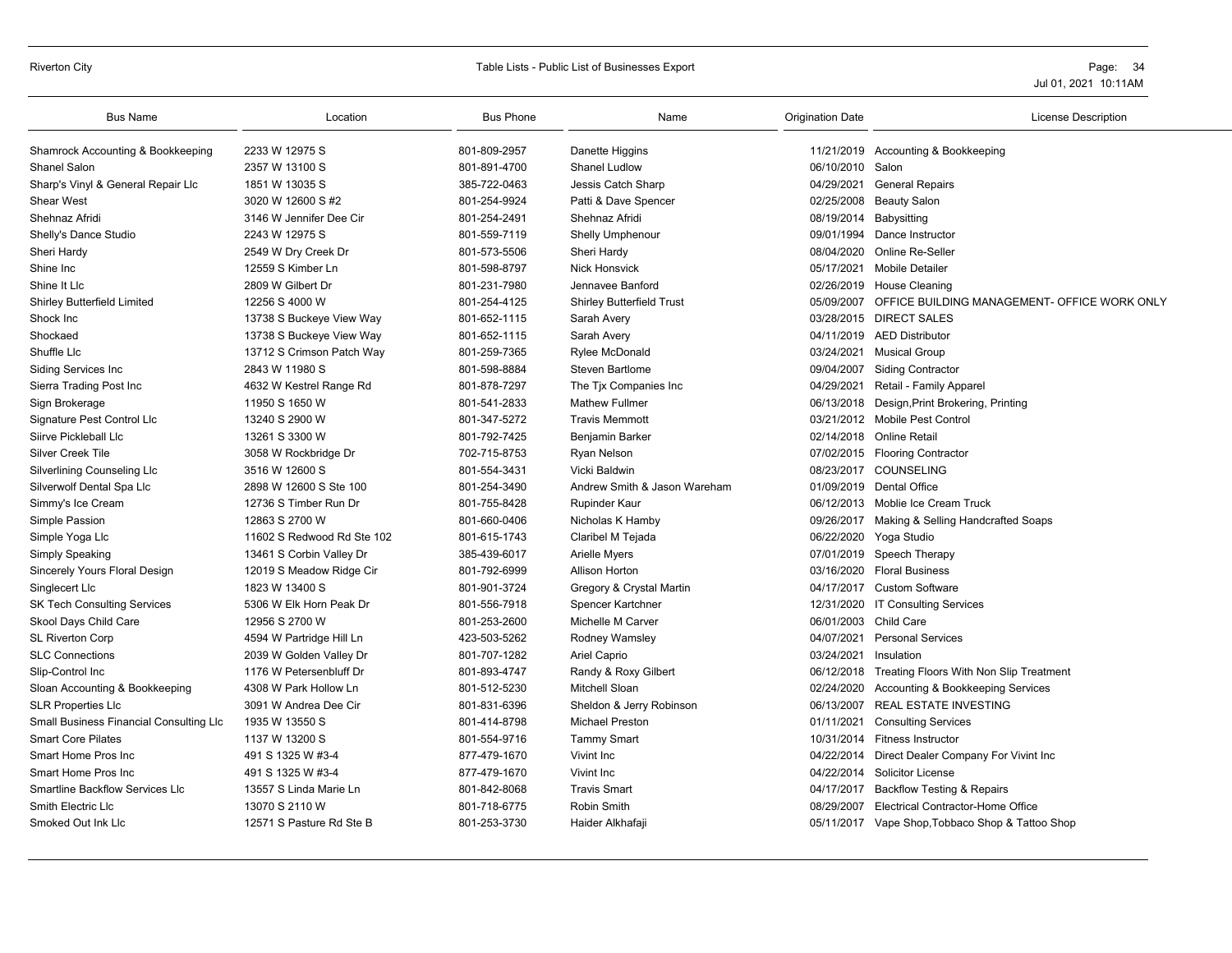#### Riverton City Table Lists - Public List of Businesses Export Page: 34

| <b>Bus Name</b>                         | Location                   | <b>Bus Phone</b> | Name                             | <b>Origination Date</b> | <b>License Description</b>                         |
|-----------------------------------------|----------------------------|------------------|----------------------------------|-------------------------|----------------------------------------------------|
| Shamrock Accounting & Bookkeeping       | 2233 W 12975 S             | 801-809-2957     | Danette Higgins                  |                         | 11/21/2019 Accounting & Bookkeeping                |
| Shanel Salon                            | 2357 W 13100 S             | 801-891-4700     | Shanel Ludlow                    | 06/10/2010              | Salon                                              |
| Sharp's Vinyl & General Repair Llc      | 1851 W 13035 S             | 385-722-0463     | Jessis Catch Sharp               |                         | 04/29/2021 General Repairs                         |
| Shear West                              | 3020 W 12600 S #2          | 801-254-9924     | Patti & Dave Spencer             |                         | 02/25/2008 Beauty Salon                            |
| Shehnaz Afridi                          | 3146 W Jennifer Dee Cir    | 801-254-2491     | Shehnaz Afridi                   | 08/19/2014 Babysitting  |                                                    |
| Shelly's Dance Studio                   | 2243 W 12975 S             | 801-559-7119     | <b>Shelly Umphenour</b>          | 09/01/1994              | Dance Instructor                                   |
| Sheri Hardy                             | 2549 W Dry Creek Dr        | 801-573-5506     | Sheri Hardy                      | 08/04/2020              | Online Re-Seller                                   |
| Shine Inc                               | 12559 S Kimber Ln          | 801-598-8797     | <b>Nick Honsvick</b>             |                         | 05/17/2021 Mobile Detailer                         |
| Shine It Llc                            | 2809 W Gilbert Dr          | 801-231-7980     | Jennavee Banford                 |                         | 02/26/2019 House Cleaning                          |
| Shirley Butterfield Limited             | 12256 S 4000 W             | 801-254-4125     | <b>Shirley Butterfield Trust</b> | 05/09/2007              | OFFICE BUILDING MANAGEMENT- OFFICE WORK ONLY       |
| Shock Inc                               | 13738 S Buckeye View Way   | 801-652-1115     | Sarah Avery                      |                         | 03/28/2015 DIRECT SALES                            |
| Shockaed                                | 13738 S Buckeye View Way   | 801-652-1115     | Sarah Avery                      |                         | 04/11/2019 AED Distributor                         |
| Shuffle Llc                             | 13712 S Crimson Patch Way  | 801-259-7365     | Rylee McDonald                   |                         | 03/24/2021 Musical Group                           |
| Siding Services Inc                     | 2843 W 11980 S             | 801-598-8884     | <b>Steven Bartlome</b>           |                         | 09/04/2007 Siding Contractor                       |
| Sierra Trading Post Inc                 | 4632 W Kestrel Range Rd    | 801-878-7297     | The Tjx Companies Inc            | 04/29/2021              | Retail - Family Apparel                            |
| Sign Brokerage                          | 11950 S 1650 W             | 801-541-2833     | <b>Mathew Fullmer</b>            | 06/13/2018              | Design, Print Brokering, Printing                  |
| Signature Pest Control Llc              | 13240 S 2900 W             | 801-347-5272     | <b>Travis Memmott</b>            |                         | 03/21/2012 Mobile Pest Control                     |
| Siirve Pickleball Llc                   | 13261 S 3300 W             | 801-792-7425     | Benjamin Barker                  |                         | 02/14/2018 Online Retail                           |
| <b>Silver Creek Tile</b>                | 3058 W Rockbridge Dr       | 702-715-8753     | Ryan Nelson                      |                         | 07/02/2015 Flooring Contractor                     |
| <b>Silverlining Counseling Llc</b>      | 3516 W 12600 S             | 801-554-3431     | Vicki Baldwin                    |                         | 08/23/2017 COUNSELING                              |
| Silverwolf Dental Spa Llc               | 2898 W 12600 S Ste 100     | 801-254-3490     | Andrew Smith & Jason Wareham     |                         | 01/09/2019 Dental Office                           |
| Simmy's Ice Cream                       | 12736 S Timber Run Dr      | 801-755-8428     | <b>Rupinder Kaur</b>             |                         | 06/12/2013 Moblie Ice Cream Truck                  |
| Simple Passion                          | 12863 S 2700 W             | 801-660-0406     | Nicholas K Hamby                 |                         | 09/26/2017 Making & Selling Handcrafted Soaps      |
| Simple Yoga Llc                         | 11602 S Redwood Rd Ste 102 | 801-615-1743     | Claribel M Tejada                |                         | 06/22/2020 Yoga Studio                             |
| <b>Simply Speaking</b>                  | 13461 S Corbin Valley Dr   | 385-439-6017     | <b>Arielle Myers</b>             | 07/01/2019              | Speech Therapy                                     |
| Sincerely Yours Floral Design           | 12019 S Meadow Ridge Cir   | 801-792-6999     | <b>Allison Horton</b>            | 03/16/2020              | <b>Floral Business</b>                             |
| Singlecert Llc                          | 1823 W 13400 S             | 801-901-3724     | Gregory & Crystal Martin         |                         | 04/17/2017 Custom Software                         |
| <b>SK Tech Consulting Services</b>      | 5306 W Elk Horn Peak Dr    | 801-556-7918     | Spencer Kartchner                |                         | 12/31/2020 IT Consulting Services                  |
| Skool Days Child Care                   | 12956 S 2700 W             | 801-253-2600     | Michelle M Carver                | 06/01/2003              | Child Care                                         |
| <b>SL Riverton Corp</b>                 | 4594 W Partridge Hill Ln   | 423-503-5262     | Rodney Wamsley                   | 04/07/2021              | <b>Personal Services</b>                           |
| <b>SLC Connections</b>                  | 2039 W Golden Valley Dr    | 801-707-1282     | Ariel Caprio                     | 03/24/2021              | Insulation                                         |
| Slip-Control Inc                        | 1176 W Petersenbluff Dr    | 801-893-4747     | Randy & Roxy Gilbert             |                         | 06/12/2018 Treating Floors With Non Slip Treatment |
| Sloan Accounting & Bookkeeping          | 4308 W Park Hollow Ln      | 801-512-5230     | Mitchell Sloan                   | 02/24/2020              | Accounting & Bookkeeping Services                  |
| <b>SLR Properties Llc</b>               | 3091 W Andrea Dee Cir      | 801-831-6396     | Sheldon & Jerry Robinson         | 06/13/2007              | <b>REAL ESTATE INVESTING</b>                       |
| Small Business Financial Consulting Llc | 1935 W 13550 S             | 801-414-8798     | Michael Preston                  | 01/11/2021              | <b>Consulting Services</b>                         |
| <b>Smart Core Pilates</b>               | 1137 W 13200 S             | 801-554-9716     | <b>Tammy Smart</b>               |                         | 10/31/2014 Fitness Instructor                      |
| Smart Home Pros Inc                     | 491 S 1325 W #3-4          | 877-479-1670     | Vivint Inc                       |                         | 04/22/2014 Direct Dealer Company For Vivint Inc    |
| Smart Home Pros Inc                     | 491 S 1325 W #3-4          | 877-479-1670     | Vivint Inc                       |                         | 04/22/2014 Solicitor License                       |
| <b>Smartline Backflow Services Llc</b>  | 13557 S Linda Marie Ln     | 801-842-8068     | <b>Travis Smart</b>              | 04/17/2017              | <b>Backflow Testing &amp; Repairs</b>              |
| <b>Smith Electric Llc</b>               | 13070 S 2110 W             | 801-718-6775     | Robin Smith                      | 08/29/2007              | Electrical Contractor-Home Office                  |
| Smoked Out Ink Lic                      | 12571 S Pasture Rd Ste B   | 801-253-3730     | Haider Alkhafaji                 |                         | 05/11/2017 Vape Shop, Tobbaco Shop & Tattoo Shop   |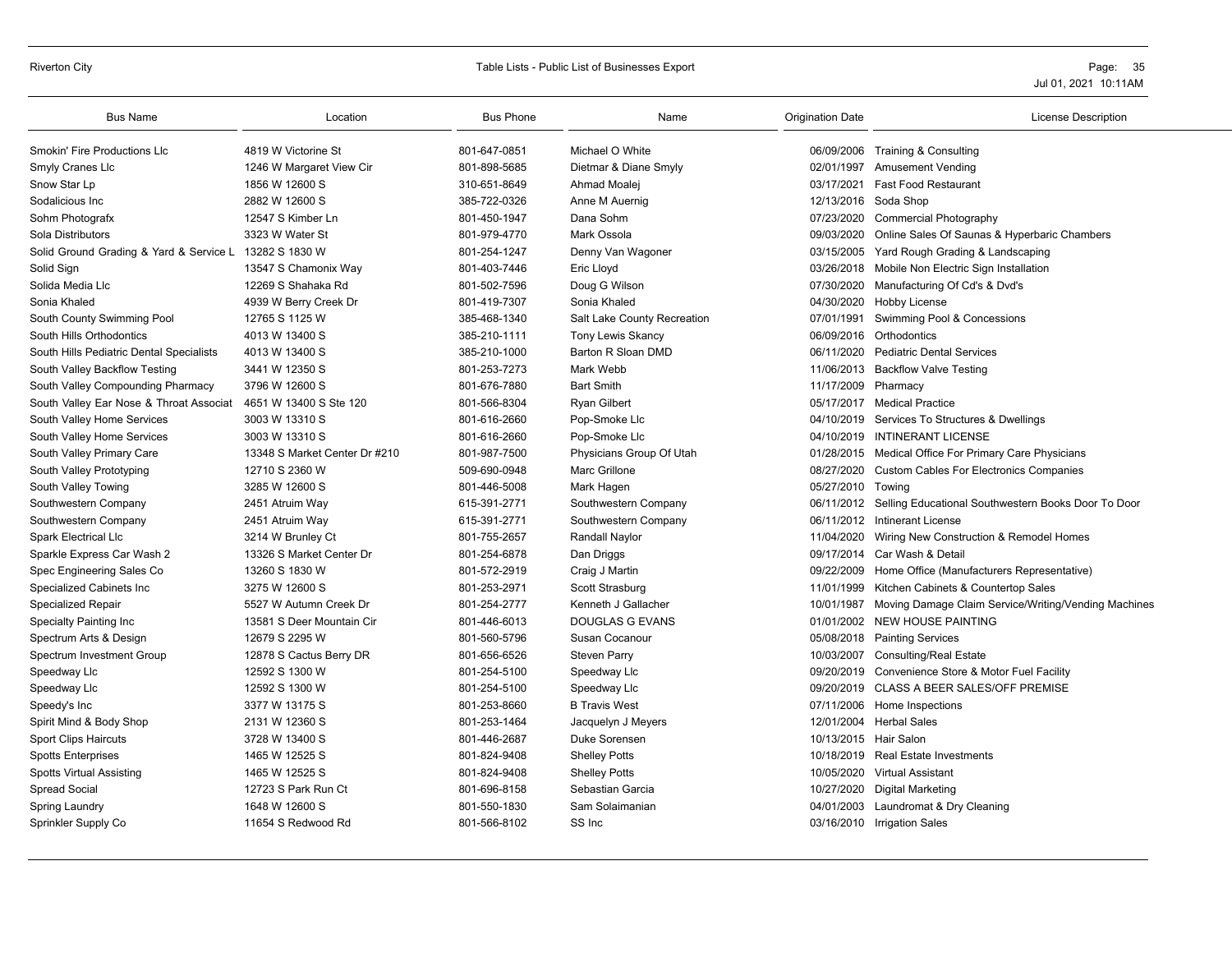# Riverton City **Example 20** Table Lists - Public List of Businesses Export **Page: 35** Page: 35

| <b>Bus Name</b>                                        | Location                      | <b>Bus Phone</b> | Name                        | <b>Origination Date</b> | <b>License Description</b>                                      |
|--------------------------------------------------------|-------------------------------|------------------|-----------------------------|-------------------------|-----------------------------------------------------------------|
| <b>Smokin' Fire Productions LIc</b>                    | 4819 W Victorine St           | 801-647-0851     | Michael O White             |                         | 06/09/2006 Training & Consulting                                |
| Smyly Cranes Llc                                       | 1246 W Margaret View Cir      | 801-898-5685     | Dietmar & Diane Smyly       | 02/01/1997              | <b>Amusement Vending</b>                                        |
| Snow Star Lp                                           | 1856 W 12600 S                | 310-651-8649     | Ahmad Moalej                | 03/17/2021              | <b>Fast Food Restaurant</b>                                     |
| Sodalicious Inc                                        | 2882 W 12600 S                | 385-722-0326     | Anne M Auernig              |                         | 12/13/2016 Soda Shop                                            |
| Sohm Photografx                                        | 12547 S Kimber Ln             | 801-450-1947     | Dana Sohm                   | 07/23/2020              | <b>Commercial Photography</b>                                   |
| Sola Distributors                                      | 3323 W Water St               | 801-979-4770     | Mark Ossola                 | 09/03/2020              | Online Sales Of Saunas & Hyperbaric Chambers                    |
| Solid Ground Grading & Yard & Service L 13282 S 1830 W |                               | 801-254-1247     | Denny Van Wagoner           | 03/15/2005              | Yard Rough Grading & Landscaping                                |
| Solid Sign                                             | 13547 S Chamonix Way          | 801-403-7446     | Eric Lloyd                  |                         | 03/26/2018 Mobile Non Electric Sign Installation                |
| Solida Media Llc                                       | 12269 S Shahaka Rd            | 801-502-7596     | Doug G Wilson               | 07/30/2020              | Manufacturing Of Cd's & Dvd's                                   |
| Sonia Khaled                                           | 4939 W Berry Creek Dr         | 801-419-7307     | Sonia Khaled                | 04/30/2020              | Hobby License                                                   |
| South County Swimming Pool                             | 12765 S 1125 W                | 385-468-1340     | Salt Lake County Recreation | 07/01/1991              | Swimming Pool & Concessions                                     |
| South Hills Orthodontics                               | 4013 W 13400 S                | 385-210-1111     | <b>Tony Lewis Skancy</b>    | 06/09/2016              | Orthodontics                                                    |
| South Hills Pediatric Dental Specialists               | 4013 W 13400 S                | 385-210-1000     | Barton R Sloan DMD          | 06/11/2020              | <b>Pediatric Dental Services</b>                                |
| South Valley Backflow Testing                          | 3441 W 12350 S                | 801-253-7273     | Mark Webb                   | 11/06/2013              | <b>Backflow Valve Testing</b>                                   |
| South Valley Compounding Pharmacy                      | 3796 W 12600 S                | 801-676-7880     | <b>Bart Smith</b>           | 11/17/2009              | Pharmacy                                                        |
| South Valley Ear Nose & Throat Associat                | 4651 W 13400 S Ste 120        | 801-566-8304     | <b>Ryan Gilbert</b>         | 05/17/2017              | <b>Medical Practice</b>                                         |
| South Valley Home Services                             | 3003 W 13310 S                | 801-616-2660     | Pop-Smoke Llc               |                         | 04/10/2019 Services To Structures & Dwellings                   |
| South Valley Home Services                             | 3003 W 13310 S                | 801-616-2660     | Pop-Smoke Llc               | 04/10/2019              | <b>INTINERANT LICENSE</b>                                       |
| South Valley Primary Care                              | 13348 S Market Center Dr #210 | 801-987-7500     | Physicians Group Of Utah    | 01/28/2015              | Medical Office For Primary Care Physicians                      |
| South Valley Prototyping                               | 12710 S 2360 W                | 509-690-0948     | Marc Grillone               | 08/27/2020              | <b>Custom Cables For Electronics Companies</b>                  |
| South Valley Towing                                    | 3285 W 12600 S                | 801-446-5008     | Mark Hagen                  | 05/27/2010              | Towing                                                          |
| Southwestern Company                                   | 2451 Atruim Way               | 615-391-2771     | Southwestern Company        | 06/11/2012              | Selling Educational Southwestern Books Door To Door             |
| Southwestern Company                                   | 2451 Atruim Way               | 615-391-2771     | Southwestern Company        | 06/11/2012              | Intinerant License                                              |
| <b>Spark Electrical Llc</b>                            | 3214 W Brunley Ct             | 801-755-2657     | Randall Naylor              | 11/04/2020              | Wiring New Construction & Remodel Homes                         |
| Sparkle Express Car Wash 2                             | 13326 S Market Center Dr      | 801-254-6878     | Dan Driggs                  | 09/17/2014              | Car Wash & Detail                                               |
| Spec Engineering Sales Co                              | 13260 S 1830 W                | 801-572-2919     | Craig J Martin              | 09/22/2009              | Home Office (Manufacturers Representative)                      |
| Specialized Cabinets Inc                               | 3275 W 12600 S                | 801-253-2971     | Scott Strasburg             | 11/01/1999              | Kitchen Cabinets & Countertop Sales                             |
| <b>Specialized Repair</b>                              | 5527 W Autumn Creek Dr        | 801-254-2777     | Kenneth J Gallacher         |                         | 10/01/1987 Moving Damage Claim Service/Writing/Vending Machines |
| Specialty Painting Inc                                 | 13581 S Deer Mountain Cir     | 801-446-6013     | <b>DOUGLAS G EVANS</b>      | 01/01/2002              | <b>NEW HOUSE PAINTING</b>                                       |
| Spectrum Arts & Design                                 | 12679 S 2295 W                | 801-560-5796     | Susan Cocanour              |                         | 05/08/2018 Painting Services                                    |
| Spectrum Investment Group                              | 12878 S Cactus Berry DR       | 801-656-6526     | <b>Steven Parry</b>         | 10/03/2007              | <b>Consulting/Real Estate</b>                                   |
| Speedway Llc                                           | 12592 S 1300 W                | 801-254-5100     | Speedway Llc                | 09/20/2019              | Convenience Store & Motor Fuel Facility                         |
| Speedway Llc                                           | 12592 S 1300 W                | 801-254-5100     | Speedway Llc                |                         | 09/20/2019 CLASS A BEER SALES/OFF PREMISE                       |
| Speedy's Inc                                           | 3377 W 13175 S                | 801-253-8660     | <b>B Travis West</b>        |                         | 07/11/2006 Home Inspections                                     |
| Spirit Mind & Body Shop                                | 2131 W 12360 S                | 801-253-1464     | Jacquelyn J Meyers          | 12/01/2004              | <b>Herbal Sales</b>                                             |
| <b>Sport Clips Haircuts</b>                            | 3728 W 13400 S                | 801-446-2687     | Duke Sorensen               | 10/13/2015 Hair Salon   |                                                                 |
| <b>Spotts Enterprises</b>                              | 1465 W 12525 S                | 801-824-9408     | <b>Shelley Potts</b>        | 10/18/2019              | <b>Real Estate Investments</b>                                  |
| <b>Spotts Virtual Assisting</b>                        | 1465 W 12525 S                | 801-824-9408     | <b>Shelley Potts</b>        | 10/05/2020              | <b>Virtual Assistant</b>                                        |
| <b>Spread Social</b>                                   | 12723 S Park Run Ct           | 801-696-8158     | Sebastian Garcia            | 10/27/2020              | Digital Marketing                                               |
| Spring Laundry                                         | 1648 W 12600 S                | 801-550-1830     | Sam Solaimanian             | 04/01/2003              | Laundromat & Dry Cleaning                                       |
| Sprinkler Supply Co                                    | 11654 S Redwood Rd            | 801-566-8102     | SS Inc                      |                         | 03/16/2010 Irrigation Sales                                     |
|                                                        |                               |                  |                             |                         |                                                                 |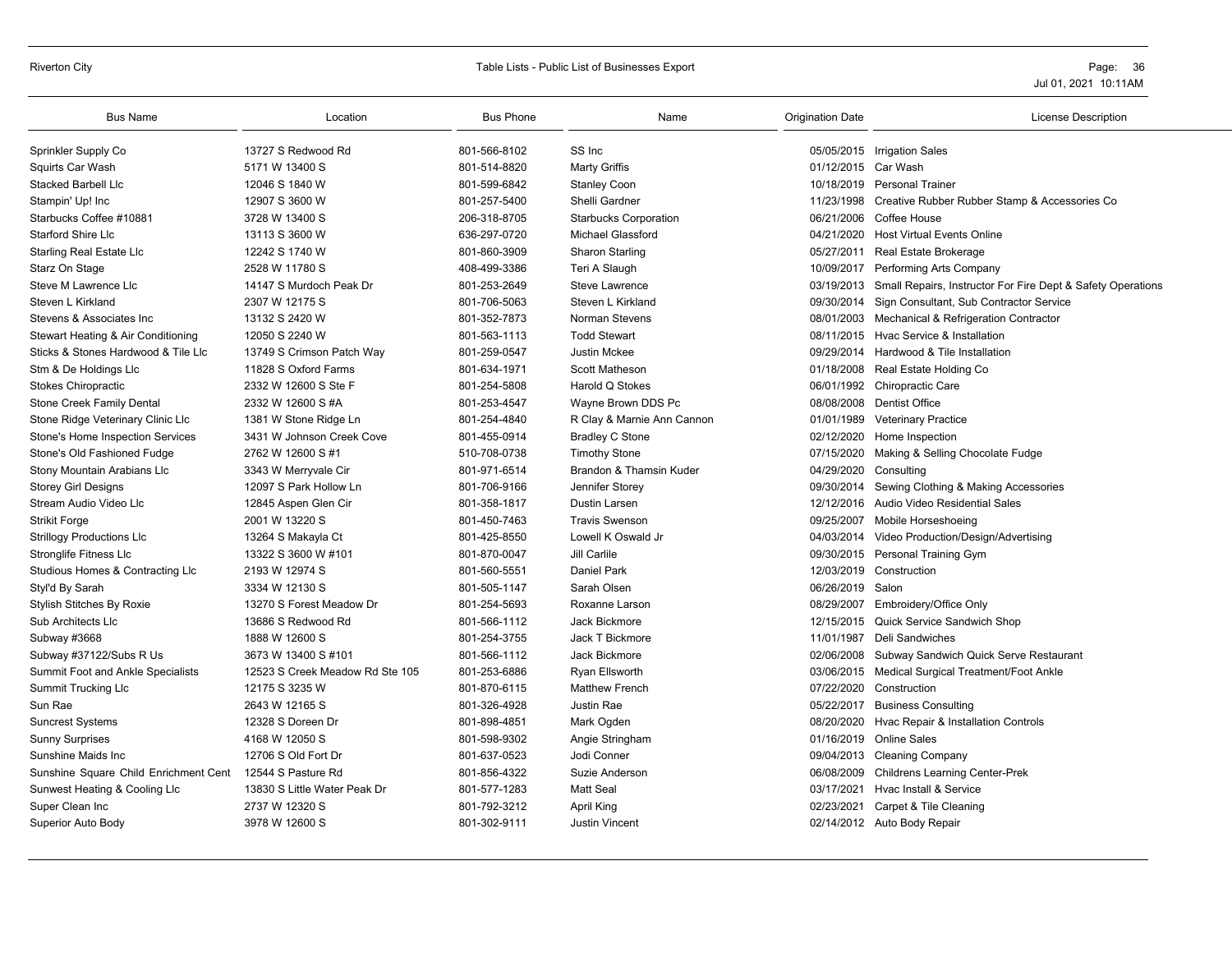# Riverton City **Example 20** Table Lists - Public List of Businesses Export **Page: 36** Page: 36

| <b>Bus Name</b>                       | Location                        | <b>Bus Phone</b> | Name                         | <b>Origination Date</b> | <b>License Description</b>                                             |
|---------------------------------------|---------------------------------|------------------|------------------------------|-------------------------|------------------------------------------------------------------------|
| Sprinkler Supply Co                   | 13727 S Redwood Rd              | 801-566-8102     | SS Inc                       |                         | 05/05/2015 Irrigation Sales                                            |
| Squirts Car Wash                      | 5171 W 13400 S                  | 801-514-8820     | <b>Marty Griffis</b>         | 01/12/2015 Car Wash     |                                                                        |
| <b>Stacked Barbell Llc</b>            | 12046 S 1840 W                  | 801-599-6842     | <b>Stanley Coon</b>          |                         | 10/18/2019 Personal Trainer                                            |
| Stampin' Up! Inc                      | 12907 S 3600 W                  | 801-257-5400     | Shelli Gardner               | 11/23/1998              | Creative Rubber Rubber Stamp & Accessories Co                          |
| Starbucks Coffee #10881               | 3728 W 13400 S                  | 206-318-8705     | <b>Starbucks Corporation</b> |                         | 06/21/2006 Coffee House                                                |
| <b>Starford Shire Llc</b>             | 13113 S 3600 W                  | 636-297-0720     | <b>Michael Glassford</b>     |                         | 04/21/2020 Host Virtual Events Online                                  |
| <b>Starling Real Estate Llc</b>       | 12242 S 1740 W                  | 801-860-3909     | Sharon Starling              | 05/27/2011              | Real Estate Brokerage                                                  |
| Starz On Stage                        | 2528 W 11780 S                  | 408-499-3386     | Teri A Slaugh                |                         | 10/09/2017 Performing Arts Company                                     |
| Steve M Lawrence Llc                  | 14147 S Murdoch Peak Dr         | 801-253-2649     | Steve Lawrence               |                         | 03/19/2013 Small Repairs, Instructor For Fire Dept & Safety Operations |
| Steven L Kirkland                     | 2307 W 12175 S                  | 801-706-5063     | Steven L Kirkland            | 09/30/2014              | Sign Consultant, Sub Contractor Service                                |
| Stevens & Associates Inc              | 13132 S 2420 W                  | 801-352-7873     | Norman Stevens               |                         | 08/01/2003 Mechanical & Refrigeration Contractor                       |
| Stewart Heating & Air Conditioning    | 12050 S 2240 W                  | 801-563-1113     | <b>Todd Stewart</b>          |                         | 08/11/2015 Hvac Service & Installation                                 |
| Sticks & Stones Hardwood & Tile Llc   | 13749 S Crimson Patch Way       | 801-259-0547     | <b>Justin Mckee</b>          |                         | 09/29/2014 Hardwood & Tile Installation                                |
| Stm & De Holdings Llc                 | 11828 S Oxford Farms            | 801-634-1971     | <b>Scott Matheson</b>        |                         | 01/18/2008 Real Estate Holding Co                                      |
| Stokes Chiropractic                   | 2332 W 12600 S Ste F            | 801-254-5808     | Harold Q Stokes              |                         | 06/01/1992 Chiropractic Care                                           |
| Stone Creek Family Dental             | 2332 W 12600 S #A               | 801-253-4547     | Wayne Brown DDS Pc           |                         | 08/08/2008 Dentist Office                                              |
| Stone Ridge Veterinary Clinic Llc     | 1381 W Stone Ridge Ln           | 801-254-4840     | R Clay & Marnie Ann Cannon   | 01/01/1989              | <b>Veterinary Practice</b>                                             |
| Stone's Home Inspection Services      | 3431 W Johnson Creek Cove       | 801-455-0914     | <b>Bradley C Stone</b>       |                         | 02/12/2020 Home Inspection                                             |
| Stone's Old Fashioned Fudge           | 2762 W 12600 S #1               | 510-708-0738     | <b>Timothy Stone</b>         |                         | 07/15/2020 Making & Selling Chocolate Fudge                            |
| Stony Mountain Arabians Llc           | 3343 W Merryvale Cir            | 801-971-6514     | Brandon & Thamsin Kuder      | 04/29/2020 Consulting   |                                                                        |
| <b>Storey Girl Designs</b>            | 12097 S Park Hollow Ln          | 801-706-9166     | Jennifer Storey              | 09/30/2014              | Sewing Clothing & Making Accessories                                   |
| Stream Audio Video Llc                | 12845 Aspen Glen Cir            | 801-358-1817     | Dustin Larsen                |                         | 12/12/2016 Audio Video Residential Sales                               |
| <b>Strikit Forge</b>                  | 2001 W 13220 S                  | 801-450-7463     | <b>Travis Swenson</b>        | 09/25/2007              | Mobile Horseshoeing                                                    |
| <b>Strillogy Productions Llc</b>      | 13264 S Makayla Ct              | 801-425-8550     | Lowell K Oswald Jr           |                         | 04/03/2014 Video Production/Design/Advertising                         |
| <b>Stronglife Fitness Llc</b>         | 13322 S 3600 W #101             | 801-870-0047     | Jill Carlile                 |                         | 09/30/2015 Personal Training Gym                                       |
| Studious Homes & Contracting Llc      | 2193 W 12974 S                  | 801-560-5551     | <b>Daniel Park</b>           |                         | 12/03/2019 Construction                                                |
| Styl'd By Sarah                       | 3334 W 12130 S                  | 801-505-1147     | Sarah Olsen                  | 06/26/2019 Salon        |                                                                        |
| Stylish Stitches By Roxie             | 13270 S Forest Meadow Dr        | 801-254-5693     | Roxanne Larson               |                         | 08/29/2007 Embroidery/Office Only                                      |
| Sub Architects Llc                    | 13686 S Redwood Rd              | 801-566-1112     | Jack Bickmore                |                         | 12/15/2015 Quick Service Sandwich Shop                                 |
| Subway #3668                          | 1888 W 12600 S                  | 801-254-3755     | Jack T Bickmore              | 11/01/1987              | Deli Sandwiches                                                        |
| Subway #37122/Subs R Us               | 3673 W 13400 S #101             | 801-566-1112     | Jack Bickmore                | 02/06/2008              | Subway Sandwich Quick Serve Restaurant                                 |
| Summit Foot and Ankle Specialists     | 12523 S Creek Meadow Rd Ste 105 | 801-253-6886     | <b>Ryan Ellsworth</b>        |                         | 03/06/2015 Medical Surgical Treatment/Foot Ankle                       |
| <b>Summit Trucking Llc</b>            | 12175 S 3235 W                  | 801-870-6115     | <b>Matthew French</b>        |                         | 07/22/2020 Construction                                                |
| Sun Rae                               | 2643 W 12165 S                  | 801-326-4928     | Justin Rae                   | 05/22/2017              | <b>Business Consulting</b>                                             |
| <b>Suncrest Systems</b>               | 12328 S Doreen Dr               | 801-898-4851     | Mark Ogden                   |                         | 08/20/2020 Hvac Repair & Installation Controls                         |
| <b>Sunny Surprises</b>                | 4168 W 12050 S                  | 801-598-9302     | Angie Stringham              |                         | 01/16/2019 Online Sales                                                |
| Sunshine Maids Inc.                   | 12706 S Old Fort Dr             | 801-637-0523     | Jodi Conner                  |                         | 09/04/2013 Cleaning Company                                            |
| Sunshine Square Child Enrichment Cent | 12544 S Pasture Rd              | 801-856-4322     | Suzie Anderson               |                         | 06/08/2009 Childrens Learning Center-Prek                              |
| Sunwest Heating & Cooling Llc         | 13830 S Little Water Peak Dr    | 801-577-1283     | <b>Matt Seal</b>             |                         | 03/17/2021 Hvac Install & Service                                      |
| Super Clean Inc                       | 2737 W 12320 S                  | 801-792-3212     | April King                   | 02/23/2021              | Carpet & Tile Cleaning                                                 |
| Superior Auto Body                    | 3978 W 12600 S                  | 801-302-9111     | <b>Justin Vincent</b>        |                         | 02/14/2012 Auto Body Repair                                            |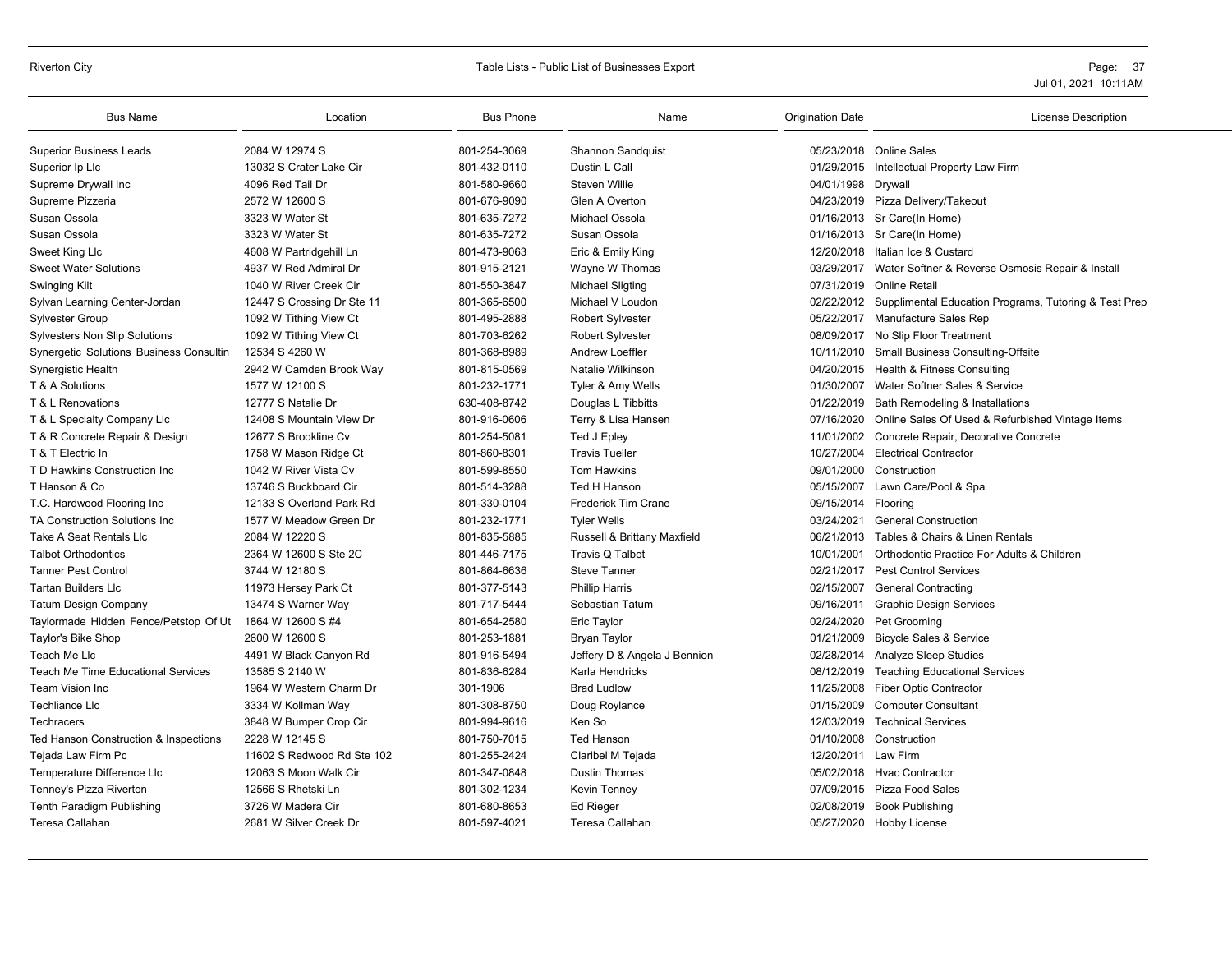# Riverton City **Example 20** Table Lists - Public List of Businesses Export **Page: 37** Page: 37

| 2084 W 12974 S<br>05/23/2018 Online Sales<br><b>Superior Business Leads</b><br>801-254-3069<br>Shannon Sandquist<br>801-432-0110<br>13032 S Crater Lake Cir<br>Dustin L Call<br>01/29/2015 Intellectual Property Law Firm<br>Superior Ip Llc<br>4096 Red Tail Dr<br>801-580-9660<br><b>Steven Willie</b><br>04/01/1998<br>Supreme Drywall Inc<br>Drywall<br>2572 W 12600 S<br>801-676-9090<br>Glen A Overton<br>Supreme Pizzeria<br>04/23/2019 Pizza Delivery/Takeout<br>Susan Ossola<br>3323 W Water St<br>801-635-7272<br>Michael Ossola<br>01/16/2013 Sr Care(In Home)<br>801-635-7272<br>Susan Ossola<br>Susan Ossola<br>3323 W Water St<br>01/16/2013 Sr Care(In Home)<br>801-473-9063<br>Sweet King Llc<br>4608 W Partridgehill Ln<br>Eric & Emily King<br>12/20/2018<br>Italian Ice & Custard<br><b>Sweet Water Solutions</b><br>4937 W Red Admiral Dr<br>801-915-2121<br>Wayne W Thomas<br>03/29/2017 Water Softner & Reverse Osmosis Repair & Install<br>801-550-3847<br>Swinging Kilt<br>1040 W River Creek Cir<br><b>Michael Sligting</b><br>07/31/2019<br>Online Retail<br>Sylvan Learning Center-Jordan<br>801-365-6500<br>Michael V Loudon<br>02/22/2012 Supplimental Education Programs, Tutoring & Test Prep<br>12447 S Crossing Dr Ste 11<br>801-495-2888<br>05/22/2017 Manufacture Sales Rep<br><b>Sylvester Group</b><br>1092 W Tithing View Ct<br><b>Robert Sylvester</b><br>801-703-6262<br>08/09/2017 No Slip Floor Treatment<br><b>Sylvesters Non Slip Solutions</b><br>1092 W Tithing View Ct<br><b>Robert Sylvester</b><br>Synergetic Solutions Business Consultin<br>12534 S 4260 W<br>801-368-8989<br><b>Andrew Loeffler</b><br>10/11/2010 Small Business Consulting-Offsite<br>801-815-0569<br>Natalie Wilkinson<br>Health & Fitness Consulting<br>Synergistic Health<br>2942 W Camden Brook Way<br>04/20/2015<br>801-232-1771<br>01/30/2007 Water Softner Sales & Service<br>T & A Solutions<br>1577 W 12100 S<br>Tyler & Amy Wells<br>12777 S Natalie Dr<br>630-408-8742<br>01/22/2019<br>Bath Remodeling & Installations<br>T & L Renovations<br>Douglas L Tibbitts<br>801-916-0606<br>T & L Specialty Company Llc<br>12408 S Mountain View Dr<br>Terry & Lisa Hansen<br>07/16/2020<br>Online Sales Of Used & Refurbished Vintage Items<br>11/01/2002 Concrete Repair, Decorative Concrete<br>T & R Concrete Repair & Design<br>12677 S Brookline Cv<br>801-254-5081<br>Ted J Epley<br>801-860-8301<br><b>Travis Tueller</b><br>10/27/2004 Electrical Contractor<br>T & T Electric In<br>1758 W Mason Ridge Ct<br>T D Hawkins Construction Inc.<br>1042 W River Vista Cv<br>801-599-8550<br>09/01/2000<br><b>Tom Hawkins</b><br>Construction<br>T Hanson & Co<br>13746 S Buckboard Cir<br>801-514-3288<br>Ted H Hanson<br>05/15/2007 Lawn Care/Pool & Spa<br>12133 S Overland Park Rd<br>801-330-0104<br>Frederick Tim Crane<br>09/15/2014 Flooring<br>T.C. Hardwood Flooring Inc<br>801-232-1771<br><b>TA Construction Solutions Inc.</b><br>1577 W Meadow Green Dr<br><b>Tyler Wells</b><br>03/24/2021<br><b>General Construction</b><br>Take A Seat Rentals Llc<br>2084 W 12220 S<br>801-835-5885<br>Russell & Brittany Maxfield<br>Tables & Chairs & Linen Rentals<br>06/21/2013<br>2364 W 12600 S Ste 2C<br>801-446-7175<br>Travis Q Talbot<br>10/01/2001<br>Orthodontic Practice For Adults & Children<br><b>Talbot Orthodontics</b><br><b>Tanner Pest Control</b><br>02/21/2017<br><b>Pest Control Services</b><br>3744 W 12180 S<br>801-864-6636<br><b>Steve Tanner</b><br><b>Tartan Builders Llc</b><br>801-377-5143<br><b>Phillip Harris</b><br>02/15/2007<br><b>General Contracting</b><br>11973 Hersey Park Ct<br>801-717-5444<br>Sebastian Tatum<br><b>Graphic Design Services</b><br><b>Tatum Design Company</b><br>13474 S Warner Way<br>09/16/2011<br>Taylormade Hidden Fence/Petstop Of Ut 1864 W 12600 S #4<br>801-654-2580<br>Eric Taylor<br>02/24/2020<br>Pet Grooming<br>Taylor's Bike Shop<br>2600 W 12600 S<br>801-253-1881<br>01/21/2009<br><b>Bicycle Sales &amp; Service</b><br><b>Bryan Taylor</b><br>801-916-5494<br>Teach Me Llc<br>4491 W Black Canyon Rd<br>Jeffery D & Angela J Bennion<br>02/28/2014 Analyze Sleep Studies<br><b>Teach Me Time Educational Services</b><br>13585 S 2140 W<br>801-836-6284<br>Karla Hendricks<br>08/12/2019 Teaching Educational Services<br>Team Vision Inc<br>1964 W Western Charm Dr<br>301-1906<br><b>Fiber Optic Contractor</b><br><b>Brad Ludlow</b><br>11/25/2008<br><b>Techliance Llc</b><br>3334 W Kollman Way<br>801-308-8750<br>Doug Roylance<br>01/15/2009<br><b>Computer Consultant</b><br>Ken So<br>3848 W Bumper Crop Cir<br>801-994-9616<br>12/03/2019 Technical Services<br><b>Techracers</b> | <b>Bus Name</b> | Location       | <b>Bus Phone</b> | Name              | <b>Origination Date</b> | <b>License Description</b> |
|---------------------------------------------------------------------------------------------------------------------------------------------------------------------------------------------------------------------------------------------------------------------------------------------------------------------------------------------------------------------------------------------------------------------------------------------------------------------------------------------------------------------------------------------------------------------------------------------------------------------------------------------------------------------------------------------------------------------------------------------------------------------------------------------------------------------------------------------------------------------------------------------------------------------------------------------------------------------------------------------------------------------------------------------------------------------------------------------------------------------------------------------------------------------------------------------------------------------------------------------------------------------------------------------------------------------------------------------------------------------------------------------------------------------------------------------------------------------------------------------------------------------------------------------------------------------------------------------------------------------------------------------------------------------------------------------------------------------------------------------------------------------------------------------------------------------------------------------------------------------------------------------------------------------------------------------------------------------------------------------------------------------------------------------------------------------------------------------------------------------------------------------------------------------------------------------------------------------------------------------------------------------------------------------------------------------------------------------------------------------------------------------------------------------------------------------------------------------------------------------------------------------------------------------------------------------------------------------------------------------------------------------------------------------------------------------------------------------------------------------------------------------------------------------------------------------------------------------------------------------------------------------------------------------------------------------------------------------------------------------------------------------------------------------------------------------------------------------------------------------------------------------------------------------------------------------------------------------------------------------------------------------------------------------------------------------------------------------------------------------------------------------------------------------------------------------------------------------------------------------------------------------------------------------------------------------------------------------------------------------------------------------------------------------------------------------------------------------------------------------------------------------------------------------------------------------------------------------------------------------------------------------------------------------------------------------------------------------------------------------------------------------------------------------------------------------------------------------------------------------------------------------------------------------------------------------------------------------------------------------------------------------------------------------------------------------------------------------------------------------------------------------------------------------------------------------------------------------------------------------------------------------------------------------------------------------------------------------------------------------------------------------------------------------------------------------------------------|-----------------|----------------|------------------|-------------------|-------------------------|----------------------------|
|                                                                                                                                                                                                                                                                                                                                                                                                                                                                                                                                                                                                                                                                                                                                                                                                                                                                                                                                                                                                                                                                                                                                                                                                                                                                                                                                                                                                                                                                                                                                                                                                                                                                                                                                                                                                                                                                                                                                                                                                                                                                                                                                                                                                                                                                                                                                                                                                                                                                                                                                                                                                                                                                                                                                                                                                                                                                                                                                                                                                                                                                                                                                                                                                                                                                                                                                                                                                                                                                                                                                                                                                                                                                                                                                                                                                                                                                                                                                                                                                                                                                                                                                                                                                                                                                                                                                                                                                                                                                                                                                                                                                                                                                                                               |                 |                |                  |                   |                         |                            |
|                                                                                                                                                                                                                                                                                                                                                                                                                                                                                                                                                                                                                                                                                                                                                                                                                                                                                                                                                                                                                                                                                                                                                                                                                                                                                                                                                                                                                                                                                                                                                                                                                                                                                                                                                                                                                                                                                                                                                                                                                                                                                                                                                                                                                                                                                                                                                                                                                                                                                                                                                                                                                                                                                                                                                                                                                                                                                                                                                                                                                                                                                                                                                                                                                                                                                                                                                                                                                                                                                                                                                                                                                                                                                                                                                                                                                                                                                                                                                                                                                                                                                                                                                                                                                                                                                                                                                                                                                                                                                                                                                                                                                                                                                                               |                 |                |                  |                   |                         |                            |
|                                                                                                                                                                                                                                                                                                                                                                                                                                                                                                                                                                                                                                                                                                                                                                                                                                                                                                                                                                                                                                                                                                                                                                                                                                                                                                                                                                                                                                                                                                                                                                                                                                                                                                                                                                                                                                                                                                                                                                                                                                                                                                                                                                                                                                                                                                                                                                                                                                                                                                                                                                                                                                                                                                                                                                                                                                                                                                                                                                                                                                                                                                                                                                                                                                                                                                                                                                                                                                                                                                                                                                                                                                                                                                                                                                                                                                                                                                                                                                                                                                                                                                                                                                                                                                                                                                                                                                                                                                                                                                                                                                                                                                                                                                               |                 |                |                  |                   |                         |                            |
|                                                                                                                                                                                                                                                                                                                                                                                                                                                                                                                                                                                                                                                                                                                                                                                                                                                                                                                                                                                                                                                                                                                                                                                                                                                                                                                                                                                                                                                                                                                                                                                                                                                                                                                                                                                                                                                                                                                                                                                                                                                                                                                                                                                                                                                                                                                                                                                                                                                                                                                                                                                                                                                                                                                                                                                                                                                                                                                                                                                                                                                                                                                                                                                                                                                                                                                                                                                                                                                                                                                                                                                                                                                                                                                                                                                                                                                                                                                                                                                                                                                                                                                                                                                                                                                                                                                                                                                                                                                                                                                                                                                                                                                                                                               |                 |                |                  |                   |                         |                            |
|                                                                                                                                                                                                                                                                                                                                                                                                                                                                                                                                                                                                                                                                                                                                                                                                                                                                                                                                                                                                                                                                                                                                                                                                                                                                                                                                                                                                                                                                                                                                                                                                                                                                                                                                                                                                                                                                                                                                                                                                                                                                                                                                                                                                                                                                                                                                                                                                                                                                                                                                                                                                                                                                                                                                                                                                                                                                                                                                                                                                                                                                                                                                                                                                                                                                                                                                                                                                                                                                                                                                                                                                                                                                                                                                                                                                                                                                                                                                                                                                                                                                                                                                                                                                                                                                                                                                                                                                                                                                                                                                                                                                                                                                                                               |                 |                |                  |                   |                         |                            |
|                                                                                                                                                                                                                                                                                                                                                                                                                                                                                                                                                                                                                                                                                                                                                                                                                                                                                                                                                                                                                                                                                                                                                                                                                                                                                                                                                                                                                                                                                                                                                                                                                                                                                                                                                                                                                                                                                                                                                                                                                                                                                                                                                                                                                                                                                                                                                                                                                                                                                                                                                                                                                                                                                                                                                                                                                                                                                                                                                                                                                                                                                                                                                                                                                                                                                                                                                                                                                                                                                                                                                                                                                                                                                                                                                                                                                                                                                                                                                                                                                                                                                                                                                                                                                                                                                                                                                                                                                                                                                                                                                                                                                                                                                                               |                 |                |                  |                   |                         |                            |
|                                                                                                                                                                                                                                                                                                                                                                                                                                                                                                                                                                                                                                                                                                                                                                                                                                                                                                                                                                                                                                                                                                                                                                                                                                                                                                                                                                                                                                                                                                                                                                                                                                                                                                                                                                                                                                                                                                                                                                                                                                                                                                                                                                                                                                                                                                                                                                                                                                                                                                                                                                                                                                                                                                                                                                                                                                                                                                                                                                                                                                                                                                                                                                                                                                                                                                                                                                                                                                                                                                                                                                                                                                                                                                                                                                                                                                                                                                                                                                                                                                                                                                                                                                                                                                                                                                                                                                                                                                                                                                                                                                                                                                                                                                               |                 |                |                  |                   |                         |                            |
|                                                                                                                                                                                                                                                                                                                                                                                                                                                                                                                                                                                                                                                                                                                                                                                                                                                                                                                                                                                                                                                                                                                                                                                                                                                                                                                                                                                                                                                                                                                                                                                                                                                                                                                                                                                                                                                                                                                                                                                                                                                                                                                                                                                                                                                                                                                                                                                                                                                                                                                                                                                                                                                                                                                                                                                                                                                                                                                                                                                                                                                                                                                                                                                                                                                                                                                                                                                                                                                                                                                                                                                                                                                                                                                                                                                                                                                                                                                                                                                                                                                                                                                                                                                                                                                                                                                                                                                                                                                                                                                                                                                                                                                                                                               |                 |                |                  |                   |                         |                            |
|                                                                                                                                                                                                                                                                                                                                                                                                                                                                                                                                                                                                                                                                                                                                                                                                                                                                                                                                                                                                                                                                                                                                                                                                                                                                                                                                                                                                                                                                                                                                                                                                                                                                                                                                                                                                                                                                                                                                                                                                                                                                                                                                                                                                                                                                                                                                                                                                                                                                                                                                                                                                                                                                                                                                                                                                                                                                                                                                                                                                                                                                                                                                                                                                                                                                                                                                                                                                                                                                                                                                                                                                                                                                                                                                                                                                                                                                                                                                                                                                                                                                                                                                                                                                                                                                                                                                                                                                                                                                                                                                                                                                                                                                                                               |                 |                |                  |                   |                         |                            |
|                                                                                                                                                                                                                                                                                                                                                                                                                                                                                                                                                                                                                                                                                                                                                                                                                                                                                                                                                                                                                                                                                                                                                                                                                                                                                                                                                                                                                                                                                                                                                                                                                                                                                                                                                                                                                                                                                                                                                                                                                                                                                                                                                                                                                                                                                                                                                                                                                                                                                                                                                                                                                                                                                                                                                                                                                                                                                                                                                                                                                                                                                                                                                                                                                                                                                                                                                                                                                                                                                                                                                                                                                                                                                                                                                                                                                                                                                                                                                                                                                                                                                                                                                                                                                                                                                                                                                                                                                                                                                                                                                                                                                                                                                                               |                 |                |                  |                   |                         |                            |
|                                                                                                                                                                                                                                                                                                                                                                                                                                                                                                                                                                                                                                                                                                                                                                                                                                                                                                                                                                                                                                                                                                                                                                                                                                                                                                                                                                                                                                                                                                                                                                                                                                                                                                                                                                                                                                                                                                                                                                                                                                                                                                                                                                                                                                                                                                                                                                                                                                                                                                                                                                                                                                                                                                                                                                                                                                                                                                                                                                                                                                                                                                                                                                                                                                                                                                                                                                                                                                                                                                                                                                                                                                                                                                                                                                                                                                                                                                                                                                                                                                                                                                                                                                                                                                                                                                                                                                                                                                                                                                                                                                                                                                                                                                               |                 |                |                  |                   |                         |                            |
|                                                                                                                                                                                                                                                                                                                                                                                                                                                                                                                                                                                                                                                                                                                                                                                                                                                                                                                                                                                                                                                                                                                                                                                                                                                                                                                                                                                                                                                                                                                                                                                                                                                                                                                                                                                                                                                                                                                                                                                                                                                                                                                                                                                                                                                                                                                                                                                                                                                                                                                                                                                                                                                                                                                                                                                                                                                                                                                                                                                                                                                                                                                                                                                                                                                                                                                                                                                                                                                                                                                                                                                                                                                                                                                                                                                                                                                                                                                                                                                                                                                                                                                                                                                                                                                                                                                                                                                                                                                                                                                                                                                                                                                                                                               |                 |                |                  |                   |                         |                            |
|                                                                                                                                                                                                                                                                                                                                                                                                                                                                                                                                                                                                                                                                                                                                                                                                                                                                                                                                                                                                                                                                                                                                                                                                                                                                                                                                                                                                                                                                                                                                                                                                                                                                                                                                                                                                                                                                                                                                                                                                                                                                                                                                                                                                                                                                                                                                                                                                                                                                                                                                                                                                                                                                                                                                                                                                                                                                                                                                                                                                                                                                                                                                                                                                                                                                                                                                                                                                                                                                                                                                                                                                                                                                                                                                                                                                                                                                                                                                                                                                                                                                                                                                                                                                                                                                                                                                                                                                                                                                                                                                                                                                                                                                                                               |                 |                |                  |                   |                         |                            |
|                                                                                                                                                                                                                                                                                                                                                                                                                                                                                                                                                                                                                                                                                                                                                                                                                                                                                                                                                                                                                                                                                                                                                                                                                                                                                                                                                                                                                                                                                                                                                                                                                                                                                                                                                                                                                                                                                                                                                                                                                                                                                                                                                                                                                                                                                                                                                                                                                                                                                                                                                                                                                                                                                                                                                                                                                                                                                                                                                                                                                                                                                                                                                                                                                                                                                                                                                                                                                                                                                                                                                                                                                                                                                                                                                                                                                                                                                                                                                                                                                                                                                                                                                                                                                                                                                                                                                                                                                                                                                                                                                                                                                                                                                                               |                 |                |                  |                   |                         |                            |
|                                                                                                                                                                                                                                                                                                                                                                                                                                                                                                                                                                                                                                                                                                                                                                                                                                                                                                                                                                                                                                                                                                                                                                                                                                                                                                                                                                                                                                                                                                                                                                                                                                                                                                                                                                                                                                                                                                                                                                                                                                                                                                                                                                                                                                                                                                                                                                                                                                                                                                                                                                                                                                                                                                                                                                                                                                                                                                                                                                                                                                                                                                                                                                                                                                                                                                                                                                                                                                                                                                                                                                                                                                                                                                                                                                                                                                                                                                                                                                                                                                                                                                                                                                                                                                                                                                                                                                                                                                                                                                                                                                                                                                                                                                               |                 |                |                  |                   |                         |                            |
|                                                                                                                                                                                                                                                                                                                                                                                                                                                                                                                                                                                                                                                                                                                                                                                                                                                                                                                                                                                                                                                                                                                                                                                                                                                                                                                                                                                                                                                                                                                                                                                                                                                                                                                                                                                                                                                                                                                                                                                                                                                                                                                                                                                                                                                                                                                                                                                                                                                                                                                                                                                                                                                                                                                                                                                                                                                                                                                                                                                                                                                                                                                                                                                                                                                                                                                                                                                                                                                                                                                                                                                                                                                                                                                                                                                                                                                                                                                                                                                                                                                                                                                                                                                                                                                                                                                                                                                                                                                                                                                                                                                                                                                                                                               |                 |                |                  |                   |                         |                            |
|                                                                                                                                                                                                                                                                                                                                                                                                                                                                                                                                                                                                                                                                                                                                                                                                                                                                                                                                                                                                                                                                                                                                                                                                                                                                                                                                                                                                                                                                                                                                                                                                                                                                                                                                                                                                                                                                                                                                                                                                                                                                                                                                                                                                                                                                                                                                                                                                                                                                                                                                                                                                                                                                                                                                                                                                                                                                                                                                                                                                                                                                                                                                                                                                                                                                                                                                                                                                                                                                                                                                                                                                                                                                                                                                                                                                                                                                                                                                                                                                                                                                                                                                                                                                                                                                                                                                                                                                                                                                                                                                                                                                                                                                                                               |                 |                |                  |                   |                         |                            |
|                                                                                                                                                                                                                                                                                                                                                                                                                                                                                                                                                                                                                                                                                                                                                                                                                                                                                                                                                                                                                                                                                                                                                                                                                                                                                                                                                                                                                                                                                                                                                                                                                                                                                                                                                                                                                                                                                                                                                                                                                                                                                                                                                                                                                                                                                                                                                                                                                                                                                                                                                                                                                                                                                                                                                                                                                                                                                                                                                                                                                                                                                                                                                                                                                                                                                                                                                                                                                                                                                                                                                                                                                                                                                                                                                                                                                                                                                                                                                                                                                                                                                                                                                                                                                                                                                                                                                                                                                                                                                                                                                                                                                                                                                                               |                 |                |                  |                   |                         |                            |
|                                                                                                                                                                                                                                                                                                                                                                                                                                                                                                                                                                                                                                                                                                                                                                                                                                                                                                                                                                                                                                                                                                                                                                                                                                                                                                                                                                                                                                                                                                                                                                                                                                                                                                                                                                                                                                                                                                                                                                                                                                                                                                                                                                                                                                                                                                                                                                                                                                                                                                                                                                                                                                                                                                                                                                                                                                                                                                                                                                                                                                                                                                                                                                                                                                                                                                                                                                                                                                                                                                                                                                                                                                                                                                                                                                                                                                                                                                                                                                                                                                                                                                                                                                                                                                                                                                                                                                                                                                                                                                                                                                                                                                                                                                               |                 |                |                  |                   |                         |                            |
|                                                                                                                                                                                                                                                                                                                                                                                                                                                                                                                                                                                                                                                                                                                                                                                                                                                                                                                                                                                                                                                                                                                                                                                                                                                                                                                                                                                                                                                                                                                                                                                                                                                                                                                                                                                                                                                                                                                                                                                                                                                                                                                                                                                                                                                                                                                                                                                                                                                                                                                                                                                                                                                                                                                                                                                                                                                                                                                                                                                                                                                                                                                                                                                                                                                                                                                                                                                                                                                                                                                                                                                                                                                                                                                                                                                                                                                                                                                                                                                                                                                                                                                                                                                                                                                                                                                                                                                                                                                                                                                                                                                                                                                                                                               |                 |                |                  |                   |                         |                            |
|                                                                                                                                                                                                                                                                                                                                                                                                                                                                                                                                                                                                                                                                                                                                                                                                                                                                                                                                                                                                                                                                                                                                                                                                                                                                                                                                                                                                                                                                                                                                                                                                                                                                                                                                                                                                                                                                                                                                                                                                                                                                                                                                                                                                                                                                                                                                                                                                                                                                                                                                                                                                                                                                                                                                                                                                                                                                                                                                                                                                                                                                                                                                                                                                                                                                                                                                                                                                                                                                                                                                                                                                                                                                                                                                                                                                                                                                                                                                                                                                                                                                                                                                                                                                                                                                                                                                                                                                                                                                                                                                                                                                                                                                                                               |                 |                |                  |                   |                         |                            |
|                                                                                                                                                                                                                                                                                                                                                                                                                                                                                                                                                                                                                                                                                                                                                                                                                                                                                                                                                                                                                                                                                                                                                                                                                                                                                                                                                                                                                                                                                                                                                                                                                                                                                                                                                                                                                                                                                                                                                                                                                                                                                                                                                                                                                                                                                                                                                                                                                                                                                                                                                                                                                                                                                                                                                                                                                                                                                                                                                                                                                                                                                                                                                                                                                                                                                                                                                                                                                                                                                                                                                                                                                                                                                                                                                                                                                                                                                                                                                                                                                                                                                                                                                                                                                                                                                                                                                                                                                                                                                                                                                                                                                                                                                                               |                 |                |                  |                   |                         |                            |
|                                                                                                                                                                                                                                                                                                                                                                                                                                                                                                                                                                                                                                                                                                                                                                                                                                                                                                                                                                                                                                                                                                                                                                                                                                                                                                                                                                                                                                                                                                                                                                                                                                                                                                                                                                                                                                                                                                                                                                                                                                                                                                                                                                                                                                                                                                                                                                                                                                                                                                                                                                                                                                                                                                                                                                                                                                                                                                                                                                                                                                                                                                                                                                                                                                                                                                                                                                                                                                                                                                                                                                                                                                                                                                                                                                                                                                                                                                                                                                                                                                                                                                                                                                                                                                                                                                                                                                                                                                                                                                                                                                                                                                                                                                               |                 |                |                  |                   |                         |                            |
|                                                                                                                                                                                                                                                                                                                                                                                                                                                                                                                                                                                                                                                                                                                                                                                                                                                                                                                                                                                                                                                                                                                                                                                                                                                                                                                                                                                                                                                                                                                                                                                                                                                                                                                                                                                                                                                                                                                                                                                                                                                                                                                                                                                                                                                                                                                                                                                                                                                                                                                                                                                                                                                                                                                                                                                                                                                                                                                                                                                                                                                                                                                                                                                                                                                                                                                                                                                                                                                                                                                                                                                                                                                                                                                                                                                                                                                                                                                                                                                                                                                                                                                                                                                                                                                                                                                                                                                                                                                                                                                                                                                                                                                                                                               |                 |                |                  |                   |                         |                            |
|                                                                                                                                                                                                                                                                                                                                                                                                                                                                                                                                                                                                                                                                                                                                                                                                                                                                                                                                                                                                                                                                                                                                                                                                                                                                                                                                                                                                                                                                                                                                                                                                                                                                                                                                                                                                                                                                                                                                                                                                                                                                                                                                                                                                                                                                                                                                                                                                                                                                                                                                                                                                                                                                                                                                                                                                                                                                                                                                                                                                                                                                                                                                                                                                                                                                                                                                                                                                                                                                                                                                                                                                                                                                                                                                                                                                                                                                                                                                                                                                                                                                                                                                                                                                                                                                                                                                                                                                                                                                                                                                                                                                                                                                                                               |                 |                |                  |                   |                         |                            |
|                                                                                                                                                                                                                                                                                                                                                                                                                                                                                                                                                                                                                                                                                                                                                                                                                                                                                                                                                                                                                                                                                                                                                                                                                                                                                                                                                                                                                                                                                                                                                                                                                                                                                                                                                                                                                                                                                                                                                                                                                                                                                                                                                                                                                                                                                                                                                                                                                                                                                                                                                                                                                                                                                                                                                                                                                                                                                                                                                                                                                                                                                                                                                                                                                                                                                                                                                                                                                                                                                                                                                                                                                                                                                                                                                                                                                                                                                                                                                                                                                                                                                                                                                                                                                                                                                                                                                                                                                                                                                                                                                                                                                                                                                                               |                 |                |                  |                   |                         |                            |
|                                                                                                                                                                                                                                                                                                                                                                                                                                                                                                                                                                                                                                                                                                                                                                                                                                                                                                                                                                                                                                                                                                                                                                                                                                                                                                                                                                                                                                                                                                                                                                                                                                                                                                                                                                                                                                                                                                                                                                                                                                                                                                                                                                                                                                                                                                                                                                                                                                                                                                                                                                                                                                                                                                                                                                                                                                                                                                                                                                                                                                                                                                                                                                                                                                                                                                                                                                                                                                                                                                                                                                                                                                                                                                                                                                                                                                                                                                                                                                                                                                                                                                                                                                                                                                                                                                                                                                                                                                                                                                                                                                                                                                                                                                               |                 |                |                  |                   |                         |                            |
|                                                                                                                                                                                                                                                                                                                                                                                                                                                                                                                                                                                                                                                                                                                                                                                                                                                                                                                                                                                                                                                                                                                                                                                                                                                                                                                                                                                                                                                                                                                                                                                                                                                                                                                                                                                                                                                                                                                                                                                                                                                                                                                                                                                                                                                                                                                                                                                                                                                                                                                                                                                                                                                                                                                                                                                                                                                                                                                                                                                                                                                                                                                                                                                                                                                                                                                                                                                                                                                                                                                                                                                                                                                                                                                                                                                                                                                                                                                                                                                                                                                                                                                                                                                                                                                                                                                                                                                                                                                                                                                                                                                                                                                                                                               |                 |                |                  |                   |                         |                            |
|                                                                                                                                                                                                                                                                                                                                                                                                                                                                                                                                                                                                                                                                                                                                                                                                                                                                                                                                                                                                                                                                                                                                                                                                                                                                                                                                                                                                                                                                                                                                                                                                                                                                                                                                                                                                                                                                                                                                                                                                                                                                                                                                                                                                                                                                                                                                                                                                                                                                                                                                                                                                                                                                                                                                                                                                                                                                                                                                                                                                                                                                                                                                                                                                                                                                                                                                                                                                                                                                                                                                                                                                                                                                                                                                                                                                                                                                                                                                                                                                                                                                                                                                                                                                                                                                                                                                                                                                                                                                                                                                                                                                                                                                                                               |                 |                |                  |                   |                         |                            |
|                                                                                                                                                                                                                                                                                                                                                                                                                                                                                                                                                                                                                                                                                                                                                                                                                                                                                                                                                                                                                                                                                                                                                                                                                                                                                                                                                                                                                                                                                                                                                                                                                                                                                                                                                                                                                                                                                                                                                                                                                                                                                                                                                                                                                                                                                                                                                                                                                                                                                                                                                                                                                                                                                                                                                                                                                                                                                                                                                                                                                                                                                                                                                                                                                                                                                                                                                                                                                                                                                                                                                                                                                                                                                                                                                                                                                                                                                                                                                                                                                                                                                                                                                                                                                                                                                                                                                                                                                                                                                                                                                                                                                                                                                                               |                 |                |                  |                   |                         |                            |
|                                                                                                                                                                                                                                                                                                                                                                                                                                                                                                                                                                                                                                                                                                                                                                                                                                                                                                                                                                                                                                                                                                                                                                                                                                                                                                                                                                                                                                                                                                                                                                                                                                                                                                                                                                                                                                                                                                                                                                                                                                                                                                                                                                                                                                                                                                                                                                                                                                                                                                                                                                                                                                                                                                                                                                                                                                                                                                                                                                                                                                                                                                                                                                                                                                                                                                                                                                                                                                                                                                                                                                                                                                                                                                                                                                                                                                                                                                                                                                                                                                                                                                                                                                                                                                                                                                                                                                                                                                                                                                                                                                                                                                                                                                               |                 |                |                  |                   |                         |                            |
|                                                                                                                                                                                                                                                                                                                                                                                                                                                                                                                                                                                                                                                                                                                                                                                                                                                                                                                                                                                                                                                                                                                                                                                                                                                                                                                                                                                                                                                                                                                                                                                                                                                                                                                                                                                                                                                                                                                                                                                                                                                                                                                                                                                                                                                                                                                                                                                                                                                                                                                                                                                                                                                                                                                                                                                                                                                                                                                                                                                                                                                                                                                                                                                                                                                                                                                                                                                                                                                                                                                                                                                                                                                                                                                                                                                                                                                                                                                                                                                                                                                                                                                                                                                                                                                                                                                                                                                                                                                                                                                                                                                                                                                                                                               |                 |                |                  |                   |                         |                            |
|                                                                                                                                                                                                                                                                                                                                                                                                                                                                                                                                                                                                                                                                                                                                                                                                                                                                                                                                                                                                                                                                                                                                                                                                                                                                                                                                                                                                                                                                                                                                                                                                                                                                                                                                                                                                                                                                                                                                                                                                                                                                                                                                                                                                                                                                                                                                                                                                                                                                                                                                                                                                                                                                                                                                                                                                                                                                                                                                                                                                                                                                                                                                                                                                                                                                                                                                                                                                                                                                                                                                                                                                                                                                                                                                                                                                                                                                                                                                                                                                                                                                                                                                                                                                                                                                                                                                                                                                                                                                                                                                                                                                                                                                                                               |                 |                |                  |                   |                         |                            |
|                                                                                                                                                                                                                                                                                                                                                                                                                                                                                                                                                                                                                                                                                                                                                                                                                                                                                                                                                                                                                                                                                                                                                                                                                                                                                                                                                                                                                                                                                                                                                                                                                                                                                                                                                                                                                                                                                                                                                                                                                                                                                                                                                                                                                                                                                                                                                                                                                                                                                                                                                                                                                                                                                                                                                                                                                                                                                                                                                                                                                                                                                                                                                                                                                                                                                                                                                                                                                                                                                                                                                                                                                                                                                                                                                                                                                                                                                                                                                                                                                                                                                                                                                                                                                                                                                                                                                                                                                                                                                                                                                                                                                                                                                                               |                 |                |                  |                   |                         |                            |
|                                                                                                                                                                                                                                                                                                                                                                                                                                                                                                                                                                                                                                                                                                                                                                                                                                                                                                                                                                                                                                                                                                                                                                                                                                                                                                                                                                                                                                                                                                                                                                                                                                                                                                                                                                                                                                                                                                                                                                                                                                                                                                                                                                                                                                                                                                                                                                                                                                                                                                                                                                                                                                                                                                                                                                                                                                                                                                                                                                                                                                                                                                                                                                                                                                                                                                                                                                                                                                                                                                                                                                                                                                                                                                                                                                                                                                                                                                                                                                                                                                                                                                                                                                                                                                                                                                                                                                                                                                                                                                                                                                                                                                                                                                               |                 |                |                  |                   |                         |                            |
| Ted Hanson Construction & Inspections<br>801-750-7015                                                                                                                                                                                                                                                                                                                                                                                                                                                                                                                                                                                                                                                                                                                                                                                                                                                                                                                                                                                                                                                                                                                                                                                                                                                                                                                                                                                                                                                                                                                                                                                                                                                                                                                                                                                                                                                                                                                                                                                                                                                                                                                                                                                                                                                                                                                                                                                                                                                                                                                                                                                                                                                                                                                                                                                                                                                                                                                                                                                                                                                                                                                                                                                                                                                                                                                                                                                                                                                                                                                                                                                                                                                                                                                                                                                                                                                                                                                                                                                                                                                                                                                                                                                                                                                                                                                                                                                                                                                                                                                                                                                                                                                         |                 | 2228 W 12145 S |                  | <b>Ted Hanson</b> | 01/10/2008              | Construction               |
| Tejada Law Firm Pc<br>11602 S Redwood Rd Ste 102<br>801-255-2424<br>Claribel M Tejada<br>12/20/2011<br>Law Firm                                                                                                                                                                                                                                                                                                                                                                                                                                                                                                                                                                                                                                                                                                                                                                                                                                                                                                                                                                                                                                                                                                                                                                                                                                                                                                                                                                                                                                                                                                                                                                                                                                                                                                                                                                                                                                                                                                                                                                                                                                                                                                                                                                                                                                                                                                                                                                                                                                                                                                                                                                                                                                                                                                                                                                                                                                                                                                                                                                                                                                                                                                                                                                                                                                                                                                                                                                                                                                                                                                                                                                                                                                                                                                                                                                                                                                                                                                                                                                                                                                                                                                                                                                                                                                                                                                                                                                                                                                                                                                                                                                                               |                 |                |                  |                   |                         |                            |
| Temperature Difference Llc<br>12063 S Moon Walk Cir<br>801-347-0848<br><b>Dustin Thomas</b><br>05/02/2018 Hvac Contractor                                                                                                                                                                                                                                                                                                                                                                                                                                                                                                                                                                                                                                                                                                                                                                                                                                                                                                                                                                                                                                                                                                                                                                                                                                                                                                                                                                                                                                                                                                                                                                                                                                                                                                                                                                                                                                                                                                                                                                                                                                                                                                                                                                                                                                                                                                                                                                                                                                                                                                                                                                                                                                                                                                                                                                                                                                                                                                                                                                                                                                                                                                                                                                                                                                                                                                                                                                                                                                                                                                                                                                                                                                                                                                                                                                                                                                                                                                                                                                                                                                                                                                                                                                                                                                                                                                                                                                                                                                                                                                                                                                                     |                 |                |                  |                   |                         |                            |
| Tenney's Pizza Riverton<br>12566 S Rhetski Ln<br>801-302-1234<br>Kevin Tenney<br>07/09/2015 Pizza Food Sales                                                                                                                                                                                                                                                                                                                                                                                                                                                                                                                                                                                                                                                                                                                                                                                                                                                                                                                                                                                                                                                                                                                                                                                                                                                                                                                                                                                                                                                                                                                                                                                                                                                                                                                                                                                                                                                                                                                                                                                                                                                                                                                                                                                                                                                                                                                                                                                                                                                                                                                                                                                                                                                                                                                                                                                                                                                                                                                                                                                                                                                                                                                                                                                                                                                                                                                                                                                                                                                                                                                                                                                                                                                                                                                                                                                                                                                                                                                                                                                                                                                                                                                                                                                                                                                                                                                                                                                                                                                                                                                                                                                                  |                 |                |                  |                   |                         |                            |
| Tenth Paradigm Publishing<br>3726 W Madera Cir<br>801-680-8653<br>02/08/2019<br><b>Book Publishing</b><br><b>Ed Rieger</b>                                                                                                                                                                                                                                                                                                                                                                                                                                                                                                                                                                                                                                                                                                                                                                                                                                                                                                                                                                                                                                                                                                                                                                                                                                                                                                                                                                                                                                                                                                                                                                                                                                                                                                                                                                                                                                                                                                                                                                                                                                                                                                                                                                                                                                                                                                                                                                                                                                                                                                                                                                                                                                                                                                                                                                                                                                                                                                                                                                                                                                                                                                                                                                                                                                                                                                                                                                                                                                                                                                                                                                                                                                                                                                                                                                                                                                                                                                                                                                                                                                                                                                                                                                                                                                                                                                                                                                                                                                                                                                                                                                                    |                 |                |                  |                   |                         |                            |
| Teresa Callahan<br>2681 W Silver Creek Dr<br>801-597-4021<br>Teresa Callahan<br>05/27/2020 Hobby License                                                                                                                                                                                                                                                                                                                                                                                                                                                                                                                                                                                                                                                                                                                                                                                                                                                                                                                                                                                                                                                                                                                                                                                                                                                                                                                                                                                                                                                                                                                                                                                                                                                                                                                                                                                                                                                                                                                                                                                                                                                                                                                                                                                                                                                                                                                                                                                                                                                                                                                                                                                                                                                                                                                                                                                                                                                                                                                                                                                                                                                                                                                                                                                                                                                                                                                                                                                                                                                                                                                                                                                                                                                                                                                                                                                                                                                                                                                                                                                                                                                                                                                                                                                                                                                                                                                                                                                                                                                                                                                                                                                                      |                 |                |                  |                   |                         |                            |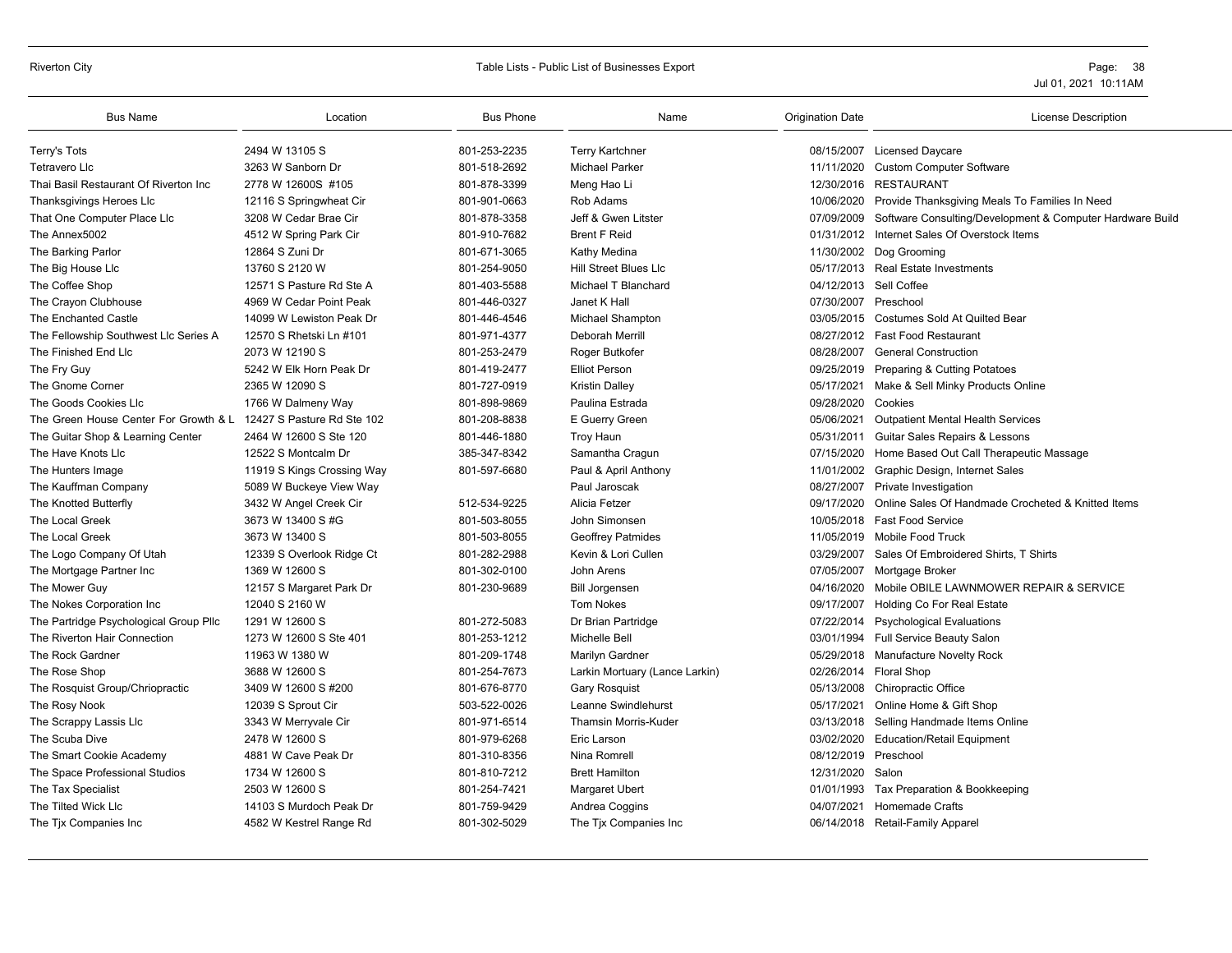#### Riverton City **School City** Page: 38 and Table Lists - Public List of Businesses Export **Page: 38** Page: 38

| <b>Bus Name</b>                                                  | Location                   | <b>Bus Phone</b> | Name                           | <b>Origination Date</b> | <b>License Description</b>                                |
|------------------------------------------------------------------|----------------------------|------------------|--------------------------------|-------------------------|-----------------------------------------------------------|
| Terry's Tots                                                     | 2494 W 13105 S             | 801-253-2235     | <b>Terry Kartchner</b>         |                         | 08/15/2007 Licensed Daycare                               |
| Tetravero Llc                                                    | 3263 W Sanborn Dr          | 801-518-2692     | <b>Michael Parker</b>          | 11/11/2020              | <b>Custom Computer Software</b>                           |
| Thai Basil Restaurant Of Riverton Inc                            | 2778 W 12600S #105         | 801-878-3399     | Meng Hao Li                    |                         | 12/30/2016 RESTAURANT                                     |
| Thanksgivings Heroes Llc                                         | 12116 S Springwheat Cir    | 801-901-0663     | Rob Adams                      | 10/06/2020              | Provide Thanksgiving Meals To Families In Need            |
| That One Computer Place Llc                                      | 3208 W Cedar Brae Cir      | 801-878-3358     | Jeff & Gwen Litster            | 07/09/2009              | Software Consulting/Development & Computer Hardware Build |
| The Annex5002                                                    | 4512 W Spring Park Cir     | 801-910-7682     | <b>Brent F Reid</b>            | 01/31/2012              | Internet Sales Of Overstock Items                         |
| The Barking Parlor                                               | 12864 S Zuni Dr            | 801-671-3065     | Kathy Medina                   |                         | 11/30/2002 Dog Grooming                                   |
| The Big House Llc                                                | 13760 S 2120 W             | 801-254-9050     | Hill Street Blues Llc          |                         | 05/17/2013 Real Estate Investments                        |
| The Coffee Shop                                                  | 12571 S Pasture Rd Ste A   | 801-403-5588     | Michael T Blanchard            | 04/12/2013              | Sell Coffee                                               |
| The Crayon Clubhouse                                             | 4969 W Cedar Point Peak    | 801-446-0327     | Janet K Hall                   | 07/30/2007              | Preschool                                                 |
| The Enchanted Castle                                             | 14099 W Lewiston Peak Dr   | 801-446-4546     | Michael Shampton               |                         | 03/05/2015 Costumes Sold At Quilted Bear                  |
| The Fellowship Southwest Llc Series A                            | 12570 S Rhetski Ln #101    | 801-971-4377     | <b>Deborah Merrill</b>         |                         | 08/27/2012 Fast Food Restaurant                           |
| The Finished End Llc                                             | 2073 W 12190 S             | 801-253-2479     | Roger Butkofer                 | 08/28/2007              | <b>General Construction</b>                               |
| The Fry Guy                                                      | 5242 W Elk Horn Peak Dr    | 801-419-2477     | <b>Elliot Person</b>           | 09/25/2019              | Preparing & Cutting Potatoes                              |
| The Gnome Corner                                                 | 2365 W 12090 S             | 801-727-0919     | <b>Kristin Dalley</b>          | 05/17/2021              | Make & Sell Minky Products Online                         |
| The Goods Cookies Llc                                            | 1766 W Dalmeny Way         | 801-898-9869     | Paulina Estrada                | 09/28/2020              | Cookies                                                   |
| The Green House Center For Growth & L 12427 S Pasture Rd Ste 102 |                            | 801-208-8838     | E Guerry Green                 | 05/06/2021              | <b>Outpatient Mental Health Services</b>                  |
| The Guitar Shop & Learning Center                                | 2464 W 12600 S Ste 120     | 801-446-1880     | <b>Troy Haun</b>               | 05/31/2011              | Guitar Sales Repairs & Lessons                            |
| The Have Knots Lic                                               | 12522 S Montcalm Dr        | 385-347-8342     | Samantha Cragun                | 07/15/2020              | Home Based Out Call Therapeutic Massage                   |
| The Hunters Image                                                | 11919 S Kings Crossing Way | 801-597-6680     | Paul & April Anthony           | 11/01/2002              | Graphic Design, Internet Sales                            |
| The Kauffman Company                                             | 5089 W Buckeye View Way    |                  | Paul Jaroscak                  | 08/27/2007              | Private Investigation                                     |
| The Knotted Butterfly                                            | 3432 W Angel Creek Cir     | 512-534-9225     | Alicia Fetzer                  | 09/17/2020              | Online Sales Of Handmade Crocheted & Knitted Items        |
| The Local Greek                                                  | 3673 W 13400 S #G          | 801-503-8055     | John Simonsen                  | 10/05/2018              | <b>Fast Food Service</b>                                  |
| The Local Greek                                                  | 3673 W 13400 S             | 801-503-8055     | <b>Geoffrey Patmides</b>       | 11/05/2019              | <b>Mobile Food Truck</b>                                  |
| The Logo Company Of Utah                                         | 12339 S Overlook Ridge Ct  | 801-282-2988     | Kevin & Lori Cullen            | 03/29/2007              | Sales Of Embroidered Shirts, T Shirts                     |
| The Mortgage Partner Inc                                         | 1369 W 12600 S             | 801-302-0100     | John Arens                     | 07/05/2007              | Mortgage Broker                                           |
| The Mower Guy                                                    | 12157 S Margaret Park Dr   | 801-230-9689     | <b>Bill Jorgensen</b>          | 04/16/2020              | Mobile OBILE LAWNMOWER REPAIR & SERVICE                   |
| The Nokes Corporation Inc                                        | 12040 S 2160 W             |                  | <b>Tom Nokes</b>               | 09/17/2007              | Holding Co For Real Estate                                |
| The Partridge Psychological Group Pllc                           | 1291 W 12600 S             | 801-272-5083     | Dr Brian Partridge             | 07/22/2014              | <b>Psychological Evaluations</b>                          |
| The Riverton Hair Connection                                     | 1273 W 12600 S Ste 401     | 801-253-1212     | Michelle Bell                  | 03/01/1994              | Full Service Beauty Salon                                 |
| The Rock Gardner                                                 | 11963 W 1380 W             | 801-209-1748     | Marilyn Gardner                | 05/29/2018              | <b>Manufacture Novelty Rock</b>                           |
| The Rose Shop                                                    | 3688 W 12600 S             | 801-254-7673     | Larkin Mortuary (Lance Larkin) | 02/26/2014              | <b>Floral Shop</b>                                        |
| The Rosquist Group/Chriopractic                                  | 3409 W 12600 S #200        | 801-676-8770     | <b>Gary Rosquist</b>           | 05/13/2008              | <b>Chiropractic Office</b>                                |
| The Rosy Nook                                                    | 12039 S Sprout Cir         | 503-522-0026     | Leanne Swindlehurst            | 05/17/2021              | Online Home & Gift Shop                                   |
| The Scrappy Lassis Llc                                           | 3343 W Merryvale Cir       | 801-971-6514     | <b>Thamsin Morris-Kuder</b>    | 03/13/2018              | Selling Handmade Items Online                             |
| The Scuba Dive                                                   | 2478 W 12600 S             | 801-979-6268     | Eric Larson                    | 03/02/2020              | <b>Education/Retail Equipment</b>                         |
| The Smart Cookie Academy                                         | 4881 W Cave Peak Dr        | 801-310-8356     | Nina Romrell                   | 08/12/2019              | Preschool                                                 |
| The Space Professional Studios                                   | 1734 W 12600 S             | 801-810-7212     | <b>Brett Hamilton</b>          | 12/31/2020              | Salon                                                     |
| The Tax Specialist                                               | 2503 W 12600 S             | 801-254-7421     | Margaret Ubert                 | 01/01/1993              | Tax Preparation & Bookkeeping                             |
| The Tilted Wick Llc                                              | 14103 S Murdoch Peak Dr    | 801-759-9429     | Andrea Coggins                 | 04/07/2021              | <b>Homemade Crafts</b>                                    |
| The Tjx Companies Inc                                            | 4582 W Kestrel Range Rd    | 801-302-5029     | The Tjx Companies Inc          |                         | 06/14/2018 Retail-Family Apparel                          |
|                                                                  |                            |                  |                                |                         |                                                           |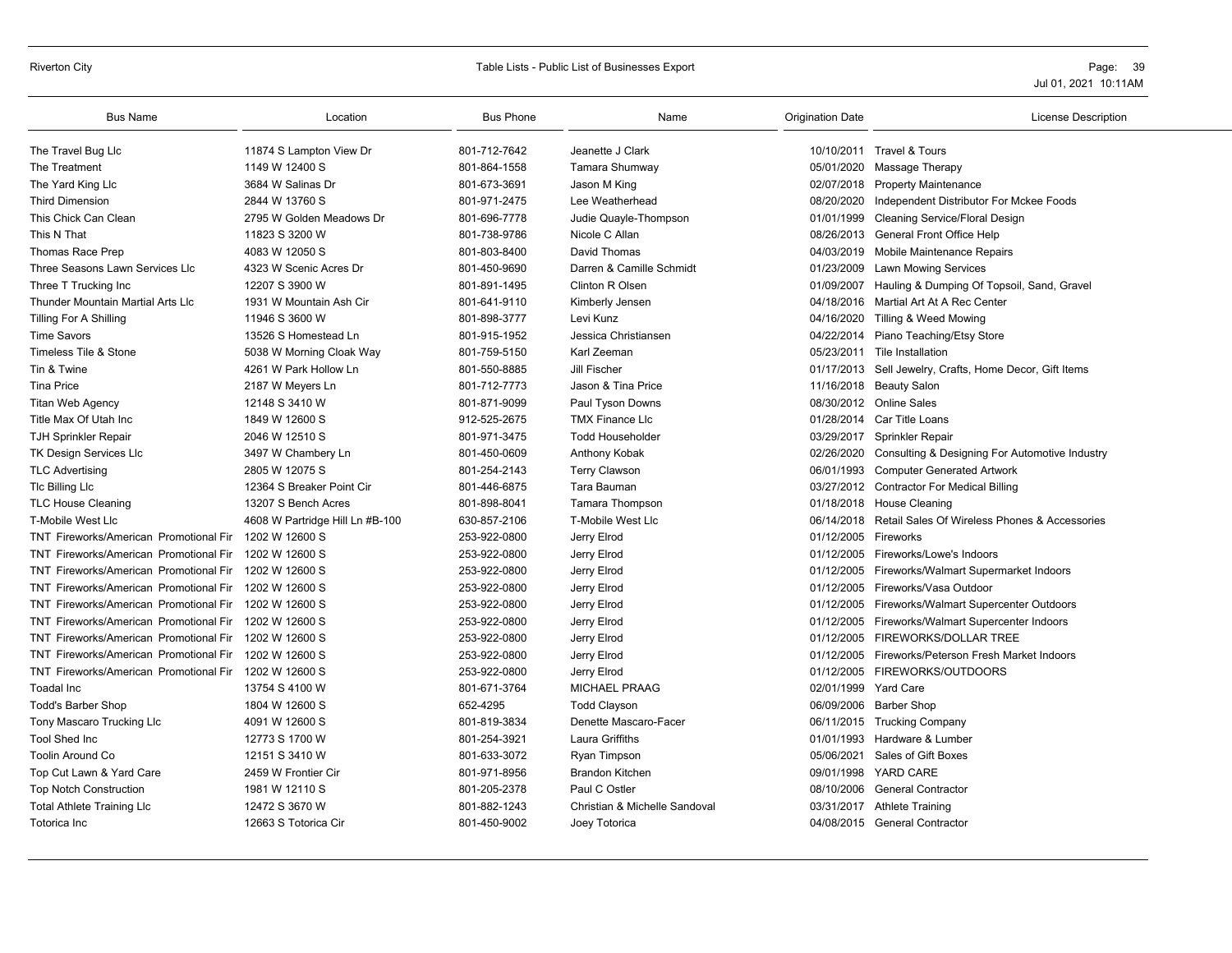# Riverton City **Example 20** Table Lists - Public List of Businesses Export **Page: 39** Page: 39

| <b>Bus Name</b>                               | Location                        | <b>Bus Phone</b> | Name                          | <b>Origination Date</b> | License Description                                     |
|-----------------------------------------------|---------------------------------|------------------|-------------------------------|-------------------------|---------------------------------------------------------|
| The Travel Bug Llc                            | 11874 S Lampton View Dr         | 801-712-7642     | Jeanette J Clark              |                         | 10/10/2011 Travel & Tours                               |
| The Treatment                                 | 1149 W 12400 S                  | 801-864-1558     | Tamara Shumway                | 05/01/2020              | Massage Therapy                                         |
| The Yard King Llc                             | 3684 W Salinas Dr               | 801-673-3691     | Jason M King                  | 02/07/2018              | <b>Property Maintenance</b>                             |
| <b>Third Dimension</b>                        | 2844 W 13760 S                  | 801-971-2475     | Lee Weatherhead               | 08/20/2020              | Independent Distributor For Mckee Foods                 |
| This Chick Can Clean                          | 2795 W Golden Meadows Dr        | 801-696-7778     | Judie Quayle-Thompson         | 01/01/1999              | Cleaning Service/Floral Design                          |
| This N That                                   | 11823 S 3200 W                  | 801-738-9786     | Nicole C Allan                | 08/26/2013              | General Front Office Help                               |
| Thomas Race Prep                              | 4083 W 12050 S                  | 801-803-8400     | David Thomas                  |                         | 04/03/2019 Mobile Maintenance Repairs                   |
| Three Seasons Lawn Services Llc               | 4323 W Scenic Acres Dr          | 801-450-9690     | Darren & Camille Schmidt      |                         | 01/23/2009 Lawn Mowing Services                         |
| Three T Trucking Inc                          | 12207 S 3900 W                  | 801-891-1495     | Clinton R Olsen               | 01/09/2007              | Hauling & Dumping Of Topsoil, Sand, Gravel              |
| Thunder Mountain Martial Arts Llc             | 1931 W Mountain Ash Cir         | 801-641-9110     | Kimberly Jensen               |                         | 04/18/2016 Martial Art At A Rec Center                  |
| Tilling For A Shilling                        | 11946 S 3600 W                  | 801-898-3777     | Levi Kunz                     |                         | 04/16/2020 Tilling & Weed Mowing                        |
| <b>Time Savors</b>                            | 13526 S Homestead Ln            | 801-915-1952     | Jessica Christiansen          | 04/22/2014              | Piano Teaching/Etsy Store                               |
| Timeless Tile & Stone                         | 5038 W Morning Cloak Way        | 801-759-5150     | Karl Zeeman                   |                         | 05/23/2011 Tile Installation                            |
| Tin & Twine                                   | 4261 W Park Hollow Ln           | 801-550-8885     | Jill Fischer                  |                         | 01/17/2013 Sell Jewelry, Crafts, Home Decor, Gift Items |
| <b>Tina Price</b>                             | 2187 W Meyers Ln                | 801-712-7773     | Jason & Tina Price            |                         | 11/16/2018 Beauty Salon                                 |
| Titan Web Agency                              | 12148 S 3410 W                  | 801-871-9099     | Paul Tyson Downs              |                         | 08/30/2012 Online Sales                                 |
| Title Max Of Utah Inc                         | 1849 W 12600 S                  | 912-525-2675     | <b>TMX Finance Llc</b>        |                         | 01/28/2014 Car Title Loans                              |
| <b>TJH Sprinkler Repair</b>                   | 2046 W 12510 S                  | 801-971-3475     | <b>Todd Householder</b>       |                         | 03/29/2017 Sprinkler Repair                             |
| <b>TK Design Services Llc</b>                 | 3497 W Chambery Ln              | 801-450-0609     | Anthony Kobak                 | 02/26/2020              | Consulting & Designing For Automotive Industry          |
| <b>TLC Advertising</b>                        | 2805 W 12075 S                  | 801-254-2143     | <b>Terry Clawson</b>          |                         | 06/01/1993 Computer Generated Artwork                   |
| <b>TIc Billing LIc</b>                        | 12364 S Breaker Point Cir       | 801-446-6875     | Tara Bauman                   |                         | 03/27/2012 Contractor For Medical Billing               |
| <b>TLC House Cleaning</b>                     | 13207 S Bench Acres             | 801-898-8041     | <b>Tamara Thompson</b>        | 01/18/2018              | House Cleaning                                          |
| T-Mobile West Llc                             | 4608 W Partridge Hill Ln #B-100 | 630-857-2106     | T-Mobile West Llc             | 06/14/2018              | Retail Sales Of Wireless Phones & Accessories           |
| TNT Fireworks/American Promotional Fir        | 1202 W 12600 S                  | 253-922-0800     | Jerry Elrod                   | 01/12/2005 Fireworks    |                                                         |
| <b>TNT Fireworks/American Promotional Fir</b> | 1202 W 12600 S                  | 253-922-0800     | Jerry Elrod                   | 01/12/2005              | Fireworks/Lowe's Indoors                                |
| <b>TNT Fireworks/American Promotional Fir</b> | 1202 W 12600 S                  | 253-922-0800     | Jerry Elrod                   | 01/12/2005              | Fireworks/Walmart Supermarket Indoors                   |
| TNT Fireworks/American Promotional Fir        | 1202 W 12600 S                  | 253-922-0800     | Jerry Elrod                   |                         | 01/12/2005 Fireworks/Vasa Outdoor                       |
| TNT Fireworks/American Promotional Fir        | 1202 W 12600 S                  | 253-922-0800     | Jerry Elrod                   |                         | 01/12/2005 Fireworks/Walmart Supercenter Outdoors       |
| <b>TNT Fireworks/American Promotional Fir</b> | 1202 W 12600 S                  | 253-922-0800     | Jerry Elrod                   | 01/12/2005              | Fireworks/Walmart Supercenter Indoors                   |
| <b>TNT Fireworks/American Promotional Fir</b> | 1202 W 12600 S                  | 253-922-0800     | Jerry Elrod                   | 01/12/2005              | FIREWORKS/DOLLAR TREE                                   |
| TNT Fireworks/American Promotional Fir        | 1202 W 12600 S                  | 253-922-0800     | Jerry Elrod                   |                         | 01/12/2005 Fireworks/Peterson Fresh Market Indoors      |
| <b>TNT Fireworks/American Promotional Fir</b> | 1202 W 12600 S                  | 253-922-0800     | Jerry Elrod                   |                         | 01/12/2005 FIREWORKS/OUTDOORS                           |
| Toadal Inc                                    | 13754 S 4100 W                  | 801-671-3764     | <b>MICHAEL PRAAG</b>          | 02/01/1999              | <b>Yard Care</b>                                        |
| Todd's Barber Shop                            | 1804 W 12600 S                  | 652-4295         | <b>Todd Clayson</b>           |                         | 06/09/2006 Barber Shop                                  |
| Tony Mascaro Trucking Llc                     | 4091 W 12600 S                  | 801-819-3834     | Denette Mascaro-Facer         |                         | 06/11/2015 Trucking Company                             |
| <b>Tool Shed Inc</b>                          | 12773 S 1700 W                  | 801-254-3921     | Laura Griffiths               | 01/01/1993              | Hardware & Lumber                                       |
| <b>Toolin Around Co</b>                       | 12151 S 3410 W                  | 801-633-3072     | Ryan Timpson                  | 05/06/2021              | Sales of Gift Boxes                                     |
| Top Cut Lawn & Yard Care                      | 2459 W Frontier Cir             | 801-971-8956     | <b>Brandon Kitchen</b>        | 09/01/1998              | <b>YARD CARE</b>                                        |
| <b>Top Notch Construction</b>                 | 1981 W 12110 S                  | 801-205-2378     | Paul C Ostler                 | 08/10/2006              | <b>General Contractor</b>                               |
| <b>Total Athlete Training LIc</b>             | 12472 S 3670 W                  | 801-882-1243     | Christian & Michelle Sandoval | 03/31/2017              | <b>Athlete Training</b>                                 |
| Totorica Inc                                  | 12663 S Totorica Cir            | 801-450-9002     | Joey Totorica                 |                         | 04/08/2015 General Contractor                           |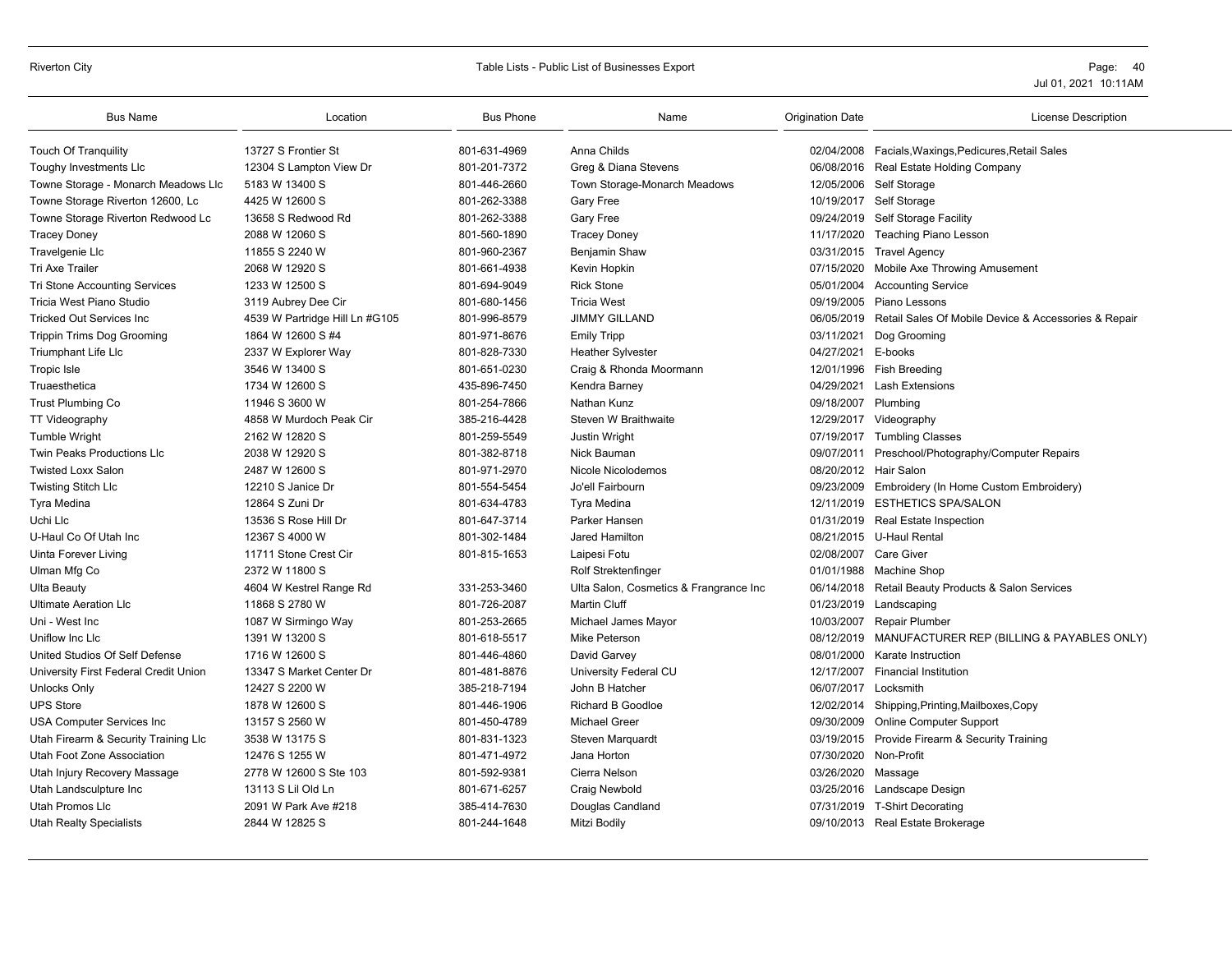# Riverton City **Example 20 State 20 State 20 State 20 State 20 State 20 State 20 State 20 State 20 State 20 State 20 State 20 State 20 State 20 State 20 State 20 State 20 State 20 State 20 State 20 State 20 State 20 State 2**

| <b>Bus Name</b>                       | Location                       | <b>Bus Phone</b> | Name                                   | Origination Date    | <b>License Description</b>                                      |
|---------------------------------------|--------------------------------|------------------|----------------------------------------|---------------------|-----------------------------------------------------------------|
| <b>Touch Of Tranquility</b>           | 13727 S Frontier St            | 801-631-4969     | Anna Childs                            |                     | 02/04/2008 Facials, Waxings, Pedicures, Retail Sales            |
| Toughy Investments LIc                | 12304 S Lampton View Dr        | 801-201-7372     | Greg & Diana Stevens                   |                     | 06/08/2016 Real Estate Holding Company                          |
| Towne Storage - Monarch Meadows Llc   | 5183 W 13400 S                 | 801-446-2660     | Town Storage-Monarch Meadows           |                     | 12/05/2006 Self Storage                                         |
| Towne Storage Riverton 12600, Lc      | 4425 W 12600 S                 | 801-262-3388     | <b>Gary Free</b>                       |                     | 10/19/2017 Self Storage                                         |
| Towne Storage Riverton Redwood Lc     | 13658 S Redwood Rd             | 801-262-3388     | Gary Free                              |                     | 09/24/2019 Self Storage Facility                                |
| <b>Tracey Doney</b>                   | 2088 W 12060 S                 | 801-560-1890     | <b>Tracey Doney</b>                    |                     | 11/17/2020 Teaching Piano Lesson                                |
| Travelgenie Llc                       | 11855 S 2240 W                 | 801-960-2367     | Benjamin Shaw                          |                     | 03/31/2015 Travel Agency                                        |
| Tri Axe Trailer                       | 2068 W 12920 S                 | 801-661-4938     | Kevin Hopkin                           |                     | 07/15/2020 Mobile Axe Throwing Amusement                        |
| <b>Tri Stone Accounting Services</b>  | 1233 W 12500 S                 | 801-694-9049     | <b>Rick Stone</b>                      |                     | 05/01/2004 Accounting Service                                   |
| Tricia West Piano Studio              | 3119 Aubrey Dee Cir            | 801-680-1456     | <b>Tricia West</b>                     |                     | 09/19/2005 Piano Lessons                                        |
| <b>Tricked Out Services Inc.</b>      | 4539 W Partridge Hill Ln #G105 | 801-996-8579     | <b>JIMMY GILLAND</b>                   |                     | 06/05/2019 Retail Sales Of Mobile Device & Accessories & Repair |
| <b>Trippin Trims Dog Grooming</b>     | 1864 W 12600 S #4              | 801-971-8676     | <b>Emily Tripp</b>                     | 03/11/2021          | Dog Grooming                                                    |
| <b>Triumphant Life Llc</b>            | 2337 W Explorer Way            | 801-828-7330     | <b>Heather Sylvester</b>               | 04/27/2021 E-books  |                                                                 |
| Tropic Isle                           | 3546 W 13400 S                 | 801-651-0230     | Craig & Rhonda Moormann                |                     | 12/01/1996 Fish Breeding                                        |
| Truaesthetica                         | 1734 W 12600 S                 | 435-896-7450     | Kendra Barney                          | 04/29/2021          | <b>Lash Extensions</b>                                          |
| <b>Trust Plumbing Co</b>              | 11946 S 3600 W                 | 801-254-7866     | Nathan Kunz                            | 09/18/2007 Plumbing |                                                                 |
| TT Videography                        | 4858 W Murdoch Peak Cir        | 385-216-4428     | Steven W Braithwaite                   |                     | 12/29/2017 Videography                                          |
| <b>Tumble Wright</b>                  | 2162 W 12820 S                 | 801-259-5549     | Justin Wright                          |                     | 07/19/2017 Tumbling Classes                                     |
| <b>Twin Peaks Productions Llc</b>     | 2038 W 12920 S                 | 801-382-8718     | Nick Bauman                            |                     | 09/07/2011 Preschool/Photography/Computer Repairs               |
| <b>Twisted Loxx Salon</b>             | 2487 W 12600 S                 | 801-971-2970     | Nicole Nicolodemos                     |                     | 08/20/2012 Hair Salon                                           |
| <b>Twisting Stitch Llc</b>            | 12210 S Janice Dr              | 801-554-5454     | Jo'ell Fairbourn                       |                     | 09/23/2009 Embroidery (In Home Custom Embroidery)               |
| Tyra Medina                           | 12864 S Zuni Dr                | 801-634-4783     | Tyra Medina                            |                     | 12/11/2019 ESTHETICS SPA/SALON                                  |
| Uchi Llc                              | 13536 S Rose Hill Dr           | 801-647-3714     | Parker Hansen                          |                     | 01/31/2019 Real Estate Inspection                               |
| U-Haul Co Of Utah Inc                 | 12367 S 4000 W                 | 801-302-1484     | Jared Hamilton                         |                     | 08/21/2015 U-Haul Rental                                        |
| Uinta Forever Living                  | 11711 Stone Crest Cir          | 801-815-1653     | Laipesi Fotu                           |                     | 02/08/2007 Care Giver                                           |
| Ulman Mfg Co                          | 2372 W 11800 S                 |                  | Rolf Strektenfinger                    |                     | 01/01/1988 Machine Shop                                         |
| <b>Ulta Beauty</b>                    | 4604 W Kestrel Range Rd        | 331-253-3460     | Ulta Salon, Cosmetics & Frangrance Inc |                     | 06/14/2018 Retail Beauty Products & Salon Services              |
| <b>Ultimate Aeration Llc</b>          | 11868 S 2780 W                 | 801-726-2087     | <b>Martin Cluff</b>                    |                     | 01/23/2019 Landscaping                                          |
| Uni - West Inc                        | 1087 W Sirmingo Way            | 801-253-2665     | Michael James Mayor                    |                     | 10/03/2007 Repair Plumber                                       |
| Uniflow Inc Llc                       | 1391 W 13200 S                 | 801-618-5517     | Mike Peterson                          |                     | 08/12/2019 MANUFACTURER REP (BILLING & PAYABLES ONLY)           |
| United Studios Of Self Defense        | 1716 W 12600 S                 | 801-446-4860     | David Garvey                           | 08/01/2000          | Karate Instruction                                              |
| University First Federal Credit Union | 13347 S Market Center Dr       | 801-481-8876     | University Federal CU                  | 12/17/2007          | <b>Financial Institution</b>                                    |
| Unlocks Only                          | 12427 S 2200 W                 | 385-218-7194     | John B Hatcher                         | 06/07/2017          | Locksmith                                                       |
| <b>UPS Store</b>                      | 1878 W 12600 S                 | 801-446-1906     | Richard B Goodloe                      |                     | 12/02/2014 Shipping, Printing, Mailboxes, Copy                  |
| <b>USA Computer Services Inc</b>      | 13157 S 2560 W                 | 801-450-4789     | <b>Michael Greer</b>                   |                     | 09/30/2009 Online Computer Support                              |
| Utah Firearm & Security Training Llc  | 3538 W 13175 S                 | 801-831-1323     | Steven Marquardt                       |                     | 03/19/2015 Provide Firearm & Security Training                  |
| Utah Foot Zone Association            | 12476 S 1255 W                 | 801-471-4972     | Jana Horton                            |                     | 07/30/2020 Non-Profit                                           |
| Utah Injury Recovery Massage          | 2778 W 12600 S Ste 103         | 801-592-9381     | Cierra Nelson                          | 03/26/2020 Massage  |                                                                 |
| Utah Landsculpture Inc                | 13113 S Lil Old Ln             | 801-671-6257     | Craig Newbold                          |                     | 03/25/2016 Landscape Design                                     |
| Utah Promos Llc                       | 2091 W Park Ave #218           | 385-414-7630     | Douglas Candland                       |                     | 07/31/2019 T-Shirt Decorating                                   |
| <b>Utah Realty Specialists</b>        | 2844 W 12825 S                 | 801-244-1648     | Mitzi Bodily                           |                     | 09/10/2013 Real Estate Brokerage                                |
|                                       |                                |                  |                                        |                     |                                                                 |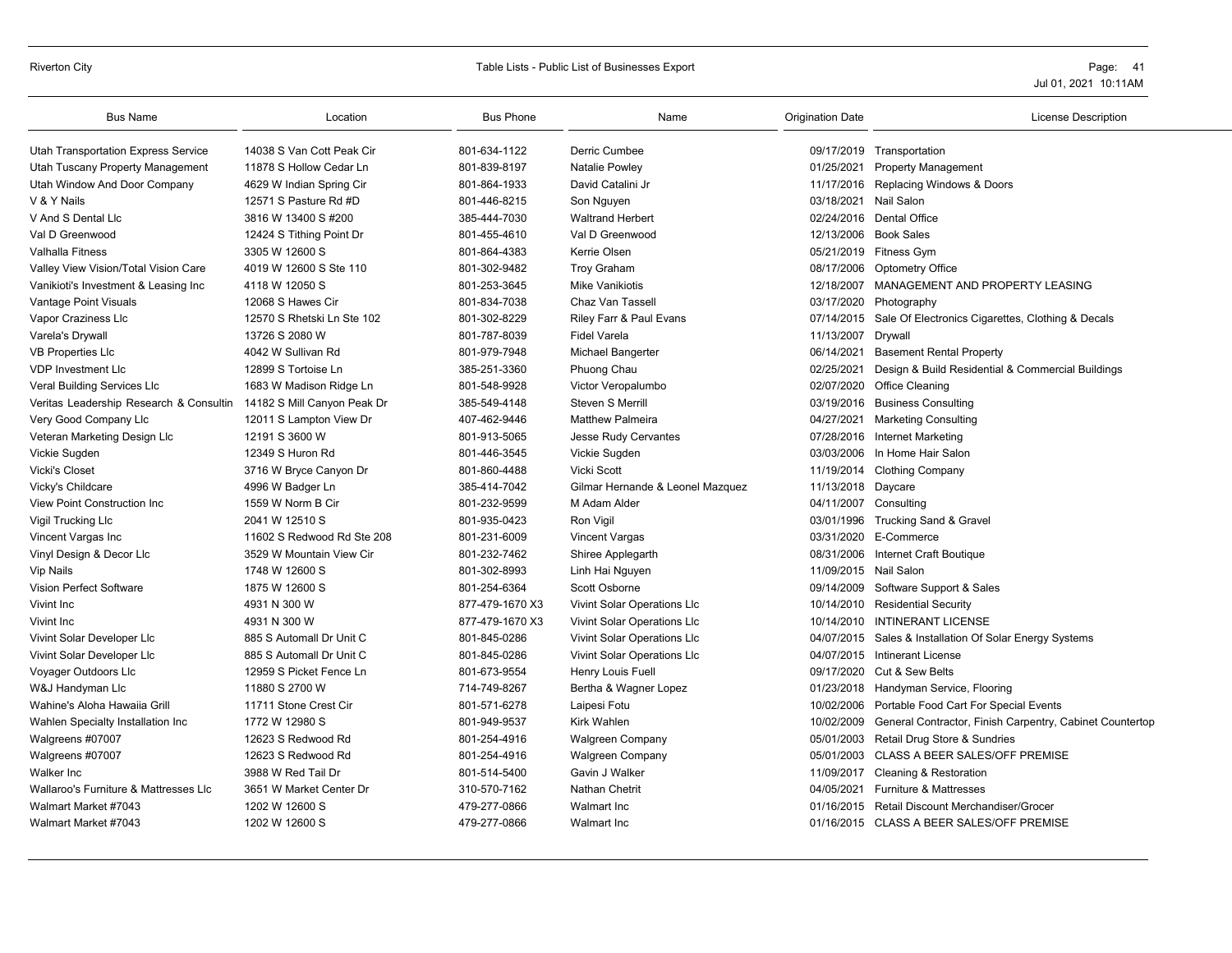# Riverton City **Example 20** Table Lists - Public List of Businesses Export **Page: 41** Page: 41

| <b>Bus Name</b>                         | Location                    | <b>Bus Phone</b> | Name                             | <b>Origination Date</b> | <b>License Description</b>                                          |
|-----------------------------------------|-----------------------------|------------------|----------------------------------|-------------------------|---------------------------------------------------------------------|
| Utah Transportation Express Service     | 14038 S Van Cott Peak Cir   | 801-634-1122     | <b>Derric Cumbee</b>             |                         | 09/17/2019 Transportation                                           |
| Utah Tuscany Property Management        | 11878 S Hollow Cedar Ln     | 801-839-8197     | Natalie Powley                   | 01/25/2021              | <b>Property Management</b>                                          |
| Utah Window And Door Company            | 4629 W Indian Spring Cir    | 801-864-1933     | David Catalini Jr                |                         | 11/17/2016 Replacing Windows & Doors                                |
| V & Y Nails                             | 12571 S Pasture Rd #D       | 801-446-8215     | Son Nguyen                       | 03/18/2021              | Nail Salon                                                          |
| V And S Dental Lic                      | 3816 W 13400 S #200         | 385-444-7030     | <b>Waltrand Herbert</b>          |                         | 02/24/2016 Dental Office                                            |
| Val D Greenwood                         | 12424 S Tithing Point Dr    | 801-455-4610     | Val D Greenwood                  |                         | 12/13/2006 Book Sales                                               |
| Valhalla Fitness                        | 3305 W 12600 S              | 801-864-4383     | Kerrie Olsen                     |                         | 05/21/2019 Fitness Gym                                              |
| Valley View Vision/Total Vision Care    | 4019 W 12600 S Ste 110      | 801-302-9482     | <b>Troy Graham</b>               | 08/17/2006              | <b>Optometry Office</b>                                             |
| Vanikioti's Investment & Leasing Inc    | 4118 W 12050 S              | 801-253-3645     | <b>Mike Vanikiotis</b>           |                         | 12/18/2007 MANAGEMENT AND PROPERTY LEASING                          |
| Vantage Point Visuals                   | 12068 S Hawes Cir           | 801-834-7038     | Chaz Van Tassell                 | 03/17/2020              | Photography                                                         |
| Vapor Craziness Llc                     | 12570 S Rhetski Ln Ste 102  | 801-302-8229     | Riley Farr & Paul Evans          | 07/14/2015              | Sale Of Electronics Cigarettes, Clothing & Decals                   |
| Varela's Drywall                        | 13726 S 2080 W              | 801-787-8039     | <b>Fidel Varela</b>              | 11/13/2007 Drywall      |                                                                     |
| <b>VB Properties Llc</b>                | 4042 W Sullivan Rd          | 801-979-7948     | Michael Bangerter                | 06/14/2021              | <b>Basement Rental Property</b>                                     |
| <b>VDP Investment LIc</b>               | 12899 S Tortoise Ln         | 385-251-3360     | Phuong Chau                      | 02/25/2021              | Design & Build Residential & Commercial Buildings                   |
| Veral Building Services Llc             | 1683 W Madison Ridge Ln     | 801-548-9928     | Victor Veropalumbo               |                         | 02/07/2020 Office Cleaning                                          |
| Veritas Leadership Research & Consultin | 14182 S Mill Canyon Peak Dr | 385-549-4148     | Steven S Merrill                 |                         | 03/19/2016 Business Consulting                                      |
| Very Good Company Llc                   | 12011 S Lampton View Dr     | 407-462-9446     | <b>Matthew Palmeira</b>          | 04/27/2021              | <b>Marketing Consulting</b>                                         |
| Veteran Marketing Design Llc            | 12191 S 3600 W              | 801-913-5065     | Jesse Rudy Cervantes             |                         | 07/28/2016 Internet Marketing                                       |
| Vickie Sugden                           | 12349 S Huron Rd            | 801-446-3545     | Vickie Sugden                    |                         | 03/03/2006 In Home Hair Salon                                       |
| <b>Vicki's Closet</b>                   | 3716 W Bryce Canyon Dr      | 801-860-4488     | Vicki Scott                      |                         | 11/19/2014 Clothing Company                                         |
| Vicky's Childcare                       | 4996 W Badger Ln            | 385-414-7042     | Gilmar Hernande & Leonel Mazquez | 11/13/2018 Daycare      |                                                                     |
| View Point Construction Inc             | 1559 W Norm B Cir           | 801-232-9599     | M Adam Alder                     |                         | 04/11/2007 Consulting                                               |
| Vigil Trucking Llc                      | 2041 W 12510 S              | 801-935-0423     | Ron Vigil                        |                         | 03/01/1996 Trucking Sand & Gravel                                   |
| Vincent Vargas Inc                      | 11602 S Redwood Rd Ste 208  | 801-231-6009     | Vincent Vargas                   |                         | 03/31/2020 E-Commerce                                               |
| Vinyl Design & Decor Llc                | 3529 W Mountain View Cir    | 801-232-7462     | Shiree Applegarth                | 08/31/2006              | Internet Craft Boutique                                             |
| <b>Vip Nails</b>                        | 1748 W 12600 S              | 801-302-8993     | Linh Hai Nguyen                  | 11/09/2015 Nail Salon   |                                                                     |
| Vision Perfect Software                 | 1875 W 12600 S              | 801-254-6364     | Scott Osborne                    |                         | 09/14/2009 Software Support & Sales                                 |
| Vivint Inc                              | 4931 N 300 W                | 877-479-1670 X3  | Vivint Solar Operations Llc      |                         | 10/14/2010 Residential Security                                     |
| Vivint Inc                              | 4931 N 300 W                | 877-479-1670 X3  | Vivint Solar Operations Llc      |                         | 10/14/2010 INTINERANT LICENSE                                       |
| Vivint Solar Developer Llc              | 885 S Automall Dr Unit C    | 801-845-0286     | Vivint Solar Operations Llc      | 04/07/2015              | Sales & Installation Of Solar Energy Systems                        |
| Vivint Solar Developer Llc              | 885 S Automall Dr Unit C    | 801-845-0286     | Vivint Solar Operations Llc      | 04/07/2015              | Intinerant License                                                  |
| Voyager Outdoors Llc                    | 12959 S Picket Fence Ln     | 801-673-9554     | Henry Louis Fuell                |                         | 09/17/2020 Cut & Sew Belts                                          |
| W&J Handyman Llc                        | 11880 S 2700 W              | 714-749-8267     | Bertha & Wagner Lopez            |                         | 01/23/2018 Handyman Service, Flooring                               |
| Wahine's Aloha Hawaiia Grill            | 11711 Stone Crest Cir       | 801-571-6278     | Laipesi Fotu                     |                         | 10/02/2006 Portable Food Cart For Special Events                    |
| Wahlen Specialty Installation Inc       | 1772 W 12980 S              | 801-949-9537     | Kirk Wahlen                      |                         | 10/02/2009 General Contractor, Finish Carpentry, Cabinet Countertop |
| Walgreens #07007                        | 12623 S Redwood Rd          | 801-254-4916     | <b>Walgreen Company</b>          |                         | 05/01/2003 Retail Drug Store & Sundries                             |
| Walgreens #07007                        | 12623 S Redwood Rd          | 801-254-4916     | <b>Walgreen Company</b>          | 05/01/2003              | CLASS A BEER SALES/OFF PREMISE                                      |
| <b>Walker Inc</b>                       | 3988 W Red Tail Dr          | 801-514-5400     | Gavin J Walker                   | 11/09/2017              | <b>Cleaning &amp; Restoration</b>                                   |
| Wallaroo's Furniture & Mattresses Llc   | 3651 W Market Center Dr     | 310-570-7162     | Nathan Chetrit                   | 04/05/2021              | <b>Furniture &amp; Mattresses</b>                                   |
| Walmart Market #7043                    | 1202 W 12600 S              | 479-277-0866     | Walmart Inc.                     |                         | 01/16/2015 Retail Discount Merchandiser/Grocer                      |
| Walmart Market #7043                    | 1202 W 12600 S              | 479-277-0866     | Walmart Inc                      |                         | 01/16/2015 CLASS A BEER SALES/OFF PREMISE                           |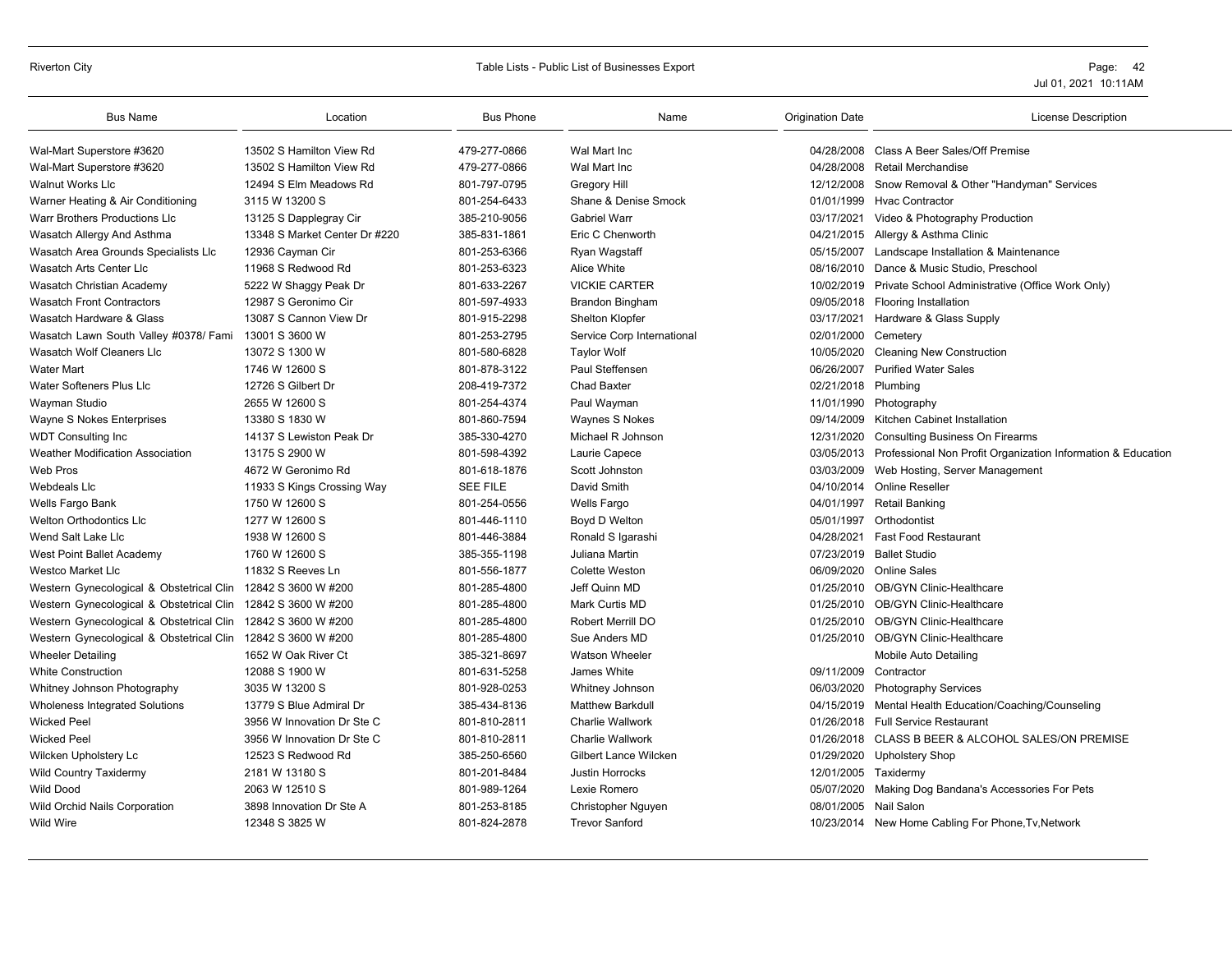# Riverton City **Example 20** Page: 42

| <b>Bus Name</b>                                              | Location                      | <b>Bus Phone</b> | Name                         | <b>Origination Date</b> | License Description                                          |
|--------------------------------------------------------------|-------------------------------|------------------|------------------------------|-------------------------|--------------------------------------------------------------|
| Wal-Mart Superstore #3620                                    | 13502 S Hamilton View Rd      | 479-277-0866     | Wal Mart Inc                 |                         | 04/28/2008 Class A Beer Sales/Off Premise                    |
| Wal-Mart Superstore #3620                                    | 13502 S Hamilton View Rd      | 479-277-0866     | Wal Mart Inc                 | 04/28/2008              | Retail Merchandise                                           |
| <b>Walnut Works Llc</b>                                      | 12494 S Elm Meadows Rd        | 801-797-0795     | <b>Gregory Hill</b>          | 12/12/2008              | Snow Removal & Other "Handyman" Services                     |
| Warner Heating & Air Conditioning                            | 3115 W 13200 S                | 801-254-6433     | Shane & Denise Smock         | 01/01/1999              | <b>Hvac Contractor</b>                                       |
| <b>Warr Brothers Productions LIc</b>                         | 13125 S Dapplegray Cir        | 385-210-9056     | <b>Gabriel Warr</b>          |                         | 03/17/2021 Video & Photography Production                    |
| Wasatch Allergy And Asthma                                   | 13348 S Market Center Dr #220 | 385-831-1861     | Eric C Chenworth             | 04/21/2015              | Allergy & Asthma Clinic                                      |
| Wasatch Area Grounds Specialists Llc                         | 12936 Cayman Cir              | 801-253-6366     | Ryan Wagstaff                | 05/15/2007              | Landscape Installation & Maintenance                         |
| Wasatch Arts Center Llc                                      | 11968 S Redwood Rd            | 801-253-6323     | Alice White                  |                         | 08/16/2010 Dance & Music Studio, Preschool                   |
| Wasatch Christian Academy                                    | 5222 W Shaggy Peak Dr         | 801-633-2267     | <b>VICKIE CARTER</b>         | 10/02/2019              | Private School Administrative (Office Work Only)             |
| <b>Wasatch Front Contractors</b>                             | 12987 S Geronimo Cir          | 801-597-4933     | <b>Brandon Bingham</b>       | 09/05/2018              | <b>Flooring Installation</b>                                 |
| Wasatch Hardware & Glass                                     | 13087 S Cannon View Dr        | 801-915-2298     | Shelton Klopfer              |                         | 03/17/2021 Hardware & Glass Supply                           |
| Wasatch Lawn South Valley #0378/ Fami                        | 13001 S 3600 W                | 801-253-2795     | Service Corp International   | 02/01/2000              | Cemetery                                                     |
| <b>Wasatch Wolf Cleaners Lic</b>                             | 13072 S 1300 W                | 801-580-6828     | <b>Taylor Wolf</b>           | 10/05/2020              | <b>Cleaning New Construction</b>                             |
| <b>Water Mart</b>                                            | 1746 W 12600 S                | 801-878-3122     | Paul Steffensen              | 06/26/2007              | <b>Purified Water Sales</b>                                  |
| Water Softeners Plus Llc                                     | 12726 S Gilbert Dr            | 208-419-7372     | <b>Chad Baxter</b>           | 02/21/2018 Plumbing     |                                                              |
| Wayman Studio                                                | 2655 W 12600 S                | 801-254-4374     | Paul Wayman                  | 11/01/1990              | Photography                                                  |
| Wayne S Nokes Enterprises                                    | 13380 S 1830 W                | 801-860-7594     | Waynes S Nokes               |                         | 09/14/2009 Kitchen Cabinet Installation                      |
| <b>WDT Consulting Inc.</b>                                   | 14137 S Lewiston Peak Dr      | 385-330-4270     | Michael R Johnson            | 12/31/2020              | <b>Consulting Business On Firearms</b>                       |
| Weather Modification Association                             | 13175 S 2900 W                | 801-598-4392     | Laurie Capece                | 03/05/2013              | Professional Non Profit Organization Information & Education |
| Web Pros                                                     | 4672 W Geronimo Rd            | 801-618-1876     | Scott Johnston               | 03/03/2009              | Web Hosting, Server Management                               |
| <b>Webdeals Llc</b>                                          | 11933 S Kings Crossing Way    | <b>SEE FILE</b>  | David Smith                  | 04/10/2014              | <b>Online Reseller</b>                                       |
| Wells Fargo Bank                                             | 1750 W 12600 S                | 801-254-0556     | Wells Fargo                  | 04/01/1997              | Retail Banking                                               |
| <b>Welton Orthodontics Llc</b>                               | 1277 W 12600 S                | 801-446-1110     | Boyd D Welton                | 05/01/1997              | Orthodontist                                                 |
| Wend Salt Lake Lic                                           | 1938 W 12600 S                | 801-446-3884     | Ronald S Igarashi            | 04/28/2021              | <b>Fast Food Restaurant</b>                                  |
| West Point Ballet Academy                                    | 1760 W 12600 S                | 385-355-1198     | Juliana Martin               | 07/23/2019              | <b>Ballet Studio</b>                                         |
| <b>Westco Market Llc</b>                                     | 11832 S Reeves Ln             | 801-556-1877     | <b>Colette Weston</b>        | 06/09/2020              | <b>Online Sales</b>                                          |
| Western Gynecological & Obstetrical Clin 12842 S 3600 W #200 |                               | 801-285-4800     | Jeff Quinn MD                |                         | 01/25/2010 OB/GYN Clinic-Healthcare                          |
| Western Gynecological & Obstetrical Clin 12842 S 3600 W #200 |                               | 801-285-4800     | <b>Mark Curtis MD</b>        | 01/25/2010              | <b>OB/GYN Clinic-Healthcare</b>                              |
| Western Gynecological & Obstetrical Clin                     | 12842 S 3600 W #200           | 801-285-4800     | Robert Merrill DO            | 01/25/2010              | <b>OB/GYN Clinic-Healthcare</b>                              |
| Western Gynecological & Obstetrical Clin                     | 12842 S 3600 W #200           | 801-285-4800     | Sue Anders MD                |                         | 01/25/2010 OB/GYN Clinic-Healthcare                          |
| <b>Wheeler Detailing</b>                                     | 1652 W Oak River Ct           | 385-321-8697     | <b>Watson Wheeler</b>        |                         | Mobile Auto Detailing                                        |
| <b>White Construction</b>                                    | 12088 S 1900 W                | 801-631-5258     | James White                  | 09/11/2009              | Contractor                                                   |
| Whitney Johnson Photography                                  | 3035 W 13200 S                | 801-928-0253     | Whitney Johnson              | 06/03/2020              | <b>Photography Services</b>                                  |
| Wholeness Integrated Solutions                               | 13779 S Blue Admiral Dr       | 385-434-8136     | <b>Matthew Barkdull</b>      | 04/15/2019              | Mental Health Education/Coaching/Counseling                  |
| <b>Wicked Peel</b>                                           | 3956 W Innovation Dr Ste C    | 801-810-2811     | <b>Charlie Wallwork</b>      | 01/26/2018              | <b>Full Service Restaurant</b>                               |
| <b>Wicked Peel</b>                                           | 3956 W Innovation Dr Ste C    | 801-810-2811     | Charlie Wallwork             |                         | 01/26/2018 CLASS B BEER & ALCOHOL SALES/ON PREMISE           |
| Wilcken Upholstery Lc                                        | 12523 S Redwood Rd            | 385-250-6560     | <b>Gilbert Lance Wilcken</b> | 01/29/2020              | <b>Upholstery Shop</b>                                       |
| <b>Wild Country Taxidermy</b>                                | 2181 W 13180 S                | 801-201-8484     | Justin Horrocks              | 12/01/2005              | Taxidermy                                                    |
| <b>Wild Dood</b>                                             | 2063 W 12510 S                | 801-989-1264     | Lexie Romero                 | 05/07/2020              | Making Dog Bandana's Accessories For Pets                    |
| Wild Orchid Nails Corporation                                | 3898 Innovation Dr Ste A      | 801-253-8185     | Christopher Nguyen           | 08/01/2005 Nail Salon   |                                                              |
| <b>Wild Wire</b>                                             | 12348 S 3825 W                | 801-824-2878     | <b>Trevor Sanford</b>        |                         | 10/23/2014 New Home Cabling For Phone, Tv, Network           |
|                                                              |                               |                  |                              |                         |                                                              |